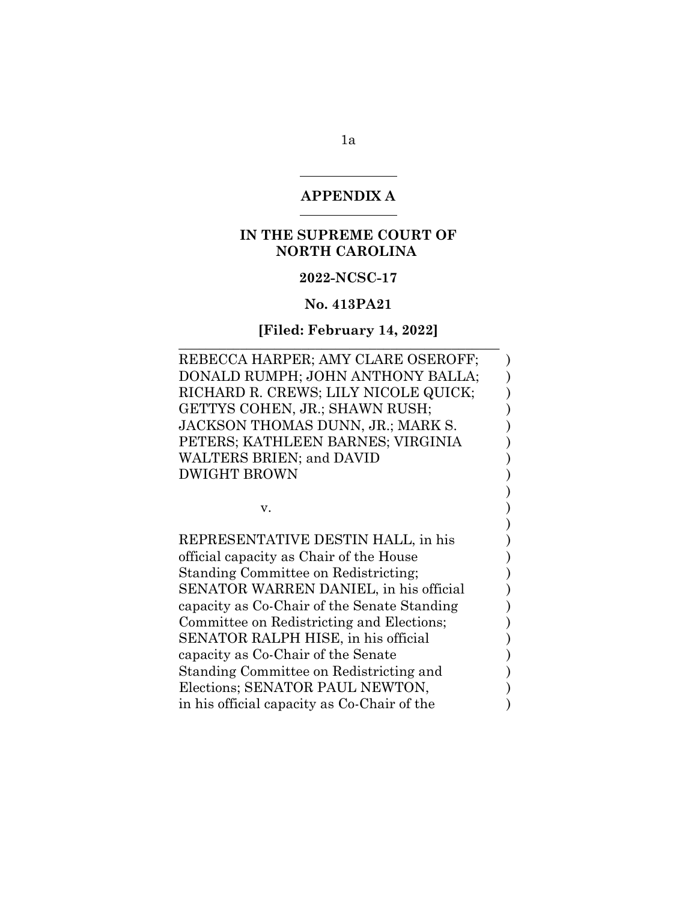#### **APPENDIX A**

### **IN THE SUPREME COURT OF NORTH CAROLINA**

### **2022-NCSC-17**

#### **No. 413PA21**

#### **[Filed: February 14, 2022]** \_\_\_\_\_\_\_\_\_\_\_\_\_\_\_\_\_\_\_\_\_\_\_\_\_\_\_\_\_\_\_\_\_\_\_\_\_\_\_\_\_\_\_\_\_\_\_

REBECCA HARPER; AMY CLARE OSEROFF; ) DONALD RUMPH; JOHN ANTHONY BALLA; ) RICHARD R. CREWS; LILY NICOLE QUICK; GETTYS COHEN, JR.; SHAWN RUSH; JACKSON THOMAS DUNN, JR.; MARK S. PETERS; KATHLEEN BARNES; VIRGINIA ) WALTERS BRIEN; and DAVID  $)$ DWIGHT BROWN )

)

)

 $\mathbf v.$  )

REPRESENTATIVE DESTIN HALL, in his  $($ official capacity as Chair of the House ) Standing Committee on Redistricting; ) SENATOR WARREN DANIEL, in his official  $\qquad \qquad$  ) capacity as Co-Chair of the Senate Standing ) Committee on Redistricting and Elections; SENATOR RALPH HISE, in his official  $)$ capacity as Co-Chair of the Senate ) Standing Committee on Redistricting and ) Elections; SENATOR PAUL NEWTON, in his official capacity as Co-Chair of the  $\qquad \qquad$  )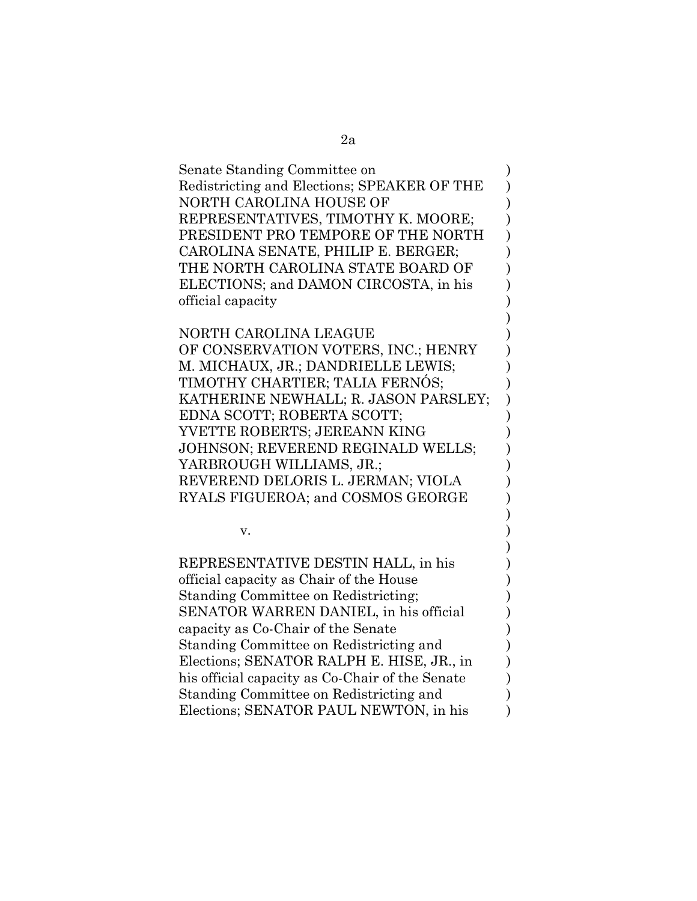| Senate Standing Committee on                |  |
|---------------------------------------------|--|
| Redistricting and Elections; SPEAKER OF THE |  |
| NORTH CAROLINA HOUSE OF                     |  |
| REPRESENTATIVES, TIMOTHY K. MOORE;          |  |
| PRESIDENT PRO TEMPORE OF THE NORTH          |  |
| CAROLINA SENATE, PHILIP E. BERGER;          |  |
| THE NORTH CAROLINA STATE BOARD OF           |  |
| ELECTIONS; and DAMON CIRCOSTA, in his       |  |
| official capacity                           |  |
|                                             |  |

)

)

)

NORTH CAROLINA LEAGUE ) OF CONSERVATION VOTERS, INC.; HENRY )

M. MICHAUX, JR.; DANDRIELLE LEWIS;  $)$ TIMOTHY CHARTIER; TALIA FERNÓS; ) KATHERINE NEWHALL; R. JASON PARSLEY; ) EDNA SCOTT; ROBERTA SCOTT;  $\qquad$  ) YVETTE ROBERTS; JEREANN KING JOHNSON; REVEREND REGINALD WELLS; ) YARBROUGH WILLIAMS, JR.; REVEREND DELORIS L. JERMAN; VIOLA ) RYALS FIGUEROA; and COSMOS GEORGE )

 $\mathbf v.$  )

REPRESENTATIVE DESTIN HALL, in his ) official capacity as Chair of the House ) Standing Committee on Redistricting; ) SENATOR WARREN DANIEL, in his official  $\qquad \qquad$  ) capacity as Co-Chair of the Senate  $\qquad \qquad$ ) Standing Committee on Redistricting and ) Elections; SENATOR RALPH E. HISE, JR., in ) his official capacity as Co-Chair of the Senate  $\qquad \qquad$  ) Standing Committee on Redistricting and ) Elections; SENATOR PAUL NEWTON, in his  $)$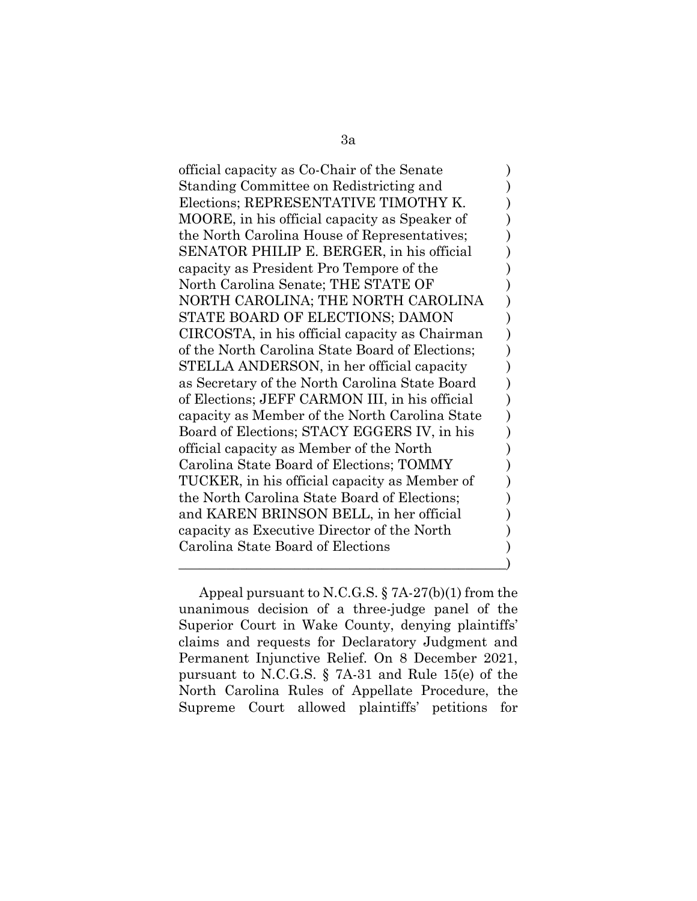official capacity as Co-Chair of the Senate ) Standing Committee on Redistricting and ) Elections; REPRESENTATIVE TIMOTHY K. MOORE, in his official capacity as Speaker of  $\qquad \qquad$  ) the North Carolina House of Representatives; SENATOR PHILIP E. BERGER, in his official  $\qquad$ capacity as President Pro Tempore of the ) North Carolina Senate; THE STATE OF  $\qquad \qquad$  ) NORTH CAROLINA; THE NORTH CAROLINA ) STATE BOARD OF ELECTIONS; DAMON CIRCOSTA, in his official capacity as Chairman ) of the North Carolina State Board of Elections; STELLA ANDERSON, in her official capacity  $\qquad \qquad$  ) as Secretary of the North Carolina State Board ) of Elections; JEFF CARMON III, in his official ) capacity as Member of the North Carolina State ) Board of Elections; STACY EGGERS IV, in his  $\qquad$  ) official capacity as Member of the North ) Carolina State Board of Elections; TOMMY  $\qquad \qquad$  ) TUCKER, in his official capacity as Member of  $\qquad$  ) the North Carolina State Board of Elections; and KAREN BRINSON BELL, in her official ) capacity as Executive Director of the North ) Carolina State Board of Elections ) \_\_\_\_\_\_\_\_\_\_\_\_\_\_\_\_\_\_\_\_\_\_\_\_\_\_\_\_\_\_\_\_\_\_\_\_\_\_\_\_\_\_\_\_\_\_\_\_)

Appeal pursuant to N.C.G.S. § 7A-27(b)(1) from the unanimous decision of a three-judge panel of the Superior Court in Wake County, denying plaintiffs' claims and requests for Declaratory Judgment and Permanent Injunctive Relief. On 8 December 2021, pursuant to N.C.G.S. § 7A-31 and Rule 15(e) of the North Carolina Rules of Appellate Procedure, the Supreme Court allowed plaintiffs' petitions for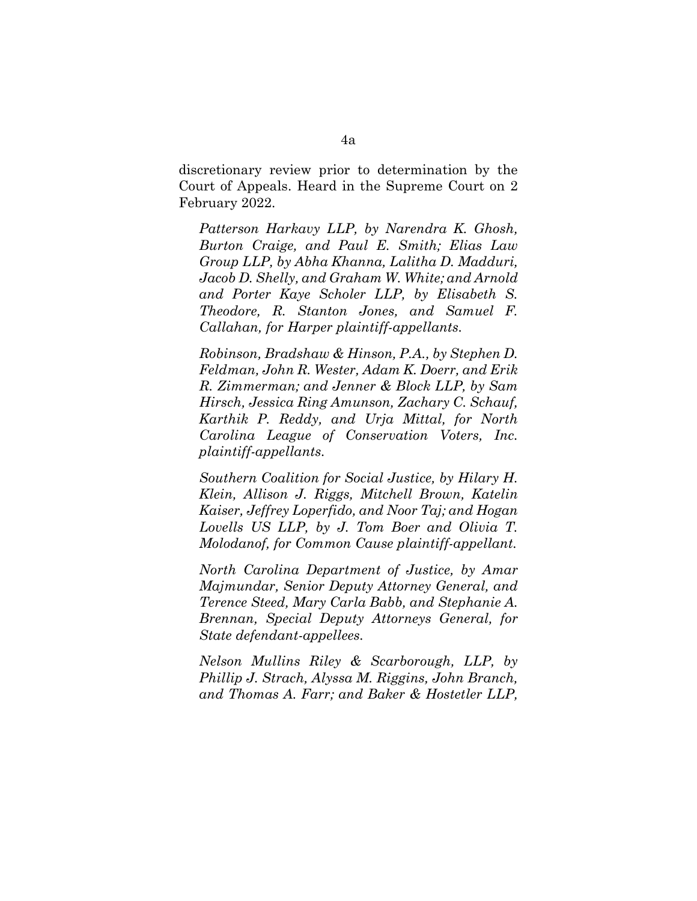discretionary review prior to determination by the Court of Appeals. Heard in the Supreme Court on 2 February 2022.

*Patterson Harkavy LLP, by Narendra K. Ghosh, Burton Craige, and Paul E. Smith; Elias Law Group LLP, by Abha Khanna, Lalitha D. Madduri, Jacob D. Shelly, and Graham W. White; and Arnold and Porter Kaye Scholer LLP, by Elisabeth S. Theodore, R. Stanton Jones, and Samuel F. Callahan, for Harper plaintiff-appellants.* 

*Robinson, Bradshaw & Hinson, P.A., by Stephen D. Feldman, John R. Wester, Adam K. Doerr, and Erik R. Zimmerman; and Jenner & Block LLP, by Sam Hirsch, Jessica Ring Amunson, Zachary C. Schauf, Karthik P. Reddy, and Urja Mittal, for North Carolina League of Conservation Voters, Inc. plaintiff-appellants.* 

*Southern Coalition for Social Justice, by Hilary H. Klein, Allison J. Riggs, Mitchell Brown, Katelin Kaiser, Jeffrey Loperfido, and Noor Taj; and Hogan Lovells US LLP, by J. Tom Boer and Olivia T. Molodanof, for Common Cause plaintiff-appellant.*

*North Carolina Department of Justice, by Amar Majmundar, Senior Deputy Attorney General, and Terence Steed, Mary Carla Babb, and Stephanie A. Brennan, Special Deputy Attorneys General, for State defendant-appellees.* 

*Nelson Mullins Riley & Scarborough, LLP, by Phillip J. Strach, Alyssa M. Riggins, John Branch, and Thomas A. Farr; and Baker & Hostetler LLP,*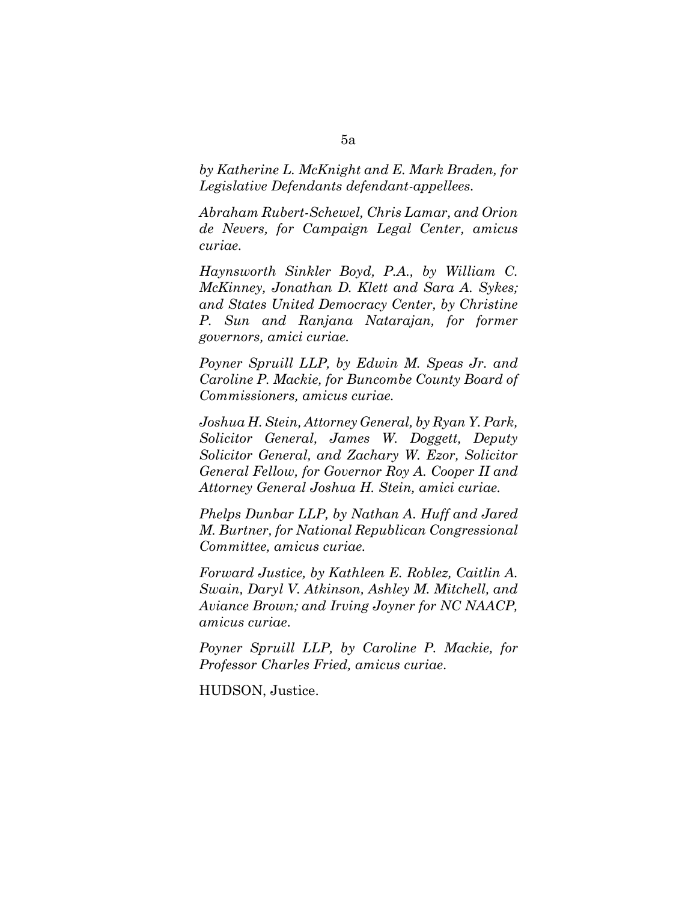*by Katherine L. McKnight and E. Mark Braden, for Legislative Defendants defendant-appellees.* 

*Abraham Rubert-Schewel, Chris Lamar, and Orion de Nevers, for Campaign Legal Center, amicus curiae.* 

*Haynsworth Sinkler Boyd, P.A., by William C. McKinney, Jonathan D. Klett and Sara A. Sykes; and States United Democracy Center, by Christine P. Sun and Ranjana Natarajan, for former governors, amici curiae.* 

*Poyner Spruill LLP, by Edwin M. Speas Jr. and Caroline P. Mackie, for Buncombe County Board of Commissioners, amicus curiae.* 

*Joshua H. Stein, Attorney General, by Ryan Y. Park, Solicitor General, James W. Doggett, Deputy Solicitor General, and Zachary W. Ezor, Solicitor General Fellow, for Governor Roy A. Cooper II and Attorney General Joshua H. Stein, amici curiae.* 

*Phelps Dunbar LLP, by Nathan A. Huff and Jared M. Burtner, for National Republican Congressional Committee, amicus curiae.* 

*Forward Justice, by Kathleen E. Roblez, Caitlin A. Swain, Daryl V. Atkinson, Ashley M. Mitchell, and Aviance Brown; and Irving Joyner for NC NAACP, amicus curiae*.

*Poyner Spruill LLP, by Caroline P. Mackie, for Professor Charles Fried, amicus curiae*.

HUDSON, Justice.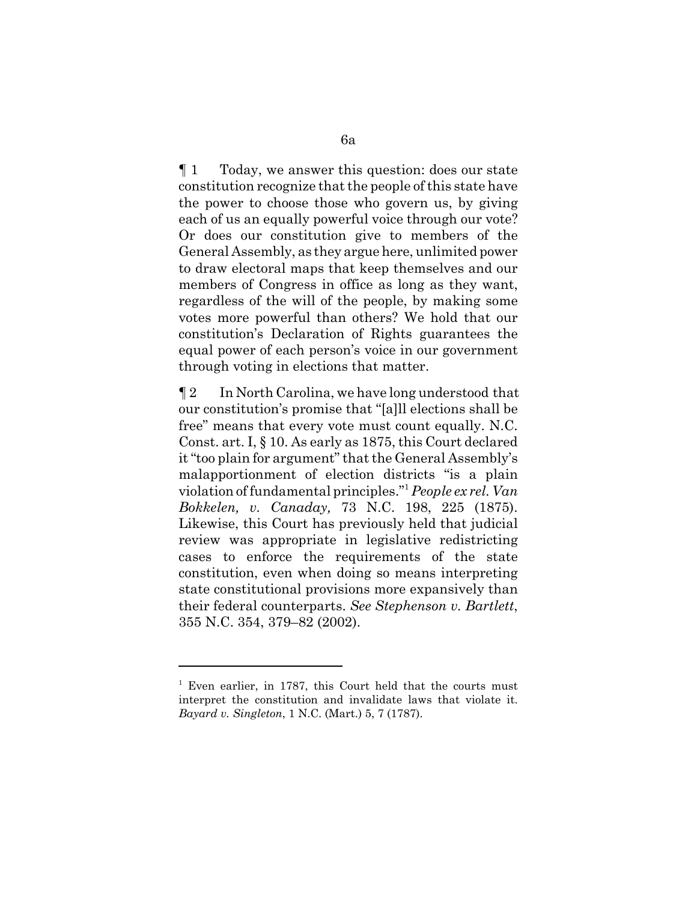¶ 1 Today, we answer this question: does our state constitution recognize that the people of this state have the power to choose those who govern us, by giving each of us an equally powerful voice through our vote? Or does our constitution give to members of the General Assembly, as they argue here, unlimited power to draw electoral maps that keep themselves and our members of Congress in office as long as they want, regardless of the will of the people, by making some votes more powerful than others? We hold that our constitution's Declaration of Rights guarantees the equal power of each person's voice in our government through voting in elections that matter.

¶ 2 In North Carolina, we have long understood that our constitution's promise that "[a]ll elections shall be free" means that every vote must count equally. N.C. Const. art. I, § 10. As early as 1875, this Court declared it "too plain for argument" that the General Assembly's malapportionment of election districts "is a plain violation of fundamental principles."1*People ex rel. Van Bokkelen, v. Canaday,* 73 N.C. 198, 225 (1875). Likewise, this Court has previously held that judicial review was appropriate in legislative redistricting cases to enforce the requirements of the state constitution, even when doing so means interpreting state constitutional provisions more expansively than their federal counterparts. *See Stephenson v. Bartlett*, 355 N.C. 354, 379–82 (2002).

<sup>&</sup>lt;sup>1</sup> Even earlier, in 1787, this Court held that the courts must interpret the constitution and invalidate laws that violate it. *Bayard v. Singleton*, 1 N.C. (Mart.) 5, 7 (1787).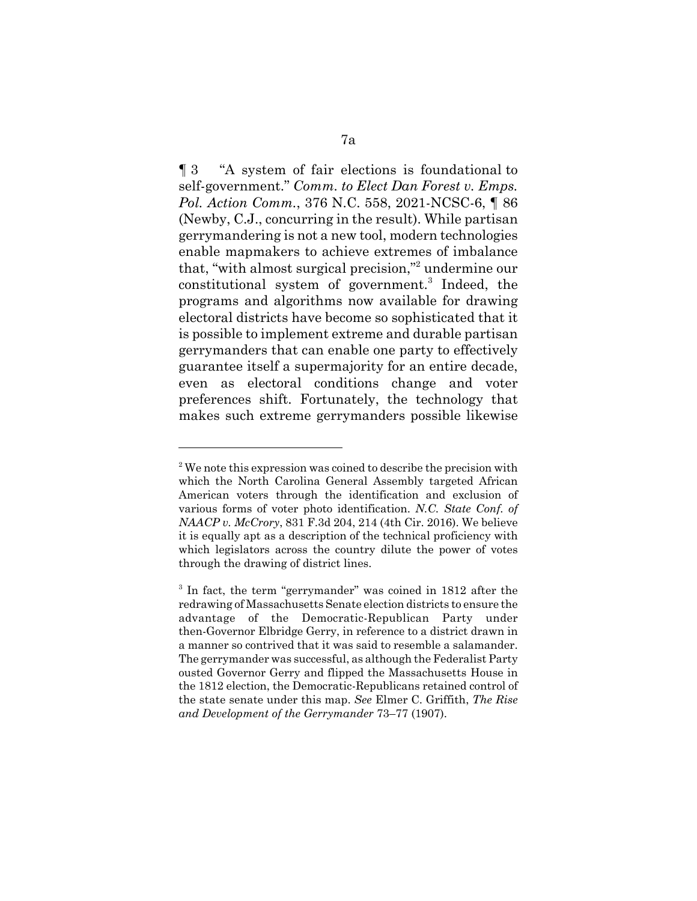¶ 3 "A system of fair elections is foundational to self-government." *Comm. to Elect Dan Forest v. Emps. Pol. Action Comm.*, 376 N.C. 558, 2021-NCSC-6, ¶ 86 (Newby, C.J., concurring in the result). While partisan gerrymandering is not a new tool, modern technologies enable mapmakers to achieve extremes of imbalance that, "with almost surgical precision,"2 undermine our constitutional system of government.<sup>3</sup> Indeed, the programs and algorithms now available for drawing electoral districts have become so sophisticated that it is possible to implement extreme and durable partisan gerrymanders that can enable one party to effectively guarantee itself a supermajority for an entire decade, even as electoral conditions change and voter preferences shift. Fortunately, the technology that makes such extreme gerrymanders possible likewise

<sup>&</sup>lt;sup>2</sup> We note this expression was coined to describe the precision with which the North Carolina General Assembly targeted African American voters through the identification and exclusion of various forms of voter photo identification. *N.C. State Conf. of NAACP v. McCrory*, 831 F.3d 204, 214 (4th Cir. 2016). We believe it is equally apt as a description of the technical proficiency with which legislators across the country dilute the power of votes through the drawing of district lines.

<sup>&</sup>lt;sup>3</sup> In fact, the term "gerrymander" was coined in 1812 after the redrawing of Massachusetts Senate election districts to ensure the advantage of the Democratic-Republican Party under then-Governor Elbridge Gerry, in reference to a district drawn in a manner so contrived that it was said to resemble a salamander. The gerrymander was successful, as although the Federalist Party ousted Governor Gerry and flipped the Massachusetts House in the 1812 election, the Democratic-Republicans retained control of the state senate under this map. *See* Elmer C. Griffith, *The Rise and Development of the Gerrymander* 73–77 (1907).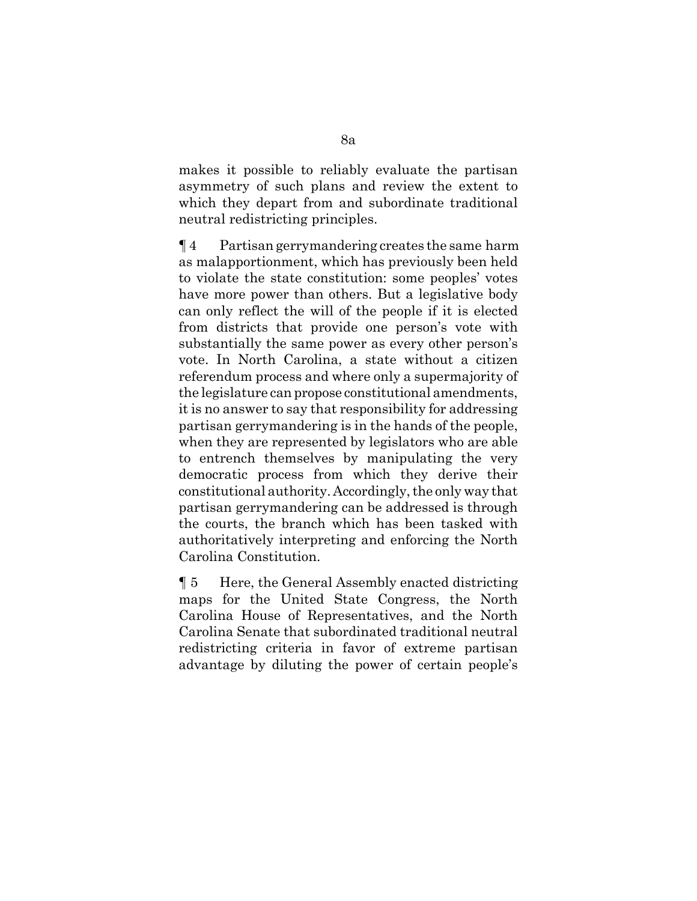makes it possible to reliably evaluate the partisan asymmetry of such plans and review the extent to which they depart from and subordinate traditional neutral redistricting principles.

¶ 4 Partisan gerrymandering creates the same harm as malapportionment, which has previously been held to violate the state constitution: some peoples' votes have more power than others. But a legislative body can only reflect the will of the people if it is elected from districts that provide one person's vote with substantially the same power as every other person's vote. In North Carolina, a state without a citizen referendum process and where only a supermajority of the legislature can propose constitutional amendments, it is no answer to say that responsibility for addressing partisan gerrymandering is in the hands of the people, when they are represented by legislators who are able to entrench themselves by manipulating the very democratic process from which they derive their constitutional authority. Accordingly, the only way that partisan gerrymandering can be addressed is through the courts, the branch which has been tasked with authoritatively interpreting and enforcing the North Carolina Constitution.

¶ 5 Here, the General Assembly enacted districting maps for the United State Congress, the North Carolina House of Representatives, and the North Carolina Senate that subordinated traditional neutral redistricting criteria in favor of extreme partisan advantage by diluting the power of certain people's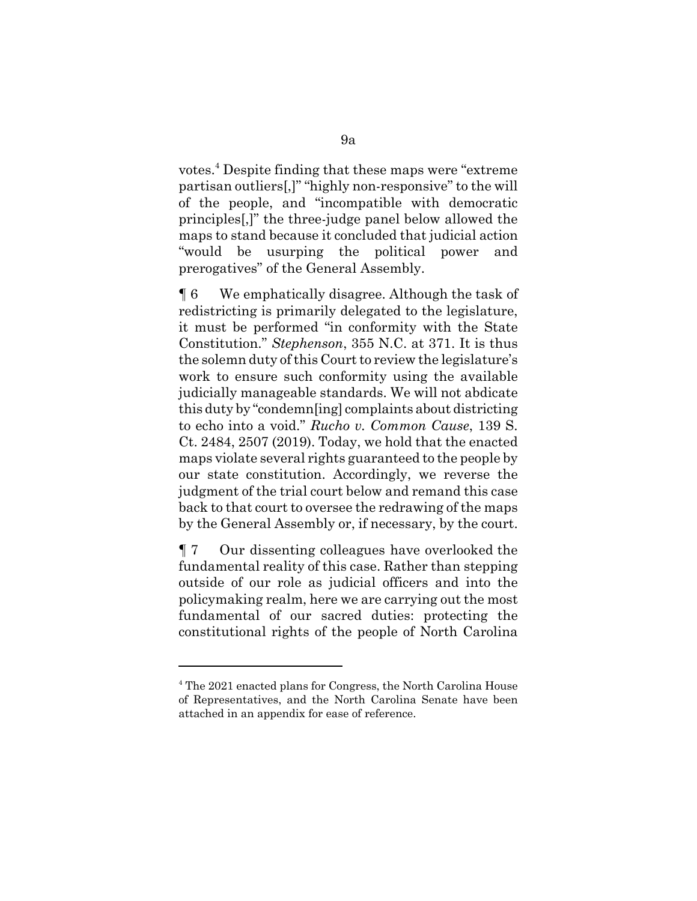votes.<sup>4</sup> Despite finding that these maps were "extreme partisan outliers[,]" "highly non-responsive" to the will of the people, and "incompatible with democratic principles[,]" the three-judge panel below allowed the maps to stand because it concluded that judicial action "would be usurping the political power and prerogatives" of the General Assembly.

¶ 6 We emphatically disagree. Although the task of redistricting is primarily delegated to the legislature, it must be performed "in conformity with the State Constitution." *Stephenson*, 355 N.C. at 371. It is thus the solemn duty of this Court to review the legislature's work to ensure such conformity using the available judicially manageable standards. We will not abdicate this duty by "condemn[ing] complaints about districting to echo into a void." *Rucho v. Common Cause*, 139 S. Ct. 2484, 2507 (2019). Today, we hold that the enacted maps violate several rights guaranteed to the people by our state constitution. Accordingly, we reverse the judgment of the trial court below and remand this case back to that court to oversee the redrawing of the maps by the General Assembly or, if necessary, by the court.

¶ 7 Our dissenting colleagues have overlooked the fundamental reality of this case. Rather than stepping outside of our role as judicial officers and into the policymaking realm, here we are carrying out the most fundamental of our sacred duties: protecting the constitutional rights of the people of North Carolina

<sup>&</sup>lt;sup>4</sup> The 2021 enacted plans for Congress, the North Carolina House of Representatives, and the North Carolina Senate have been attached in an appendix for ease of reference.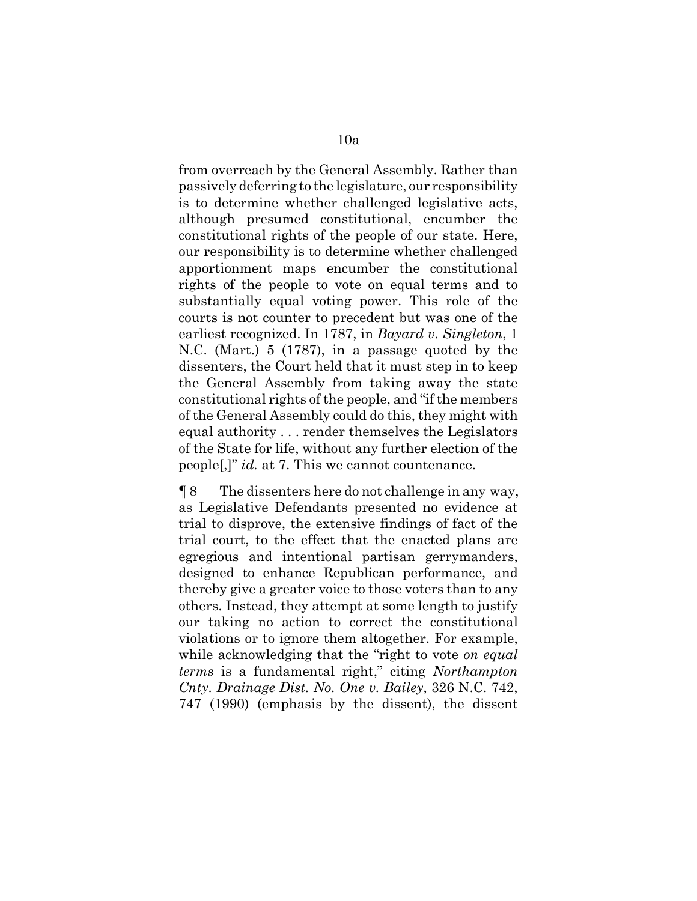from overreach by the General Assembly. Rather than passively deferring to the legislature, our responsibility is to determine whether challenged legislative acts, although presumed constitutional, encumber the constitutional rights of the people of our state. Here, our responsibility is to determine whether challenged apportionment maps encumber the constitutional rights of the people to vote on equal terms and to substantially equal voting power. This role of the courts is not counter to precedent but was one of the earliest recognized. In 1787, in *Bayard v. Singleton*, 1 N.C. (Mart.) 5 (1787), in a passage quoted by the dissenters, the Court held that it must step in to keep the General Assembly from taking away the state constitutional rights of the people, and "if the members of the General Assembly could do this, they might with equal authority . . . render themselves the Legislators of the State for life, without any further election of the people[,]" *id.* at 7. This we cannot countenance.

¶ 8 The dissenters here do not challenge in any way, as Legislative Defendants presented no evidence at trial to disprove, the extensive findings of fact of the trial court, to the effect that the enacted plans are egregious and intentional partisan gerrymanders, designed to enhance Republican performance, and thereby give a greater voice to those voters than to any others. Instead, they attempt at some length to justify our taking no action to correct the constitutional violations or to ignore them altogether. For example, while acknowledging that the "right to vote *on equal terms* is a fundamental right," citing *Northampton Cnty. Drainage Dist. No. One v. Bailey*, 326 N.C. 742, 747 (1990) (emphasis by the dissent), the dissent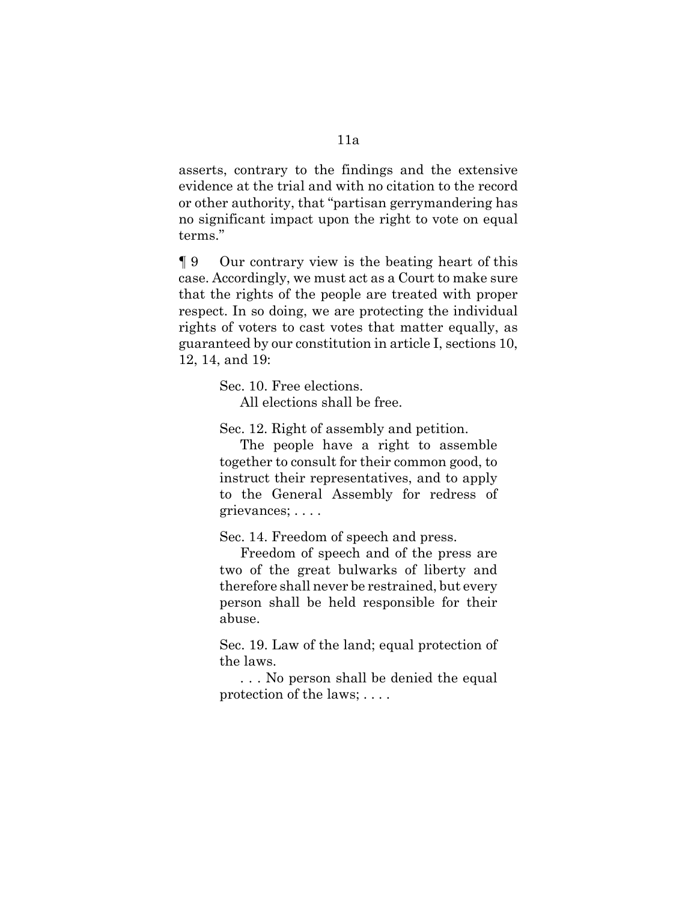asserts, contrary to the findings and the extensive evidence at the trial and with no citation to the record or other authority, that "partisan gerrymandering has no significant impact upon the right to vote on equal terms."

¶ 9 Our contrary view is the beating heart of this case. Accordingly, we must act as a Court to make sure that the rights of the people are treated with proper respect. In so doing, we are protecting the individual rights of voters to cast votes that matter equally, as guaranteed by our constitution in article I, sections 10, 12, 14, and 19:

Sec. 10. Free elections.

All elections shall be free.

Sec. 12. Right of assembly and petition.

The people have a right to assemble together to consult for their common good, to instruct their representatives, and to apply to the General Assembly for redress of grievances; . . . .

Sec. 14. Freedom of speech and press.

Freedom of speech and of the press are two of the great bulwarks of liberty and therefore shall never be restrained, but every person shall be held responsible for their abuse.

Sec. 19. Law of the land; equal protection of the laws.

. . . No person shall be denied the equal protection of the laws; . . . .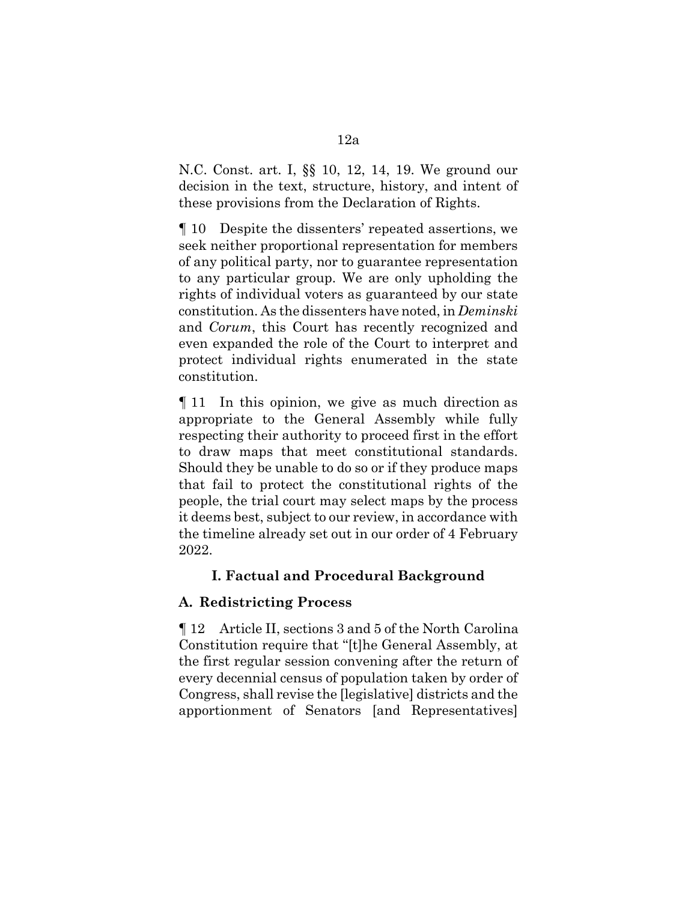N.C. Const. art. I, §§ 10, 12, 14, 19. We ground our decision in the text, structure, history, and intent of these provisions from the Declaration of Rights.

¶ 10 Despite the dissenters' repeated assertions, we seek neither proportional representation for members of any political party, nor to guarantee representation to any particular group. We are only upholding the rights of individual voters as guaranteed by our state constitution. As the dissenters have noted, in *Deminski* and *Corum*, this Court has recently recognized and even expanded the role of the Court to interpret and protect individual rights enumerated in the state constitution.

¶ 11 In this opinion, we give as much direction as appropriate to the General Assembly while fully respecting their authority to proceed first in the effort to draw maps that meet constitutional standards. Should they be unable to do so or if they produce maps that fail to protect the constitutional rights of the people, the trial court may select maps by the process it deems best, subject to our review, in accordance with the timeline already set out in our order of 4 February 2022.

# **I. Factual and Procedural Background**

# **A. Redistricting Process**

¶ 12 Article II, sections 3 and 5 of the North Carolina Constitution require that "[t]he General Assembly, at the first regular session convening after the return of every decennial census of population taken by order of Congress, shall revise the [legislative] districts and the apportionment of Senators [and Representatives]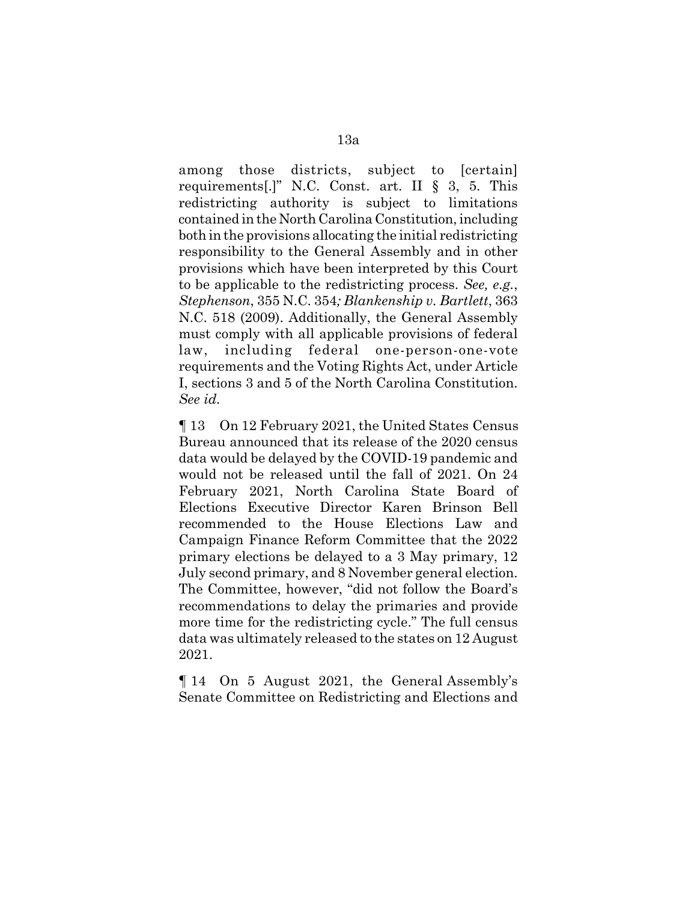among those districts, subject to [certain] requirements[.]" N.C. Const. art. II § 3, 5. This redistricting authority is subject to limitations contained in the North Carolina Constitution, including both in the provisions allocating the initial redistricting responsibility to the General Assembly and in other provisions which have been interpreted by this Court to be applicable to the redistricting process. *See, e.g.*, *Stephenson*, 355 N.C. 354*; Blankenship v. Bartlett*, 363 N.C. 518 (2009). Additionally, the General Assembly must comply with all applicable provisions of federal law, including federal one-person-one-vote requirements and the Voting Rights Act, under Article I, sections 3 and 5 of the North Carolina Constitution. *See id.* 

¶ 13 On 12 February 2021, the United States Census Bureau announced that its release of the 2020 census data would be delayed by the COVID-19 pandemic and would not be released until the fall of 2021. On 24 February 2021, North Carolina State Board of Elections Executive Director Karen Brinson Bell recommended to the House Elections Law and Campaign Finance Reform Committee that the 2022 primary elections be delayed to a 3 May primary, 12 July second primary, and 8 November general election. The Committee, however, "did not follow the Board's recommendations to delay the primaries and provide more time for the redistricting cycle." The full census data was ultimately released to the states on 12 August 2021.

¶ 14 On 5 August 2021, the General Assembly's Senate Committee on Redistricting and Elections and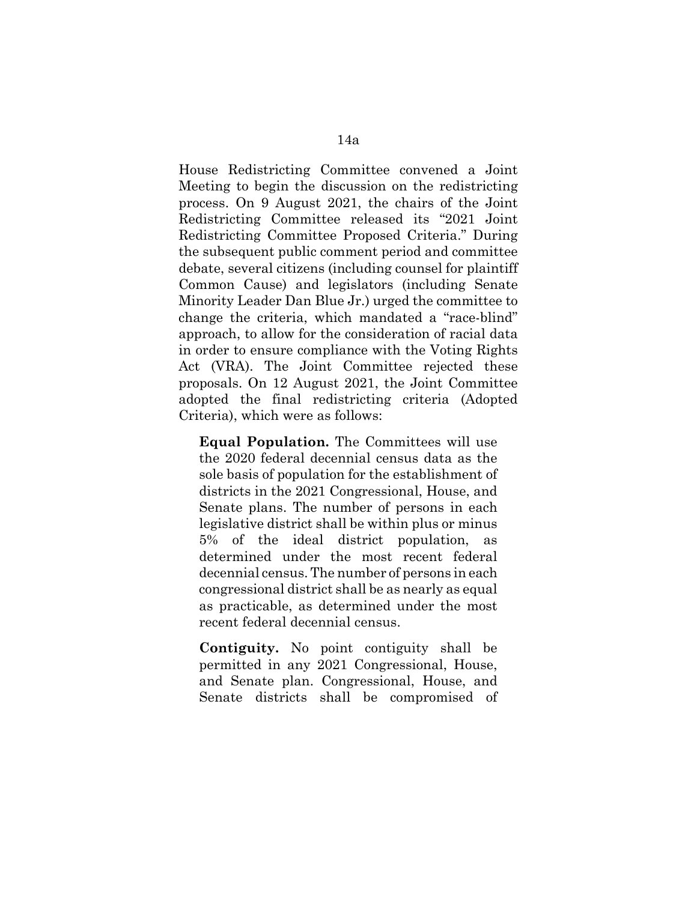House Redistricting Committee convened a Joint Meeting to begin the discussion on the redistricting process. On 9 August 2021, the chairs of the Joint Redistricting Committee released its "2021 Joint Redistricting Committee Proposed Criteria." During the subsequent public comment period and committee debate, several citizens (including counsel for plaintiff Common Cause) and legislators (including Senate Minority Leader Dan Blue Jr.) urged the committee to change the criteria, which mandated a "race-blind" approach, to allow for the consideration of racial data in order to ensure compliance with the Voting Rights Act (VRA). The Joint Committee rejected these proposals. On 12 August 2021, the Joint Committee adopted the final redistricting criteria (Adopted Criteria), which were as follows:

**Equal Population.** The Committees will use the 2020 federal decennial census data as the sole basis of population for the establishment of districts in the 2021 Congressional, House, and Senate plans. The number of persons in each legislative district shall be within plus or minus 5% of the ideal district population, determined under the most recent federal decennial census. The number of persons in each congressional district shall be as nearly as equal as practicable, as determined under the most recent federal decennial census.

**Contiguity.** No point contiguity shall be permitted in any 2021 Congressional, House, and Senate plan. Congressional, House, and Senate districts shall be compromised of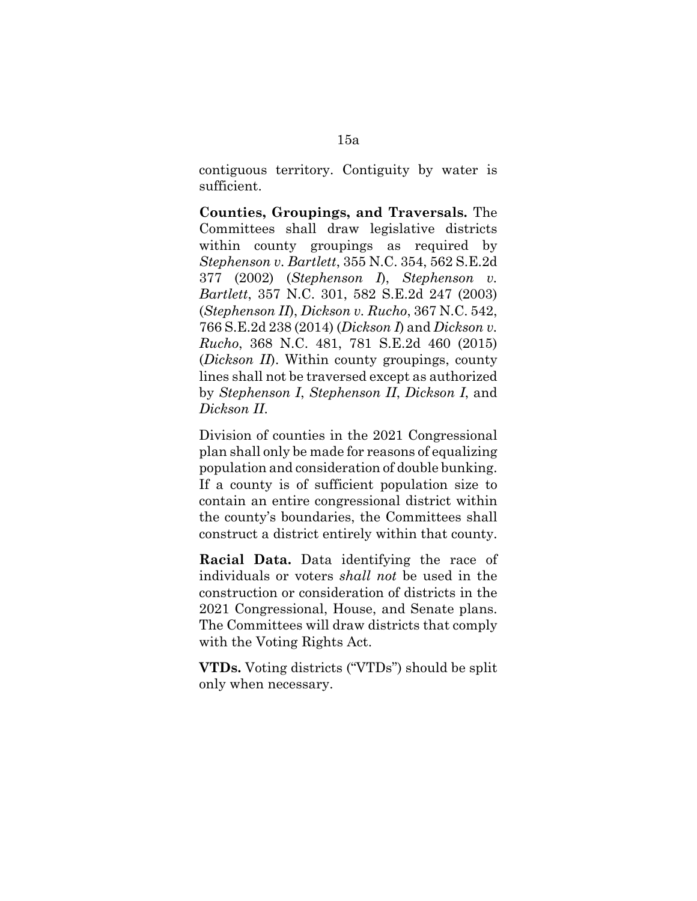contiguous territory. Contiguity by water is sufficient.

**Counties, Groupings, and Traversals.** The Committees shall draw legislative districts within county groupings as required by *Stephenson v. Bartlett*, 355 N.C. 354, 562 S.E.2d 377 (2002) (*Stephenson I*), *Stephenson v. Bartlett*, 357 N.C. 301, 582 S.E.2d 247 (2003) (*Stephenson II*), *Dickson v. Rucho*, 367 N.C. 542, 766 S.E.2d 238 (2014) (*Dickson I*) and *Dickson v. Rucho*, 368 N.C. 481, 781 S.E.2d 460 (2015) (*Dickson II*). Within county groupings, county lines shall not be traversed except as authorized by *Stephenson I*, *Stephenson II*, *Dickson I*, and *Dickson II*.

Division of counties in the 2021 Congressional plan shall only be made for reasons of equalizing population and consideration of double bunking. If a county is of sufficient population size to contain an entire congressional district within the county's boundaries, the Committees shall construct a district entirely within that county.

**Racial Data.** Data identifying the race of individuals or voters *shall not* be used in the construction or consideration of districts in the 2021 Congressional, House, and Senate plans. The Committees will draw districts that comply with the Voting Rights Act.

**VTDs.** Voting districts ("VTDs") should be split only when necessary.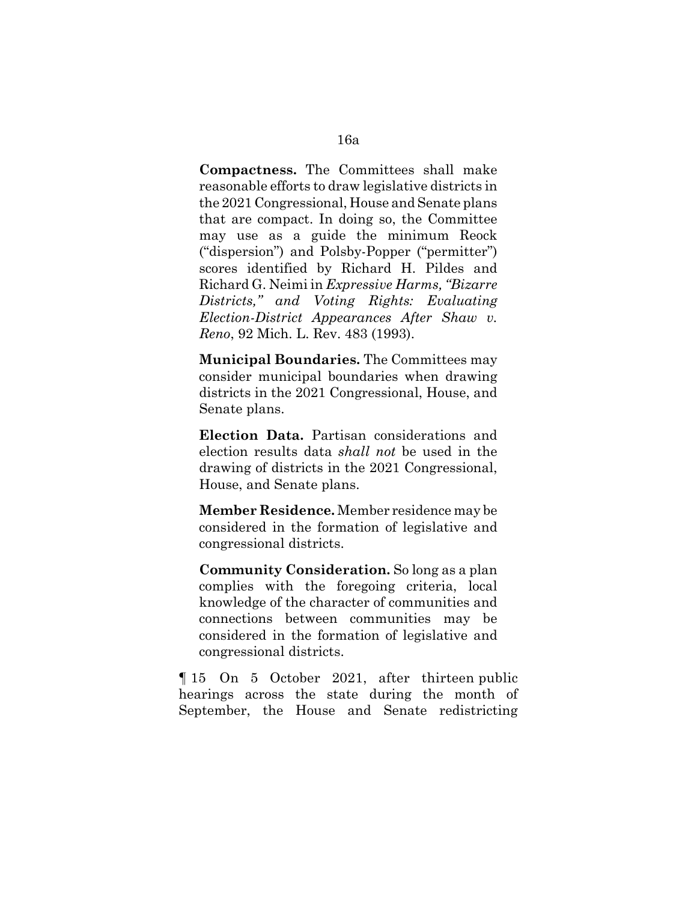**Compactness.** The Committees shall make reasonable efforts to draw legislative districts in the 2021 Congressional, House and Senate plans that are compact. In doing so, the Committee may use as a guide the minimum Reock ("dispersion") and Polsby-Popper ("permitter") scores identified by Richard H. Pildes and Richard G. Neimi in *Expressive Harms, "Bizarre Districts," and Voting Rights: Evaluating Election-District Appearances After Shaw v. Reno*, 92 Mich. L. Rev. 483 (1993).

**Municipal Boundaries.** The Committees may consider municipal boundaries when drawing districts in the 2021 Congressional, House, and Senate plans.

**Election Data.** Partisan considerations and election results data *shall not* be used in the drawing of districts in the 2021 Congressional, House, and Senate plans.

**Member Residence.** Member residence may be considered in the formation of legislative and congressional districts.

**Community Consideration.** So long as a plan complies with the foregoing criteria, local knowledge of the character of communities and connections between communities may be considered in the formation of legislative and congressional districts.

¶ 15 On 5 October 2021, after thirteen public hearings across the state during the month of September, the House and Senate redistricting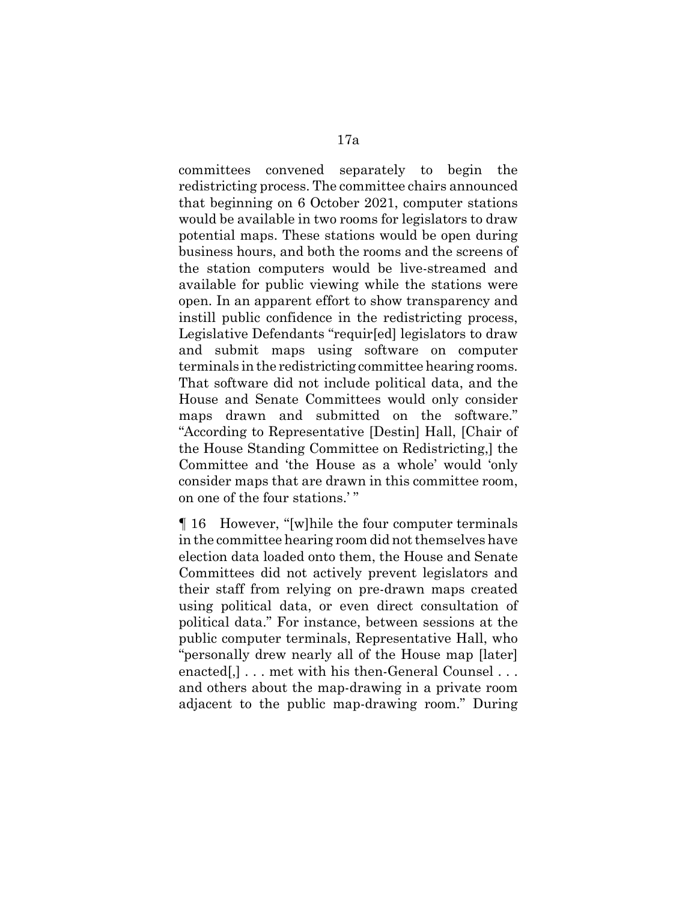committees convened separately to begin the redistricting process. The committee chairs announced that beginning on 6 October 2021, computer stations would be available in two rooms for legislators to draw potential maps. These stations would be open during business hours, and both the rooms and the screens of the station computers would be live-streamed and available for public viewing while the stations were open. In an apparent effort to show transparency and instill public confidence in the redistricting process, Legislative Defendants "requir[ed] legislators to draw and submit maps using software on computer terminals in the redistricting committee hearing rooms. That software did not include political data, and the House and Senate Committees would only consider maps drawn and submitted on the software." "According to Representative [Destin] Hall, [Chair of the House Standing Committee on Redistricting,] the Committee and 'the House as a whole' would 'only consider maps that are drawn in this committee room, on one of the four stations.' "

¶ 16 However, "[w]hile the four computer terminals in the committee hearing room did not themselves have election data loaded onto them, the House and Senate Committees did not actively prevent legislators and their staff from relying on pre-drawn maps created using political data, or even direct consultation of political data." For instance, between sessions at the public computer terminals, Representative Hall, who "personally drew nearly all of the House map [later] enacted[,]... met with his then-General Counsel... and others about the map-drawing in a private room adjacent to the public map-drawing room." During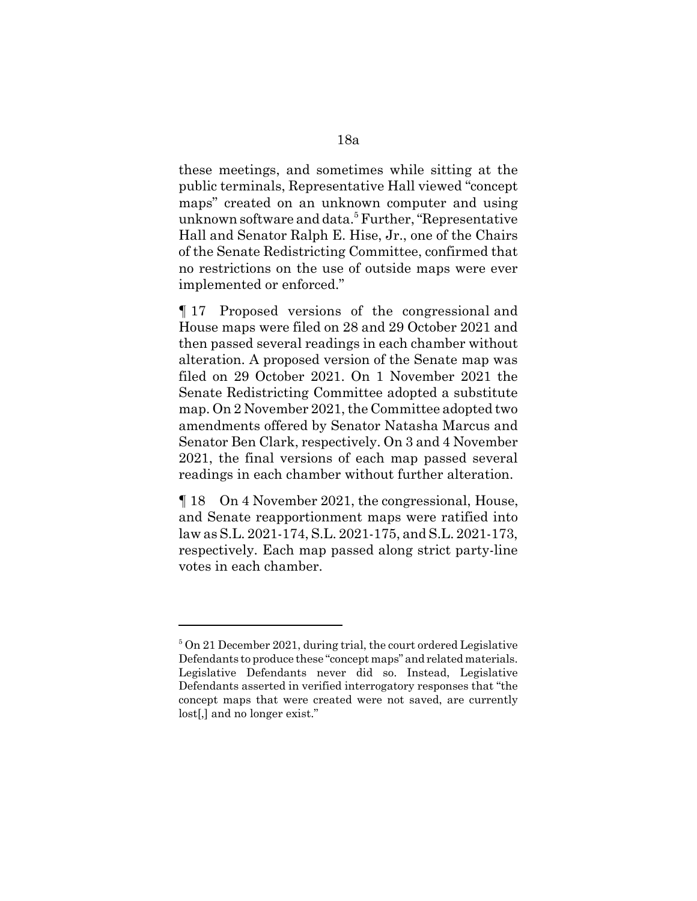these meetings, and sometimes while sitting at the public terminals, Representative Hall viewed "concept maps" created on an unknown computer and using unknown software and data.<sup>5</sup> Further, "Representative Hall and Senator Ralph E. Hise, Jr., one of the Chairs of the Senate Redistricting Committee, confirmed that no restrictions on the use of outside maps were ever implemented or enforced."

¶ 17 Proposed versions of the congressional and House maps were filed on 28 and 29 October 2021 and then passed several readings in each chamber without alteration. A proposed version of the Senate map was filed on 29 October 2021. On 1 November 2021 the Senate Redistricting Committee adopted a substitute map. On 2 November 2021, the Committee adopted two amendments offered by Senator Natasha Marcus and Senator Ben Clark, respectively. On 3 and 4 November 2021, the final versions of each map passed several readings in each chamber without further alteration.

¶ 18 On 4 November 2021, the congressional, House, and Senate reapportionment maps were ratified into law as S.L. 2021-174, S.L. 2021-175, and S.L. 2021-173, respectively. Each map passed along strict party-line votes in each chamber.

<sup>&</sup>lt;sup>5</sup> On 21 December 2021, during trial, the court ordered Legislative Defendants to produce these "concept maps" and related materials. Legislative Defendants never did so. Instead, Legislative Defendants asserted in verified interrogatory responses that "the concept maps that were created were not saved, are currently lost[,] and no longer exist."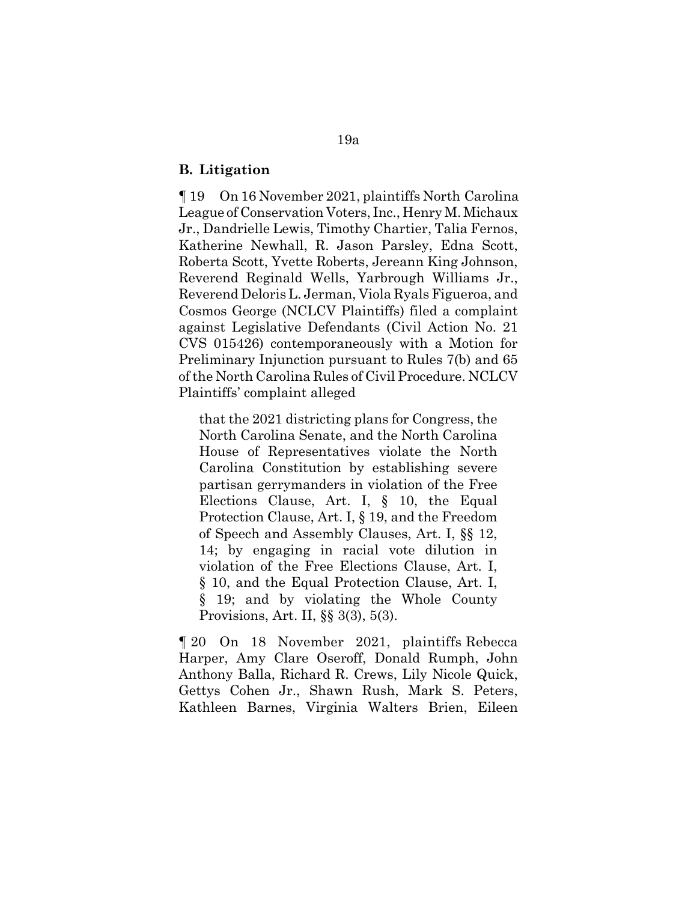### **B. Litigation**

¶ 19 On 16 November 2021, plaintiffs North Carolina League of Conservation Voters, Inc., Henry M. Michaux Jr., Dandrielle Lewis, Timothy Chartier, Talia Fernos, Katherine Newhall, R. Jason Parsley, Edna Scott, Roberta Scott, Yvette Roberts, Jereann King Johnson, Reverend Reginald Wells, Yarbrough Williams Jr., Reverend Deloris L. Jerman, Viola Ryals Figueroa, and Cosmos George (NCLCV Plaintiffs) filed a complaint against Legislative Defendants (Civil Action No. 21 CVS 015426) contemporaneously with a Motion for Preliminary Injunction pursuant to Rules 7(b) and 65 of the North Carolina Rules of Civil Procedure. NCLCV Plaintiffs' complaint alleged

that the 2021 districting plans for Congress, the North Carolina Senate, and the North Carolina House of Representatives violate the North Carolina Constitution by establishing severe partisan gerrymanders in violation of the Free Elections Clause, Art. I, § 10, the Equal Protection Clause, Art. I, § 19, and the Freedom of Speech and Assembly Clauses, Art. I, §§ 12, 14; by engaging in racial vote dilution in violation of the Free Elections Clause, Art. I, § 10, and the Equal Protection Clause, Art. I, § 19; and by violating the Whole County Provisions, Art. II, §§ 3(3), 5(3).

¶ 20 On 18 November 2021, plaintiffs Rebecca Harper, Amy Clare Oseroff, Donald Rumph, John Anthony Balla, Richard R. Crews, Lily Nicole Quick, Gettys Cohen Jr., Shawn Rush, Mark S. Peters, Kathleen Barnes, Virginia Walters Brien, Eileen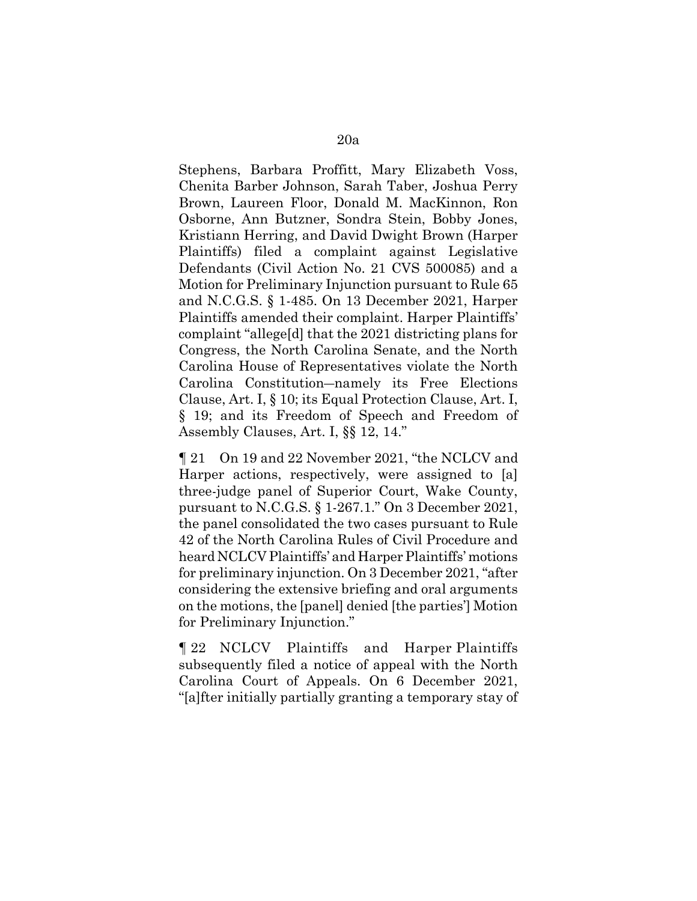Stephens, Barbara Proffitt, Mary Elizabeth Voss, Chenita Barber Johnson, Sarah Taber, Joshua Perry Brown, Laureen Floor, Donald M. MacKinnon, Ron Osborne, Ann Butzner, Sondra Stein, Bobby Jones, Kristiann Herring, and David Dwight Brown (Harper Plaintiffs) filed a complaint against Legislative Defendants (Civil Action No. 21 CVS 500085) and a Motion for Preliminary Injunction pursuant to Rule 65 and N.C.G.S. § 1-485. On 13 December 2021, Harper Plaintiffs amended their complaint. Harper Plaintiffs' complaint "allege[d] that the 2021 districting plans for Congress, the North Carolina Senate, and the North Carolina House of Representatives violate the North Carolina Constitution―namely its Free Elections Clause, Art. I, § 10; its Equal Protection Clause, Art. I, § 19; and its Freedom of Speech and Freedom of Assembly Clauses, Art. I, §§ 12, 14."

¶ 21 On 19 and 22 November 2021, "the NCLCV and Harper actions, respectively, were assigned to [a] three-judge panel of Superior Court, Wake County, pursuant to N.C.G.S. § 1-267.1." On 3 December 2021, the panel consolidated the two cases pursuant to Rule 42 of the North Carolina Rules of Civil Procedure and heard NCLCV Plaintiffs' and Harper Plaintiffs' motions for preliminary injunction. On 3 December 2021, "after considering the extensive briefing and oral arguments on the motions, the [panel] denied [the parties'] Motion for Preliminary Injunction."

¶ 22 NCLCV Plaintiffs and Harper Plaintiffs subsequently filed a notice of appeal with the North Carolina Court of Appeals. On 6 December 2021, "[a]fter initially partially granting a temporary stay of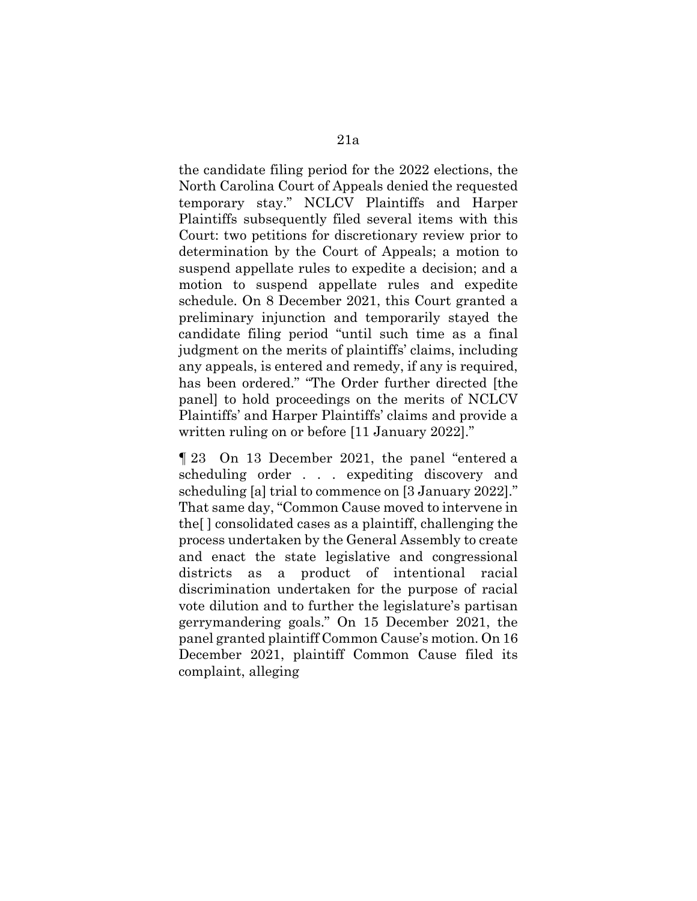the candidate filing period for the 2022 elections, the North Carolina Court of Appeals denied the requested temporary stay." NCLCV Plaintiffs and Harper Plaintiffs subsequently filed several items with this Court: two petitions for discretionary review prior to determination by the Court of Appeals; a motion to suspend appellate rules to expedite a decision; and a motion to suspend appellate rules and expedite schedule. On 8 December 2021, this Court granted a preliminary injunction and temporarily stayed the candidate filing period "until such time as a final judgment on the merits of plaintiffs' claims, including any appeals, is entered and remedy, if any is required, has been ordered." "The Order further directed [the panel] to hold proceedings on the merits of NCLCV Plaintiffs' and Harper Plaintiffs' claims and provide a written ruling on or before [11 January 2022]."

¶ 23 On 13 December 2021, the panel "entered a scheduling order . . . expediting discovery and scheduling [a] trial to commence on [3 January 2022]." That same day, "Common Cause moved to intervene in the[ ] consolidated cases as a plaintiff, challenging the process undertaken by the General Assembly to create and enact the state legislative and congressional districts as a product of intentional racial discrimination undertaken for the purpose of racial vote dilution and to further the legislature's partisan gerrymandering goals." On 15 December 2021, the panel granted plaintiff Common Cause's motion. On 16 December 2021, plaintiff Common Cause filed its complaint, alleging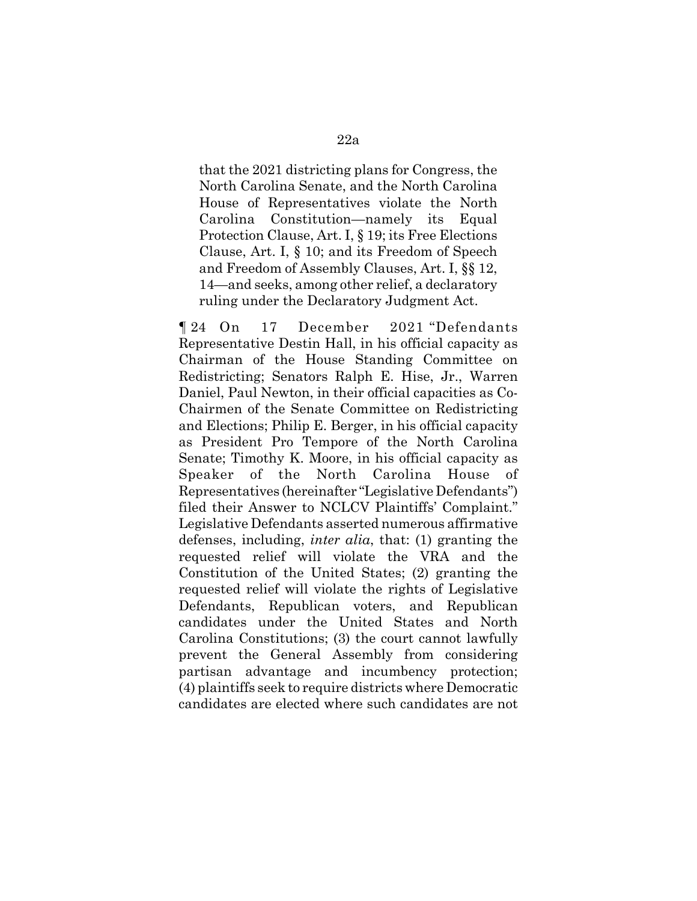that the 2021 districting plans for Congress, the North Carolina Senate, and the North Carolina House of Representatives violate the North Carolina Constitution—namely its Equal Protection Clause, Art. I, § 19; its Free Elections Clause, Art. I, § 10; and its Freedom of Speech and Freedom of Assembly Clauses, Art. I, §§ 12, 14—and seeks, among other relief, a declaratory ruling under the Declaratory Judgment Act.

¶ 24 On 17 December 2021 "Defendants Representative Destin Hall, in his official capacity as Chairman of the House Standing Committee on Redistricting; Senators Ralph E. Hise, Jr., Warren Daniel, Paul Newton, in their official capacities as Co-Chairmen of the Senate Committee on Redistricting and Elections; Philip E. Berger, in his official capacity as President Pro Tempore of the North Carolina Senate; Timothy K. Moore, in his official capacity as Speaker of the North Carolina House of Representatives (hereinafter "Legislative Defendants") filed their Answer to NCLCV Plaintiffs' Complaint." Legislative Defendants asserted numerous affirmative defenses, including, *inter alia*, that: (1) granting the requested relief will violate the VRA and the Constitution of the United States; (2) granting the requested relief will violate the rights of Legislative Defendants, Republican voters, and Republican candidates under the United States and North Carolina Constitutions; (3) the court cannot lawfully prevent the General Assembly from considering partisan advantage and incumbency protection; (4) plaintiffs seek to require districts where Democratic candidates are elected where such candidates are not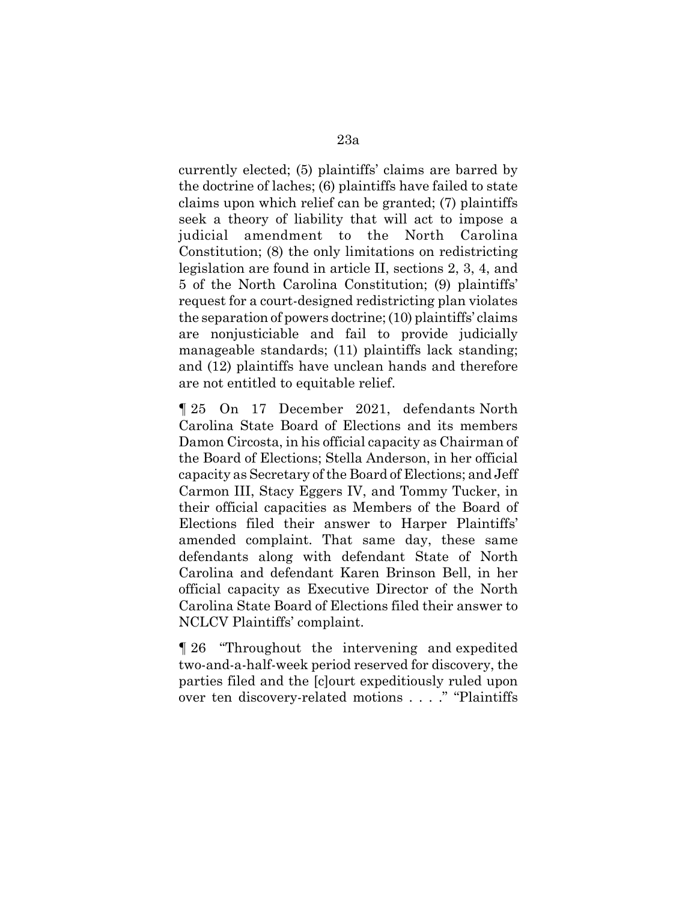currently elected; (5) plaintiffs' claims are barred by the doctrine of laches; (6) plaintiffs have failed to state claims upon which relief can be granted; (7) plaintiffs seek a theory of liability that will act to impose a judicial amendment to the North Carolina Constitution; (8) the only limitations on redistricting legislation are found in article II, sections 2, 3, 4, and 5 of the North Carolina Constitution; (9) plaintiffs' request for a court-designed redistricting plan violates the separation of powers doctrine; (10) plaintiffs' claims are nonjusticiable and fail to provide judicially manageable standards; (11) plaintiffs lack standing; and (12) plaintiffs have unclean hands and therefore are not entitled to equitable relief.

¶ 25 On 17 December 2021, defendants North Carolina State Board of Elections and its members Damon Circosta, in his official capacity as Chairman of the Board of Elections; Stella Anderson, in her official capacity as Secretary of the Board of Elections; and Jeff Carmon III, Stacy Eggers IV, and Tommy Tucker, in their official capacities as Members of the Board of Elections filed their answer to Harper Plaintiffs' amended complaint. That same day, these same defendants along with defendant State of North Carolina and defendant Karen Brinson Bell, in her official capacity as Executive Director of the North Carolina State Board of Elections filed their answer to NCLCV Plaintiffs' complaint.

¶ 26 "Throughout the intervening and expedited two-and-a-half-week period reserved for discovery, the parties filed and the [c]ourt expeditiously ruled upon over ten discovery-related motions . . . ." "Plaintiffs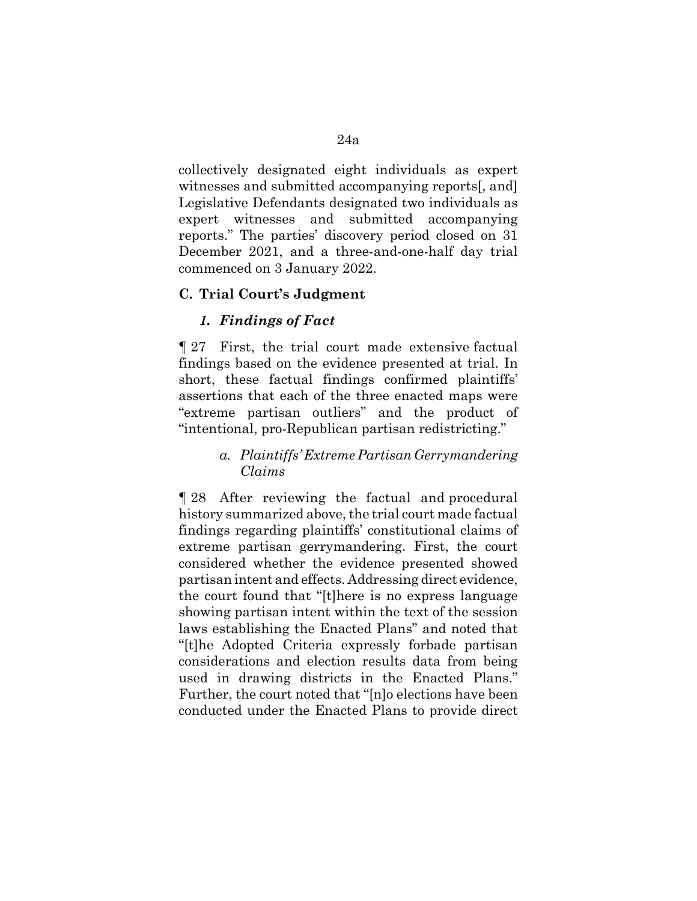collectively designated eight individuals as expert witnesses and submitted accompanying reports[, and] Legislative Defendants designated two individuals as expert witnesses and submitted accompanying reports." The parties' discovery period closed on 31 December 2021, and a three-and-one-half day trial commenced on 3 January 2022.

### **C. Trial Court's Judgment**

# *1. Findings of Fact*

¶ 27 First, the trial court made extensive factual findings based on the evidence presented at trial. In short, these factual findings confirmed plaintiffs' assertions that each of the three enacted maps were "extreme partisan outliers" and the product of "intentional, pro-Republican partisan redistricting."

# *a. Plaintiffs' Extreme Partisan Gerrymandering Claims*

¶ 28 After reviewing the factual and procedural history summarized above, the trial court made factual findings regarding plaintiffs' constitutional claims of extreme partisan gerrymandering. First, the court considered whether the evidence presented showed partisan intent and effects. Addressing direct evidence, the court found that "[t]here is no express language showing partisan intent within the text of the session laws establishing the Enacted Plans" and noted that "[t]he Adopted Criteria expressly forbade partisan considerations and election results data from being used in drawing districts in the Enacted Plans." Further, the court noted that "[n]o elections have been conducted under the Enacted Plans to provide direct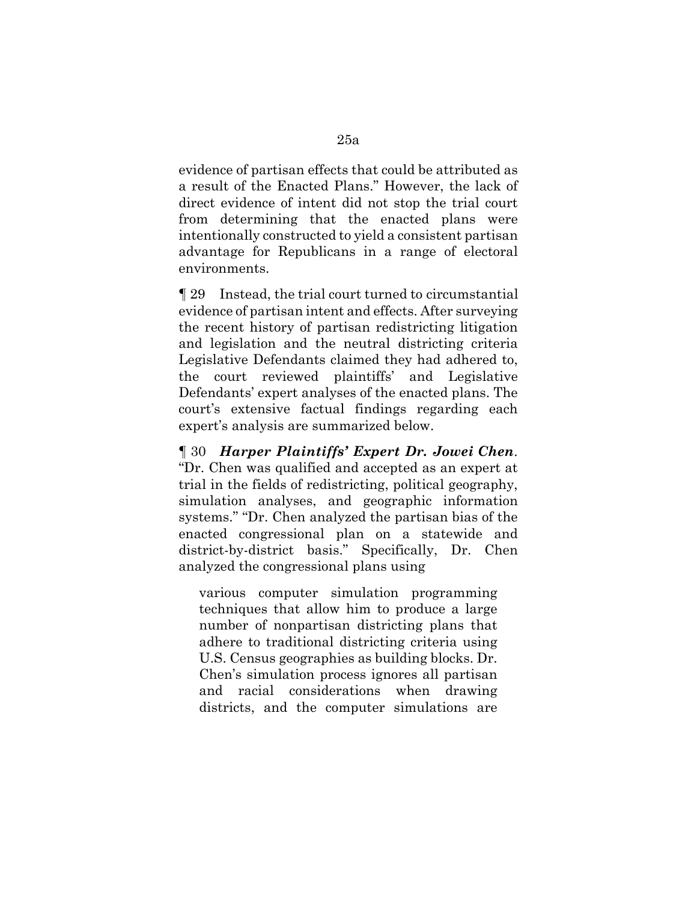evidence of partisan effects that could be attributed as a result of the Enacted Plans." However, the lack of direct evidence of intent did not stop the trial court from determining that the enacted plans were intentionally constructed to yield a consistent partisan advantage for Republicans in a range of electoral environments.

¶ 29 Instead, the trial court turned to circumstantial evidence of partisan intent and effects. After surveying the recent history of partisan redistricting litigation and legislation and the neutral districting criteria Legislative Defendants claimed they had adhered to, the court reviewed plaintiffs' and Legislative Defendants' expert analyses of the enacted plans. The court's extensive factual findings regarding each expert's analysis are summarized below.

¶ 30 *Harper Plaintiffs' Expert Dr. Jowei Chen*. "Dr. Chen was qualified and accepted as an expert at trial in the fields of redistricting, political geography, simulation analyses, and geographic information systems." "Dr. Chen analyzed the partisan bias of the enacted congressional plan on a statewide and district-by-district basis." Specifically, Dr. Chen analyzed the congressional plans using

various computer simulation programming techniques that allow him to produce a large number of nonpartisan districting plans that adhere to traditional districting criteria using U.S. Census geographies as building blocks. Dr. Chen's simulation process ignores all partisan and racial considerations when drawing districts, and the computer simulations are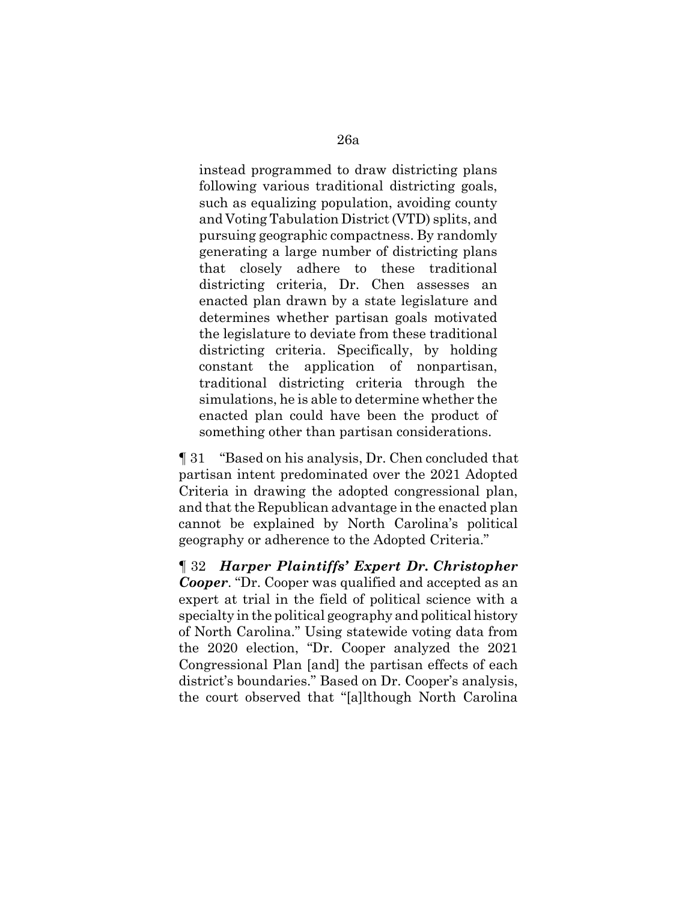instead programmed to draw districting plans following various traditional districting goals, such as equalizing population, avoiding county and Voting Tabulation District (VTD) splits, and pursuing geographic compactness. By randomly generating a large number of districting plans that closely adhere to these traditional districting criteria, Dr. Chen assesses an enacted plan drawn by a state legislature and determines whether partisan goals motivated the legislature to deviate from these traditional districting criteria. Specifically, by holding constant the application of nonpartisan, traditional districting criteria through the simulations, he is able to determine whether the enacted plan could have been the product of something other than partisan considerations.

¶ 31 "Based on his analysis, Dr. Chen concluded that partisan intent predominated over the 2021 Adopted Criteria in drawing the adopted congressional plan, and that the Republican advantage in the enacted plan cannot be explained by North Carolina's political geography or adherence to the Adopted Criteria."

¶ 32 *Harper Plaintiffs' Expert Dr. Christopher Cooper*. "Dr. Cooper was qualified and accepted as an expert at trial in the field of political science with a specialty in the political geography and political history of North Carolina." Using statewide voting data from the 2020 election, "Dr. Cooper analyzed the 2021 Congressional Plan [and] the partisan effects of each district's boundaries." Based on Dr. Cooper's analysis, the court observed that "[a]lthough North Carolina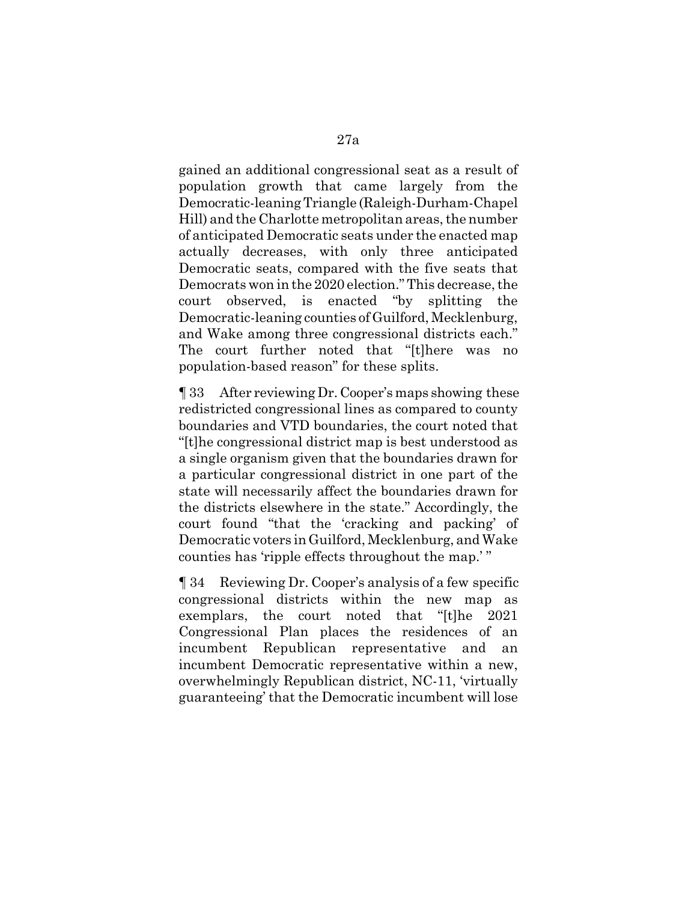gained an additional congressional seat as a result of population growth that came largely from the Democratic-leaning Triangle (Raleigh-Durham-Chapel Hill) and the Charlotte metropolitan areas, the number of anticipated Democratic seats under the enacted map actually decreases, with only three anticipated Democratic seats, compared with the five seats that Democrats won in the 2020 election." This decrease, the court observed, is enacted "by splitting the Democratic-leaning counties of Guilford, Mecklenburg, and Wake among three congressional districts each." The court further noted that "[t]here was no population-based reason" for these splits.

¶ 33 After reviewing Dr. Cooper's maps showing these redistricted congressional lines as compared to county boundaries and VTD boundaries, the court noted that "[t]he congressional district map is best understood as a single organism given that the boundaries drawn for a particular congressional district in one part of the state will necessarily affect the boundaries drawn for the districts elsewhere in the state." Accordingly, the court found "that the 'cracking and packing' of Democratic voters in Guilford, Mecklenburg, and Wake counties has 'ripple effects throughout the map.' "

¶ 34 Reviewing Dr. Cooper's analysis of a few specific congressional districts within the new map as exemplars, the court noted that "[t]he 2021 Congressional Plan places the residences of an incumbent Republican representative and an incumbent Democratic representative within a new, overwhelmingly Republican district, NC-11, 'virtually guaranteeing' that the Democratic incumbent will lose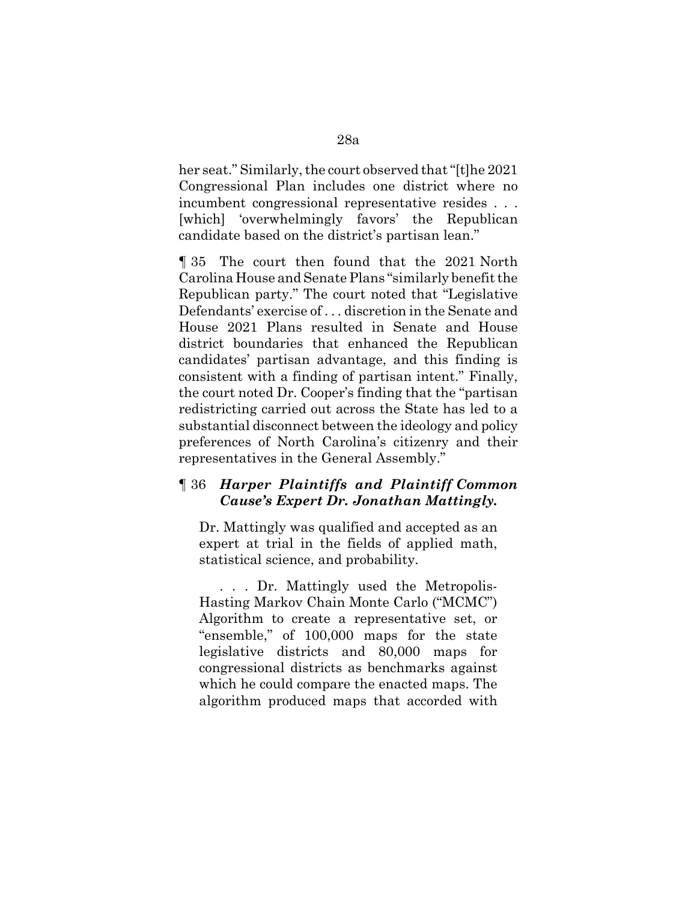her seat." Similarly, the court observed that "[t]he 2021 Congressional Plan includes one district where no incumbent congressional representative resides . . . [which] 'overwhelmingly favors' the Republican candidate based on the district's partisan lean."

¶ 35 The court then found that the 2021 North Carolina House and Senate Plans "similarly benefit the Republican party." The court noted that "Legislative Defendants' exercise of . . . discretion in the Senate and House 2021 Plans resulted in Senate and House district boundaries that enhanced the Republican candidates' partisan advantage, and this finding is consistent with a finding of partisan intent." Finally, the court noted Dr. Cooper's finding that the "partisan redistricting carried out across the State has led to a substantial disconnect between the ideology and policy preferences of North Carolina's citizenry and their representatives in the General Assembly."

# ¶ 36 *Harper Plaintiffs and Plaintiff Common Cause's Expert Dr. Jonathan Mattingly.*

Dr. Mattingly was qualified and accepted as an expert at trial in the fields of applied math, statistical science, and probability.

. . . Dr. Mattingly used the Metropolis-Hasting Markov Chain Monte Carlo ("MCMC") Algorithm to create a representative set, or "ensemble," of 100,000 maps for the state legislative districts and 80,000 maps for congressional districts as benchmarks against which he could compare the enacted maps. The algorithm produced maps that accorded with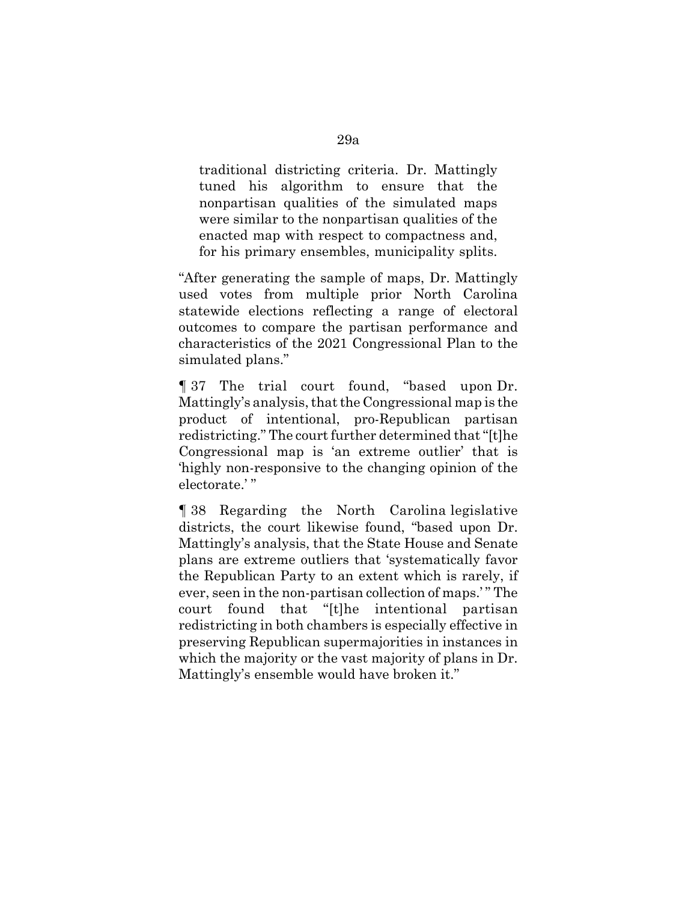traditional districting criteria. Dr. Mattingly tuned his algorithm to ensure that the nonpartisan qualities of the simulated maps were similar to the nonpartisan qualities of the enacted map with respect to compactness and, for his primary ensembles, municipality splits.

"After generating the sample of maps, Dr. Mattingly used votes from multiple prior North Carolina statewide elections reflecting a range of electoral outcomes to compare the partisan performance and characteristics of the 2021 Congressional Plan to the simulated plans."

¶ 37 The trial court found, "based upon Dr. Mattingly's analysis, that the Congressional map is the product of intentional, pro-Republican partisan redistricting." The court further determined that "[t]he Congressional map is 'an extreme outlier' that is 'highly non-responsive to the changing opinion of the electorate.'"

¶ 38 Regarding the North Carolina legislative districts, the court likewise found, "based upon Dr. Mattingly's analysis, that the State House and Senate plans are extreme outliers that 'systematically favor the Republican Party to an extent which is rarely, if ever, seen in the non-partisan collection of maps.' " The court found that "[t]he intentional partisan redistricting in both chambers is especially effective in preserving Republican supermajorities in instances in which the majority or the vast majority of plans in Dr. Mattingly's ensemble would have broken it."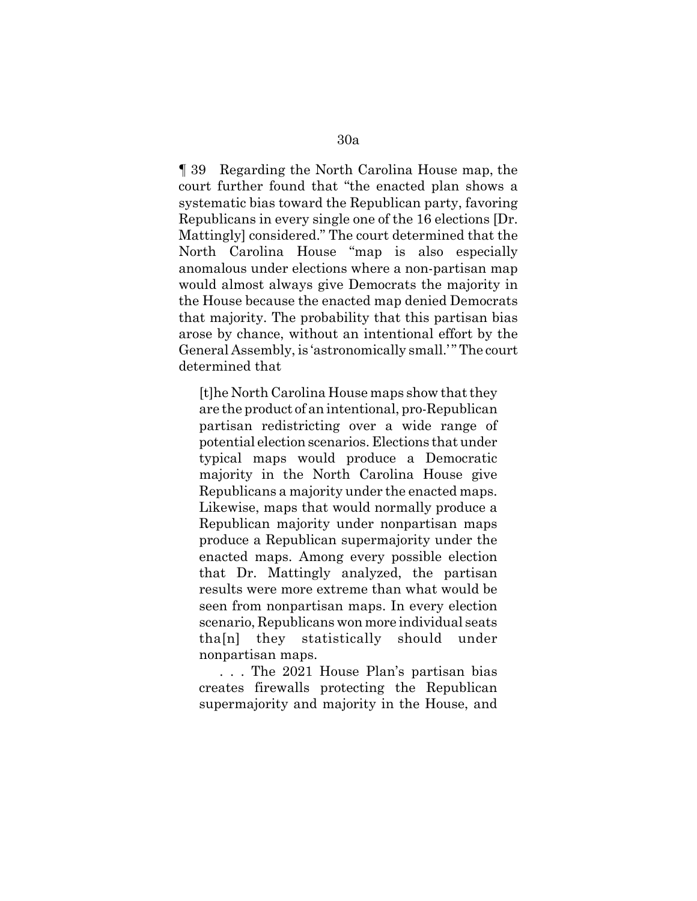¶ 39 Regarding the North Carolina House map, the court further found that "the enacted plan shows a systematic bias toward the Republican party, favoring Republicans in every single one of the 16 elections [Dr. Mattingly] considered." The court determined that the North Carolina House "map is also especially anomalous under elections where a non-partisan map would almost always give Democrats the majority in the House because the enacted map denied Democrats that majority. The probability that this partisan bias arose by chance, without an intentional effort by the General Assembly, is 'astronomically small.' " The court determined that

[t]he North Carolina House maps show that they are the product of an intentional, pro-Republican partisan redistricting over a wide range of potential election scenarios. Elections that under typical maps would produce a Democratic majority in the North Carolina House give Republicans a majority under the enacted maps. Likewise, maps that would normally produce a Republican majority under nonpartisan maps produce a Republican supermajority under the enacted maps. Among every possible election that Dr. Mattingly analyzed, the partisan results were more extreme than what would be seen from nonpartisan maps. In every election scenario, Republicans won more individual seats tha[n] they statistically should under nonpartisan maps.

. . . The 2021 House Plan's partisan bias creates firewalls protecting the Republican supermajority and majority in the House, and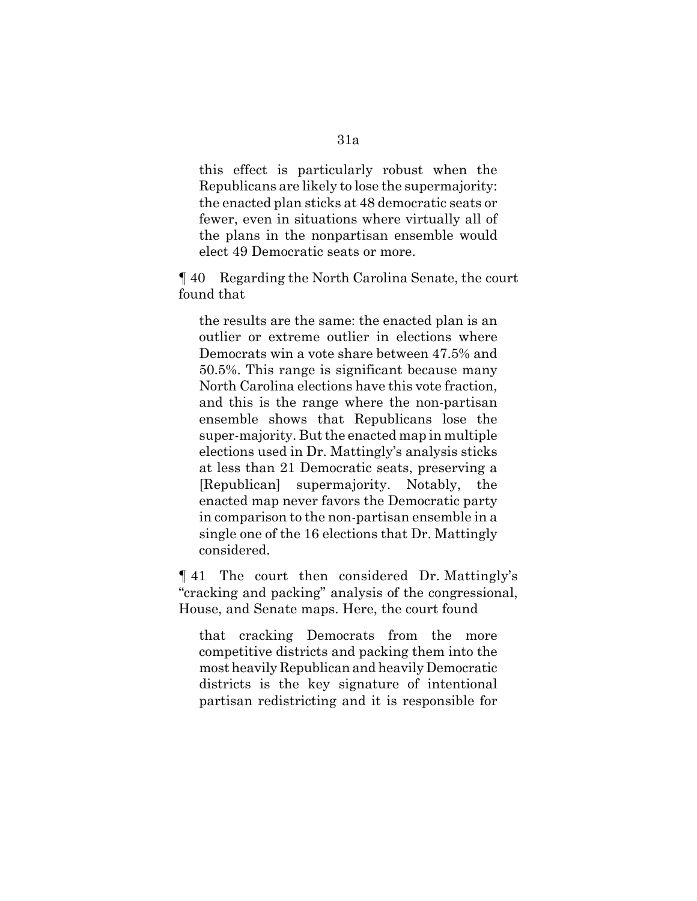this effect is particularly robust when the Republicans are likely to lose the supermajority: the enacted plan sticks at 48 democratic seats or fewer, even in situations where virtually all of the plans in the nonpartisan ensemble would elect 49 Democratic seats or more.

¶ 40 Regarding the North Carolina Senate, the court found that

the results are the same: the enacted plan is an outlier or extreme outlier in elections where Democrats win a vote share between 47.5% and 50.5%. This range is significant because many North Carolina elections have this vote fraction, and this is the range where the non-partisan ensemble shows that Republicans lose the super-majority. But the enacted map in multiple elections used in Dr. Mattingly's analysis sticks at less than 21 Democratic seats, preserving a [Republican] supermajority. Notably, the enacted map never favors the Democratic party in comparison to the non-partisan ensemble in a single one of the 16 elections that Dr. Mattingly considered.

¶ 41 The court then considered Dr. Mattingly's "cracking and packing" analysis of the congressional, House, and Senate maps. Here, the court found

that cracking Democrats from the more competitive districts and packing them into the most heavily Republican and heavily Democratic districts is the key signature of intentional partisan redistricting and it is responsible for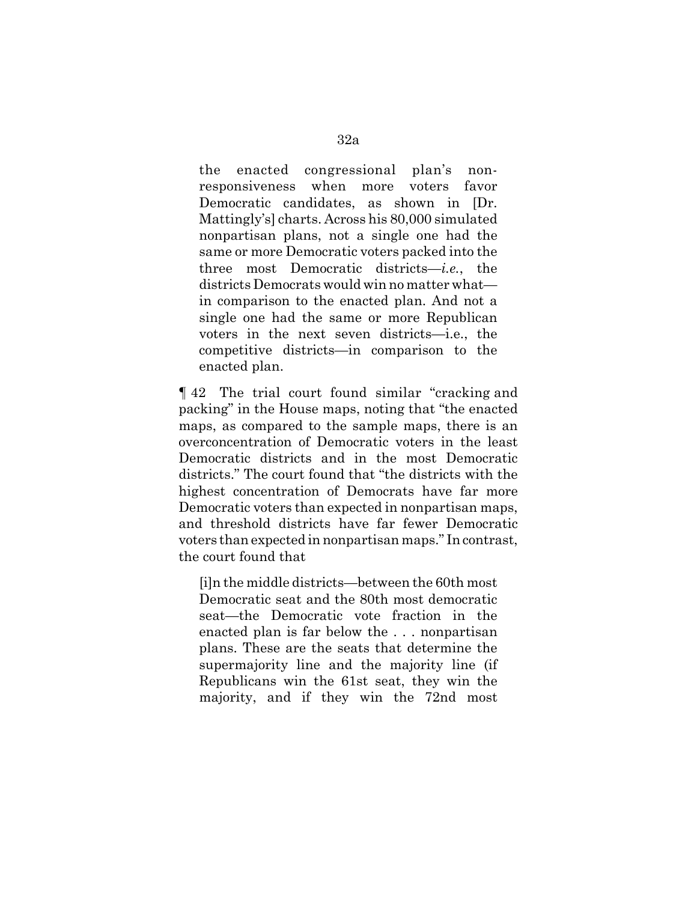the enacted congressional plan's nonresponsiveness when more voters favor Democratic candidates, as shown in [Dr. Mattingly's] charts. Across his 80,000 simulated nonpartisan plans, not a single one had the same or more Democratic voters packed into the three most Democratic districts—*i.e.*, the districts Democrats would win no matter what in comparison to the enacted plan. And not a single one had the same or more Republican voters in the next seven districts—i.e., the competitive districts—in comparison to the enacted plan.

¶ 42 The trial court found similar "cracking and packing" in the House maps, noting that "the enacted maps, as compared to the sample maps, there is an overconcentration of Democratic voters in the least Democratic districts and in the most Democratic districts." The court found that "the districts with the highest concentration of Democrats have far more Democratic voters than expected in nonpartisan maps, and threshold districts have far fewer Democratic voters than expected in nonpartisan maps." In contrast, the court found that

[i]n the middle districts—between the 60th most Democratic seat and the 80th most democratic seat—the Democratic vote fraction in the enacted plan is far below the . . . nonpartisan plans. These are the seats that determine the supermajority line and the majority line (if Republicans win the 61st seat, they win the majority, and if they win the 72nd most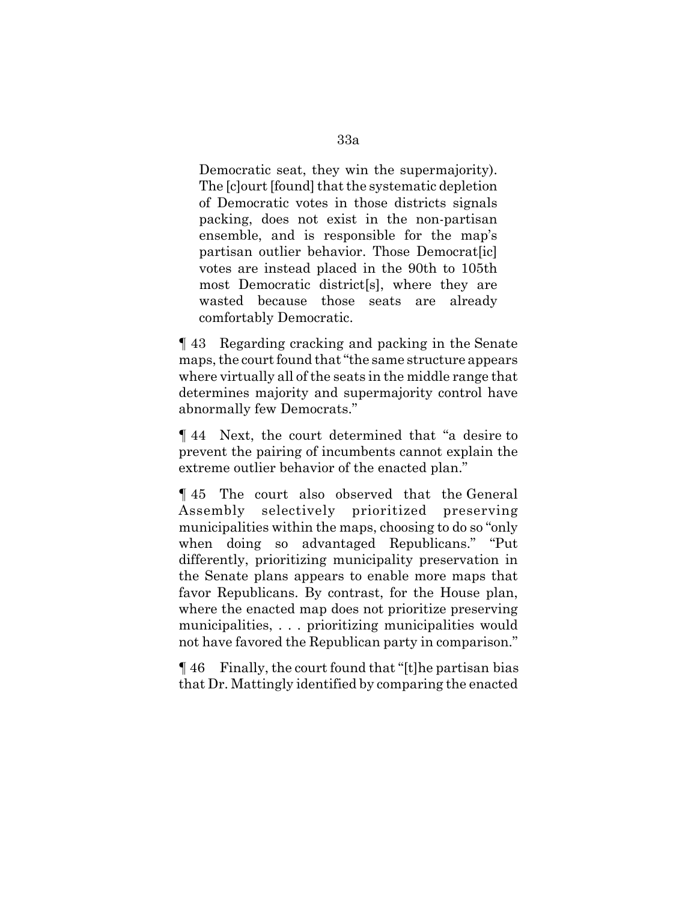Democratic seat, they win the supermajority). The [c]ourt [found] that the systematic depletion of Democratic votes in those districts signals packing, does not exist in the non-partisan ensemble, and is responsible for the map's partisan outlier behavior. Those Democrat votes are instead placed in the 90th to 105th most Democratic district[s], where they are wasted because those seats are already comfortably Democratic.

¶ 43 Regarding cracking and packing in the Senate maps, the court found that "the same structure appears where virtually all of the seats in the middle range that determines majority and supermajority control have abnormally few Democrats."

¶ 44 Next, the court determined that "a desire to prevent the pairing of incumbents cannot explain the extreme outlier behavior of the enacted plan."

¶ 45 The court also observed that the General Assembly selectively prioritized preserving municipalities within the maps, choosing to do so "only when doing so advantaged Republicans." "Put differently, prioritizing municipality preservation in the Senate plans appears to enable more maps that favor Republicans. By contrast, for the House plan, where the enacted map does not prioritize preserving municipalities, . . . prioritizing municipalities would not have favored the Republican party in comparison."

¶ 46 Finally, the court found that "[t]he partisan bias that Dr. Mattingly identified by comparing the enacted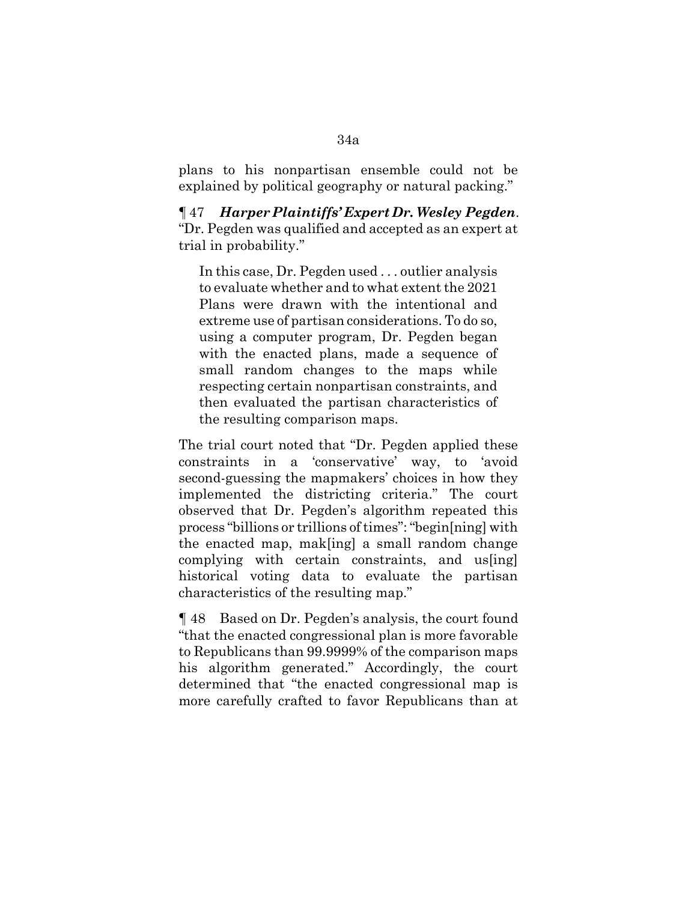plans to his nonpartisan ensemble could not be explained by political geography or natural packing."

¶ 47 *Harper Plaintiffs' Expert Dr. Wesley Pegden*. "Dr. Pegden was qualified and accepted as an expert at trial in probability."

In this case, Dr. Pegden used . . . outlier analysis to evaluate whether and to what extent the 2021 Plans were drawn with the intentional and extreme use of partisan considerations. To do so, using a computer program, Dr. Pegden began with the enacted plans, made a sequence of small random changes to the maps while respecting certain nonpartisan constraints, and then evaluated the partisan characteristics of the resulting comparison maps.

The trial court noted that "Dr. Pegden applied these constraints in a 'conservative' way, to 'avoid second-guessing the mapmakers' choices in how they implemented the districting criteria." The court observed that Dr. Pegden's algorithm repeated this process "billions or trillions of times": "begin[ning] with the enacted map, mak[ing] a small random change complying with certain constraints, and us[ing] historical voting data to evaluate the partisan characteristics of the resulting map."

¶ 48 Based on Dr. Pegden's analysis, the court found "that the enacted congressional plan is more favorable to Republicans than 99.9999% of the comparison maps his algorithm generated." Accordingly, the court determined that "the enacted congressional map is more carefully crafted to favor Republicans than at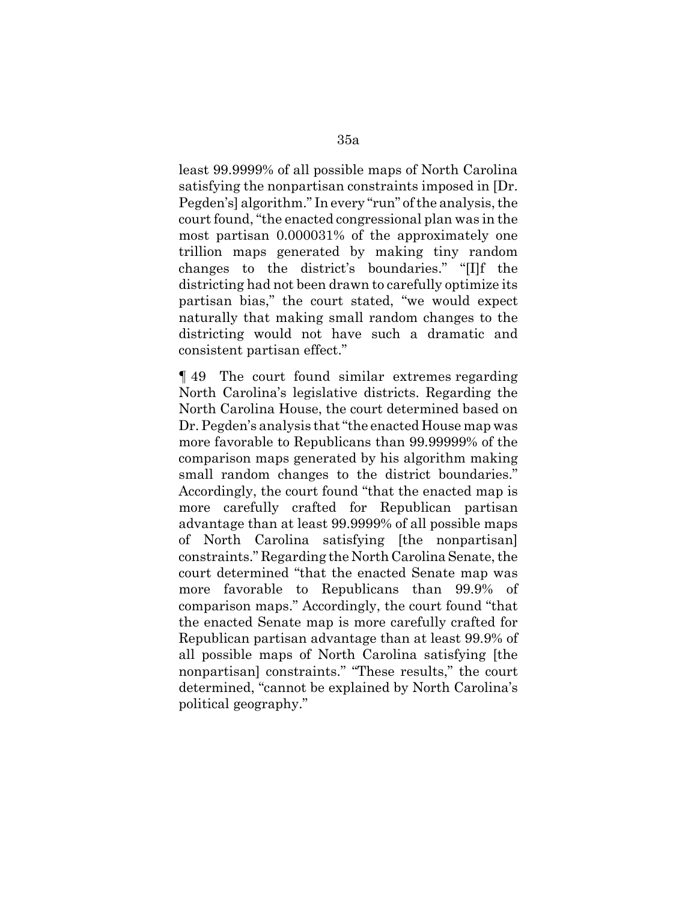least 99.9999% of all possible maps of North Carolina satisfying the nonpartisan constraints imposed in [Dr. Pegden's] algorithm." In every "run" of the analysis, the court found, "the enacted congressional plan was in the most partisan 0.000031% of the approximately one trillion maps generated by making tiny random changes to the district's boundaries." "[I]f the districting had not been drawn to carefully optimize its partisan bias," the court stated, "we would expect naturally that making small random changes to the districting would not have such a dramatic and consistent partisan effect."

¶ 49 The court found similar extremes regarding North Carolina's legislative districts. Regarding the North Carolina House, the court determined based on Dr. Pegden's analysis that "the enacted House map was more favorable to Republicans than 99.99999% of the comparison maps generated by his algorithm making small random changes to the district boundaries." Accordingly, the court found "that the enacted map is more carefully crafted for Republican partisan advantage than at least 99.9999% of all possible maps of North Carolina satisfying [the nonpartisan] constraints." Regarding the North Carolina Senate, the court determined "that the enacted Senate map was more favorable to Republicans than 99.9% of comparison maps." Accordingly, the court found "that the enacted Senate map is more carefully crafted for Republican partisan advantage than at least 99.9% of all possible maps of North Carolina satisfying [the nonpartisan] constraints." "These results," the court determined, "cannot be explained by North Carolina's political geography."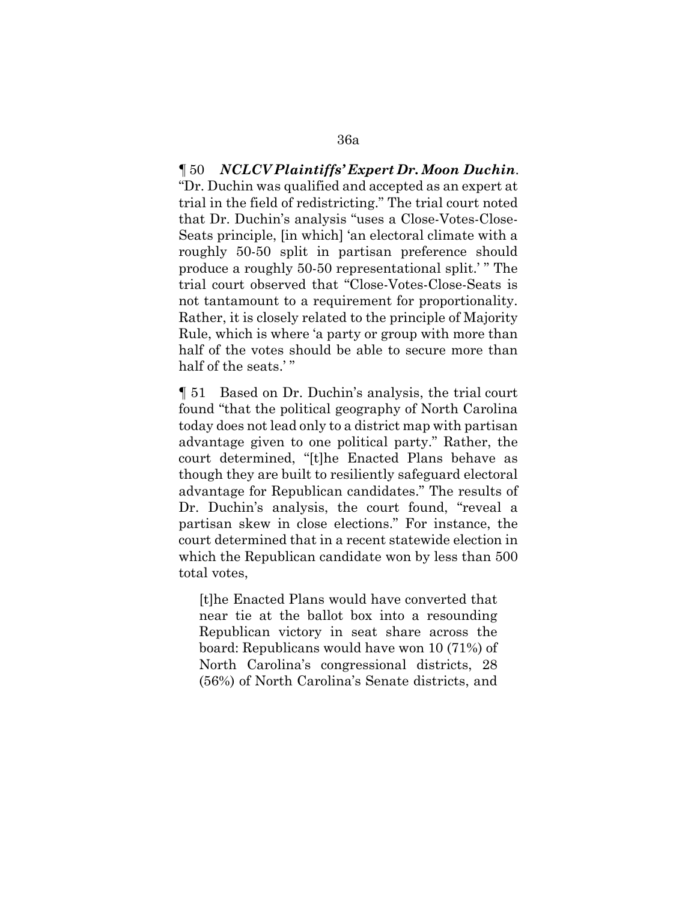¶ 50 *NCLCV Plaintiffs' Expert Dr. Moon Duchin*. "Dr. Duchin was qualified and accepted as an expert at trial in the field of redistricting." The trial court noted that Dr. Duchin's analysis "uses a Close-Votes-Close-Seats principle, [in which] 'an electoral climate with a roughly 50-50 split in partisan preference should produce a roughly 50-50 representational split.' " The trial court observed that "Close-Votes-Close-Seats is not tantamount to a requirement for proportionality. Rather, it is closely related to the principle of Majority Rule, which is where 'a party or group with more than half of the votes should be able to secure more than half of the seats.'"

¶ 51 Based on Dr. Duchin's analysis, the trial court found "that the political geography of North Carolina today does not lead only to a district map with partisan advantage given to one political party." Rather, the court determined, "[t]he Enacted Plans behave as though they are built to resiliently safeguard electoral advantage for Republican candidates." The results of Dr. Duchin's analysis, the court found, "reveal a partisan skew in close elections." For instance, the court determined that in a recent statewide election in which the Republican candidate won by less than 500 total votes,

[t]he Enacted Plans would have converted that near tie at the ballot box into a resounding Republican victory in seat share across the board: Republicans would have won 10 (71%) of North Carolina's congressional districts, 28 (56%) of North Carolina's Senate districts, and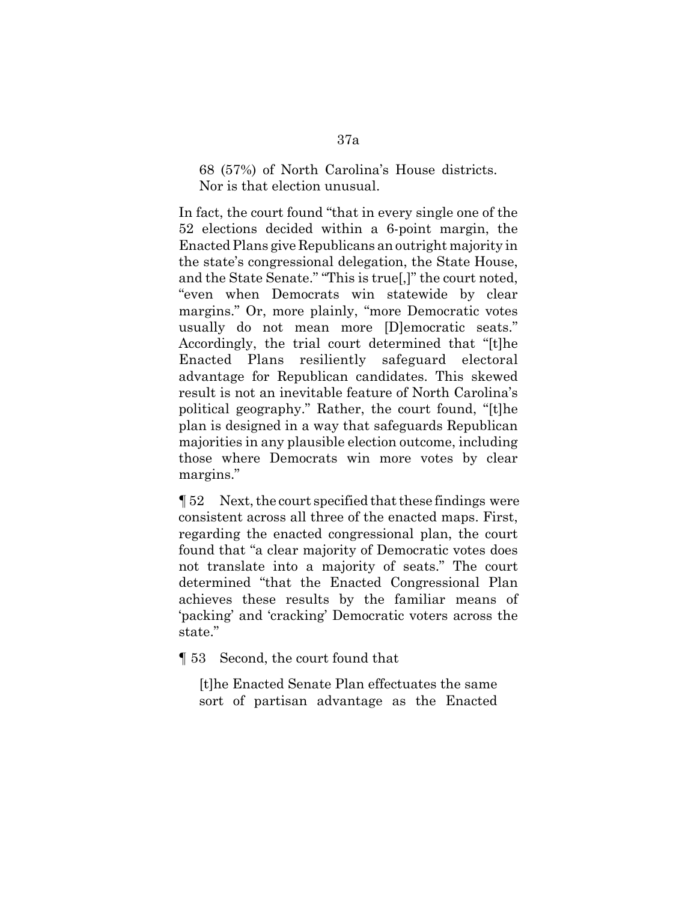68 (57%) of North Carolina's House districts. Nor is that election unusual.

In fact, the court found "that in every single one of the 52 elections decided within a 6-point margin, the Enacted Plans give Republicans an outright majority in the state's congressional delegation, the State House, and the State Senate." "This is true[,]" the court noted, "even when Democrats win statewide by clear margins." Or, more plainly, "more Democratic votes usually do not mean more [D]emocratic seats." Accordingly, the trial court determined that "[t]he Enacted Plans resiliently safeguard electoral advantage for Republican candidates. This skewed result is not an inevitable feature of North Carolina's political geography." Rather, the court found, "[t]he plan is designed in a way that safeguards Republican majorities in any plausible election outcome, including those where Democrats win more votes by clear margins."

¶ 52 Next, the court specified that these findings were consistent across all three of the enacted maps. First, regarding the enacted congressional plan, the court found that "a clear majority of Democratic votes does not translate into a majority of seats." The court determined "that the Enacted Congressional Plan achieves these results by the familiar means of 'packing' and 'cracking' Democratic voters across the state."

¶ 53 Second, the court found that

[t]he Enacted Senate Plan effectuates the same sort of partisan advantage as the Enacted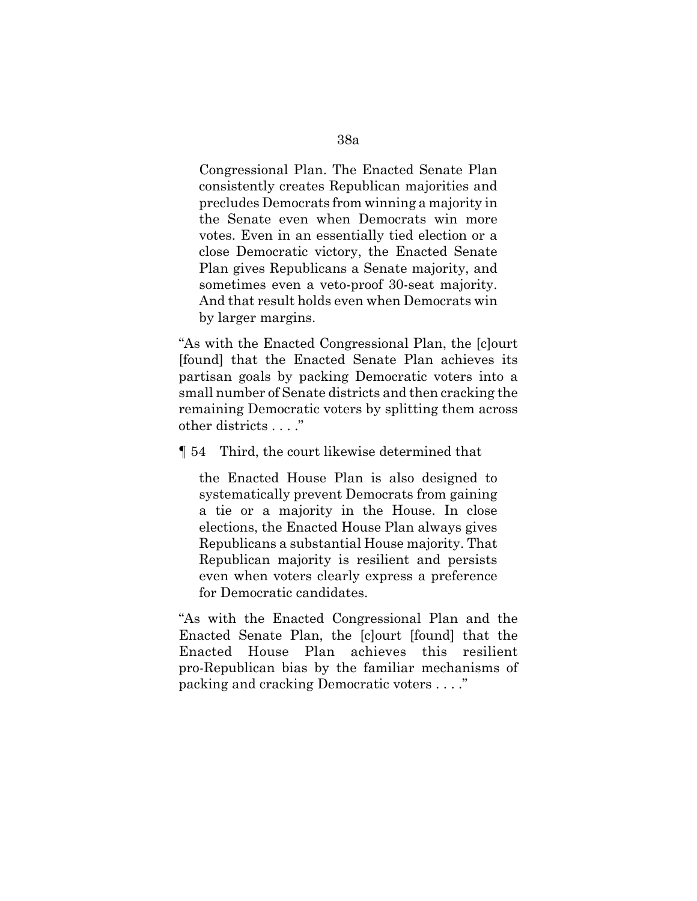Congressional Plan. The Enacted Senate Plan consistently creates Republican majorities and precludes Democrats from winning a majority in the Senate even when Democrats win more votes. Even in an essentially tied election or a close Democratic victory, the Enacted Senate Plan gives Republicans a Senate majority, and sometimes even a veto-proof 30-seat majority. And that result holds even when Democrats win by larger margins.

"As with the Enacted Congressional Plan, the [c]ourt [found] that the Enacted Senate Plan achieves its partisan goals by packing Democratic voters into a small number of Senate districts and then cracking the remaining Democratic voters by splitting them across other districts . . . ."

¶ 54 Third, the court likewise determined that

the Enacted House Plan is also designed to systematically prevent Democrats from gaining a tie or a majority in the House. In close elections, the Enacted House Plan always gives Republicans a substantial House majority. That Republican majority is resilient and persists even when voters clearly express a preference for Democratic candidates.

"As with the Enacted Congressional Plan and the Enacted Senate Plan, the [c]ourt [found] that the Enacted House Plan achieves this resilient pro-Republican bias by the familiar mechanisms of packing and cracking Democratic voters . . . ."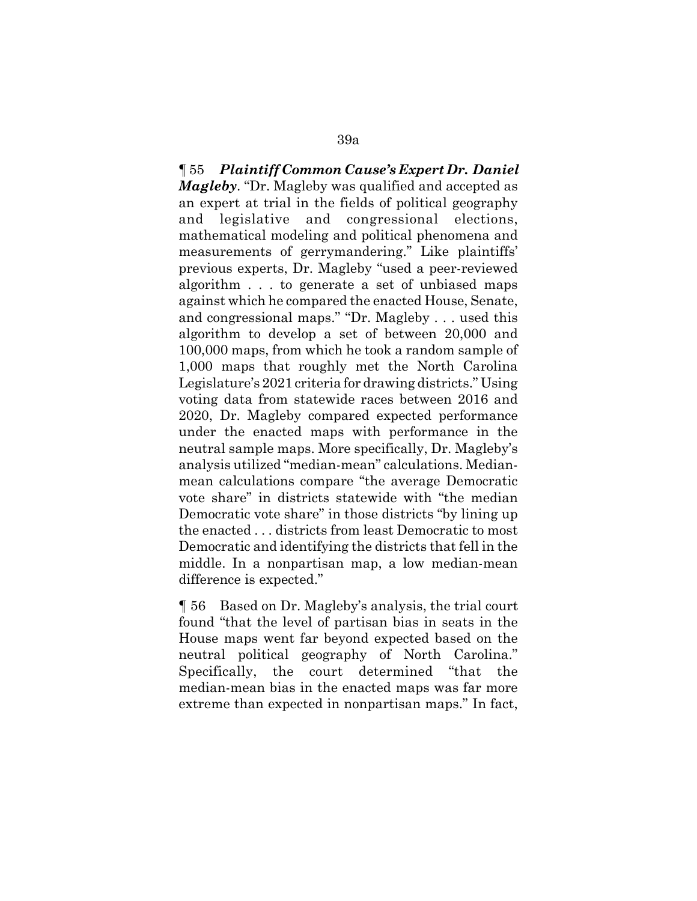¶ 55 *Plaintiff Common Cause's Expert Dr. Daniel Magleby*. "Dr. Magleby was qualified and accepted as an expert at trial in the fields of political geography and legislative and congressional elections, mathematical modeling and political phenomena and measurements of gerrymandering." Like plaintiffs' previous experts, Dr. Magleby "used a peer-reviewed algorithm . . . to generate a set of unbiased maps against which he compared the enacted House, Senate, and congressional maps." "Dr. Magleby . . . used this algorithm to develop a set of between 20,000 and 100,000 maps, from which he took a random sample of 1,000 maps that roughly met the North Carolina Legislature's 2021 criteria for drawing districts." Using voting data from statewide races between 2016 and 2020, Dr. Magleby compared expected performance under the enacted maps with performance in the neutral sample maps. More specifically, Dr. Magleby's analysis utilized "median-mean" calculations. Medianmean calculations compare "the average Democratic vote share" in districts statewide with "the median Democratic vote share" in those districts "by lining up the enacted . . . districts from least Democratic to most Democratic and identifying the districts that fell in the middle. In a nonpartisan map, a low median-mean difference is expected."

¶ 56 Based on Dr. Magleby's analysis, the trial court found "that the level of partisan bias in seats in the House maps went far beyond expected based on the neutral political geography of North Carolina." Specifically, the court determined "that the median-mean bias in the enacted maps was far more extreme than expected in nonpartisan maps." In fact,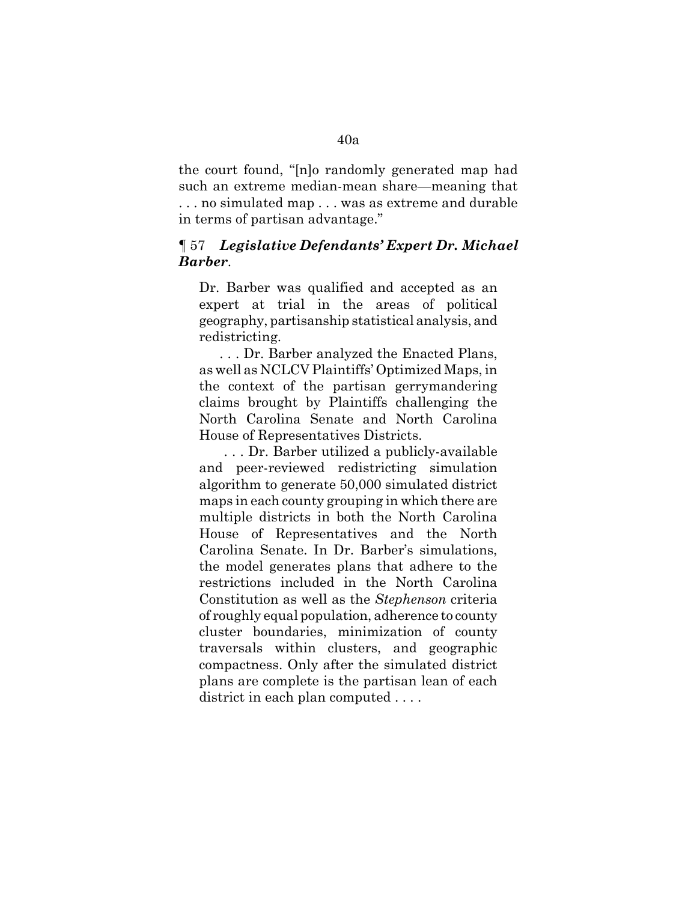the court found, "[n]o randomly generated map had such an extreme median-mean share—meaning that . . . no simulated map . . . was as extreme and durable in terms of partisan advantage."

## ¶ 57 *Legislative Defendants' Expert Dr. Michael Barber*.

Dr. Barber was qualified and accepted as an expert at trial in the areas of political geography, partisanship statistical analysis, and redistricting.

. . . Dr. Barber analyzed the Enacted Plans, as well as NCLCV Plaintiffs' Optimized Maps, in the context of the partisan gerrymandering claims brought by Plaintiffs challenging the North Carolina Senate and North Carolina House of Representatives Districts.

 . . . Dr. Barber utilized a publicly-available and peer-reviewed redistricting simulation algorithm to generate 50,000 simulated district maps in each county grouping in which there are multiple districts in both the North Carolina House of Representatives and the North Carolina Senate. In Dr. Barber's simulations, the model generates plans that adhere to the restrictions included in the North Carolina Constitution as well as the *Stephenson* criteria of roughly equal population, adherence to county cluster boundaries, minimization of county traversals within clusters, and geographic compactness. Only after the simulated district plans are complete is the partisan lean of each district in each plan computed ....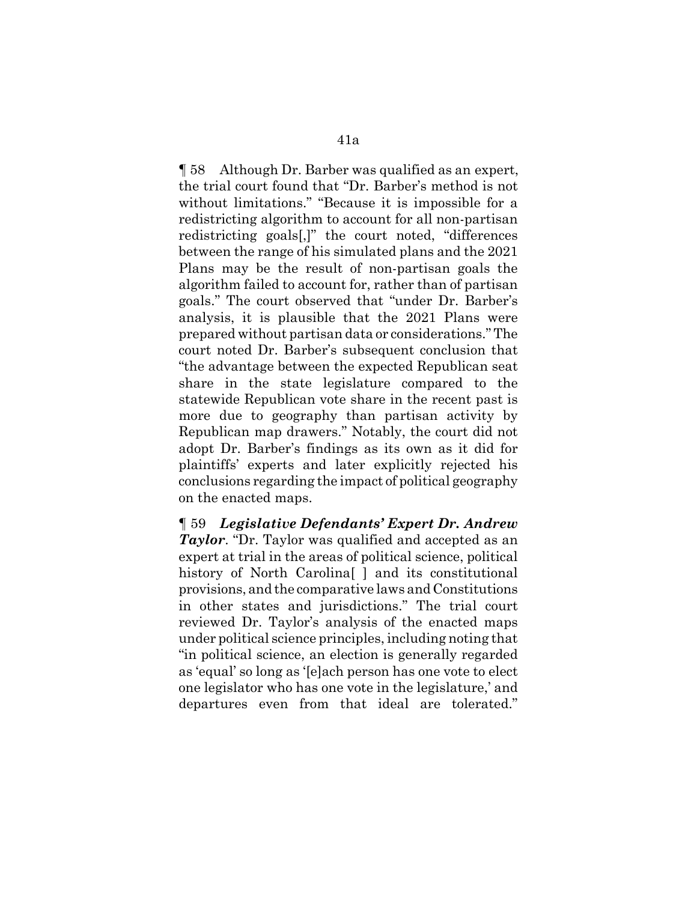¶ 58 Although Dr. Barber was qualified as an expert, the trial court found that "Dr. Barber's method is not without limitations." "Because it is impossible for a redistricting algorithm to account for all non-partisan redistricting goals[,]" the court noted, "differences between the range of his simulated plans and the 2021 Plans may be the result of non-partisan goals the algorithm failed to account for, rather than of partisan goals." The court observed that "under Dr. Barber's analysis, it is plausible that the 2021 Plans were prepared without partisan data or considerations." The court noted Dr. Barber's subsequent conclusion that "the advantage between the expected Republican seat share in the state legislature compared to the statewide Republican vote share in the recent past is more due to geography than partisan activity by Republican map drawers." Notably, the court did not adopt Dr. Barber's findings as its own as it did for plaintiffs' experts and later explicitly rejected his conclusions regarding the impact of political geography on the enacted maps.

¶ 59 *Legislative Defendants' Expert Dr. Andrew Taylor*. "Dr. Taylor was qualified and accepted as an expert at trial in the areas of political science, political history of North Carolina<sup>[]</sup> and its constitutional provisions, and the comparative laws and Constitutions in other states and jurisdictions." The trial court reviewed Dr. Taylor's analysis of the enacted maps under political science principles, including noting that "in political science, an election is generally regarded as 'equal' so long as '[e]ach person has one vote to elect one legislator who has one vote in the legislature,' and departures even from that ideal are tolerated."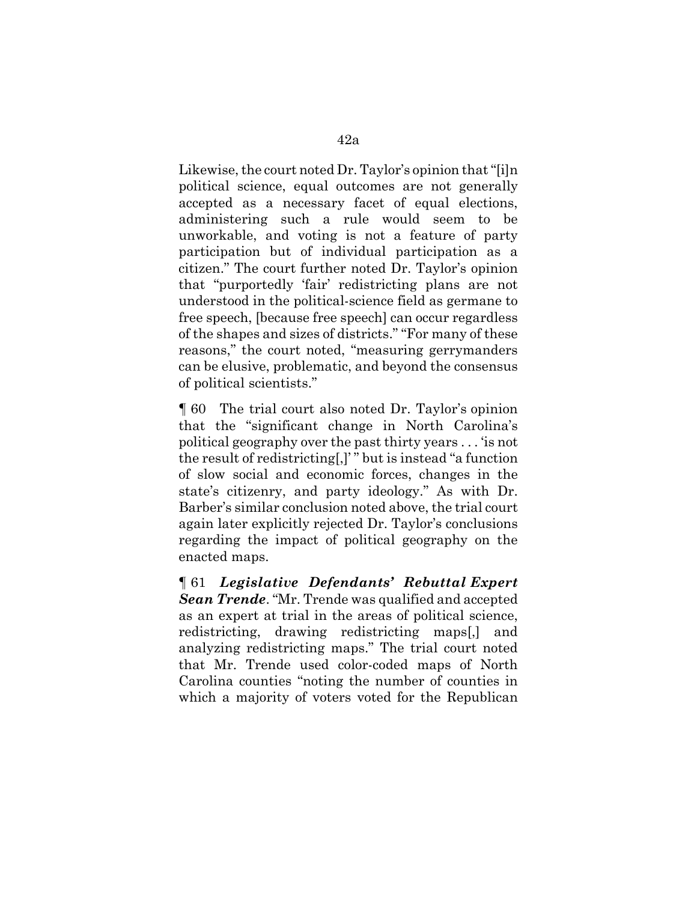Likewise, the court noted Dr. Taylor's opinion that "[i]n political science, equal outcomes are not generally accepted as a necessary facet of equal elections, administering such a rule would seem to be unworkable, and voting is not a feature of party participation but of individual participation as a citizen." The court further noted Dr. Taylor's opinion that "purportedly 'fair' redistricting plans are not understood in the political-science field as germane to free speech, [because free speech] can occur regardless of the shapes and sizes of districts." "For many of these reasons," the court noted, "measuring gerrymanders can be elusive, problematic, and beyond the consensus of political scientists."

¶ 60 The trial court also noted Dr. Taylor's opinion that the "significant change in North Carolina's political geography over the past thirty years . . . 'is not the result of redistricting[,]' " but is instead "a function of slow social and economic forces, changes in the state's citizenry, and party ideology." As with Dr. Barber's similar conclusion noted above, the trial court again later explicitly rejected Dr. Taylor's conclusions regarding the impact of political geography on the enacted maps.

¶ 61 *Legislative Defendants' Rebuttal Expert Sean Trende*. "Mr. Trende was qualified and accepted as an expert at trial in the areas of political science, redistricting, drawing redistricting maps[,] and analyzing redistricting maps." The trial court noted that Mr. Trende used color-coded maps of North Carolina counties "noting the number of counties in which a majority of voters voted for the Republican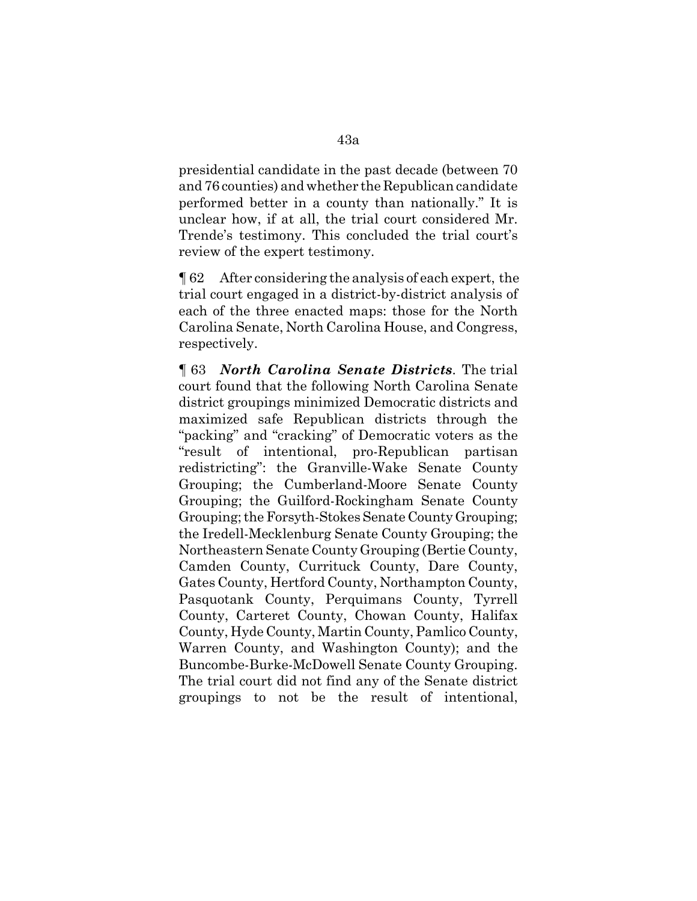presidential candidate in the past decade (between 70 and 76 counties) and whether the Republican candidate performed better in a county than nationally." It is unclear how, if at all, the trial court considered Mr. Trende's testimony. This concluded the trial court's review of the expert testimony.

¶ 62 After considering the analysis of each expert, the trial court engaged in a district-by-district analysis of each of the three enacted maps: those for the North Carolina Senate, North Carolina House, and Congress, respectively.

¶ 63 *North Carolina Senate Districts*. The trial court found that the following North Carolina Senate district groupings minimized Democratic districts and maximized safe Republican districts through the "packing" and "cracking" of Democratic voters as the "result of intentional, pro-Republican partisan redistricting": the Granville-Wake Senate County Grouping; the Cumberland-Moore Senate County Grouping; the Guilford-Rockingham Senate County Grouping; the Forsyth-Stokes Senate County Grouping; the Iredell-Mecklenburg Senate County Grouping; the Northeastern Senate County Grouping (Bertie County, Camden County, Currituck County, Dare County, Gates County, Hertford County, Northampton County, Pasquotank County, Perquimans County, Tyrrell County, Carteret County, Chowan County, Halifax County, Hyde County, Martin County, Pamlico County, Warren County, and Washington County); and the Buncombe-Burke-McDowell Senate County Grouping. The trial court did not find any of the Senate district groupings to not be the result of intentional,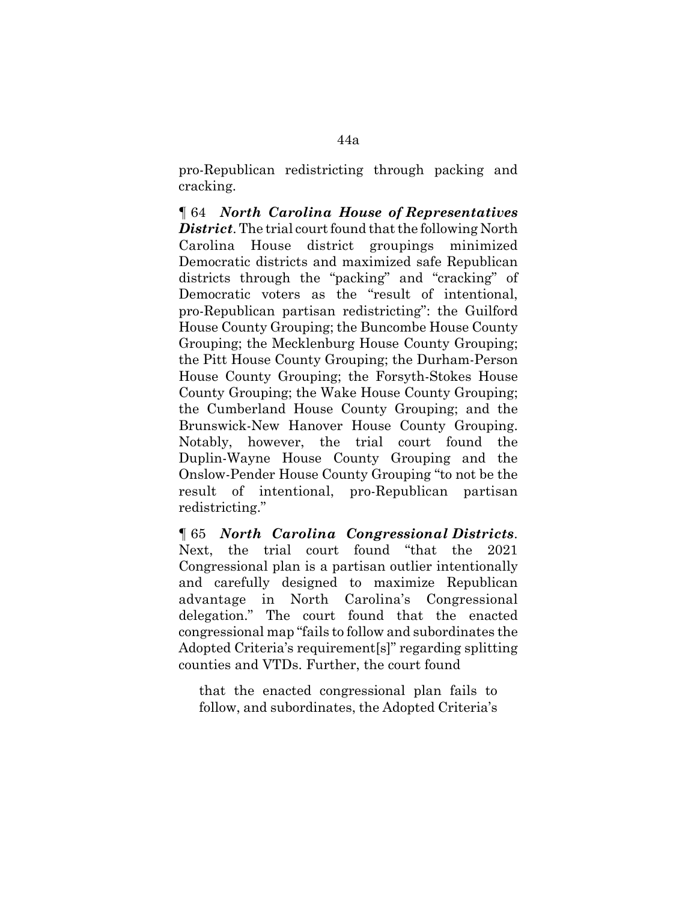pro-Republican redistricting through packing and cracking.

¶ 64 *North Carolina House of Representatives District*. The trial court found that the following North Carolina House district groupings minimized Democratic districts and maximized safe Republican districts through the "packing" and "cracking" of Democratic voters as the "result of intentional, pro-Republican partisan redistricting": the Guilford House County Grouping; the Buncombe House County Grouping; the Mecklenburg House County Grouping; the Pitt House County Grouping; the Durham-Person House County Grouping; the Forsyth-Stokes House County Grouping; the Wake House County Grouping; the Cumberland House County Grouping; and the Brunswick-New Hanover House County Grouping. Notably, however, the trial court found the Duplin-Wayne House County Grouping and the Onslow-Pender House County Grouping "to not be the result of intentional, pro-Republican partisan redistricting."

¶ 65 *North Carolina Congressional Districts*. Next, the trial court found "that the 2021 Congressional plan is a partisan outlier intentionally and carefully designed to maximize Republican advantage in North Carolina's Congressional delegation." The court found that the enacted congressional map "fails to follow and subordinates the Adopted Criteria's requirement[s]" regarding splitting counties and VTDs. Further, the court found

that the enacted congressional plan fails to follow, and subordinates, the Adopted Criteria's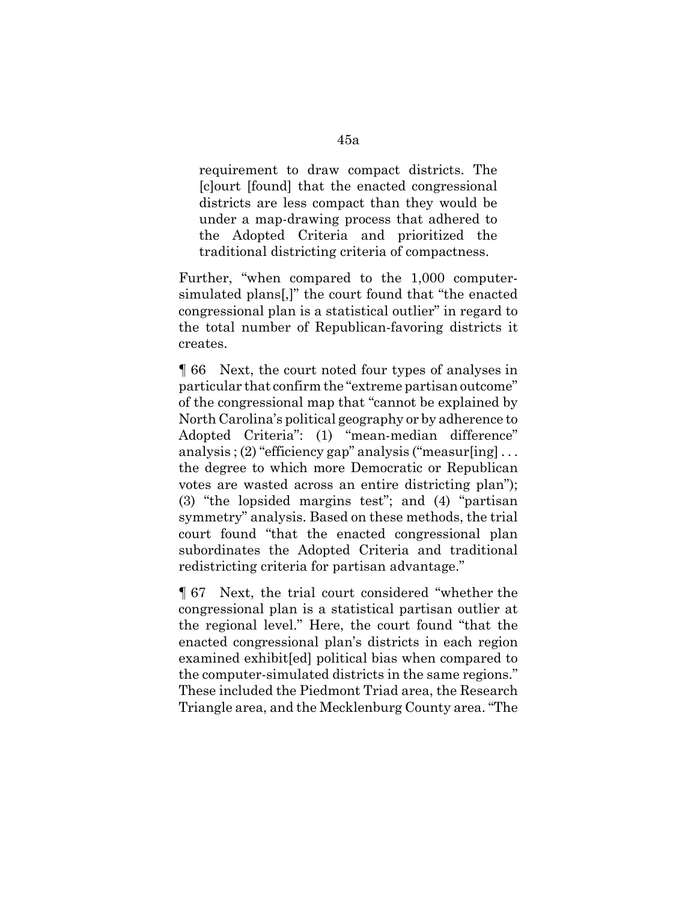requirement to draw compact districts. The [c]ourt [found] that the enacted congressional districts are less compact than they would be under a map-drawing process that adhered to the Adopted Criteria and prioritized the traditional districting criteria of compactness.

Further, "when compared to the 1,000 computersimulated plans[,]" the court found that "the enacted congressional plan is a statistical outlier" in regard to the total number of Republican-favoring districts it creates.

¶ 66 Next, the court noted four types of analyses in particular that confirm the "extreme partisan outcome" of the congressional map that "cannot be explained by North Carolina's political geography or by adherence to Adopted Criteria": (1) "mean-median difference" analysis ; (2) "efficiency gap" analysis ("measur $\lceil \text{ing} \rceil$ ... the degree to which more Democratic or Republican votes are wasted across an entire districting plan"); (3) "the lopsided margins test"; and (4) "partisan symmetry" analysis. Based on these methods, the trial court found "that the enacted congressional plan subordinates the Adopted Criteria and traditional redistricting criteria for partisan advantage."

¶ 67 Next, the trial court considered "whether the congressional plan is a statistical partisan outlier at the regional level." Here, the court found "that the enacted congressional plan's districts in each region examined exhibit[ed] political bias when compared to the computer-simulated districts in the same regions." These included the Piedmont Triad area, the Research Triangle area, and the Mecklenburg County area. "The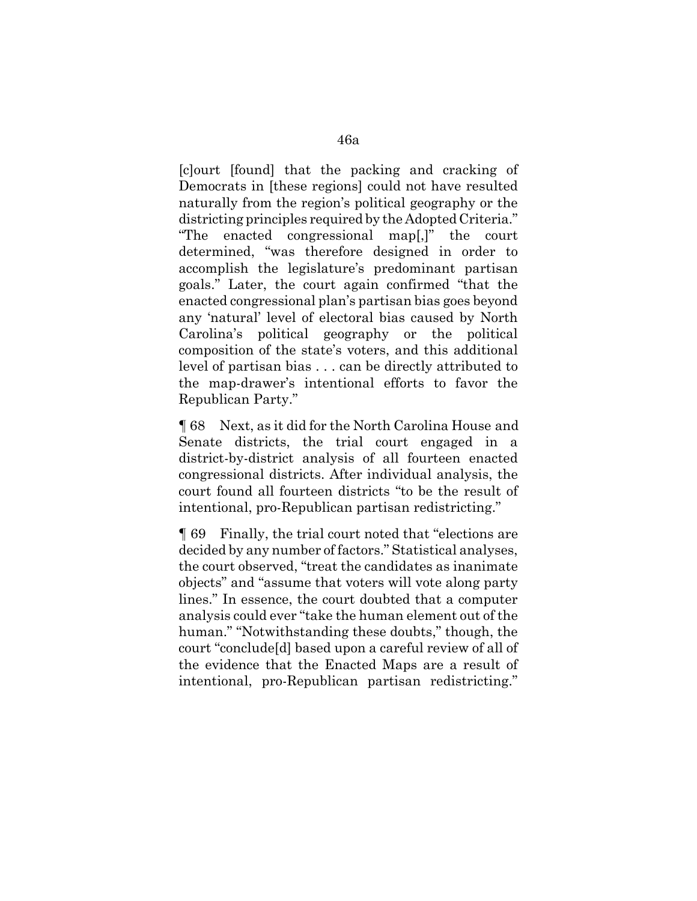[c]ourt [found] that the packing and cracking of Democrats in [these regions] could not have resulted naturally from the region's political geography or the districting principles required by the Adopted Criteria." "The enacted congressional map[,]" the court determined, "was therefore designed in order to accomplish the legislature's predominant partisan goals." Later, the court again confirmed "that the enacted congressional plan's partisan bias goes beyond any 'natural' level of electoral bias caused by North Carolina's political geography or the political composition of the state's voters, and this additional level of partisan bias . . . can be directly attributed to the map-drawer's intentional efforts to favor the Republican Party."

¶ 68 Next, as it did for the North Carolina House and Senate districts, the trial court engaged in a district-by-district analysis of all fourteen enacted congressional districts. After individual analysis, the court found all fourteen districts "to be the result of intentional, pro-Republican partisan redistricting."

¶ 69 Finally, the trial court noted that "elections are decided by any number of factors." Statistical analyses, the court observed, "treat the candidates as inanimate objects" and "assume that voters will vote along party lines." In essence, the court doubted that a computer analysis could ever "take the human element out of the human." "Notwithstanding these doubts," though, the court "conclude[d] based upon a careful review of all of the evidence that the Enacted Maps are a result of intentional, pro-Republican partisan redistricting."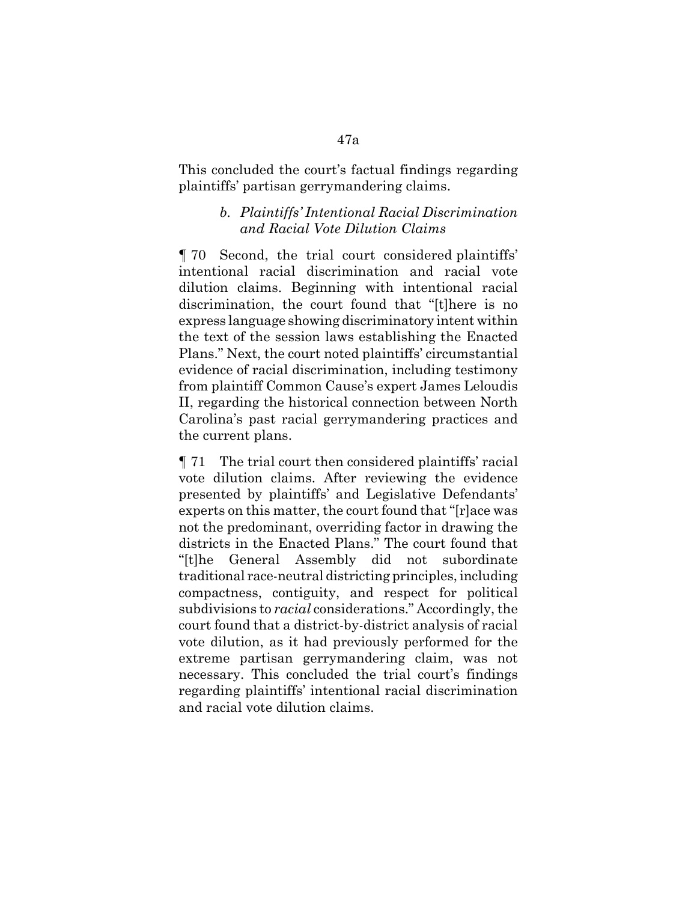This concluded the court's factual findings regarding plaintiffs' partisan gerrymandering claims.

## *b. Plaintiffs' Intentional Racial Discrimination and Racial Vote Dilution Claims*

¶ 70 Second, the trial court considered plaintiffs' intentional racial discrimination and racial vote dilution claims. Beginning with intentional racial discrimination, the court found that "[t]here is no express language showing discriminatory intent within the text of the session laws establishing the Enacted Plans." Next, the court noted plaintiffs' circumstantial evidence of racial discrimination, including testimony from plaintiff Common Cause's expert James Leloudis II, regarding the historical connection between North Carolina's past racial gerrymandering practices and the current plans.

¶ 71 The trial court then considered plaintiffs' racial vote dilution claims. After reviewing the evidence presented by plaintiffs' and Legislative Defendants' experts on this matter, the court found that "[r]ace was not the predominant, overriding factor in drawing the districts in the Enacted Plans." The court found that "[t]he General Assembly did not subordinate traditional race-neutral districting principles, including compactness, contiguity, and respect for political subdivisions to *racial* considerations." Accordingly, the court found that a district-by-district analysis of racial vote dilution, as it had previously performed for the extreme partisan gerrymandering claim, was not necessary. This concluded the trial court's findings regarding plaintiffs' intentional racial discrimination and racial vote dilution claims.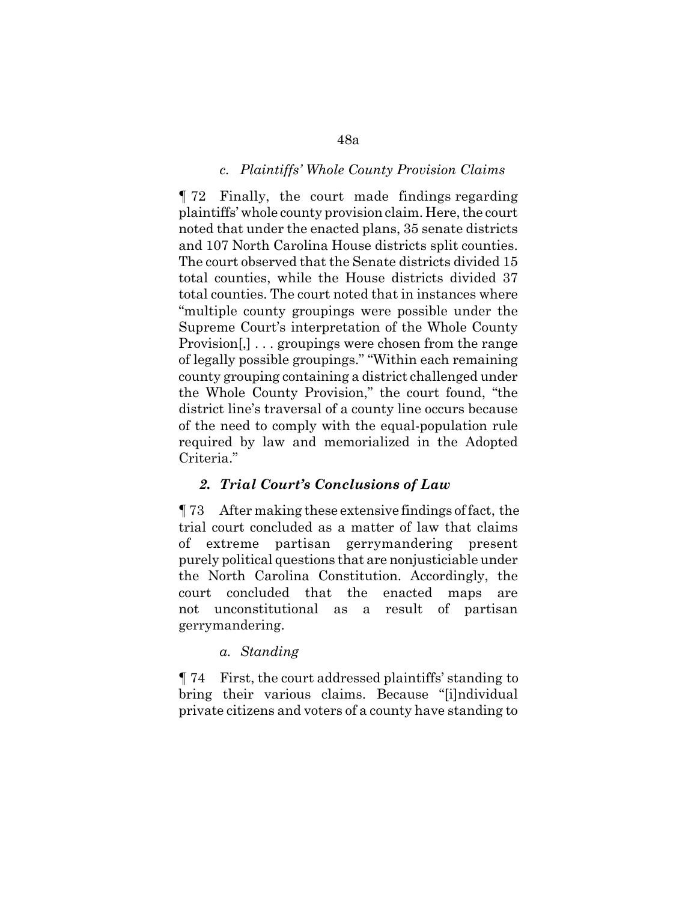## *c. Plaintiffs' Whole County Provision Claims*

¶ 72 Finally, the court made findings regarding plaintiffs' whole county provision claim. Here, the court noted that under the enacted plans, 35 senate districts and 107 North Carolina House districts split counties. The court observed that the Senate districts divided 15 total counties, while the House districts divided 37 total counties. The court noted that in instances where "multiple county groupings were possible under the Supreme Court's interpretation of the Whole County Provision[,] . . . groupings were chosen from the range of legally possible groupings." "Within each remaining county grouping containing a district challenged under the Whole County Provision," the court found, "the district line's traversal of a county line occurs because of the need to comply with the equal-population rule required by law and memorialized in the Adopted Criteria."

## *2. Trial Court's Conclusions of Law*

¶ 73 After making these extensive findings of fact, the trial court concluded as a matter of law that claims of extreme partisan gerrymandering present purely political questions that are nonjusticiable under the North Carolina Constitution. Accordingly, the court concluded that the enacted maps are not unconstitutional as a result of partisan gerrymandering.

#### *a. Standing*

¶ 74 First, the court addressed plaintiffs' standing to bring their various claims. Because "[i]ndividual private citizens and voters of a county have standing to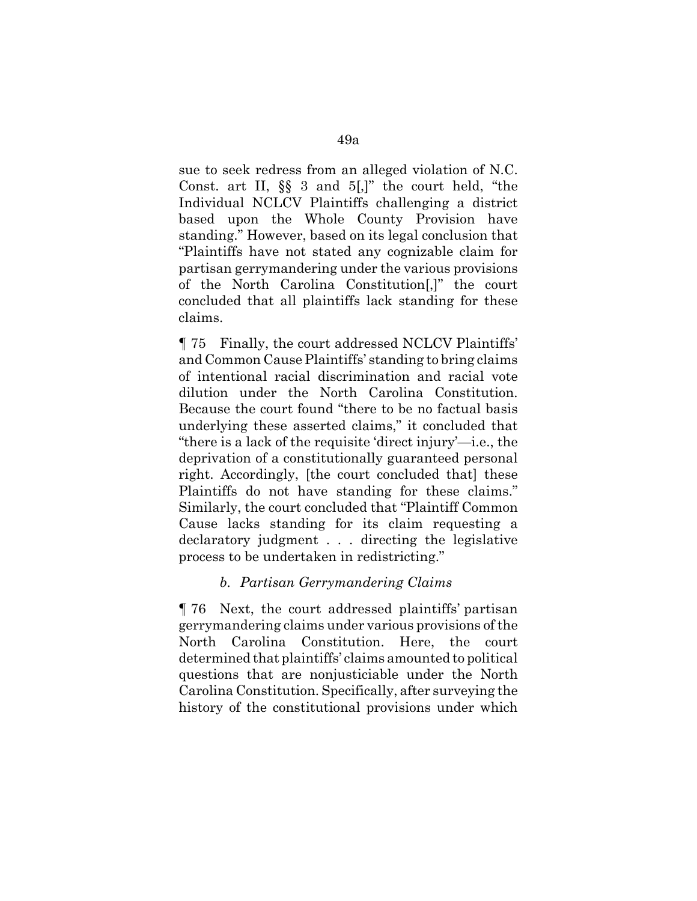sue to seek redress from an alleged violation of N.C. Const. art II, §§ 3 and 5[,]" the court held, "the Individual NCLCV Plaintiffs challenging a district based upon the Whole County Provision have standing." However, based on its legal conclusion that "Plaintiffs have not stated any cognizable claim for partisan gerrymandering under the various provisions of the North Carolina Constitution[,]" the court concluded that all plaintiffs lack standing for these claims.

¶ 75 Finally, the court addressed NCLCV Plaintiffs' and Common Cause Plaintiffs' standing to bring claims of intentional racial discrimination and racial vote dilution under the North Carolina Constitution. Because the court found "there to be no factual basis underlying these asserted claims," it concluded that "there is a lack of the requisite 'direct injury'—i.e., the deprivation of a constitutionally guaranteed personal right. Accordingly, [the court concluded that] these Plaintiffs do not have standing for these claims." Similarly, the court concluded that "Plaintiff Common Cause lacks standing for its claim requesting a declaratory judgment . . . directing the legislative process to be undertaken in redistricting."

# *b. Partisan Gerrymandering Claims*

¶ 76 Next, the court addressed plaintiffs' partisan gerrymandering claims under various provisions of the North Carolina Constitution. Here, the court determined that plaintiffs' claims amounted to political questions that are nonjusticiable under the North Carolina Constitution. Specifically, after surveying the history of the constitutional provisions under which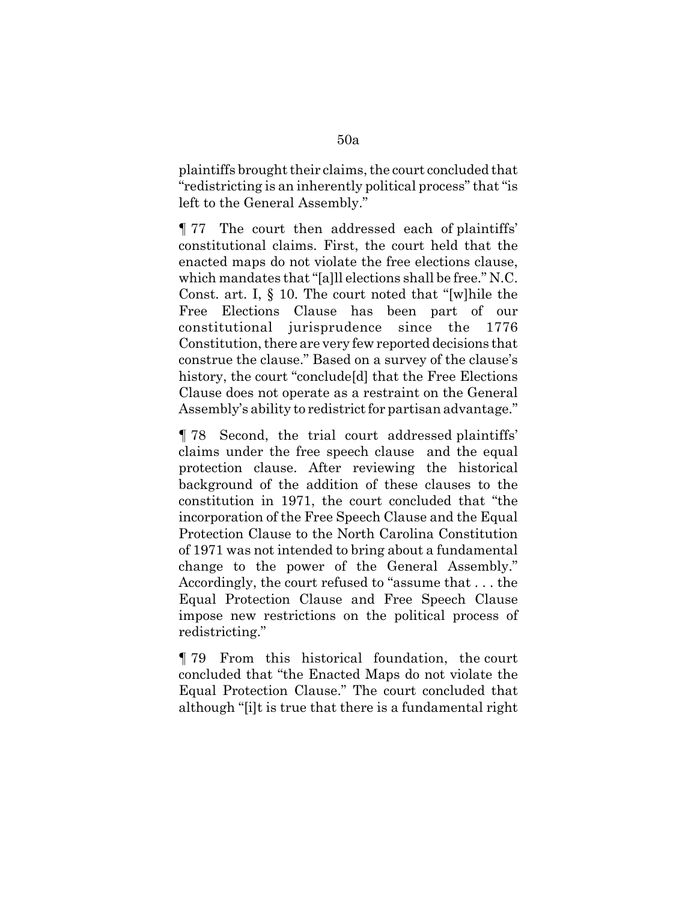plaintiffs brought their claims, the court concluded that "redistricting is an inherently political process" that "is left to the General Assembly."

¶ 77 The court then addressed each of plaintiffs' constitutional claims. First, the court held that the enacted maps do not violate the free elections clause, which mandates that "[a]ll elections shall be free." N.C. Const. art. I, § 10. The court noted that "[w]hile the Free Elections Clause has been part of our constitutional jurisprudence since the 1776 Constitution, there are very few reported decisions that construe the clause." Based on a survey of the clause's history, the court "conclude[d] that the Free Elections Clause does not operate as a restraint on the General Assembly's ability to redistrict for partisan advantage."

¶ 78 Second, the trial court addressed plaintiffs' claims under the free speech clause and the equal protection clause. After reviewing the historical background of the addition of these clauses to the constitution in 1971, the court concluded that "the incorporation of the Free Speech Clause and the Equal Protection Clause to the North Carolina Constitution of 1971 was not intended to bring about a fundamental change to the power of the General Assembly." Accordingly, the court refused to "assume that . . . the Equal Protection Clause and Free Speech Clause impose new restrictions on the political process of redistricting."

¶ 79 From this historical foundation, the court concluded that "the Enacted Maps do not violate the Equal Protection Clause." The court concluded that although "[i]t is true that there is a fundamental right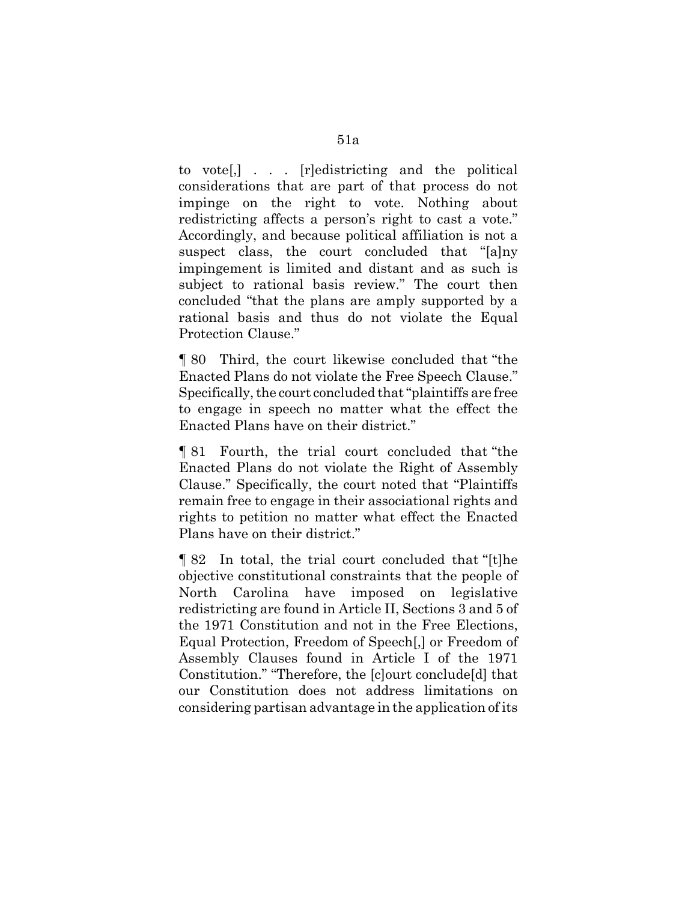to vote[,] . . . [r]edistricting and the political considerations that are part of that process do not impinge on the right to vote. Nothing about redistricting affects a person's right to cast a vote." Accordingly, and because political affiliation is not a suspect class, the court concluded that "[a]ny impingement is limited and distant and as such is subject to rational basis review." The court then concluded "that the plans are amply supported by a rational basis and thus do not violate the Equal Protection Clause."

¶ 80 Third, the court likewise concluded that "the Enacted Plans do not violate the Free Speech Clause." Specifically, the court concluded that "plaintiffs are free to engage in speech no matter what the effect the Enacted Plans have on their district."

¶ 81 Fourth, the trial court concluded that "the Enacted Plans do not violate the Right of Assembly Clause." Specifically, the court noted that "Plaintiffs remain free to engage in their associational rights and rights to petition no matter what effect the Enacted Plans have on their district."

¶ 82 In total, the trial court concluded that "[t]he objective constitutional constraints that the people of North Carolina have imposed on legislative redistricting are found in Article II, Sections 3 and 5 of the 1971 Constitution and not in the Free Elections, Equal Protection, Freedom of Speech[,] or Freedom of Assembly Clauses found in Article I of the 1971 Constitution." "Therefore, the [c]ourt conclude[d] that our Constitution does not address limitations on considering partisan advantage in the application of its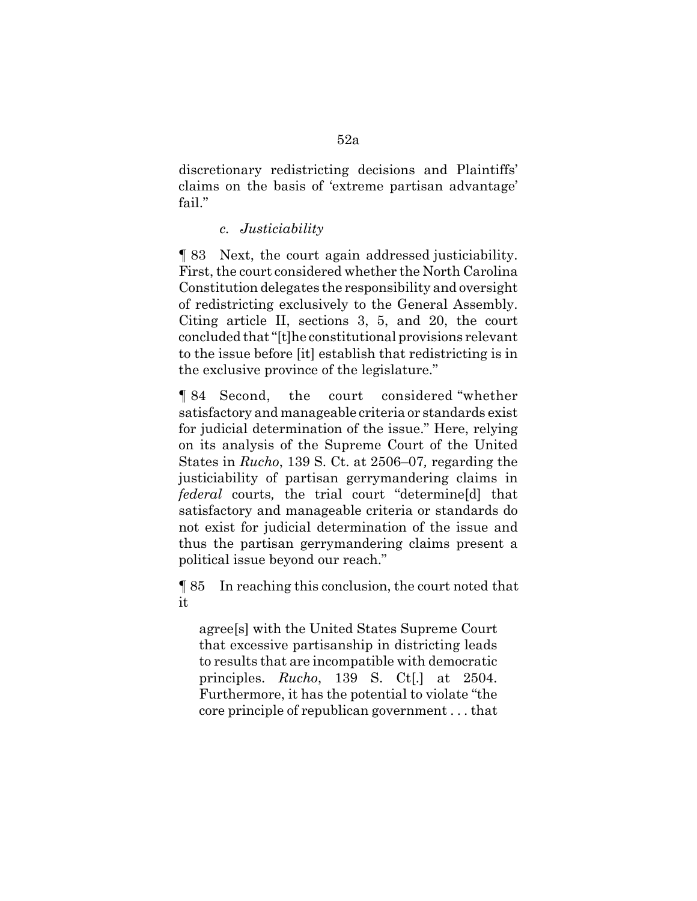discretionary redistricting decisions and Plaintiffs' claims on the basis of 'extreme partisan advantage' fail."

## *c. Justiciability*

¶ 83 Next, the court again addressed justiciability. First, the court considered whether the North Carolina Constitution delegates the responsibility and oversight of redistricting exclusively to the General Assembly. Citing article II, sections 3, 5, and 20, the court concluded that "[t]he constitutional provisions relevant to the issue before [it] establish that redistricting is in the exclusive province of the legislature."

¶ 84 Second, the court considered "whether satisfactory and manageable criteria or standards exist for judicial determination of the issue." Here, relying on its analysis of the Supreme Court of the United States in *Rucho*, 139 S. Ct. at 2506–07*,* regarding the justiciability of partisan gerrymandering claims in *federal* courts*,* the trial court "determine[d] that satisfactory and manageable criteria or standards do not exist for judicial determination of the issue and thus the partisan gerrymandering claims present a political issue beyond our reach."

¶ 85 In reaching this conclusion, the court noted that it

agree[s] with the United States Supreme Court that excessive partisanship in districting leads to results that are incompatible with democratic principles. *Rucho*, 139 S. Ct[.] at 2504. Furthermore, it has the potential to violate "the core principle of republican government . . . that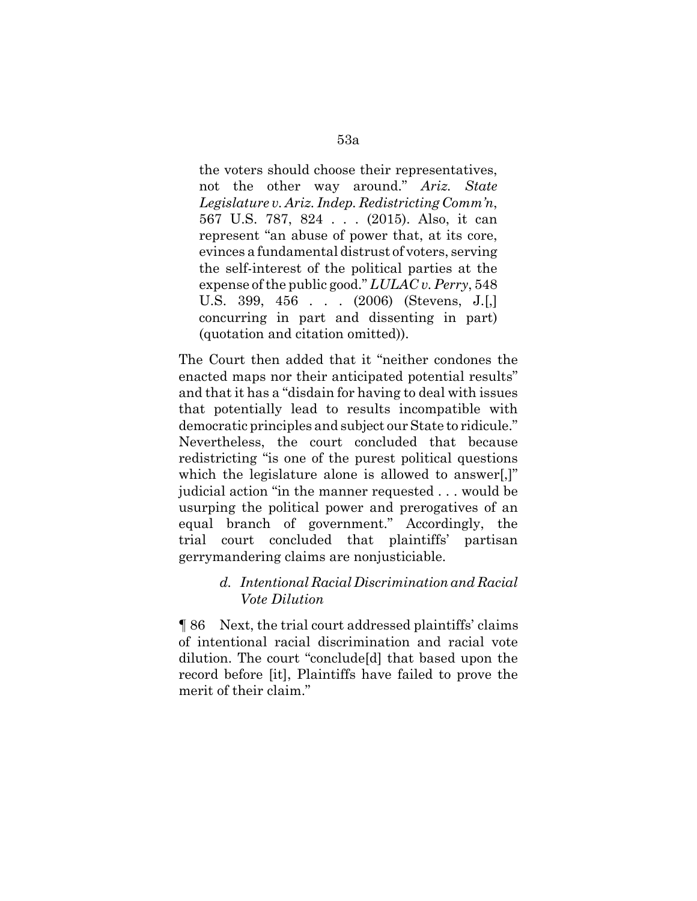the voters should choose their representatives, not the other way around." *Ariz. State Legislature v. Ariz. Indep. Redistricting Comm'n*, 567 U.S. 787, 824 . . . (2015). Also, it can represent "an abuse of power that, at its core, evinces a fundamental distrust of voters, serving the self-interest of the political parties at the expense of the public good." *LULAC v. Perry*, 548 U.S. 399, 456 . . . (2006) (Stevens, J.[,] concurring in part and dissenting in part) (quotation and citation omitted)).

The Court then added that it "neither condones the enacted maps nor their anticipated potential results" and that it has a "disdain for having to deal with issues that potentially lead to results incompatible with democratic principles and subject our State to ridicule." Nevertheless, the court concluded that because redistricting "is one of the purest political questions which the legislature alone is allowed to answer.]" judicial action "in the manner requested . . . would be usurping the political power and prerogatives of an equal branch of government." Accordingly, the trial court concluded that plaintiffs' partisan gerrymandering claims are nonjusticiable.

# *d. Intentional Racial Discrimination and Racial Vote Dilution*

¶ 86 Next, the trial court addressed plaintiffs' claims of intentional racial discrimination and racial vote dilution. The court "conclude[d] that based upon the record before [it], Plaintiffs have failed to prove the merit of their claim."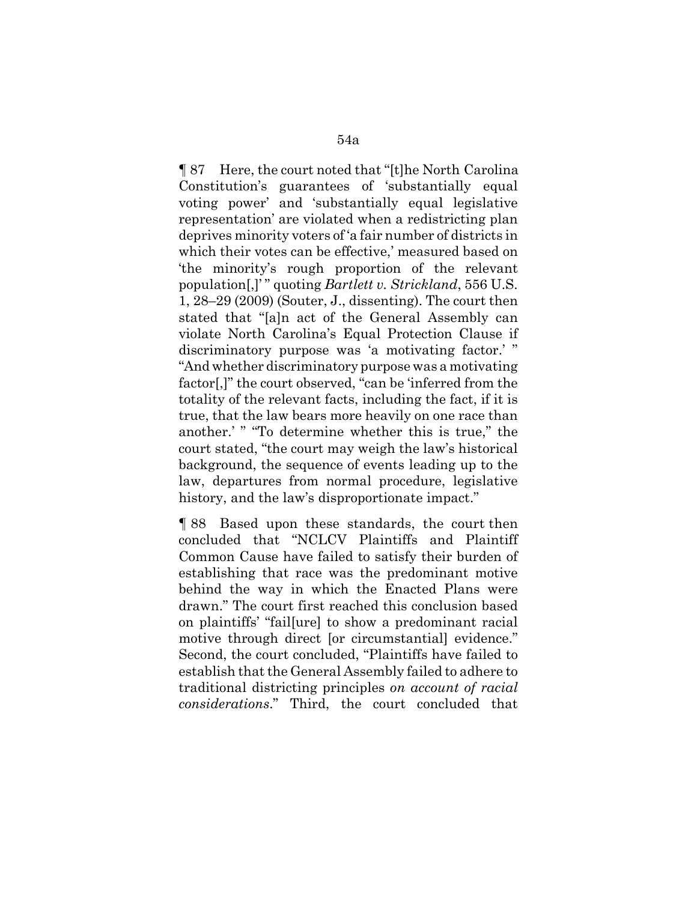¶ 87 Here, the court noted that "[t]he North Carolina Constitution's guarantees of 'substantially equal voting power' and 'substantially equal legislative representation' are violated when a redistricting plan deprives minority voters of 'a fair number of districts in which their votes can be effective,' measured based on 'the minority's rough proportion of the relevant population[,]' " quoting *Bartlett v. Strickland*, 556 U.S. 1, 28–29 (2009) (Souter, J., dissenting). The court then stated that "[a]n act of the General Assembly can violate North Carolina's Equal Protection Clause if discriminatory purpose was 'a motivating factor.' " "And whether discriminatory purpose was a motivating factor[,]" the court observed, "can be 'inferred from the totality of the relevant facts, including the fact, if it is true, that the law bears more heavily on one race than another.' " "To determine whether this is true," the court stated, "the court may weigh the law's historical background, the sequence of events leading up to the law, departures from normal procedure, legislative history, and the law's disproportionate impact."

¶ 88 Based upon these standards, the court then concluded that "NCLCV Plaintiffs and Plaintiff Common Cause have failed to satisfy their burden of establishing that race was the predominant motive behind the way in which the Enacted Plans were drawn." The court first reached this conclusion based on plaintiffs' "fail[ure] to show a predominant racial motive through direct [or circumstantial] evidence." Second, the court concluded, "Plaintiffs have failed to establish that the General Assembly failed to adhere to traditional districting principles *on account of racial considerations*." Third, the court concluded that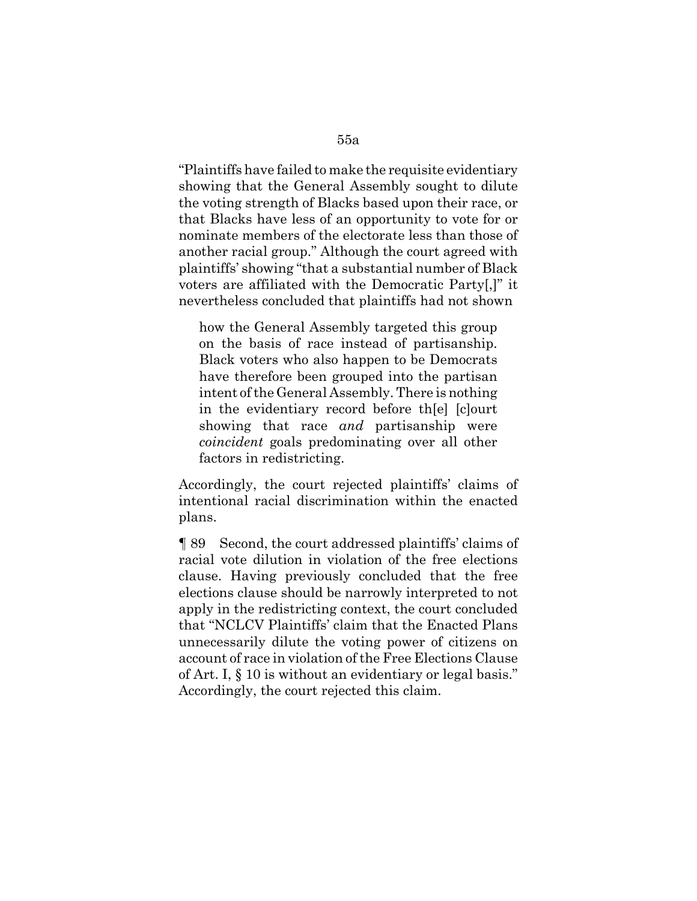"Plaintiffs have failed to make the requisite evidentiary showing that the General Assembly sought to dilute the voting strength of Blacks based upon their race, or that Blacks have less of an opportunity to vote for or nominate members of the electorate less than those of another racial group." Although the court agreed with plaintiffs' showing "that a substantial number of Black voters are affiliated with the Democratic Party[,]" it nevertheless concluded that plaintiffs had not shown

how the General Assembly targeted this group on the basis of race instead of partisanship. Black voters who also happen to be Democrats have therefore been grouped into the partisan intent of the General Assembly. There is nothing in the evidentiary record before th[e] [c]ourt showing that race *and* partisanship were *coincident* goals predominating over all other factors in redistricting.

Accordingly, the court rejected plaintiffs' claims of intentional racial discrimination within the enacted plans.

¶ 89 Second, the court addressed plaintiffs' claims of racial vote dilution in violation of the free elections clause. Having previously concluded that the free elections clause should be narrowly interpreted to not apply in the redistricting context, the court concluded that "NCLCV Plaintiffs' claim that the Enacted Plans unnecessarily dilute the voting power of citizens on account of race in violation of the Free Elections Clause of Art. I, § 10 is without an evidentiary or legal basis." Accordingly, the court rejected this claim.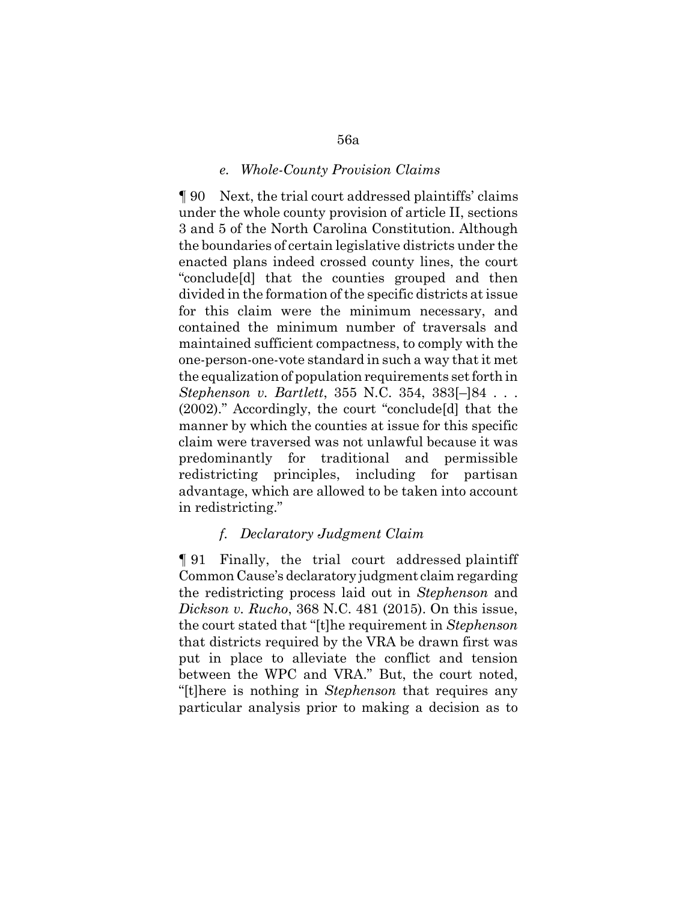#### *e. Whole-County Provision Claims*

¶ 90 Next, the trial court addressed plaintiffs' claims under the whole county provision of article II, sections 3 and 5 of the North Carolina Constitution. Although the boundaries of certain legislative districts under the enacted plans indeed crossed county lines, the court "conclude[d] that the counties grouped and then divided in the formation of the specific districts at issue for this claim were the minimum necessary, and contained the minimum number of traversals and maintained sufficient compactness, to comply with the one-person-one-vote standard in such a way that it met the equalization of population requirements set forth in *Stephenson v. Bartlett*, 355 N.C. 354, 383[–]84 . . . (2002)." Accordingly, the court "conclude[d] that the manner by which the counties at issue for this specific claim were traversed was not unlawful because it was predominantly for traditional and permissible redistricting principles, including for partisan advantage, which are allowed to be taken into account in redistricting."

#### *f. Declaratory Judgment Claim*

¶ 91 Finally, the trial court addressed plaintiff Common Cause's declaratory judgment claim regarding the redistricting process laid out in *Stephenson* and *Dickson v. Rucho*, 368 N.C. 481 (2015). On this issue, the court stated that "[t]he requirement in *Stephenson* that districts required by the VRA be drawn first was put in place to alleviate the conflict and tension between the WPC and VRA." But, the court noted, "[t]here is nothing in *Stephenson* that requires any particular analysis prior to making a decision as to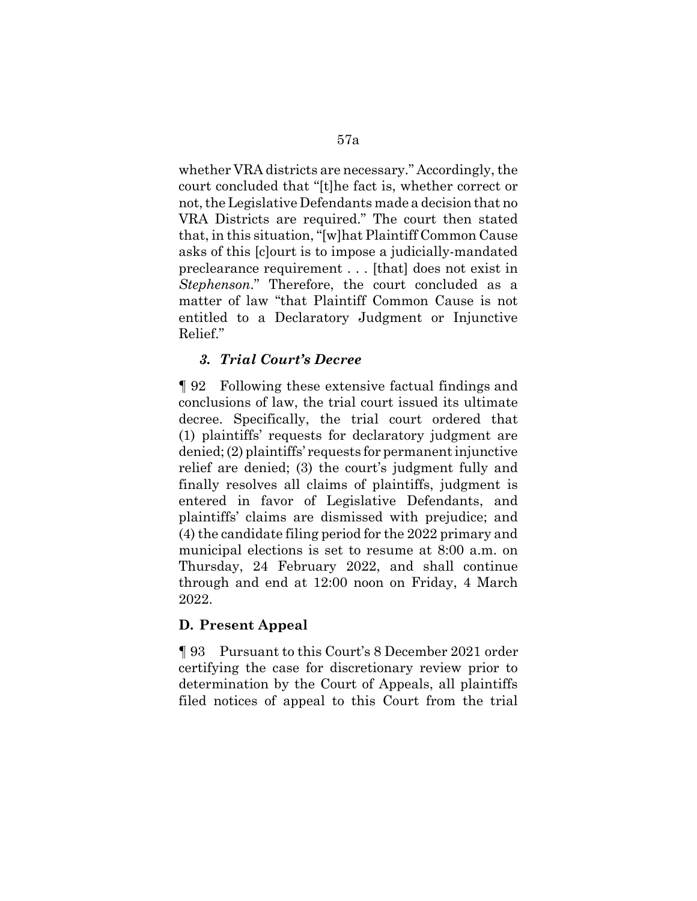whether VRA districts are necessary." Accordingly, the court concluded that "[t]he fact is, whether correct or not, the Legislative Defendants made a decision that no VRA Districts are required." The court then stated that, in this situation, "[w]hat Plaintiff Common Cause asks of this [c]ourt is to impose a judicially-mandated preclearance requirement . . . [that] does not exist in *Stephenson*." Therefore, the court concluded as a matter of law "that Plaintiff Common Cause is not entitled to a Declaratory Judgment or Injunctive Relief."

## *3. Trial Court's Decree*

¶ 92 Following these extensive factual findings and conclusions of law, the trial court issued its ultimate decree. Specifically, the trial court ordered that (1) plaintiffs' requests for declaratory judgment are denied; (2) plaintiffs' requests for permanent injunctive relief are denied; (3) the court's judgment fully and finally resolves all claims of plaintiffs, judgment is entered in favor of Legislative Defendants, and plaintiffs' claims are dismissed with prejudice; and (4) the candidate filing period for the 2022 primary and municipal elections is set to resume at 8:00 a.m. on Thursday, 24 February 2022, and shall continue through and end at 12:00 noon on Friday, 4 March 2022.

## **D. Present Appeal**

¶ 93 Pursuant to this Court's 8 December 2021 order certifying the case for discretionary review prior to determination by the Court of Appeals, all plaintiffs filed notices of appeal to this Court from the trial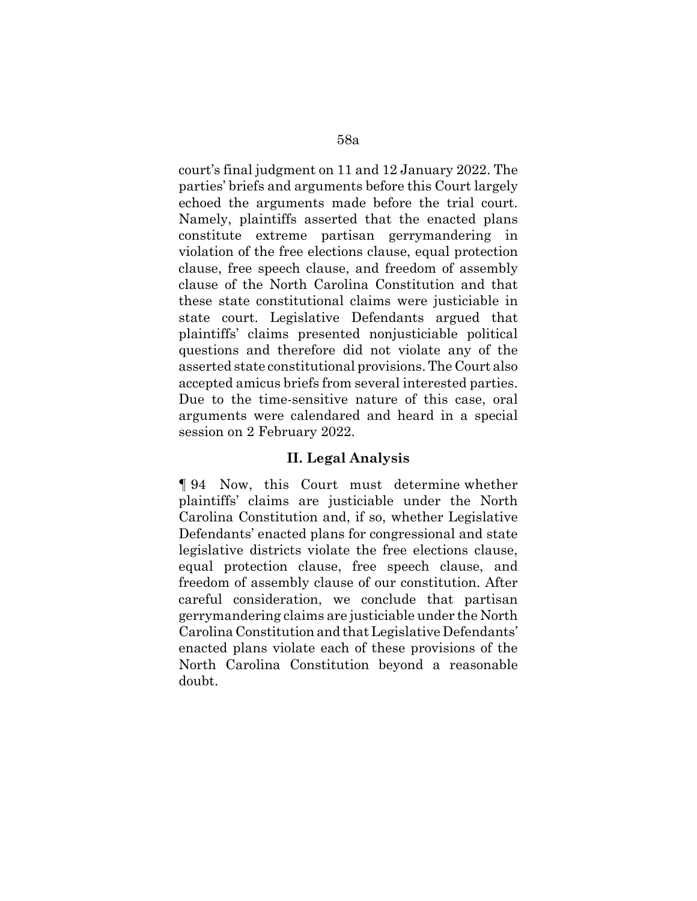court's final judgment on 11 and 12 January 2022. The parties' briefs and arguments before this Court largely echoed the arguments made before the trial court. Namely, plaintiffs asserted that the enacted plans constitute extreme partisan gerrymandering in violation of the free elections clause, equal protection clause, free speech clause, and freedom of assembly clause of the North Carolina Constitution and that these state constitutional claims were justiciable in state court. Legislative Defendants argued that plaintiffs' claims presented nonjusticiable political questions and therefore did not violate any of the asserted state constitutional provisions. The Court also accepted amicus briefs from several interested parties. Due to the time-sensitive nature of this case, oral arguments were calendared and heard in a special session on 2 February 2022.

## **II. Legal Analysis**

¶ 94 Now, this Court must determine whether plaintiffs' claims are justiciable under the North Carolina Constitution and, if so, whether Legislative Defendants' enacted plans for congressional and state legislative districts violate the free elections clause, equal protection clause, free speech clause, and freedom of assembly clause of our constitution. After careful consideration, we conclude that partisan gerrymandering claims are justiciable under the North Carolina Constitution and that Legislative Defendants' enacted plans violate each of these provisions of the North Carolina Constitution beyond a reasonable doubt.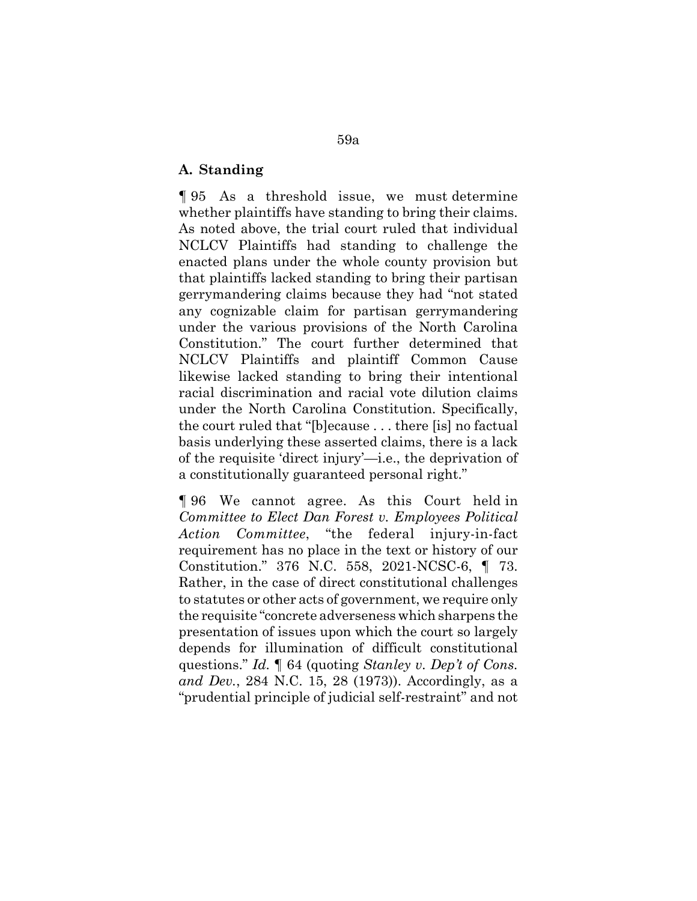### **A. Standing**

¶ 95 As a threshold issue, we must determine whether plaintiffs have standing to bring their claims. As noted above, the trial court ruled that individual NCLCV Plaintiffs had standing to challenge the enacted plans under the whole county provision but that plaintiffs lacked standing to bring their partisan gerrymandering claims because they had "not stated any cognizable claim for partisan gerrymandering under the various provisions of the North Carolina Constitution." The court further determined that NCLCV Plaintiffs and plaintiff Common Cause likewise lacked standing to bring their intentional racial discrimination and racial vote dilution claims under the North Carolina Constitution. Specifically, the court ruled that "[b]ecause . . . there [is] no factual basis underlying these asserted claims, there is a lack of the requisite 'direct injury'—i.e., the deprivation of a constitutionally guaranteed personal right."

¶ 96 We cannot agree. As this Court held in *Committee to Elect Dan Forest v. Employees Political Action Committee*, "the federal injury-in-fact requirement has no place in the text or history of our Constitution." 376 N.C. 558, 2021-NCSC-6, ¶ 73. Rather, in the case of direct constitutional challenges to statutes or other acts of government, we require only the requisite "concrete adverseness which sharpens the presentation of issues upon which the court so largely depends for illumination of difficult constitutional questions." *Id.* ¶ 64 (quoting *Stanley v. Dep't of Cons. and Dev.*, 284 N.C. 15, 28 (1973)). Accordingly, as a "prudential principle of judicial self-restraint" and not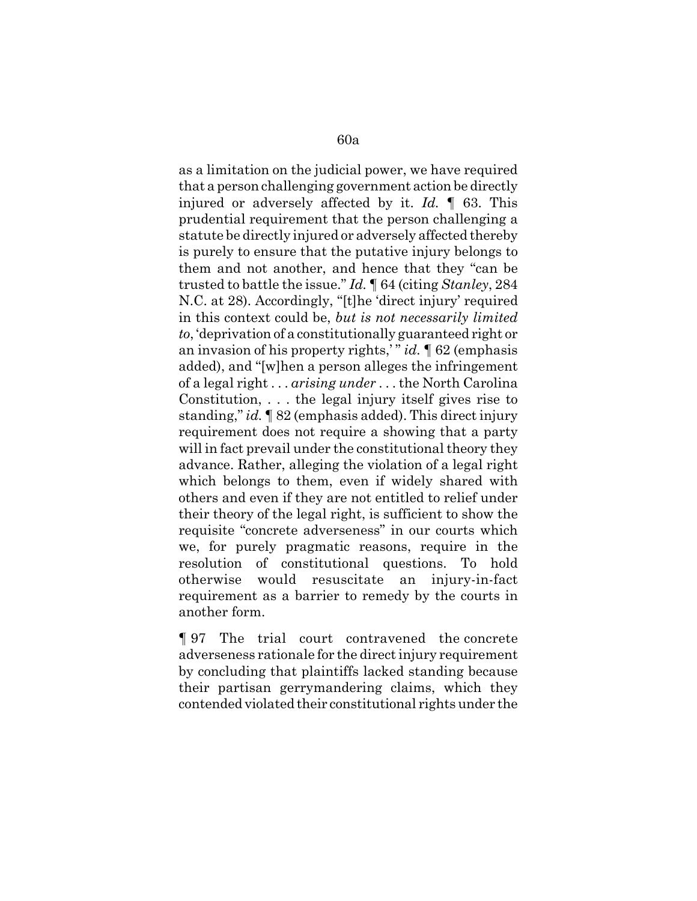as a limitation on the judicial power, we have required that a person challenging government action be directly injured or adversely affected by it. *Id.* ¶ 63. This prudential requirement that the person challenging a statute be directly injured or adversely affected thereby is purely to ensure that the putative injury belongs to them and not another, and hence that they "can be trusted to battle the issue." *Id.* ¶ 64 (citing *Stanley*, 284 N.C. at 28). Accordingly, "[t]he 'direct injury' required in this context could be, *but is not necessarily limited to*, 'deprivation of a constitutionally guaranteed right or an invasion of his property rights,' " *id.* ¶ 62 (emphasis added), and "[w]hen a person alleges the infringement of a legal right . . . *arising under* . . . the North Carolina Constitution, . . . the legal injury itself gives rise to standing," *id.* ¶ 82 (emphasis added). This direct injury requirement does not require a showing that a party will in fact prevail under the constitutional theory they advance. Rather, alleging the violation of a legal right which belongs to them, even if widely shared with others and even if they are not entitled to relief under their theory of the legal right, is sufficient to show the requisite "concrete adverseness" in our courts which we, for purely pragmatic reasons, require in the resolution of constitutional questions. To hold otherwise would resuscitate an injury-in-fact requirement as a barrier to remedy by the courts in another form.

¶ 97 The trial court contravened the concrete adverseness rationale for the direct injury requirement by concluding that plaintiffs lacked standing because their partisan gerrymandering claims, which they contended violated their constitutional rights under the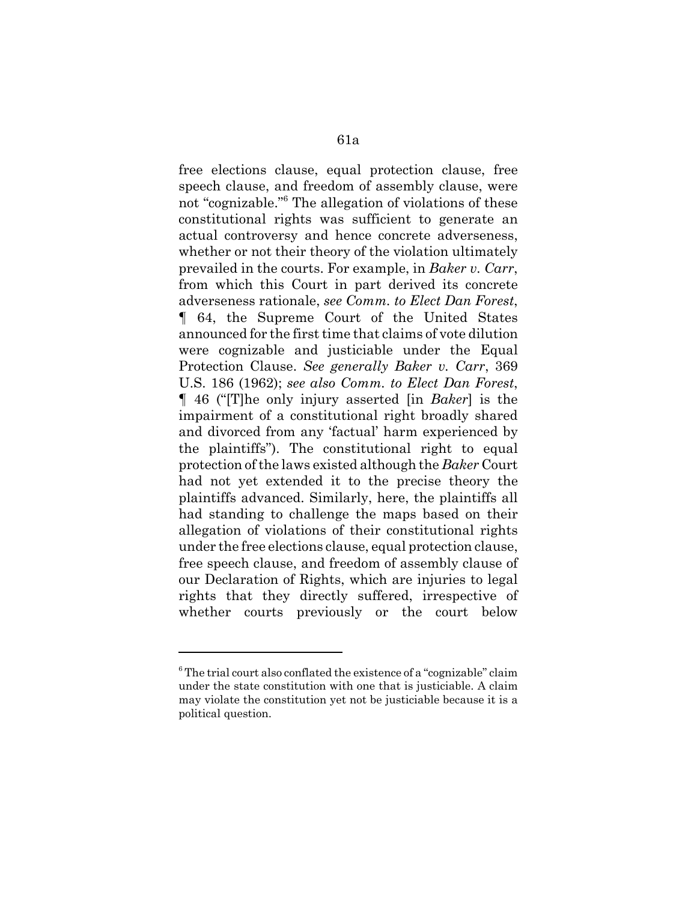free elections clause, equal protection clause, free speech clause, and freedom of assembly clause, were not "cognizable."<sup>6</sup> The allegation of violations of these constitutional rights was sufficient to generate an actual controversy and hence concrete adverseness, whether or not their theory of the violation ultimately prevailed in the courts. For example, in *Baker v. Carr*, from which this Court in part derived its concrete adverseness rationale, *see Comm. to Elect Dan Forest*, ¶ 64, the Supreme Court of the United States announced for the first time that claims of vote dilution were cognizable and justiciable under the Equal Protection Clause. *See generally Baker v. Carr*, 369 U.S. 186 (1962); *see also Comm. to Elect Dan Forest*, ¶ 46 ("[T]he only injury asserted [in *Baker*] is the impairment of a constitutional right broadly shared and divorced from any 'factual' harm experienced by the plaintiffs"). The constitutional right to equal protection of the laws existed although the *Baker* Court had not yet extended it to the precise theory the plaintiffs advanced. Similarly, here, the plaintiffs all had standing to challenge the maps based on their allegation of violations of their constitutional rights under the free elections clause, equal protection clause, free speech clause, and freedom of assembly clause of our Declaration of Rights, which are injuries to legal rights that they directly suffered, irrespective of whether courts previously or the court below

<sup>&</sup>lt;sup>6</sup> The trial court also conflated the existence of a "cognizable" claim under the state constitution with one that is justiciable. A claim may violate the constitution yet not be justiciable because it is a political question.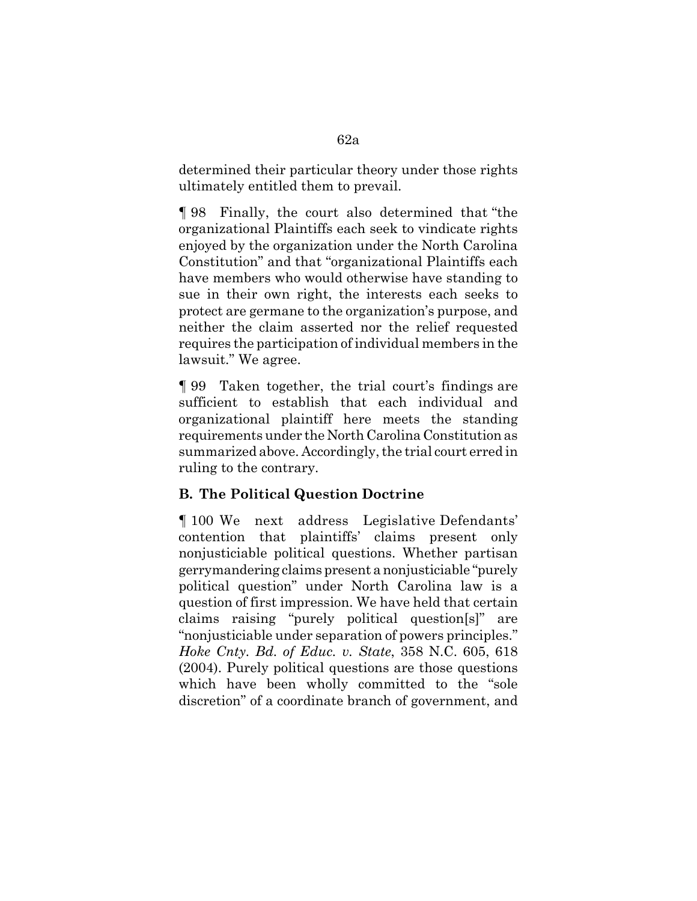determined their particular theory under those rights ultimately entitled them to prevail.

¶ 98 Finally, the court also determined that "the organizational Plaintiffs each seek to vindicate rights enjoyed by the organization under the North Carolina Constitution" and that "organizational Plaintiffs each have members who would otherwise have standing to sue in their own right, the interests each seeks to protect are germane to the organization's purpose, and neither the claim asserted nor the relief requested requires the participation of individual members in the lawsuit." We agree.

¶ 99 Taken together, the trial court's findings are sufficient to establish that each individual and organizational plaintiff here meets the standing requirements under the North Carolina Constitution as summarized above. Accordingly, the trial court erred in ruling to the contrary.

# **B. The Political Question Doctrine**

¶ 100 We next address Legislative Defendants' contention that plaintiffs' claims present only nonjusticiable political questions. Whether partisan gerrymandering claims present a nonjusticiable "purely political question" under North Carolina law is a question of first impression. We have held that certain claims raising "purely political question[s]" are "nonjusticiable under separation of powers principles." *Hoke Cnty. Bd. of Educ. v. State*, 358 N.C. 605, 618 (2004). Purely political questions are those questions which have been wholly committed to the "sole discretion" of a coordinate branch of government, and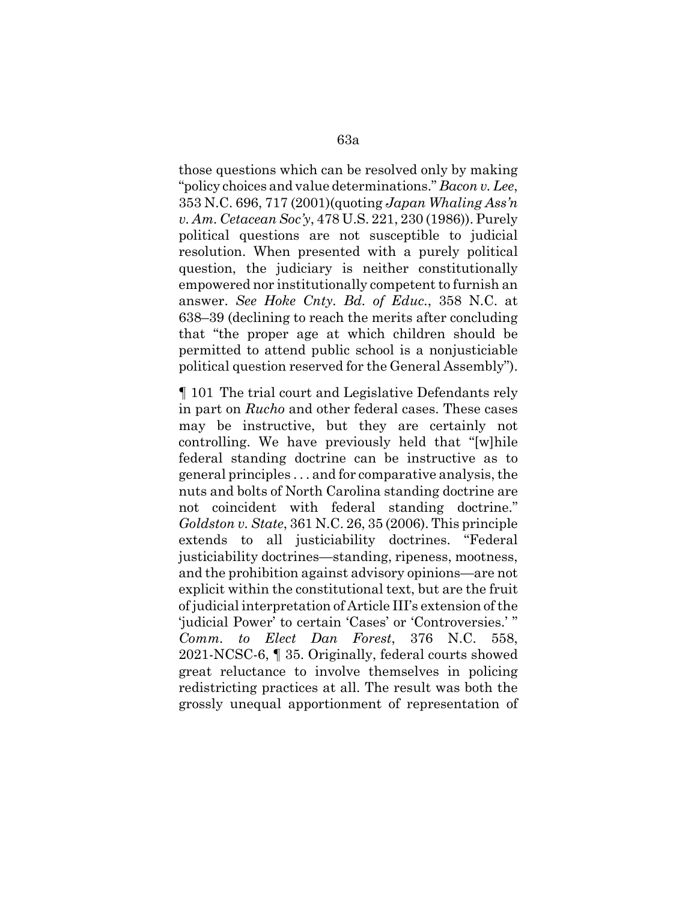those questions which can be resolved only by making "policy choices and value determinations." *Bacon v. Lee*, 353 N.C. 696, 717 (2001)(quoting *Japan Whaling Ass'n v. Am. Cetacean Soc'y*, 478 U.S. 221, 230 (1986)). Purely political questions are not susceptible to judicial resolution. When presented with a purely political question, the judiciary is neither constitutionally empowered nor institutionally competent to furnish an answer. *See Hoke Cnty. Bd. of Educ.*, 358 N.C. at 638–39 (declining to reach the merits after concluding that "the proper age at which children should be permitted to attend public school is a nonjusticiable political question reserved for the General Assembly").

¶ 101 The trial court and Legislative Defendants rely in part on *Rucho* and other federal cases. These cases may be instructive, but they are certainly not controlling. We have previously held that "[w]hile federal standing doctrine can be instructive as to general principles . . . and for comparative analysis, the nuts and bolts of North Carolina standing doctrine are not coincident with federal standing doctrine." *Goldston v. State*, 361 N.C. 26, 35 (2006). This principle extends to all justiciability doctrines. "Federal justiciability doctrines—standing, ripeness, mootness, and the prohibition against advisory opinions—are not explicit within the constitutional text, but are the fruit of judicial interpretation of Article III's extension of the 'judicial Power' to certain 'Cases' or 'Controversies.' " *Comm. to Elect Dan Forest*, 376 N.C. 558, 2021-NCSC-6, ¶ 35. Originally, federal courts showed great reluctance to involve themselves in policing redistricting practices at all. The result was both the grossly unequal apportionment of representation of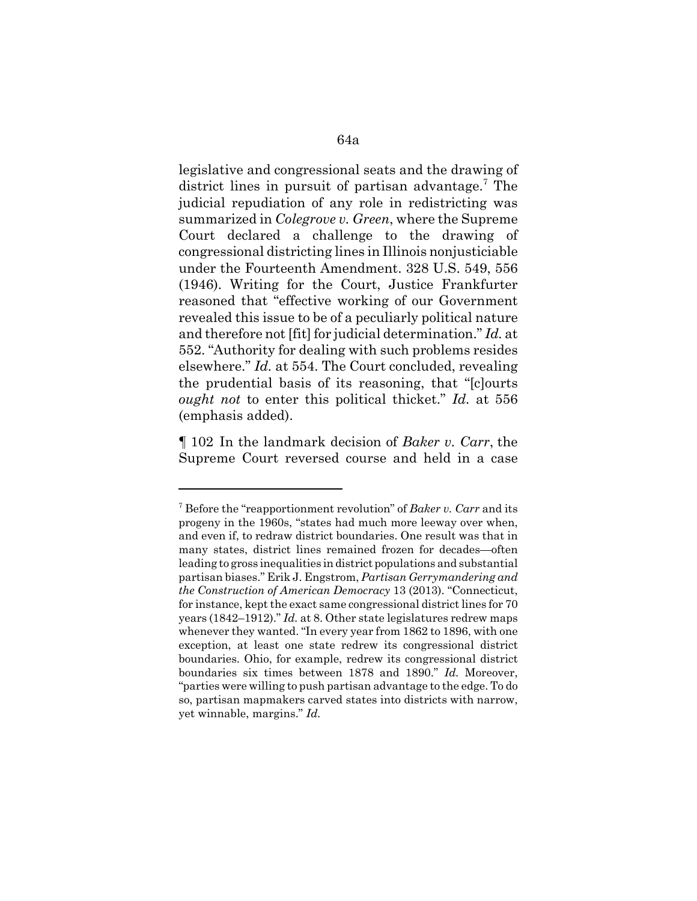legislative and congressional seats and the drawing of district lines in pursuit of partisan advantage.<sup>7</sup> The judicial repudiation of any role in redistricting was summarized in *Colegrove v. Green*, where the Supreme Court declared a challenge to the drawing of congressional districting lines in Illinois nonjusticiable under the Fourteenth Amendment. 328 U.S. 549, 556 (1946). Writing for the Court, Justice Frankfurter reasoned that "effective working of our Government revealed this issue to be of a peculiarly political nature and therefore not [fit] for judicial determination." *Id.* at 552. "Authority for dealing with such problems resides elsewhere." *Id.* at 554. The Court concluded, revealing the prudential basis of its reasoning, that "[c]ourts *ought not* to enter this political thicket." *Id.* at 556 (emphasis added).

¶ 102 In the landmark decision of *Baker v. Carr*, the Supreme Court reversed course and held in a case

<sup>7</sup> Before the "reapportionment revolution" of *Baker v. Carr* and its progeny in the 1960s, "states had much more leeway over when, and even if, to redraw district boundaries. One result was that in many states, district lines remained frozen for decades—often leading to gross inequalities in district populations and substantial partisan biases." Erik J. Engstrom, *Partisan Gerrymandering and the Construction of American Democracy* 13 (2013). "Connecticut, for instance, kept the exact same congressional district lines for 70 years (1842–1912)." *Id.* at 8. Other state legislatures redrew maps whenever they wanted. "In every year from 1862 to 1896, with one exception, at least one state redrew its congressional district boundaries. Ohio, for example, redrew its congressional district boundaries six times between 1878 and 1890." *Id.* Moreover, "parties were willing to push partisan advantage to the edge. To do so, partisan mapmakers carved states into districts with narrow, yet winnable, margins." *Id.*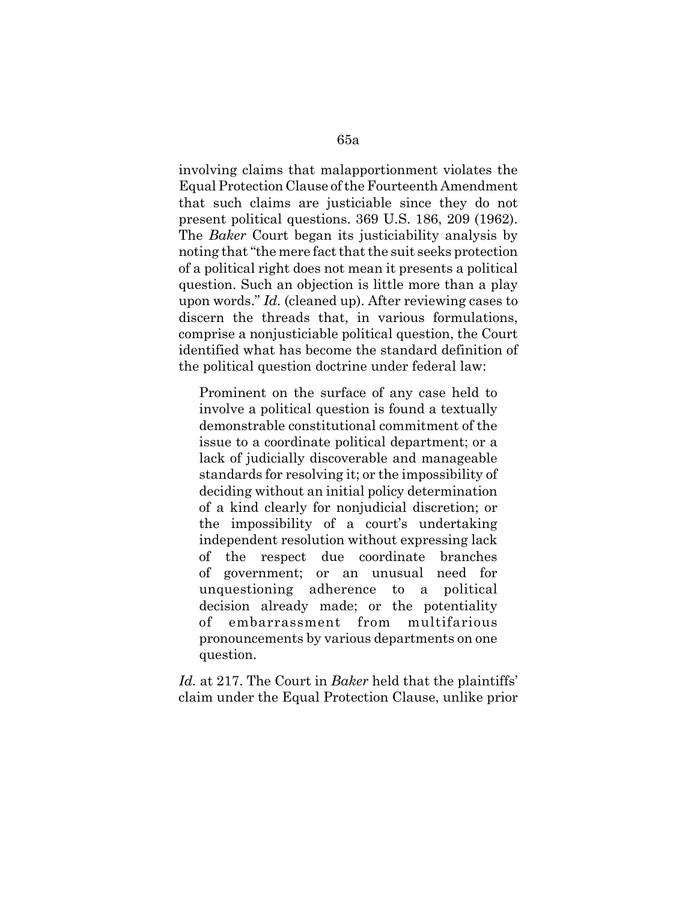involving claims that malapportionment violates the Equal Protection Clause of the Fourteenth Amendment that such claims are justiciable since they do not present political questions. 369 U.S. 186, 209 (1962). The *Baker* Court began its justiciability analysis by noting that "the mere fact that the suit seeks protection of a political right does not mean it presents a political question. Such an objection is little more than a play upon words." *Id.* (cleaned up). After reviewing cases to discern the threads that, in various formulations, comprise a nonjusticiable political question, the Court identified what has become the standard definition of the political question doctrine under federal law:

Prominent on the surface of any case held to involve a political question is found a textually demonstrable constitutional commitment of the issue to a coordinate political department; or a lack of judicially discoverable and manageable standards for resolving it; or the impossibility of deciding without an initial policy determination of a kind clearly for nonjudicial discretion; or the impossibility of a court's undertaking independent resolution without expressing lack of the respect due coordinate branches of government; or an unusual need for unquestioning adherence to a political decision already made; or the potentiality embarrassment from multifarious pronouncements by various departments on one question.

*Id.* at 217. The Court in *Baker* held that the plaintiffs' claim under the Equal Protection Clause, unlike prior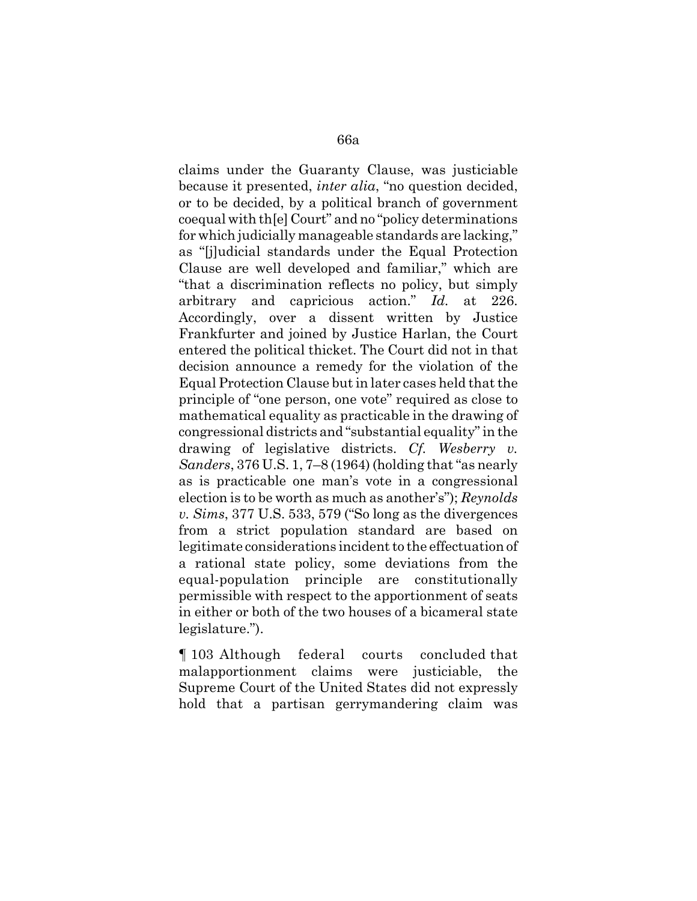claims under the Guaranty Clause, was justiciable because it presented, *inter alia*, "no question decided, or to be decided, by a political branch of government coequal with th[e] Court" and no "policy determinations for which judicially manageable standards are lacking," as "[j]udicial standards under the Equal Protection Clause are well developed and familiar," which are "that a discrimination reflects no policy, but simply arbitrary and capricious action." *Id.* at 226. Accordingly, over a dissent written by Justice Frankfurter and joined by Justice Harlan, the Court entered the political thicket. The Court did not in that decision announce a remedy for the violation of the Equal Protection Clause but in later cases held that the principle of "one person, one vote" required as close to mathematical equality as practicable in the drawing of congressional districts and "substantial equality" in the drawing of legislative districts. *Cf. Wesberry v. Sanders*, 376 U.S. 1, 7–8 (1964) (holding that "as nearly as is practicable one man's vote in a congressional election is to be worth as much as another's"); *Reynolds v. Sims*, 377 U.S. 533, 579 ("So long as the divergences from a strict population standard are based on legitimate considerations incident to the effectuation of a rational state policy, some deviations from the equal-population principle are constitutionally permissible with respect to the apportionment of seats in either or both of the two houses of a bicameral state legislature.").

¶ 103 Although federal courts concluded that malapportionment claims were justiciable, the Supreme Court of the United States did not expressly hold that a partisan gerrymandering claim was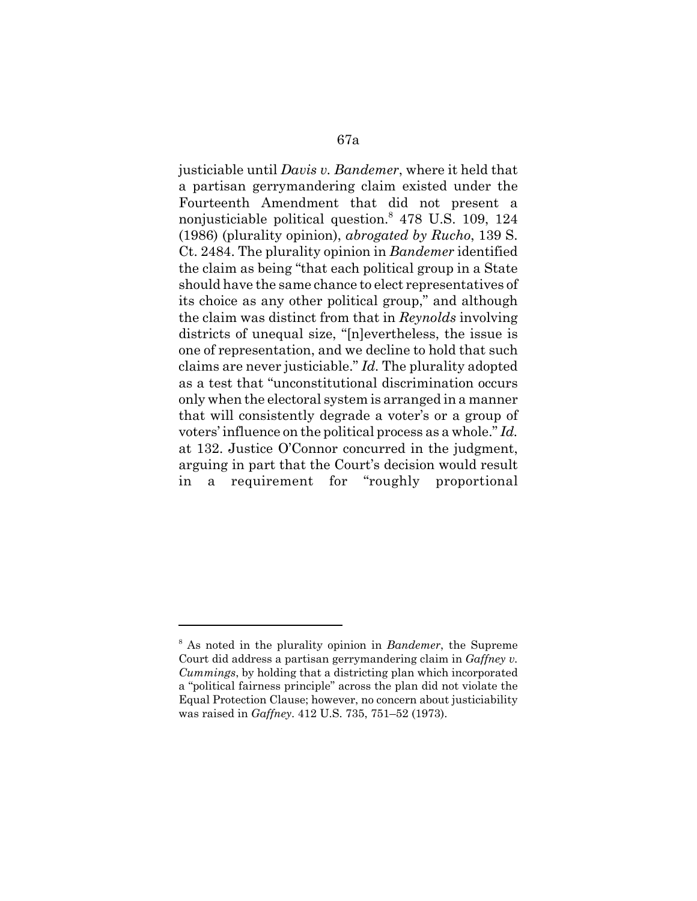justiciable until *Davis v. Bandemer*, where it held that a partisan gerrymandering claim existed under the Fourteenth Amendment that did not present a nonjusticiable political question.<sup>8</sup> 478 U.S. 109, 124 (1986) (plurality opinion), *abrogated by Rucho*, 139 S. Ct. 2484. The plurality opinion in *Bandemer* identified the claim as being "that each political group in a State should have the same chance to elect representatives of its choice as any other political group," and although the claim was distinct from that in *Reynolds* involving districts of unequal size, "[n]evertheless, the issue is one of representation, and we decline to hold that such claims are never justiciable." *Id.* The plurality adopted as a test that "unconstitutional discrimination occurs only when the electoral system is arranged in a manner that will consistently degrade a voter's or a group of voters' influence on the political process as a whole." *Id.* at 132. Justice O'Connor concurred in the judgment, arguing in part that the Court's decision would result in a requirement for "roughly proportional

<sup>8</sup> As noted in the plurality opinion in *Bandemer*, the Supreme Court did address a partisan gerrymandering claim in *Gaffney v. Cummings*, by holding that a districting plan which incorporated a "political fairness principle" across the plan did not violate the Equal Protection Clause; however, no concern about justiciability was raised in *Gaffney*. 412 U.S. 735, 751–52 (1973).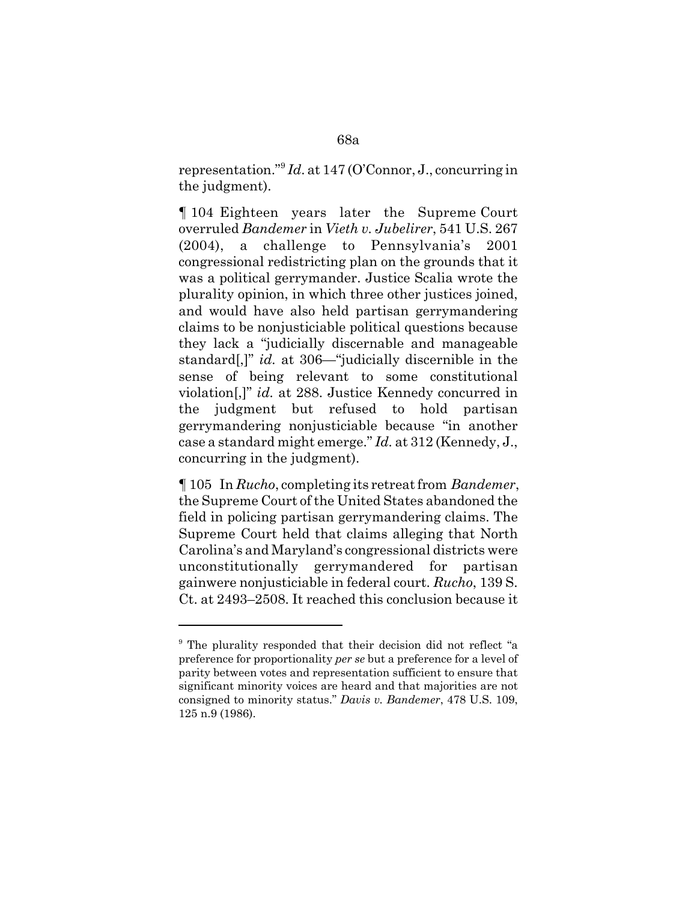representation."9 *Id*. at 147 (O'Connor, J., concurring in the judgment).

¶ 104 Eighteen years later the Supreme Court overruled *Bandemer* in *Vieth v. Jubelirer*, 541 U.S. 267 (2004), a challenge to Pennsylvania's 2001 congressional redistricting plan on the grounds that it was a political gerrymander. Justice Scalia wrote the plurality opinion, in which three other justices joined, and would have also held partisan gerrymandering claims to be nonjusticiable political questions because they lack a "judicially discernable and manageable standard[,]" *id.* at 306—"judicially discernible in the sense of being relevant to some constitutional violation[,]" *id.* at 288. Justice Kennedy concurred in the judgment but refused to hold partisan gerrymandering nonjusticiable because "in another case a standard might emerge." *Id.* at 312 (Kennedy, J., concurring in the judgment).

¶ 105 In *Rucho*, completing its retreat from *Bandemer*, the Supreme Court of the United States abandoned the field in policing partisan gerrymandering claims. The Supreme Court held that claims alleging that North Carolina's and Maryland's congressional districts were unconstitutionally gerrymandered for partisan gainwere nonjusticiable in federal court. *Rucho*, 139 S. Ct. at 2493–2508. It reached this conclusion because it

<sup>&</sup>lt;sup>9</sup> The plurality responded that their decision did not reflect "a preference for proportionality *per se* but a preference for a level of parity between votes and representation sufficient to ensure that significant minority voices are heard and that majorities are not consigned to minority status." *Davis v. Bandemer*, 478 U.S. 109, 125 n.9 (1986).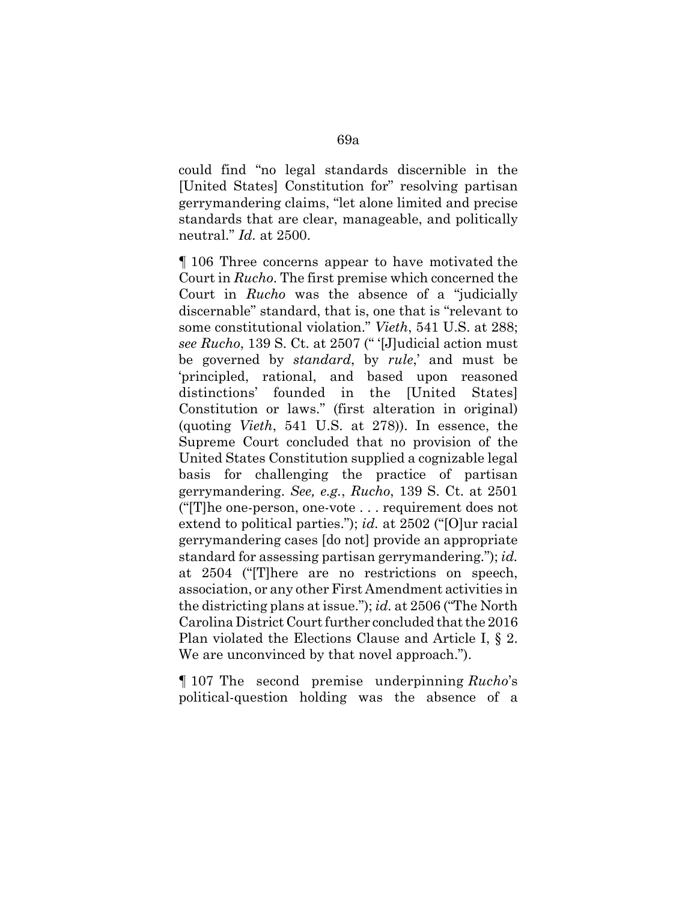could find "no legal standards discernible in the [United States] Constitution for" resolving partisan gerrymandering claims, "let alone limited and precise standards that are clear, manageable, and politically neutral." *Id.* at 2500.

¶ 106 Three concerns appear to have motivated the Court in *Rucho*. The first premise which concerned the Court in *Rucho* was the absence of a "judicially discernable" standard, that is, one that is "relevant to some constitutional violation." *Vieth*, 541 U.S. at 288; *see Rucho*, 139 S. Ct. at 2507 (" '[J]udicial action must be governed by *standard*, by *rule*,' and must be 'principled, rational, and based upon reasoned distinctions' founded in the [United States] Constitution or laws." (first alteration in original) (quoting *Vieth*, 541 U.S. at 278)). In essence, the Supreme Court concluded that no provision of the United States Constitution supplied a cognizable legal basis for challenging the practice of partisan gerrymandering. *See, e.g.*, *Rucho*, 139 S. Ct. at 2501 ("[T]he one-person, one-vote . . . requirement does not extend to political parties."); *id.* at 2502 ("[O]ur racial gerrymandering cases [do not] provide an appropriate standard for assessing partisan gerrymandering."); *id.* at 2504 ("[T]here are no restrictions on speech, association, or any other First Amendment activities in the districting plans at issue."); *id.* at 2506 ("The North Carolina District Court further concluded that the 2016 Plan violated the Elections Clause and Article I, § 2. We are unconvinced by that novel approach.").

¶ 107 The second premise underpinning *Rucho*'s political-question holding was the absence of a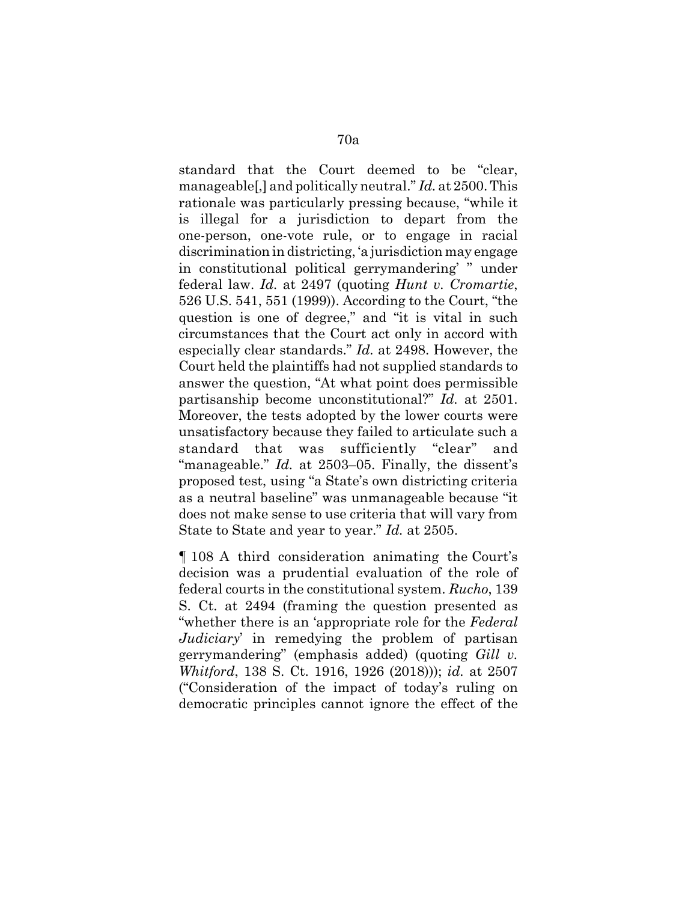standard that the Court deemed to be "clear, manageable[,] and politically neutral." *Id.* at 2500. This rationale was particularly pressing because, "while it is illegal for a jurisdiction to depart from the one-person, one-vote rule, or to engage in racial discrimination in districting, 'a jurisdiction may engage in constitutional political gerrymandering' " under federal law. *Id.* at 2497 (quoting *Hunt v. Cromartie*, 526 U.S. 541, 551 (1999)). According to the Court, "the question is one of degree," and "it is vital in such circumstances that the Court act only in accord with especially clear standards." *Id.* at 2498. However, the Court held the plaintiffs had not supplied standards to answer the question, "At what point does permissible partisanship become unconstitutional?" *Id.* at 2501. Moreover, the tests adopted by the lower courts were unsatisfactory because they failed to articulate such a standard that was sufficiently "clear" and "manageable." *Id.* at 2503–05. Finally, the dissent's proposed test, using "a State's own districting criteria as a neutral baseline" was unmanageable because "it does not make sense to use criteria that will vary from State to State and year to year." *Id.* at 2505.

¶ 108 A third consideration animating the Court's decision was a prudential evaluation of the role of federal courts in the constitutional system. *Rucho*, 139 S. Ct. at 2494 (framing the question presented as "whether there is an 'appropriate role for the *Federal Judiciary*' in remedying the problem of partisan gerrymandering" (emphasis added) (quoting *Gill v. Whitford*, 138 S. Ct. 1916, 1926 (2018))); *id.* at 2507 ("Consideration of the impact of today's ruling on democratic principles cannot ignore the effect of the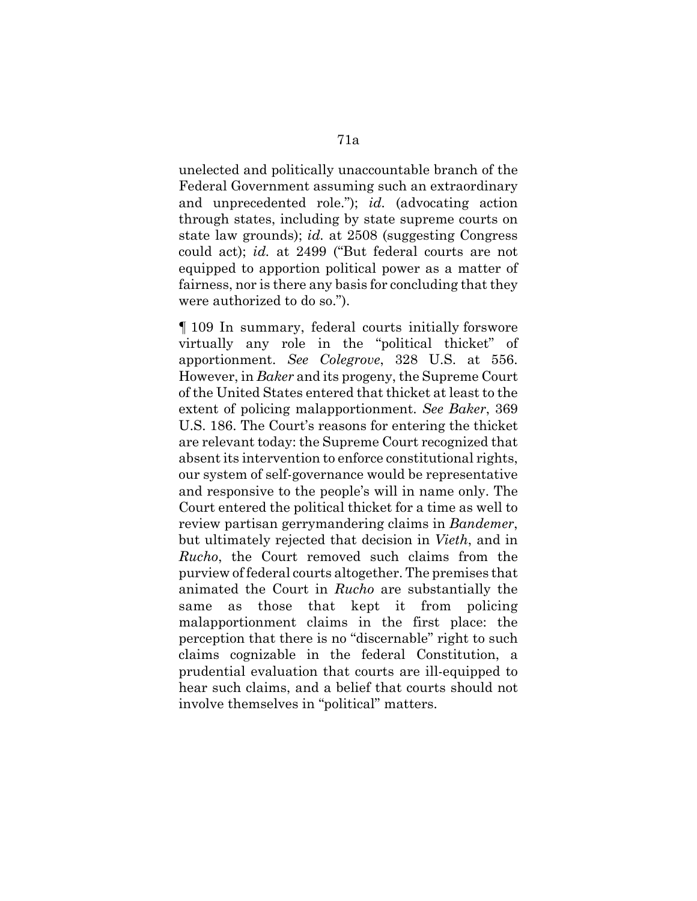unelected and politically unaccountable branch of the Federal Government assuming such an extraordinary and unprecedented role."); *id.* (advocating action through states, including by state supreme courts on state law grounds); *id.* at 2508 (suggesting Congress could act); *id.* at 2499 ("But federal courts are not equipped to apportion political power as a matter of fairness, nor is there any basis for concluding that they were authorized to do so.").

¶ 109 In summary, federal courts initially forswore virtually any role in the "political thicket" of apportionment. *See Colegrove*, 328 U.S. at 556. However, in *Baker* and its progeny, the Supreme Court of the United States entered that thicket at least to the extent of policing malapportionment. *See Baker*, 369 U.S. 186. The Court's reasons for entering the thicket are relevant today: the Supreme Court recognized that absent its intervention to enforce constitutional rights, our system of self-governance would be representative and responsive to the people's will in name only. The Court entered the political thicket for a time as well to review partisan gerrymandering claims in *Bandemer*, but ultimately rejected that decision in *Vieth*, and in *Rucho*, the Court removed such claims from the purview of federal courts altogether. The premises that animated the Court in *Rucho* are substantially the same as those that kept it from policing malapportionment claims in the first place: the perception that there is no "discernable" right to such claims cognizable in the federal Constitution, a prudential evaluation that courts are ill-equipped to hear such claims, and a belief that courts should not involve themselves in "political" matters.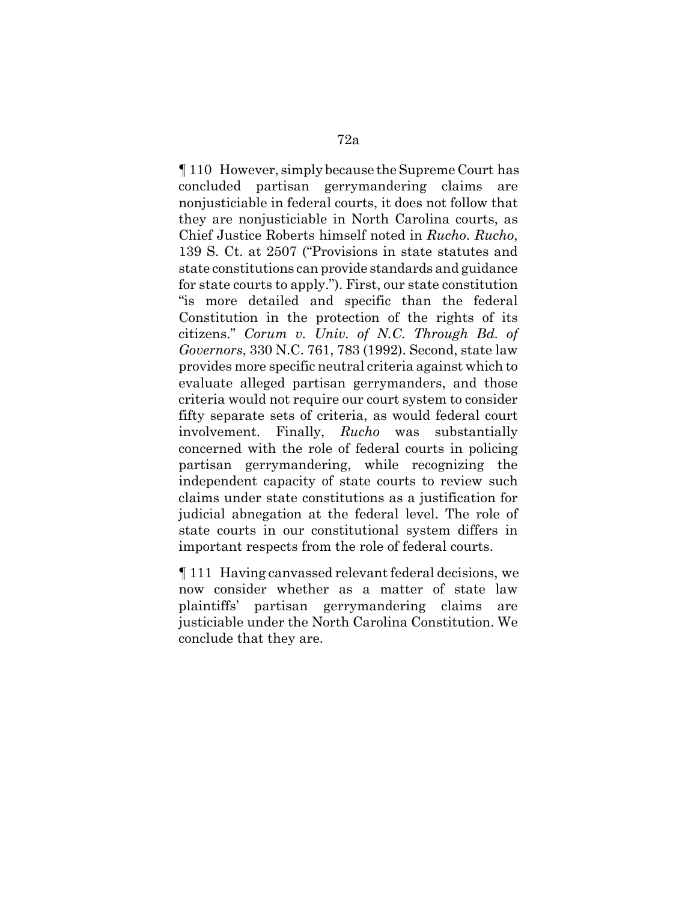¶ 110 However, simply because the Supreme Court has concluded partisan gerrymandering claims are nonjusticiable in federal courts, it does not follow that they are nonjusticiable in North Carolina courts, as Chief Justice Roberts himself noted in *Rucho*. *Rucho*, 139 S. Ct. at 2507 ("Provisions in state statutes and state constitutions can provide standards and guidance for state courts to apply."). First, our state constitution "is more detailed and specific than the federal Constitution in the protection of the rights of its citizens." *Corum v. Univ. of N.C. Through Bd. of Governors*, 330 N.C. 761, 783 (1992). Second, state law provides more specific neutral criteria against which to evaluate alleged partisan gerrymanders, and those criteria would not require our court system to consider fifty separate sets of criteria, as would federal court involvement. Finally, *Rucho* was substantially concerned with the role of federal courts in policing partisan gerrymandering, while recognizing the independent capacity of state courts to review such claims under state constitutions as a justification for judicial abnegation at the federal level. The role of state courts in our constitutional system differs in important respects from the role of federal courts.

¶ 111 Having canvassed relevant federal decisions, we now consider whether as a matter of state law plaintiffs' partisan gerrymandering claims are justiciable under the North Carolina Constitution. We conclude that they are.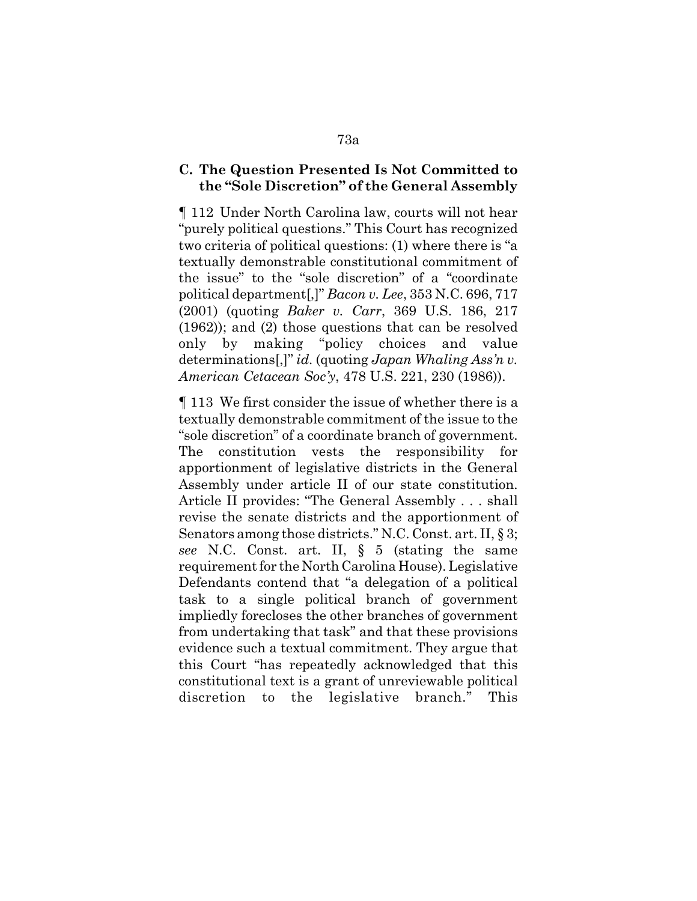### **C. The Question Presented Is Not Committed to the "Sole Discretion" of the General Assembly**

¶ 112 Under North Carolina law, courts will not hear "purely political questions." This Court has recognized two criteria of political questions: (1) where there is "a textually demonstrable constitutional commitment of the issue" to the "sole discretion" of a "coordinate political department[,]" *Bacon v. Lee*, 353 N.C. 696, 717 (2001) (quoting *Baker v. Carr*, 369 U.S. 186, 217 (1962)); and (2) those questions that can be resolved only by making "policy choices and value determinations[,]" *id.* (quoting *Japan Whaling Ass'n v. American Cetacean Soc'y*, 478 U.S. 221, 230 (1986)).

¶ 113 We first consider the issue of whether there is a textually demonstrable commitment of the issue to the "sole discretion" of a coordinate branch of government. The constitution vests the responsibility for apportionment of legislative districts in the General Assembly under article II of our state constitution. Article II provides: "The General Assembly . . . shall revise the senate districts and the apportionment of Senators among those districts." N.C. Const. art. II, § 3; *see* N.C. Const. art. II, § 5 (stating the same requirement for the North Carolina House). Legislative Defendants contend that "a delegation of a political task to a single political branch of government impliedly forecloses the other branches of government from undertaking that task" and that these provisions evidence such a textual commitment. They argue that this Court "has repeatedly acknowledged that this constitutional text is a grant of unreviewable political discretion to the legislative branch." This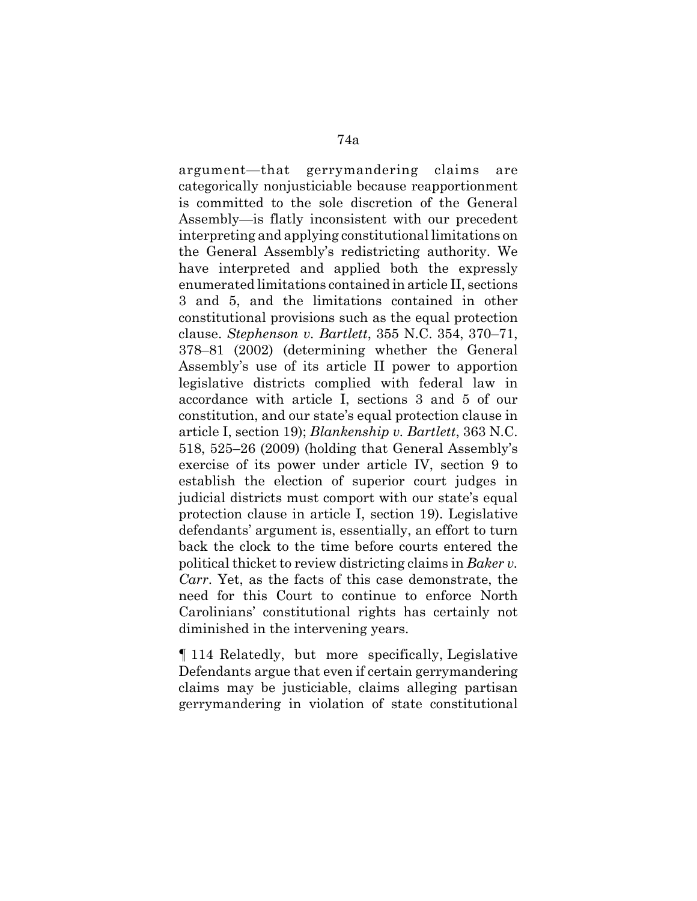argument—that gerrymandering claims are categorically nonjusticiable because reapportionment is committed to the sole discretion of the General Assembly—is flatly inconsistent with our precedent interpreting and applying constitutional limitations on the General Assembly's redistricting authority. We have interpreted and applied both the expressly enumerated limitations contained in article II, sections 3 and 5, and the limitations contained in other constitutional provisions such as the equal protection clause. *Stephenson v. Bartlett*, 355 N.C. 354, 370–71, 378–81 (2002) (determining whether the General Assembly's use of its article II power to apportion legislative districts complied with federal law in accordance with article I, sections 3 and 5 of our constitution, and our state's equal protection clause in article I, section 19); *Blankenship v. Bartlett*, 363 N.C. 518, 525–26 (2009) (holding that General Assembly's exercise of its power under article IV, section 9 to establish the election of superior court judges in judicial districts must comport with our state's equal protection clause in article I, section 19). Legislative defendants' argument is, essentially, an effort to turn back the clock to the time before courts entered the political thicket to review districting claims in *Baker v. Carr*. Yet, as the facts of this case demonstrate, the need for this Court to continue to enforce North Carolinians' constitutional rights has certainly not diminished in the intervening years.

¶ 114 Relatedly, but more specifically, Legislative Defendants argue that even if certain gerrymandering claims may be justiciable, claims alleging partisan gerrymandering in violation of state constitutional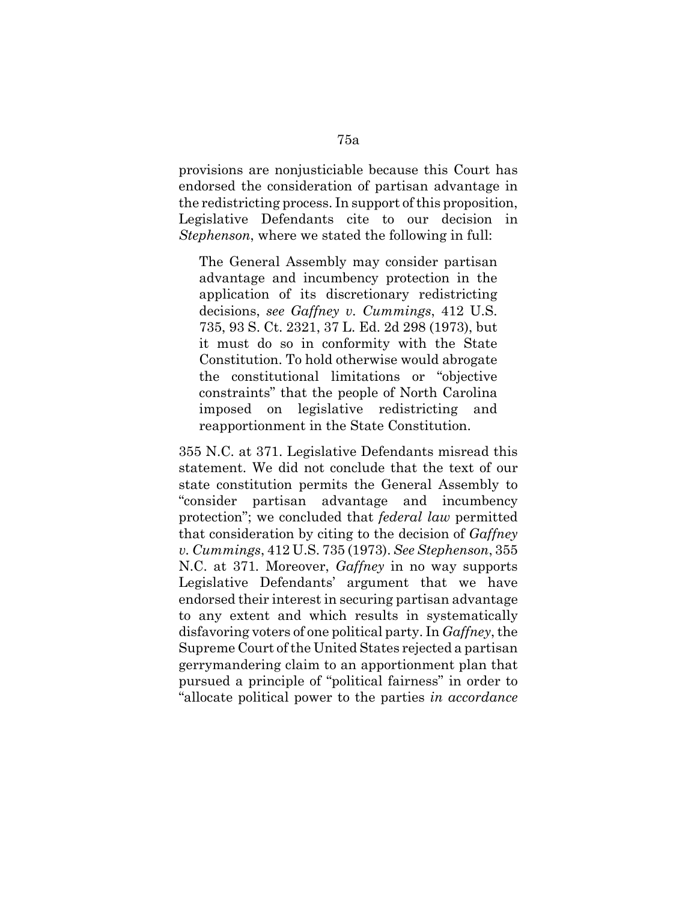provisions are nonjusticiable because this Court has endorsed the consideration of partisan advantage in the redistricting process. In support of this proposition, Legislative Defendants cite to our decision in *Stephenson*, where we stated the following in full:

The General Assembly may consider partisan advantage and incumbency protection in the application of its discretionary redistricting decisions, *see Gaffney v. Cummings*, 412 U.S. 735, 93 S. Ct. 2321, 37 L. Ed. 2d 298 (1973), but it must do so in conformity with the State Constitution. To hold otherwise would abrogate the constitutional limitations or "objective constraints" that the people of North Carolina imposed on legislative redistricting and reapportionment in the State Constitution.

355 N.C. at 371. Legislative Defendants misread this statement. We did not conclude that the text of our state constitution permits the General Assembly to "consider partisan advantage and incumbency protection"; we concluded that *federal law* permitted that consideration by citing to the decision of *Gaffney v. Cummings*, 412 U.S. 735 (1973). *See Stephenson*, 355 N.C. at 371*.* Moreover, *Gaffney* in no way supports Legislative Defendants' argument that we have endorsed their interest in securing partisan advantage to any extent and which results in systematically disfavoring voters of one political party. In *Gaffney*, the Supreme Court of the United States rejected a partisan gerrymandering claim to an apportionment plan that pursued a principle of "political fairness" in order to "allocate political power to the parties *in accordance*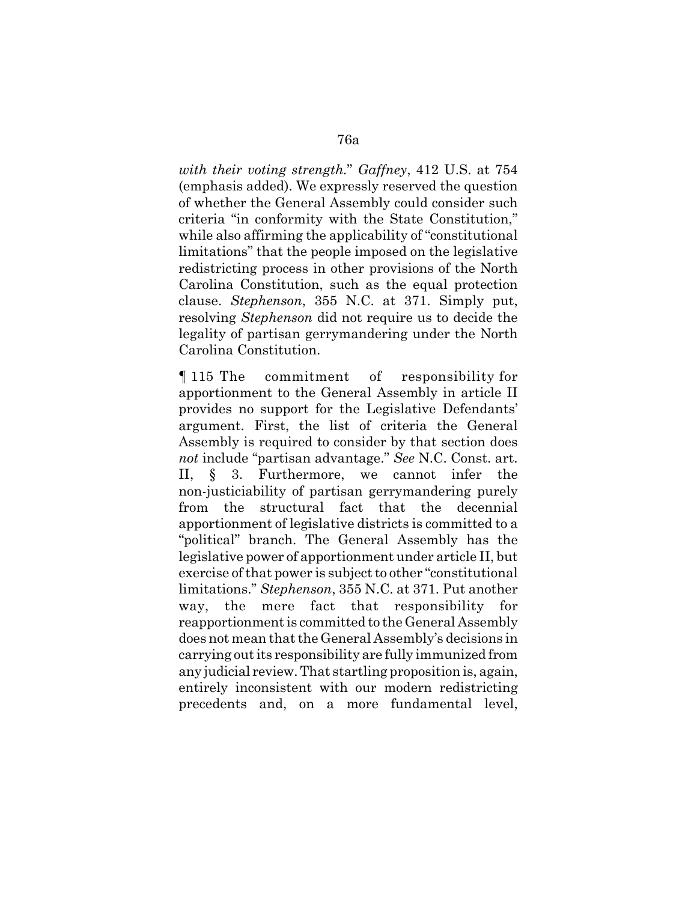*with their voting strength.*" *Gaffney*, 412 U.S. at 754 (emphasis added). We expressly reserved the question of whether the General Assembly could consider such criteria "in conformity with the State Constitution," while also affirming the applicability of "constitutional limitations" that the people imposed on the legislative redistricting process in other provisions of the North Carolina Constitution, such as the equal protection clause. *Stephenson*, 355 N.C. at 371. Simply put, resolving *Stephenson* did not require us to decide the legality of partisan gerrymandering under the North Carolina Constitution.

¶ 115 The commitment of responsibility for apportionment to the General Assembly in article II provides no support for the Legislative Defendants' argument. First, the list of criteria the General Assembly is required to consider by that section does *not* include "partisan advantage." *See* N.C. Const. art. II, § 3. Furthermore, we cannot infer the non-justiciability of partisan gerrymandering purely from the structural fact that the decennial apportionment of legislative districts is committed to a "political" branch. The General Assembly has the legislative power of apportionment under article II, but exercise of that power is subject to other "constitutional limitations." *Stephenson*, 355 N.C. at 371. Put another way, the mere fact that responsibility for reapportionment is committed to the General Assembly does not mean that the General Assembly's decisions in carrying out its responsibility are fully immunized from any judicial review. That startling proposition is, again, entirely inconsistent with our modern redistricting precedents and, on a more fundamental level,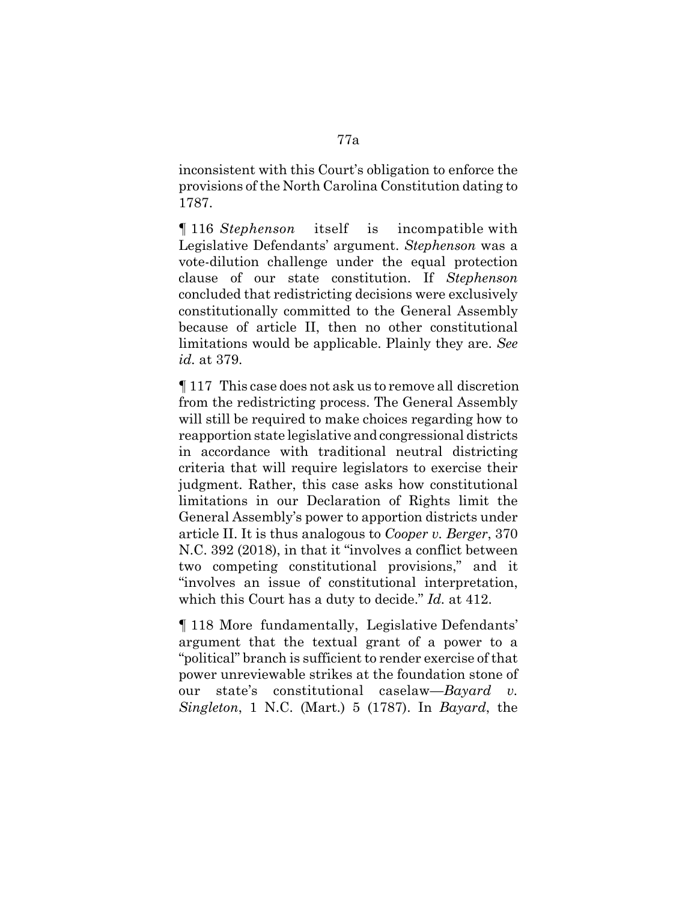inconsistent with this Court's obligation to enforce the provisions of the North Carolina Constitution dating to 1787.

¶ 116 *Stephenson* itself is incompatible with Legislative Defendants' argument. *Stephenson* was a vote-dilution challenge under the equal protection clause of our state constitution. If *Stephenson* concluded that redistricting decisions were exclusively constitutionally committed to the General Assembly because of article II, then no other constitutional limitations would be applicable. Plainly they are. *See id.* at 379.

¶ 117 This case does not ask us to remove all discretion from the redistricting process. The General Assembly will still be required to make choices regarding how to reapportion state legislative and congressional districts in accordance with traditional neutral districting criteria that will require legislators to exercise their judgment. Rather, this case asks how constitutional limitations in our Declaration of Rights limit the General Assembly's power to apportion districts under article II. It is thus analogous to *Cooper v. Berger*, 370 N.C. 392 (2018), in that it "involves a conflict between two competing constitutional provisions," and it "involves an issue of constitutional interpretation, which this Court has a duty to decide." *Id.* at 412.

¶ 118 More fundamentally, Legislative Defendants' argument that the textual grant of a power to a "political" branch is sufficient to render exercise of that power unreviewable strikes at the foundation stone of our state's constitutional caselaw—*Bayard v. Singleton*, 1 N.C. (Mart.) 5 (1787). In *Bayard*, the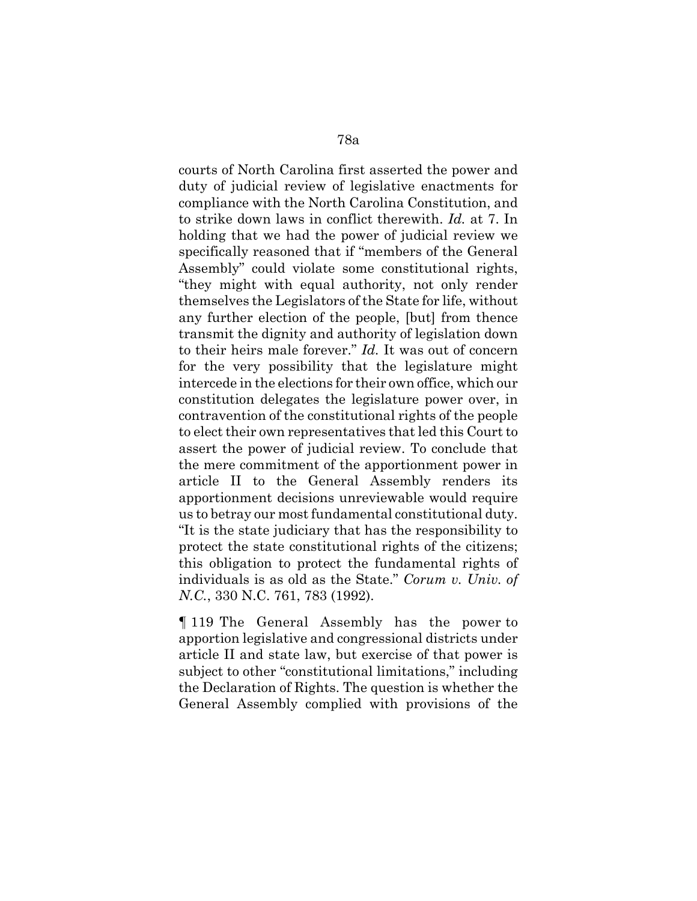courts of North Carolina first asserted the power and duty of judicial review of legislative enactments for compliance with the North Carolina Constitution, and to strike down laws in conflict therewith. *Id.* at 7. In holding that we had the power of judicial review we specifically reasoned that if "members of the General Assembly" could violate some constitutional rights, "they might with equal authority, not only render themselves the Legislators of the State for life, without any further election of the people, [but] from thence transmit the dignity and authority of legislation down to their heirs male forever." *Id.* It was out of concern for the very possibility that the legislature might intercede in the elections for their own office, which our constitution delegates the legislature power over, in contravention of the constitutional rights of the people to elect their own representatives that led this Court to assert the power of judicial review. To conclude that the mere commitment of the apportionment power in article II to the General Assembly renders its apportionment decisions unreviewable would require us to betray our most fundamental constitutional duty. "It is the state judiciary that has the responsibility to protect the state constitutional rights of the citizens; this obligation to protect the fundamental rights of individuals is as old as the State." *Corum v. Univ. of N.C.*, 330 N.C. 761, 783 (1992).

¶ 119 The General Assembly has the power to apportion legislative and congressional districts under article II and state law, but exercise of that power is subject to other "constitutional limitations," including the Declaration of Rights. The question is whether the General Assembly complied with provisions of the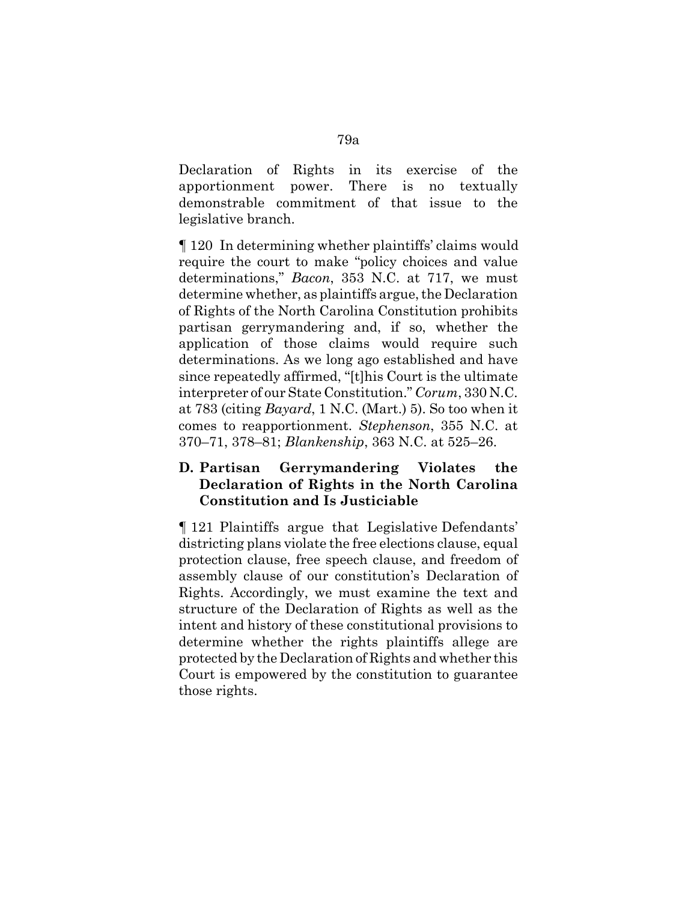Declaration of Rights in its exercise of the apportionment power. There is no textually demonstrable commitment of that issue to the legislative branch.

¶ 120 In determining whether plaintiffs' claims would require the court to make "policy choices and value determinations," *Bacon*, 353 N.C. at 717, we must determine whether, as plaintiffs argue, the Declaration of Rights of the North Carolina Constitution prohibits partisan gerrymandering and, if so, whether the application of those claims would require such determinations. As we long ago established and have since repeatedly affirmed, "[t]his Court is the ultimate interpreter of our State Constitution." *Corum*, 330 N.C. at 783 (citing *Bayard*, 1 N.C. (Mart.) 5). So too when it comes to reapportionment. *Stephenson*, 355 N.C. at 370–71, 378–81; *Blankenship*, 363 N.C. at 525–26.

# **D. Partisan Gerrymandering Violates the Declaration of Rights in the North Carolina Constitution and Is Justiciable**

¶ 121 Plaintiffs argue that Legislative Defendants' districting plans violate the free elections clause, equal protection clause, free speech clause, and freedom of assembly clause of our constitution's Declaration of Rights. Accordingly, we must examine the text and structure of the Declaration of Rights as well as the intent and history of these constitutional provisions to determine whether the rights plaintiffs allege are protected by the Declaration of Rights and whether this Court is empowered by the constitution to guarantee those rights.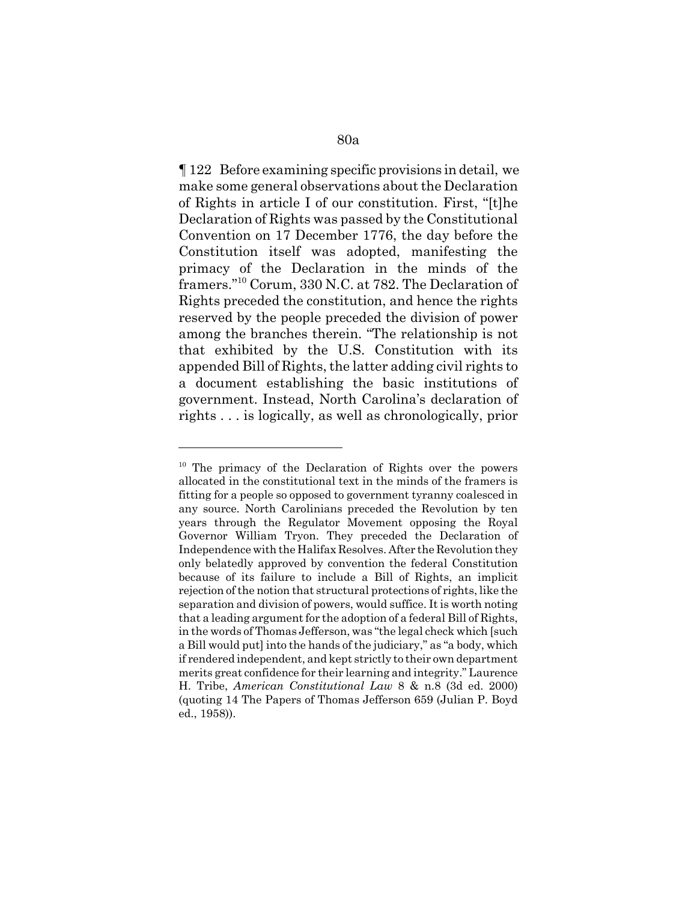¶ 122 Before examining specific provisions in detail, we make some general observations about the Declaration of Rights in article I of our constitution. First, "[t]he Declaration of Rights was passed by the Constitutional Convention on 17 December 1776, the day before the Constitution itself was adopted, manifesting the primacy of the Declaration in the minds of the framers."10 Corum, 330 N.C. at 782. The Declaration of Rights preceded the constitution, and hence the rights reserved by the people preceded the division of power among the branches therein. "The relationship is not that exhibited by the U.S. Constitution with its appended Bill of Rights, the latter adding civil rights to a document establishing the basic institutions of government. Instead, North Carolina's declaration of rights . . . is logically, as well as chronologically, prior

<sup>&</sup>lt;sup>10</sup> The primacy of the Declaration of Rights over the powers allocated in the constitutional text in the minds of the framers is fitting for a people so opposed to government tyranny coalesced in any source. North Carolinians preceded the Revolution by ten years through the Regulator Movement opposing the Royal Governor William Tryon. They preceded the Declaration of Independence with the Halifax Resolves. After the Revolution they only belatedly approved by convention the federal Constitution because of its failure to include a Bill of Rights, an implicit rejection of the notion that structural protections of rights, like the separation and division of powers, would suffice. It is worth noting that a leading argument for the adoption of a federal Bill of Rights, in the words of Thomas Jefferson, was "the legal check which [such a Bill would put] into the hands of the judiciary," as "a body, which if rendered independent, and kept strictly to their own department merits great confidence for their learning and integrity." Laurence H. Tribe, *American Constitutional Law* 8 & n.8 (3d ed. 2000) (quoting 14 The Papers of Thomas Jefferson 659 (Julian P. Boyd ed., 1958)).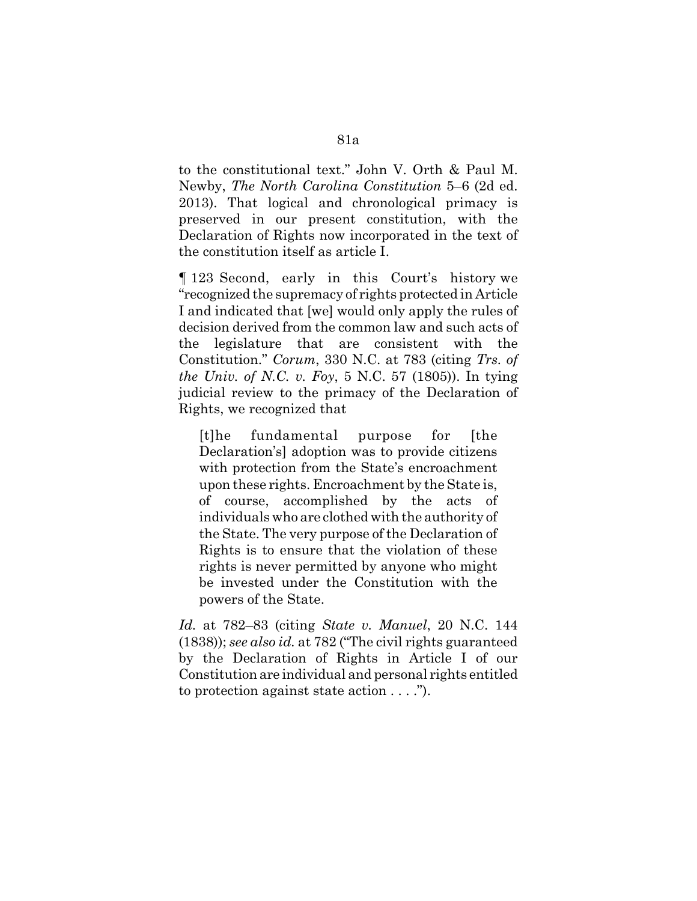to the constitutional text." John V. Orth & Paul M. Newby, *The North Carolina Constitution* 5–6 (2d ed. 2013). That logical and chronological primacy is preserved in our present constitution, with the Declaration of Rights now incorporated in the text of the constitution itself as article I.

¶ 123 Second, early in this Court's history we "recognized the supremacy of rights protected in Article I and indicated that [we] would only apply the rules of decision derived from the common law and such acts of the legislature that are consistent with the Constitution." *Corum*, 330 N.C. at 783 (citing *Trs. of the Univ. of N.C. v. Foy*, 5 N.C. 57 (1805)). In tying judicial review to the primacy of the Declaration of Rights, we recognized that

[t]he fundamental purpose for [the Declaration's] adoption was to provide citizens with protection from the State's encroachment upon these rights. Encroachment by the State is, of course, accomplished by the acts of individuals who are clothed with the authority of the State. The very purpose of the Declaration of Rights is to ensure that the violation of these rights is never permitted by anyone who might be invested under the Constitution with the powers of the State.

*Id.* at 782–83 (citing *State v. Manuel*, 20 N.C. 144 (1838)); *see also id.* at 782 ("The civil rights guaranteed by the Declaration of Rights in Article I of our Constitution are individual and personal rights entitled to protection against state action . . . .").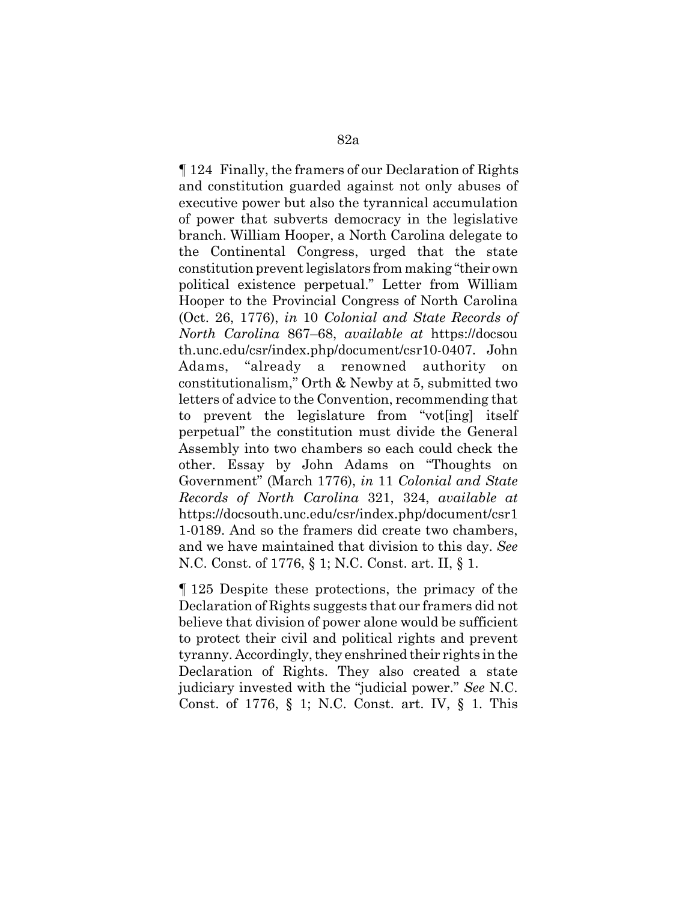¶ 124 Finally, the framers of our Declaration of Rights and constitution guarded against not only abuses of executive power but also the tyrannical accumulation of power that subverts democracy in the legislative branch. William Hooper, a North Carolina delegate to the Continental Congress, urged that the state constitution prevent legislators from making "their own political existence perpetual." Letter from William Hooper to the Provincial Congress of North Carolina (Oct. 26, 1776), *in* 10 *Colonial and State Records of North Carolina* 867–68, *available at* https://docsou th.unc.edu/csr/index.php/document/csr10-0407. John Adams, "already a renowned authority on constitutionalism," Orth & Newby at 5, submitted two letters of advice to the Convention, recommending that to prevent the legislature from "vot[ing] itself perpetual" the constitution must divide the General Assembly into two chambers so each could check the other. Essay by John Adams on "Thoughts on Government" (March 1776), *in* 11 *Colonial and State Records of North Carolina* 321, 324, *available at* https://docsouth.unc.edu/csr/index.php/document/csr1 1-0189. And so the framers did create two chambers, and we have maintained that division to this day. *See* N.C. Const. of 1776, § 1; N.C. Const. art. II, § 1.

¶ 125 Despite these protections, the primacy of the Declaration of Rights suggests that our framers did not believe that division of power alone would be sufficient to protect their civil and political rights and prevent tyranny. Accordingly, they enshrined their rights in the Declaration of Rights. They also created a state judiciary invested with the "judicial power." *See* N.C. Const. of 1776, § 1; N.C. Const. art. IV, § 1. This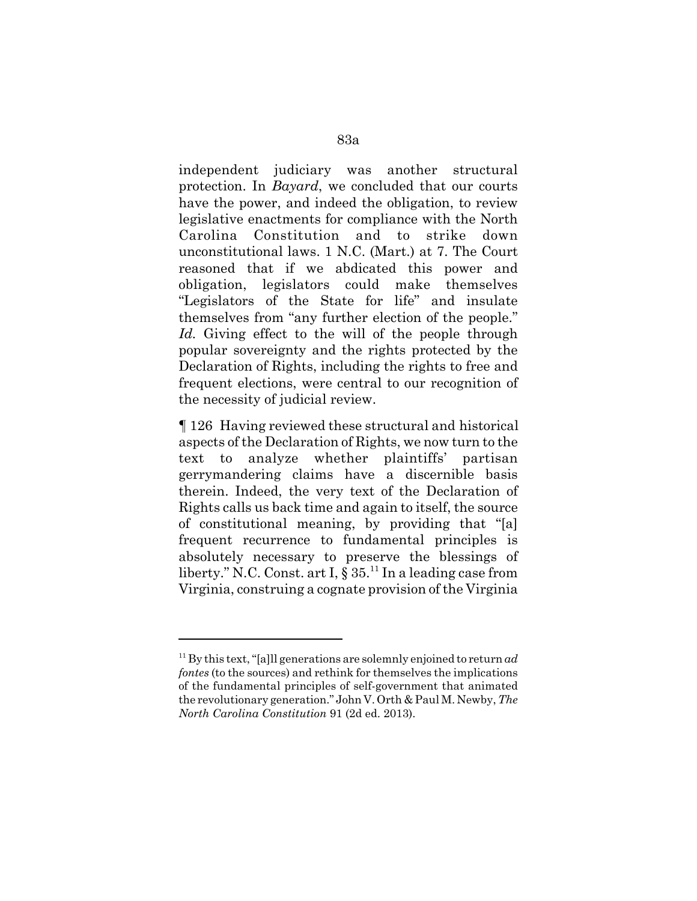independent judiciary was another structural protection. In *Bayard*, we concluded that our courts have the power, and indeed the obligation, to review legislative enactments for compliance with the North Carolina Constitution and to strike down unconstitutional laws. 1 N.C. (Mart.) at 7. The Court reasoned that if we abdicated this power and obligation, legislators could make themselves "Legislators of the State for life" and insulate themselves from "any further election of the people." Id. Giving effect to the will of the people through popular sovereignty and the rights protected by the Declaration of Rights, including the rights to free and frequent elections, were central to our recognition of the necessity of judicial review.

¶ 126 Having reviewed these structural and historical aspects of the Declaration of Rights, we now turn to the text to analyze whether plaintiffs' partisan gerrymandering claims have a discernible basis therein. Indeed, the very text of the Declaration of Rights calls us back time and again to itself, the source of constitutional meaning, by providing that "[a] frequent recurrence to fundamental principles is absolutely necessary to preserve the blessings of liberty." N.C. Const. art I,  $\S 35$ .<sup>11</sup> In a leading case from Virginia, construing a cognate provision of the Virginia

<sup>11</sup> By this text, "[a]ll generations are solemnly enjoined to return *ad fontes* (to the sources) and rethink for themselves the implications of the fundamental principles of self-government that animated the revolutionary generation." John V. Orth & Paul M. Newby, *The North Carolina Constitution* 91 (2d ed. 2013).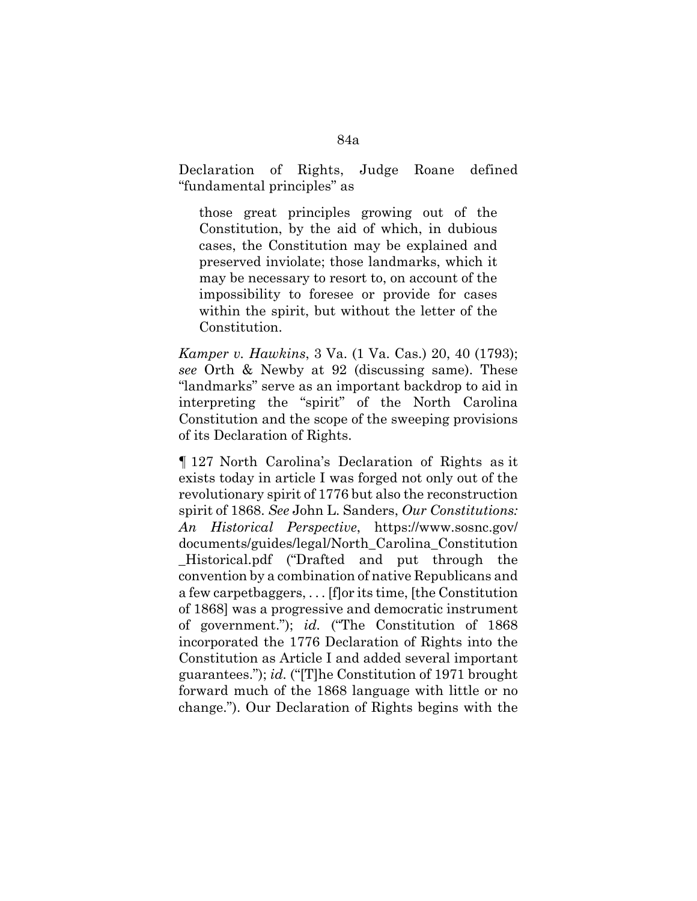Declaration of Rights, Judge Roane defined "fundamental principles" as

those great principles growing out of the Constitution, by the aid of which, in dubious cases, the Constitution may be explained and preserved inviolate; those landmarks, which it may be necessary to resort to, on account of the impossibility to foresee or provide for cases within the spirit, but without the letter of the Constitution.

*Kamper v. Hawkins*, 3 Va. (1 Va. Cas.) 20, 40 (1793); *see* Orth & Newby at 92 (discussing same). These "landmarks" serve as an important backdrop to aid in interpreting the "spirit" of the North Carolina Constitution and the scope of the sweeping provisions of its Declaration of Rights.

¶ 127 North Carolina's Declaration of Rights as it exists today in article I was forged not only out of the revolutionary spirit of 1776 but also the reconstruction spirit of 1868. *See* John L. Sanders, *Our Constitutions: An Historical Perspective*, https://www.sosnc.gov/ documents/guides/legal/North\_Carolina\_Constitution \_Historical.pdf ("Drafted and put through the convention by a combination of native Republicans and a few carpetbaggers, . . . [f]or its time, [the Constitution of 1868] was a progressive and democratic instrument of government."); *id.* ("The Constitution of 1868 incorporated the 1776 Declaration of Rights into the Constitution as Article I and added several important guarantees."); *id.* ("[T]he Constitution of 1971 brought forward much of the 1868 language with little or no change."). Our Declaration of Rights begins with the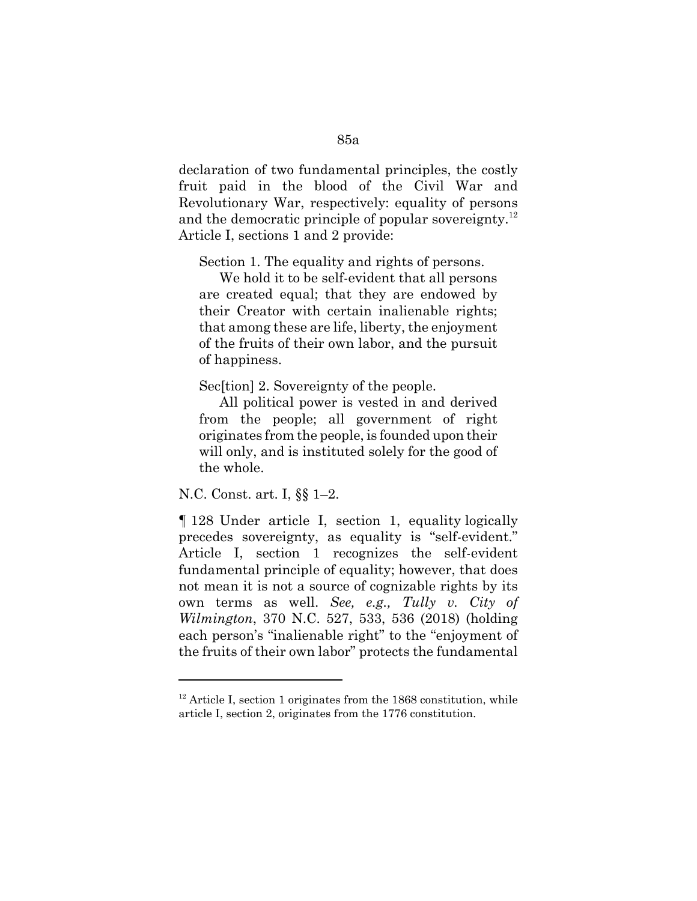declaration of two fundamental principles, the costly fruit paid in the blood of the Civil War and Revolutionary War, respectively: equality of persons and the democratic principle of popular sovereignty.<sup>12</sup> Article I, sections 1 and 2 provide:

Section 1. The equality and rights of persons.

We hold it to be self-evident that all persons are created equal; that they are endowed by their Creator with certain inalienable rights; that among these are life, liberty, the enjoyment of the fruits of their own labor, and the pursuit of happiness.

Sec<sup>[tion]</sup> 2. Sovereignty of the people.

All political power is vested in and derived from the people; all government of right originates from the people, is founded upon their will only, and is instituted solely for the good of the whole.

N.C. Const. art. I, §§ 1–2.

¶ 128 Under article I, section 1, equality logically precedes sovereignty, as equality is "self-evident." Article I, section 1 recognizes the self-evident fundamental principle of equality; however, that does not mean it is not a source of cognizable rights by its own terms as well. *See, e.g., Tully v. City of Wilmington*, 370 N.C. 527, 533, 536 (2018) (holding each person's "inalienable right" to the "enjoyment of the fruits of their own labor" protects the fundamental

 $12$ <sup>12</sup> Article I, section 1 originates from the 1868 constitution, while article I, section 2, originates from the 1776 constitution.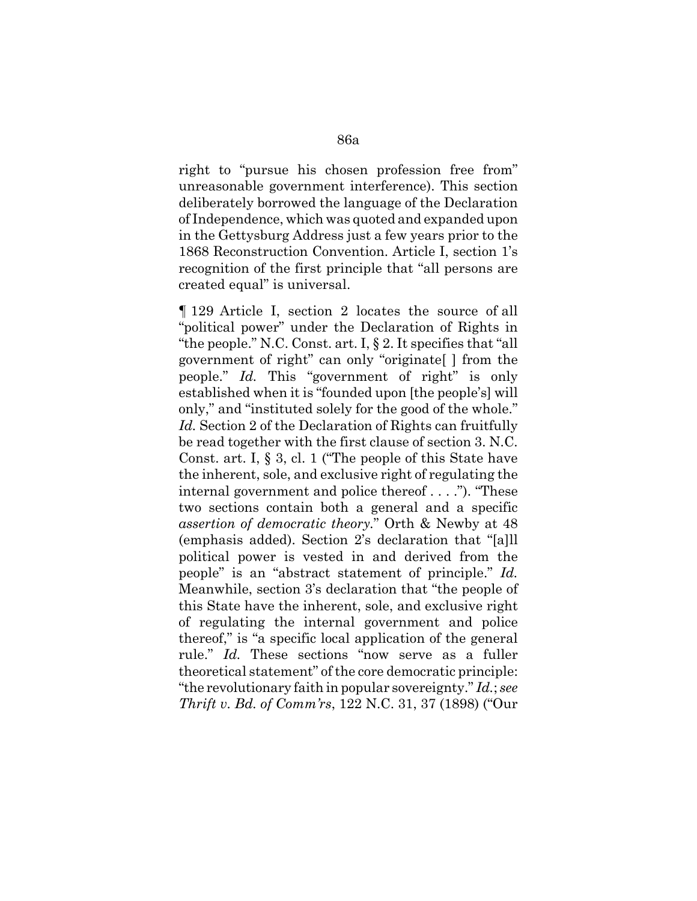right to "pursue his chosen profession free from" unreasonable government interference). This section deliberately borrowed the language of the Declaration of Independence, which was quoted and expanded upon in the Gettysburg Address just a few years prior to the 1868 Reconstruction Convention. Article I, section 1's recognition of the first principle that "all persons are created equal" is universal.

¶ 129 Article I, section 2 locates the source of all "political power" under the Declaration of Rights in "the people." N.C. Const. art. I, § 2. It specifies that "all government of right" can only "originate[ ] from the people." *Id.* This "government of right" is only established when it is "founded upon [the people's] will only," and "instituted solely for the good of the whole." *Id.* Section 2 of the Declaration of Rights can fruitfully be read together with the first clause of section 3. N.C. Const. art. I, § 3, cl. 1 ("The people of this State have the inherent, sole, and exclusive right of regulating the internal government and police thereof . . . ."). "These two sections contain both a general and a specific *assertion of democratic theory.*" Orth & Newby at 48 (emphasis added). Section 2's declaration that "[a]ll political power is vested in and derived from the people" is an "abstract statement of principle." *Id.* Meanwhile, section 3's declaration that "the people of this State have the inherent, sole, and exclusive right of regulating the internal government and police thereof," is "a specific local application of the general rule." *Id.* These sections "now serve as a fuller theoretical statement" of the core democratic principle: "the revolutionary faith in popular sovereignty." *Id.*; *see Thrift v. Bd. of Comm'rs*, 122 N.C. 31, 37 (1898) ("Our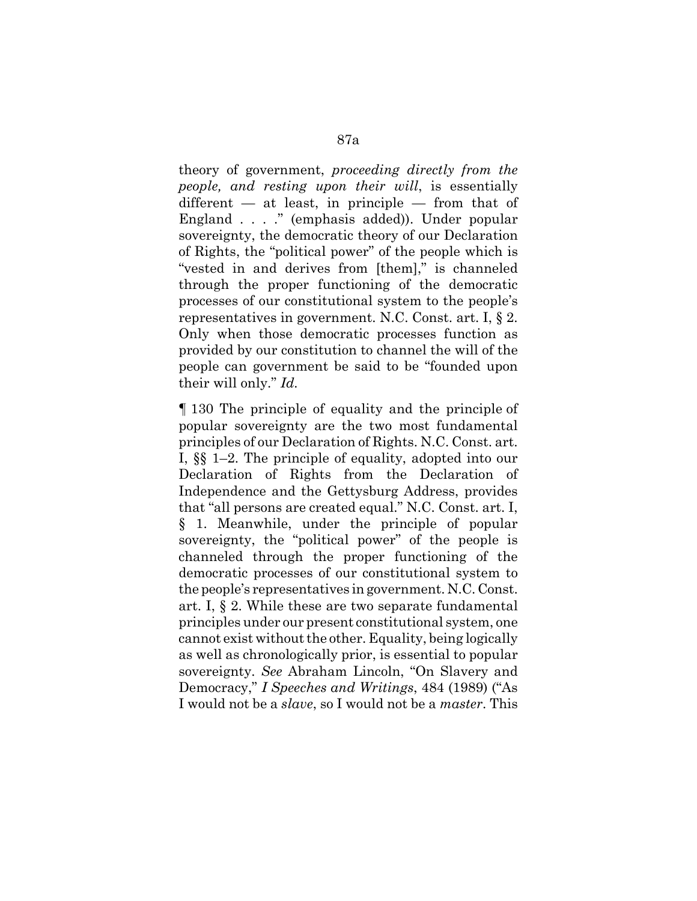theory of government, *proceeding directly from the people, and resting upon their will*, is essentially  $differential$  — at least, in principle — from that of England . . . ." (emphasis added)). Under popular sovereignty, the democratic theory of our Declaration of Rights, the "political power" of the people which is "vested in and derives from [them]," is channeled through the proper functioning of the democratic processes of our constitutional system to the people's representatives in government. N.C. Const. art. I, § 2. Only when those democratic processes function as provided by our constitution to channel the will of the people can government be said to be "founded upon their will only." *Id.* 

¶ 130 The principle of equality and the principle of popular sovereignty are the two most fundamental principles of our Declaration of Rights. N.C. Const. art. I, §§ 1–2. The principle of equality, adopted into our Declaration of Rights from the Declaration of Independence and the Gettysburg Address, provides that "all persons are created equal." N.C. Const. art. I, § 1. Meanwhile, under the principle of popular sovereignty, the "political power" of the people is channeled through the proper functioning of the democratic processes of our constitutional system to the people's representatives in government. N.C. Const. art. I, § 2. While these are two separate fundamental principles under our present constitutional system, one cannot exist without the other. Equality, being logically as well as chronologically prior, is essential to popular sovereignty. *See* Abraham Lincoln, "On Slavery and Democracy," *I Speeches and Writings*, 484 (1989) ("As I would not be a *slave*, so I would not be a *master*. This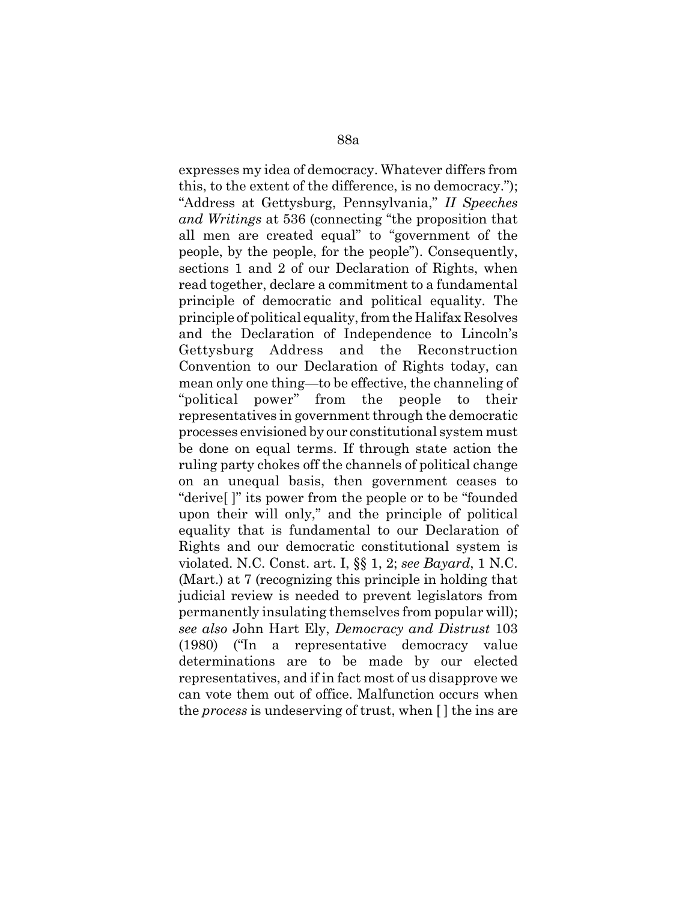expresses my idea of democracy. Whatever differs from this, to the extent of the difference, is no democracy."); "Address at Gettysburg, Pennsylvania," *II Speeches and Writings* at 536 (connecting "the proposition that all men are created equal" to "government of the people, by the people, for the people"). Consequently, sections 1 and 2 of our Declaration of Rights, when read together, declare a commitment to a fundamental principle of democratic and political equality. The principle of political equality, from the Halifax Resolves and the Declaration of Independence to Lincoln's Gettysburg Address and the Reconstruction Convention to our Declaration of Rights today, can mean only one thing—to be effective, the channeling of "political power" from the people to their representatives in government through the democratic processes envisioned by our constitutional system must be done on equal terms. If through state action the ruling party chokes off the channels of political change on an unequal basis, then government ceases to "derive[ ]" its power from the people or to be "founded upon their will only," and the principle of political equality that is fundamental to our Declaration of Rights and our democratic constitutional system is violated. N.C. Const. art. I, §§ 1, 2; *see Bayard*, 1 N.C. (Mart.) at 7 (recognizing this principle in holding that judicial review is needed to prevent legislators from permanently insulating themselves from popular will); *see also* John Hart Ely, *Democracy and Distrust* 103 (1980) ("In a representative democracy value determinations are to be made by our elected representatives, and if in fact most of us disapprove we can vote them out of office. Malfunction occurs when the *process* is undeserving of trust, when [ ] the ins are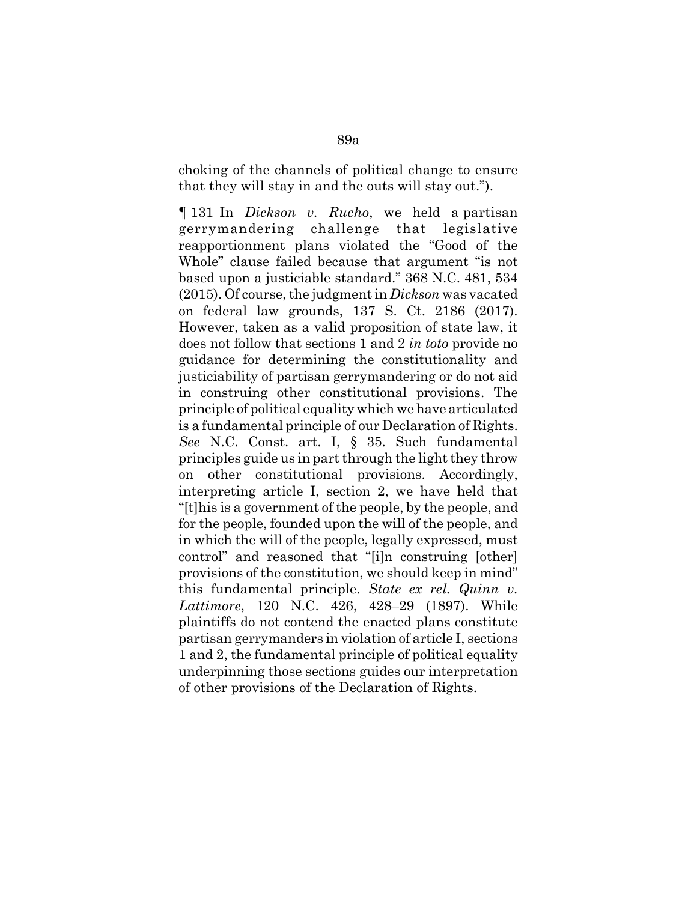choking of the channels of political change to ensure that they will stay in and the outs will stay out.").

¶ 131 In *Dickson v. Rucho*, we held a partisan gerrymandering challenge that legislative reapportionment plans violated the "Good of the Whole" clause failed because that argument "is not based upon a justiciable standard." 368 N.C. 481, 534 (2015). Of course, the judgment in *Dickson* was vacated on federal law grounds, 137 S. Ct. 2186 (2017). However, taken as a valid proposition of state law, it does not follow that sections 1 and 2 *in toto* provide no guidance for determining the constitutionality and justiciability of partisan gerrymandering or do not aid in construing other constitutional provisions. The principle of political equality which we have articulated is a fundamental principle of our Declaration of Rights. *See* N.C. Const. art. I, § 35. Such fundamental principles guide us in part through the light they throw on other constitutional provisions. Accordingly, interpreting article I, section 2, we have held that "[t]his is a government of the people, by the people, and for the people, founded upon the will of the people, and in which the will of the people, legally expressed, must control" and reasoned that "[i]n construing [other] provisions of the constitution, we should keep in mind" this fundamental principle. *State ex rel. Quinn v. Lattimore*, 120 N.C. 426, 428–29 (1897). While plaintiffs do not contend the enacted plans constitute partisan gerrymanders in violation of article I, sections 1 and 2, the fundamental principle of political equality underpinning those sections guides our interpretation of other provisions of the Declaration of Rights.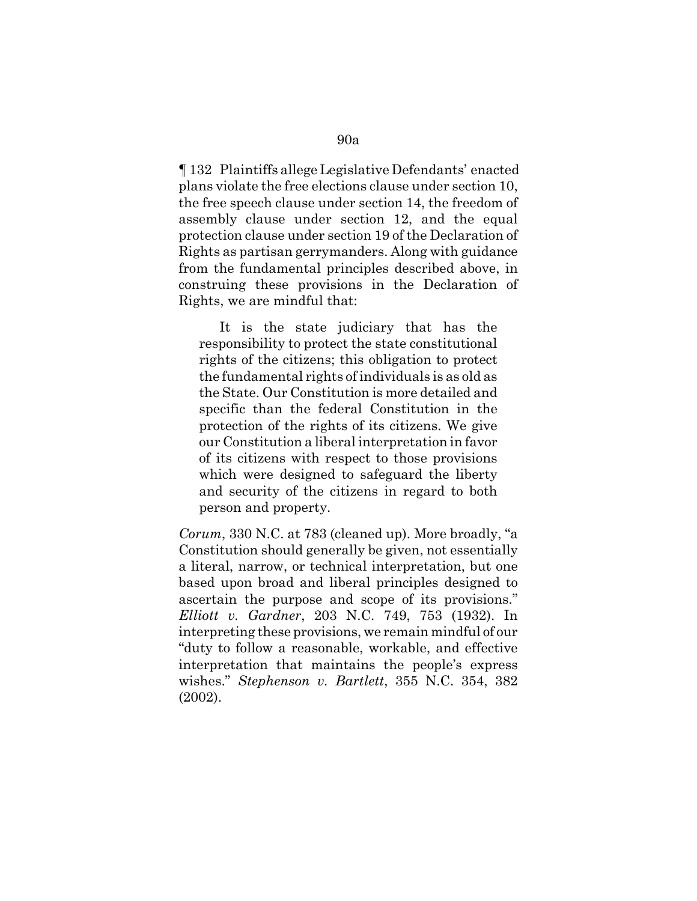¶ 132 Plaintiffs allege Legislative Defendants' enacted plans violate the free elections clause under section 10, the free speech clause under section 14, the freedom of assembly clause under section 12, and the equal protection clause under section 19 of the Declaration of Rights as partisan gerrymanders. Along with guidance from the fundamental principles described above, in construing these provisions in the Declaration of Rights, we are mindful that:

It is the state judiciary that has the responsibility to protect the state constitutional rights of the citizens; this obligation to protect the fundamental rights of individuals is as old as the State. Our Constitution is more detailed and specific than the federal Constitution in the protection of the rights of its citizens. We give our Constitution a liberal interpretation in favor of its citizens with respect to those provisions which were designed to safeguard the liberty and security of the citizens in regard to both person and property.

*Corum*, 330 N.C. at 783 (cleaned up). More broadly, "a Constitution should generally be given, not essentially a literal, narrow, or technical interpretation, but one based upon broad and liberal principles designed to ascertain the purpose and scope of its provisions." *Elliott v. Gardner*, 203 N.C. 749, 753 (1932). In interpreting these provisions, we remain mindful of our "duty to follow a reasonable, workable, and effective interpretation that maintains the people's express wishes." *Stephenson v. Bartlett*, 355 N.C. 354, 382 (2002).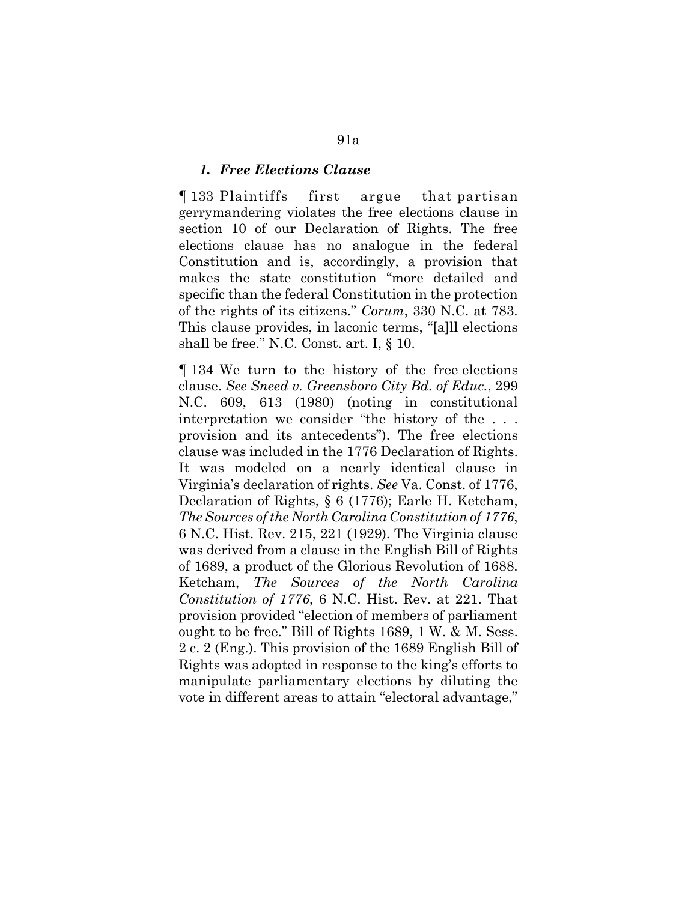#### *1. Free Elections Clause*

¶ 133 Plaintiffs first argue that partisan gerrymandering violates the free elections clause in section 10 of our Declaration of Rights. The free elections clause has no analogue in the federal Constitution and is, accordingly, a provision that makes the state constitution "more detailed and specific than the federal Constitution in the protection of the rights of its citizens." *Corum*, 330 N.C. at 783. This clause provides, in laconic terms, "[a]ll elections shall be free." N.C. Const. art. I, § 10.

¶ 134 We turn to the history of the free elections clause. *See Sneed v. Greensboro City Bd. of Educ.*, 299 N.C. 609, 613 (1980) (noting in constitutional interpretation we consider "the history of the . . . provision and its antecedents"). The free elections clause was included in the 1776 Declaration of Rights. It was modeled on a nearly identical clause in Virginia's declaration of rights. *See* Va. Const. of 1776, Declaration of Rights, § 6 (1776); Earle H. Ketcham, *The Sources of the North Carolina Constitution of 1776*, 6 N.C. Hist. Rev. 215, 221 (1929). The Virginia clause was derived from a clause in the English Bill of Rights of 1689, a product of the Glorious Revolution of 1688. Ketcham, *The Sources of the North Carolina Constitution of 1776*, 6 N.C. Hist. Rev. at 221. That provision provided "election of members of parliament ought to be free." Bill of Rights 1689, 1 W. & M. Sess. 2 c. 2 (Eng.). This provision of the 1689 English Bill of Rights was adopted in response to the king's efforts to manipulate parliamentary elections by diluting the vote in different areas to attain "electoral advantage,"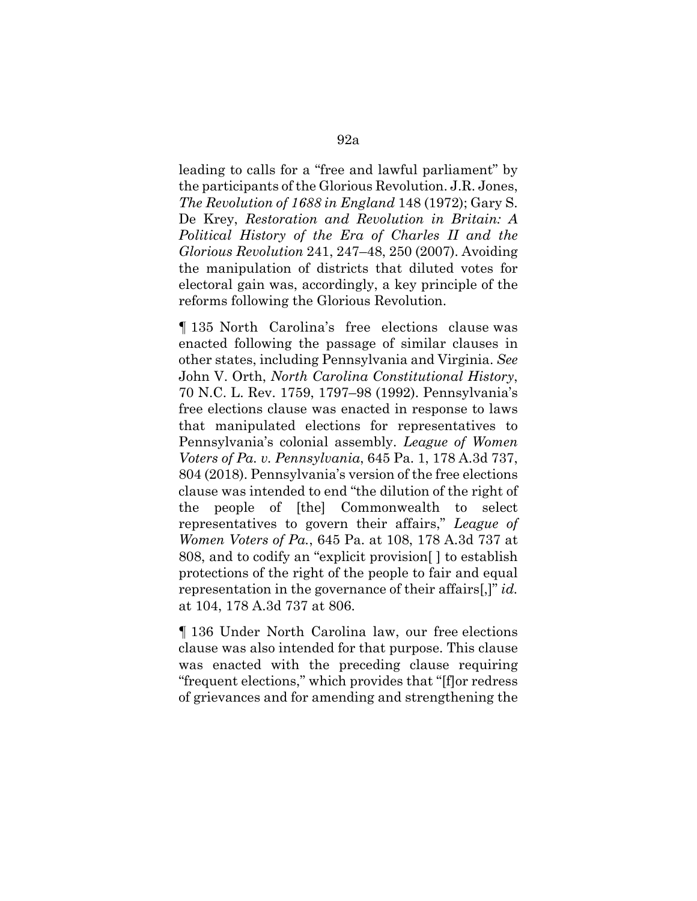leading to calls for a "free and lawful parliament" by the participants of the Glorious Revolution. J.R. Jones, *The Revolution of 1688 in England* 148 (1972); Gary S. De Krey, *Restoration and Revolution in Britain: A Political History of the Era of Charles II and the Glorious Revolution* 241, 247–48, 250 (2007). Avoiding the manipulation of districts that diluted votes for electoral gain was, accordingly, a key principle of the reforms following the Glorious Revolution.

¶ 135 North Carolina's free elections clause was enacted following the passage of similar clauses in other states, including Pennsylvania and Virginia. *See* John V. Orth, *North Carolina Constitutional History*, 70 N.C. L. Rev. 1759, 1797–98 (1992). Pennsylvania's free elections clause was enacted in response to laws that manipulated elections for representatives to Pennsylvania's colonial assembly. *League of Women Voters of Pa. v. Pennsylvania*, 645 Pa. 1, 178 A.3d 737, 804 (2018). Pennsylvania's version of the free elections clause was intended to end "the dilution of the right of the people of [the] Commonwealth to select representatives to govern their affairs," *League of Women Voters of Pa.*, 645 Pa. at 108, 178 A.3d 737 at 808, and to codify an "explicit provision[ ] to establish protections of the right of the people to fair and equal representation in the governance of their affairs[,]" *id.* at 104, 178 A.3d 737 at 806.

¶ 136 Under North Carolina law, our free elections clause was also intended for that purpose. This clause was enacted with the preceding clause requiring "frequent elections," which provides that "[f]or redress of grievances and for amending and strengthening the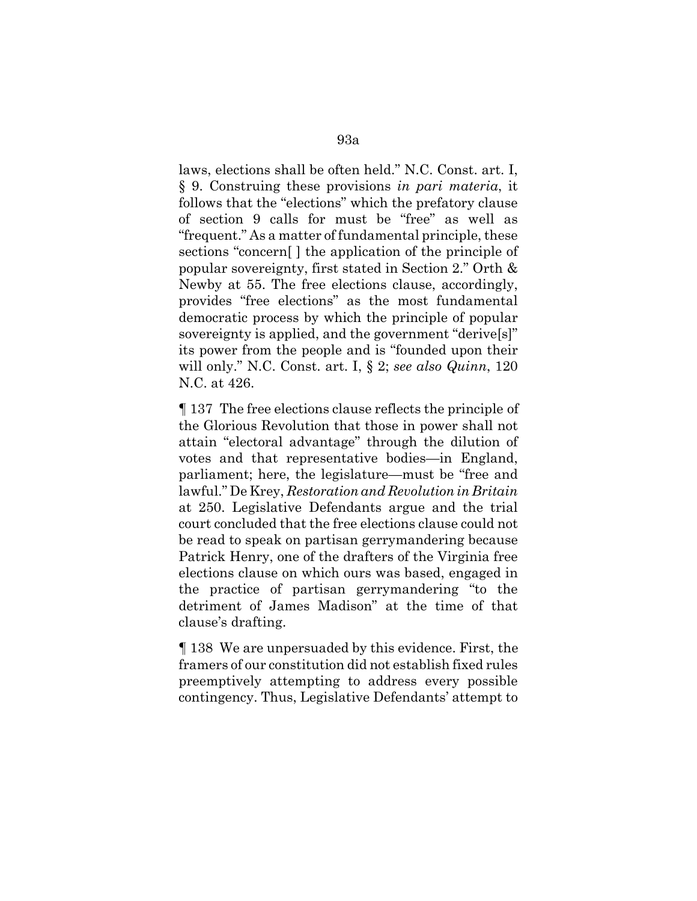laws, elections shall be often held." N.C. Const. art. I, § 9. Construing these provisions *in pari materia*, it follows that the "elections" which the prefatory clause of section 9 calls for must be "free" as well as "frequent." As a matter of fundamental principle, these sections "concern[ ] the application of the principle of popular sovereignty, first stated in Section 2." Orth & Newby at 55. The free elections clause, accordingly, provides "free elections" as the most fundamental democratic process by which the principle of popular sovereignty is applied, and the government "derive[s]" its power from the people and is "founded upon their will only." N.C. Const. art. I, § 2; *see also Quinn*, 120 N.C. at 426.

¶ 137 The free elections clause reflects the principle of the Glorious Revolution that those in power shall not attain "electoral advantage" through the dilution of votes and that representative bodies—in England, parliament; here, the legislature—must be "free and lawful." De Krey, *Restoration and Revolution in Britain* at 250. Legislative Defendants argue and the trial court concluded that the free elections clause could not be read to speak on partisan gerrymandering because Patrick Henry, one of the drafters of the Virginia free elections clause on which ours was based, engaged in the practice of partisan gerrymandering "to the detriment of James Madison" at the time of that clause's drafting.

¶ 138 We are unpersuaded by this evidence. First, the framers of our constitution did not establish fixed rules preemptively attempting to address every possible contingency. Thus, Legislative Defendants' attempt to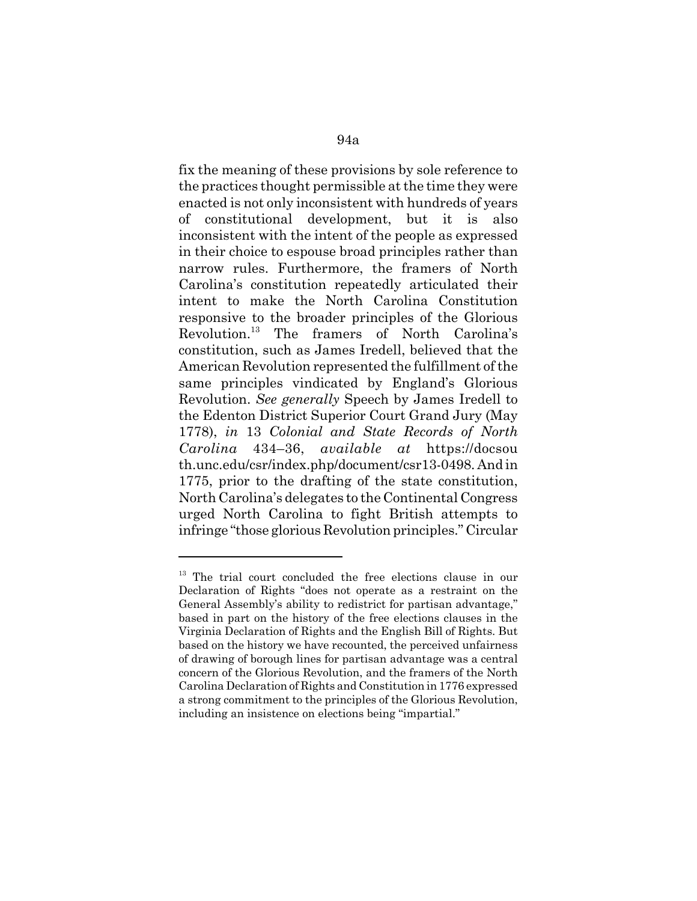fix the meaning of these provisions by sole reference to the practices thought permissible at the time they were enacted is not only inconsistent with hundreds of years of constitutional development, but it is also inconsistent with the intent of the people as expressed in their choice to espouse broad principles rather than narrow rules. Furthermore, the framers of North Carolina's constitution repeatedly articulated their intent to make the North Carolina Constitution responsive to the broader principles of the Glorious Revolution.13 The framers of North Carolina's constitution, such as James Iredell, believed that the American Revolution represented the fulfillment of the same principles vindicated by England's Glorious Revolution. *See generally* Speech by James Iredell to the Edenton District Superior Court Grand Jury (May 1778), *in* 13 *Colonial and State Records of North Carolina* 434–36, *available at* https://docsou th.unc.edu/csr/index.php/document/csr13-0498. And in 1775, prior to the drafting of the state constitution, North Carolina's delegates to the Continental Congress urged North Carolina to fight British attempts to infringe "those glorious Revolution principles." Circular

<sup>&</sup>lt;sup>13</sup> The trial court concluded the free elections clause in our Declaration of Rights "does not operate as a restraint on the General Assembly's ability to redistrict for partisan advantage," based in part on the history of the free elections clauses in the Virginia Declaration of Rights and the English Bill of Rights. But based on the history we have recounted, the perceived unfairness of drawing of borough lines for partisan advantage was a central concern of the Glorious Revolution, and the framers of the North Carolina Declaration of Rights and Constitution in 1776 expressed a strong commitment to the principles of the Glorious Revolution, including an insistence on elections being "impartial."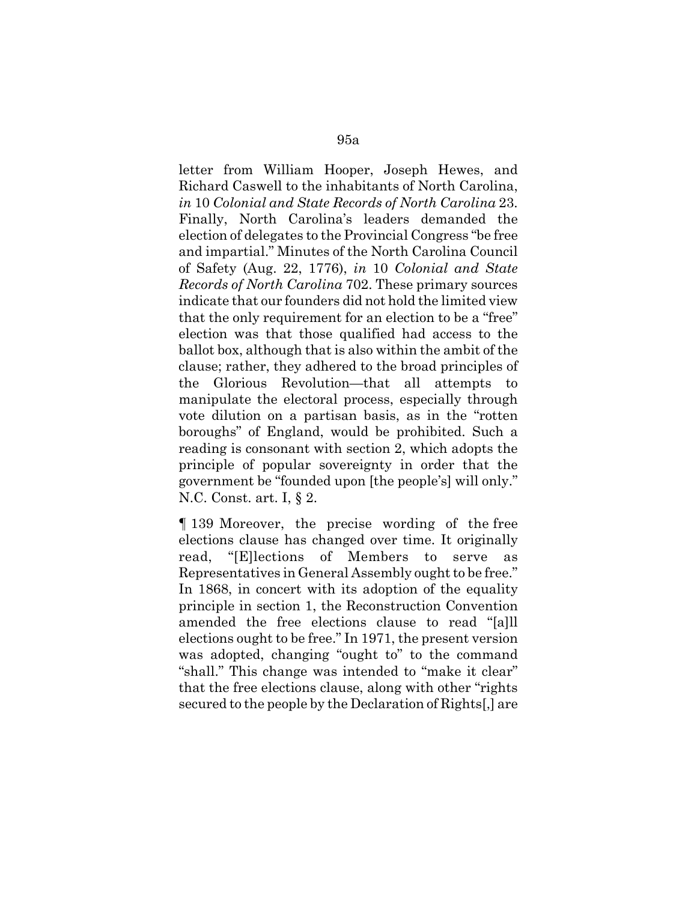letter from William Hooper, Joseph Hewes, and Richard Caswell to the inhabitants of North Carolina, *in* 10 *Colonial and State Records of North Carolina* 23. Finally, North Carolina's leaders demanded the election of delegates to the Provincial Congress "be free and impartial." Minutes of the North Carolina Council of Safety (Aug. 22, 1776), *in* 10 *Colonial and State Records of North Carolina* 702. These primary sources indicate that our founders did not hold the limited view that the only requirement for an election to be a "free" election was that those qualified had access to the ballot box, although that is also within the ambit of the clause; rather, they adhered to the broad principles of the Glorious Revolution—that all attempts to manipulate the electoral process, especially through vote dilution on a partisan basis, as in the "rotten boroughs" of England, would be prohibited. Such a reading is consonant with section 2, which adopts the principle of popular sovereignty in order that the government be "founded upon [the people's] will only." N.C. Const. art. I, § 2.

¶ 139 Moreover, the precise wording of the free elections clause has changed over time. It originally read, "[E]lections of Members to serve as Representatives in General Assembly ought to be free." In 1868, in concert with its adoption of the equality principle in section 1, the Reconstruction Convention amended the free elections clause to read "[a]ll elections ought to be free." In 1971, the present version was adopted, changing "ought to" to the command "shall." This change was intended to "make it clear" that the free elections clause, along with other "rights secured to the people by the Declaration of Rights[,] are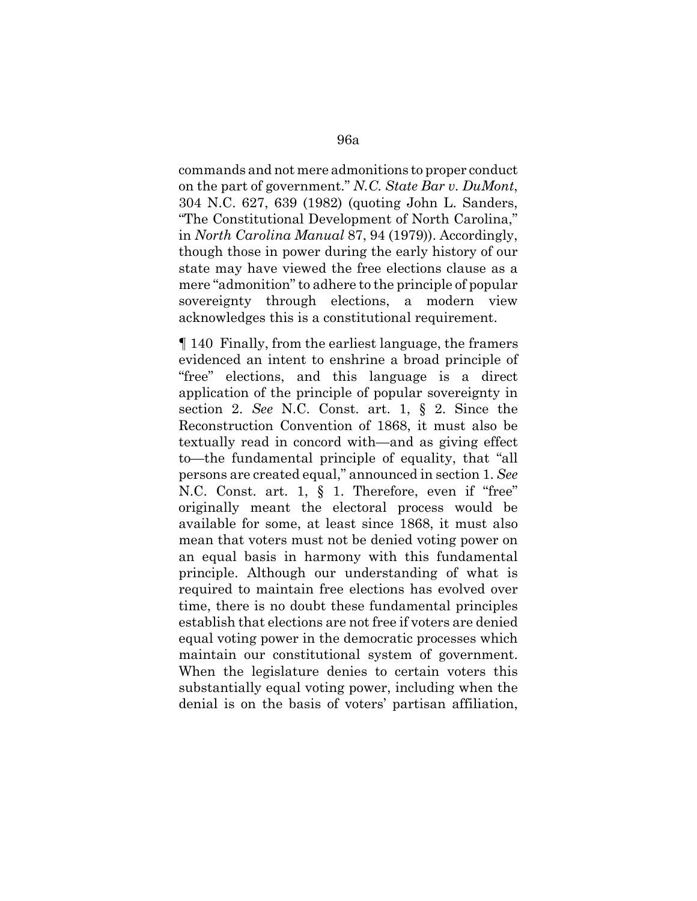commands and not mere admonitions to proper conduct on the part of government." *N.C. State Bar v. DuMont*, 304 N.C. 627, 639 (1982) (quoting John L. Sanders, "The Constitutional Development of North Carolina," in *North Carolina Manual* 87, 94 (1979)). Accordingly, though those in power during the early history of our state may have viewed the free elections clause as a mere "admonition" to adhere to the principle of popular sovereignty through elections, a modern view acknowledges this is a constitutional requirement.

¶ 140 Finally, from the earliest language, the framers evidenced an intent to enshrine a broad principle of "free" elections, and this language is a direct application of the principle of popular sovereignty in section 2. *See* N.C. Const. art. 1, § 2. Since the Reconstruction Convention of 1868, it must also be textually read in concord with—and as giving effect to—the fundamental principle of equality, that "all persons are created equal," announced in section 1. *See* N.C. Const. art. 1, § 1. Therefore, even if "free" originally meant the electoral process would be available for some, at least since 1868, it must also mean that voters must not be denied voting power on an equal basis in harmony with this fundamental principle. Although our understanding of what is required to maintain free elections has evolved over time, there is no doubt these fundamental principles establish that elections are not free if voters are denied equal voting power in the democratic processes which maintain our constitutional system of government. When the legislature denies to certain voters this substantially equal voting power, including when the denial is on the basis of voters' partisan affiliation,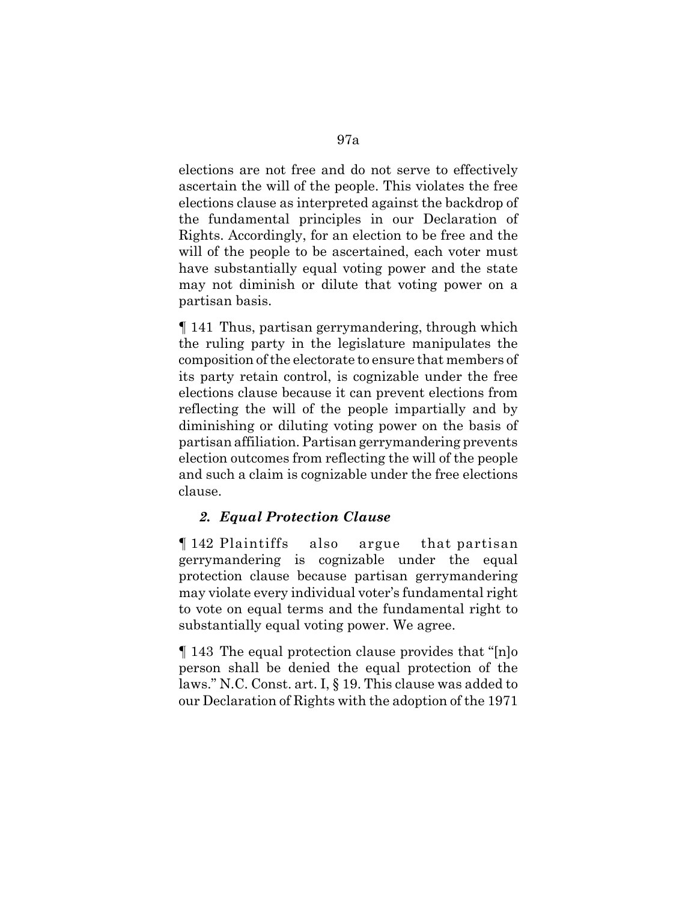elections are not free and do not serve to effectively ascertain the will of the people. This violates the free elections clause as interpreted against the backdrop of the fundamental principles in our Declaration of Rights. Accordingly, for an election to be free and the will of the people to be ascertained, each voter must have substantially equal voting power and the state may not diminish or dilute that voting power on a partisan basis.

¶ 141 Thus, partisan gerrymandering, through which the ruling party in the legislature manipulates the composition of the electorate to ensure that members of its party retain control, is cognizable under the free elections clause because it can prevent elections from reflecting the will of the people impartially and by diminishing or diluting voting power on the basis of partisan affiliation. Partisan gerrymandering prevents election outcomes from reflecting the will of the people and such a claim is cognizable under the free elections clause.

## *2. Equal Protection Clause*

¶ 142 Plaintiffs also argue that partisan gerrymandering is cognizable under the equal protection clause because partisan gerrymandering may violate every individual voter's fundamental right to vote on equal terms and the fundamental right to substantially equal voting power. We agree.

¶ 143 The equal protection clause provides that "[n]o person shall be denied the equal protection of the laws." N.C. Const. art. I, § 19. This clause was added to our Declaration of Rights with the adoption of the 1971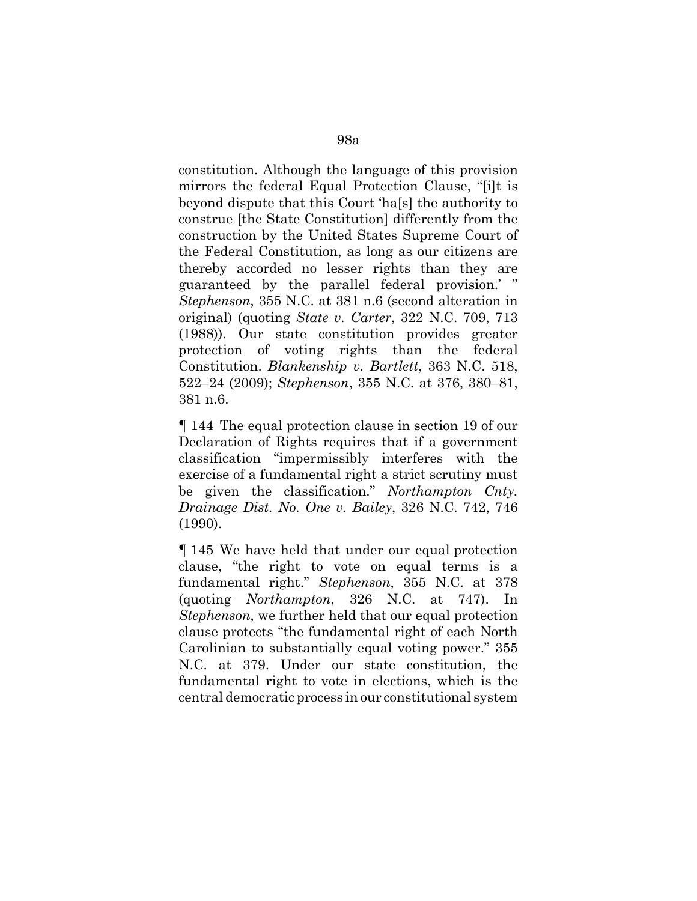constitution. Although the language of this provision mirrors the federal Equal Protection Clause, "[i]t is beyond dispute that this Court 'ha[s] the authority to construe [the State Constitution] differently from the construction by the United States Supreme Court of the Federal Constitution, as long as our citizens are thereby accorded no lesser rights than they are guaranteed by the parallel federal provision.' " *Stephenson*, 355 N.C. at 381 n.6 (second alteration in original) (quoting *State v. Carter*, 322 N.C. 709, 713 (1988)). Our state constitution provides greater protection of voting rights than the federal Constitution. *Blankenship v. Bartlett*, 363 N.C. 518, 522–24 (2009); *Stephenson*, 355 N.C. at 376, 380–81, 381 n.6.

¶ 144 The equal protection clause in section 19 of our Declaration of Rights requires that if a government classification "impermissibly interferes with the exercise of a fundamental right a strict scrutiny must be given the classification." *Northampton Cnty. Drainage Dist. No. One v. Bailey*, 326 N.C. 742, 746 (1990).

¶ 145 We have held that under our equal protection clause, "the right to vote on equal terms is a fundamental right." *Stephenson*, 355 N.C. at 378 (quoting *Northampton*, 326 N.C. at 747). In *Stephenson*, we further held that our equal protection clause protects "the fundamental right of each North Carolinian to substantially equal voting power." 355 N.C. at 379. Under our state constitution, the fundamental right to vote in elections, which is the central democratic process in our constitutional system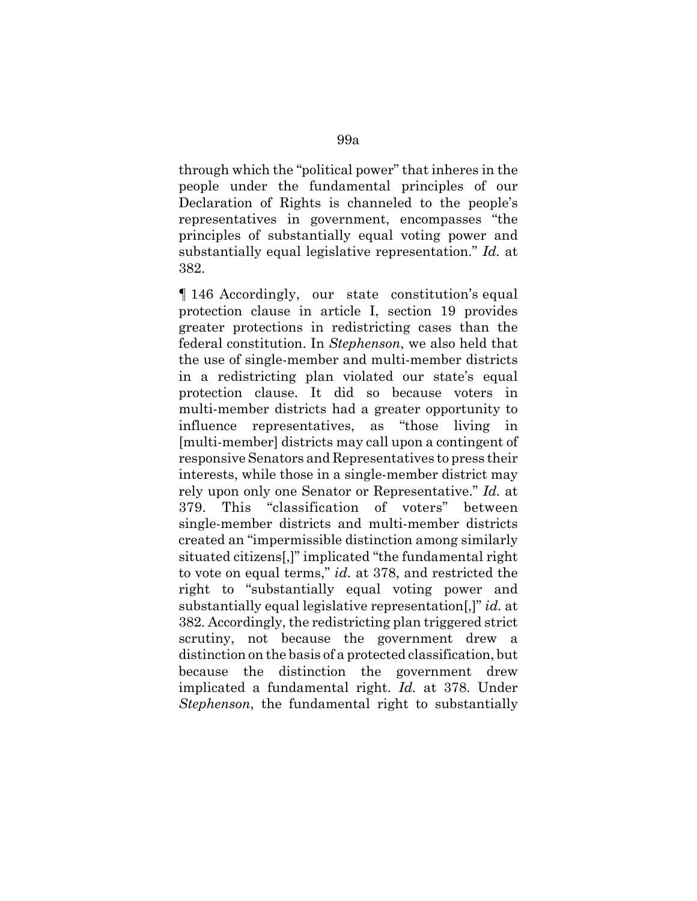through which the "political power" that inheres in the people under the fundamental principles of our Declaration of Rights is channeled to the people's representatives in government, encompasses "the principles of substantially equal voting power and substantially equal legislative representation." *Id.* at 382.

¶ 146 Accordingly, our state constitution's equal protection clause in article I, section 19 provides greater protections in redistricting cases than the federal constitution. In *Stephenson*, we also held that the use of single-member and multi-member districts in a redistricting plan violated our state's equal protection clause. It did so because voters in multi-member districts had a greater opportunity to influence representatives, as "those living in [multi-member] districts may call upon a contingent of responsive Senators and Representatives to press their interests, while those in a single-member district may rely upon only one Senator or Representative." *Id.* at 379. This "classification of voters" between single-member districts and multi-member districts created an "impermissible distinction among similarly situated citizens[,]" implicated "the fundamental right to vote on equal terms," *id.* at 378, and restricted the right to "substantially equal voting power and substantially equal legislative representation[,]" *id.* at 382. Accordingly, the redistricting plan triggered strict scrutiny, not because the government drew a distinction on the basis of a protected classification, but because the distinction the government drew implicated a fundamental right. *Id.* at 378. Under *Stephenson*, the fundamental right to substantially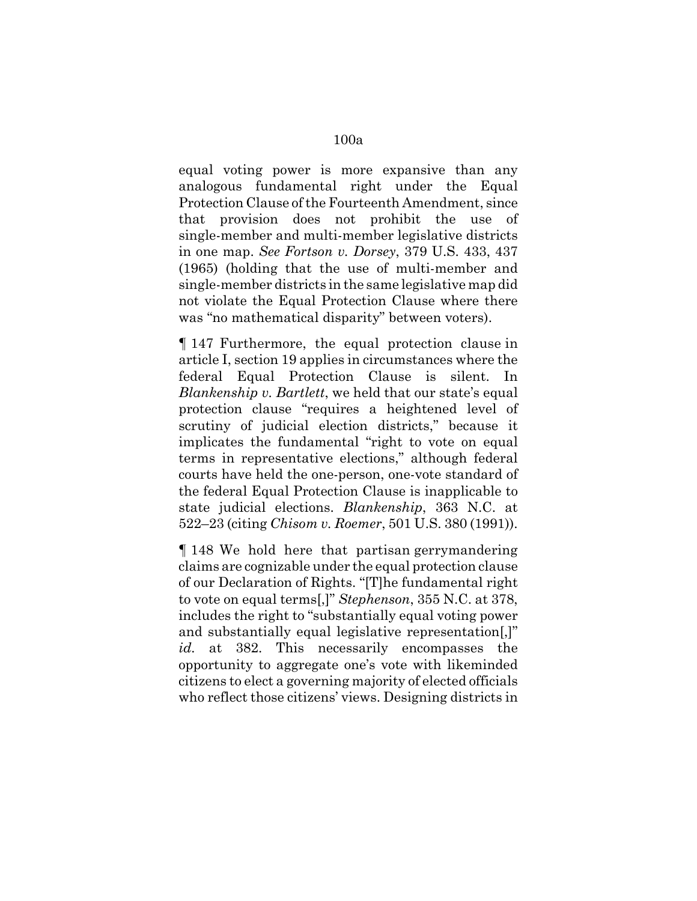equal voting power is more expansive than any analogous fundamental right under the Equal Protection Clause of the Fourteenth Amendment, since that provision does not prohibit the use of single-member and multi-member legislative districts in one map. *See Fortson v. Dorsey*, 379 U.S. 433, 437 (1965) (holding that the use of multi-member and single-member districts in the same legislative map did not violate the Equal Protection Clause where there was "no mathematical disparity" between voters).

¶ 147 Furthermore, the equal protection clause in article I, section 19 applies in circumstances where the federal Equal Protection Clause is silent. In *Blankenship v. Bartlett*, we held that our state's equal protection clause "requires a heightened level of scrutiny of judicial election districts," because it implicates the fundamental "right to vote on equal terms in representative elections," although federal courts have held the one-person, one-vote standard of the federal Equal Protection Clause is inapplicable to state judicial elections. *Blankenship*, 363 N.C. at 522–23 (citing *Chisom v. Roemer*, 501 U.S. 380 (1991)).

¶ 148 We hold here that partisan gerrymandering claims are cognizable under the equal protection clause of our Declaration of Rights. "[T]he fundamental right to vote on equal terms[,]" *Stephenson*, 355 N.C. at 378, includes the right to "substantially equal voting power and substantially equal legislative representation[,]" *id.* at 382. This necessarily encompasses the opportunity to aggregate one's vote with likeminded citizens to elect a governing majority of elected officials who reflect those citizens' views. Designing districts in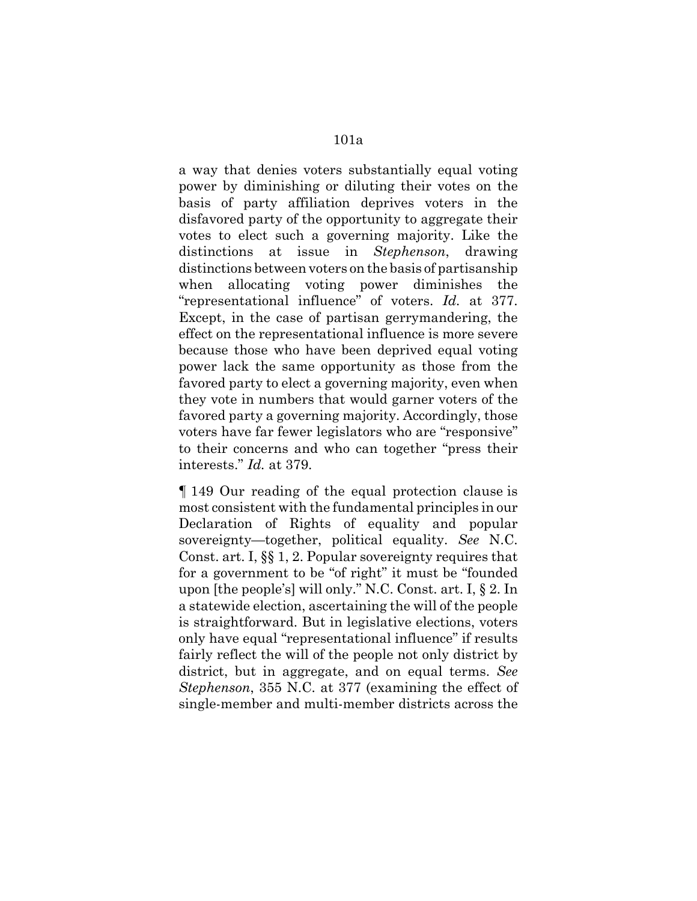a way that denies voters substantially equal voting power by diminishing or diluting their votes on the basis of party affiliation deprives voters in the disfavored party of the opportunity to aggregate their votes to elect such a governing majority. Like the distinctions at issue in *Stephenson*, drawing distinctions between voters on the basis of partisanship when allocating voting power diminishes the "representational influence" of voters. *Id.* at 377. Except, in the case of partisan gerrymandering, the effect on the representational influence is more severe because those who have been deprived equal voting power lack the same opportunity as those from the favored party to elect a governing majority, even when they vote in numbers that would garner voters of the favored party a governing majority. Accordingly, those voters have far fewer legislators who are "responsive" to their concerns and who can together "press their interests." *Id.* at 379.

¶ 149 Our reading of the equal protection clause is most consistent with the fundamental principles in our Declaration of Rights of equality and popular sovereignty—together, political equality. *See* N.C. Const. art. I, §§ 1, 2. Popular sovereignty requires that for a government to be "of right" it must be "founded upon [the people's] will only." N.C. Const. art. I, § 2. In a statewide election, ascertaining the will of the people is straightforward. But in legislative elections, voters only have equal "representational influence" if results fairly reflect the will of the people not only district by district, but in aggregate, and on equal terms. *See Stephenson*, 355 N.C. at 377 (examining the effect of single-member and multi-member districts across the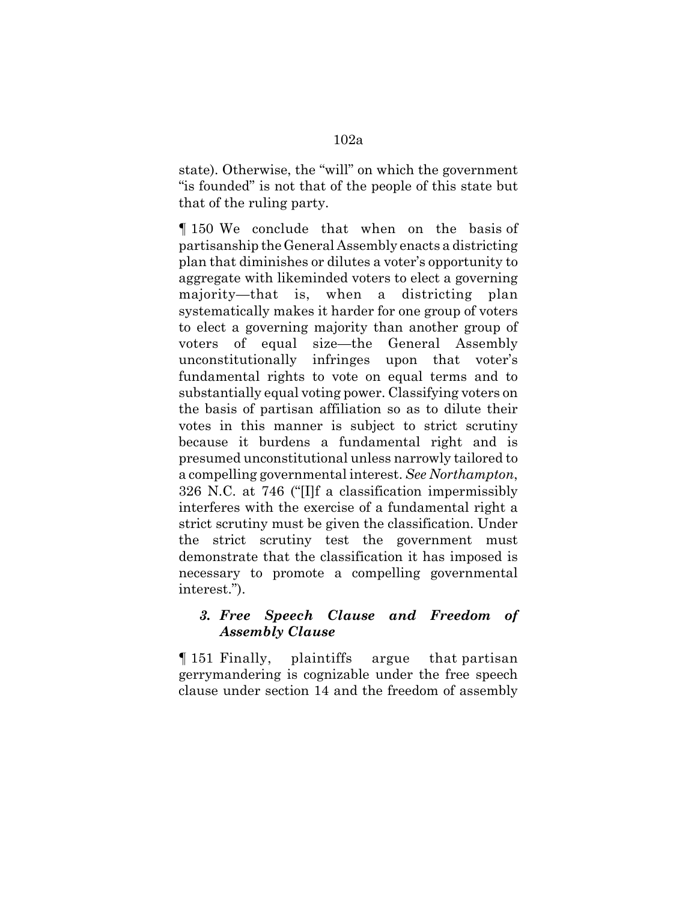state). Otherwise, the "will" on which the government "is founded" is not that of the people of this state but that of the ruling party.

¶ 150 We conclude that when on the basis of partisanship the General Assembly enacts a districting plan that diminishes or dilutes a voter's opportunity to aggregate with likeminded voters to elect a governing majority—that is, when a districting plan systematically makes it harder for one group of voters to elect a governing majority than another group of voters of equal size—the General Assembly unconstitutionally infringes upon that voter's fundamental rights to vote on equal terms and to substantially equal voting power. Classifying voters on the basis of partisan affiliation so as to dilute their votes in this manner is subject to strict scrutiny because it burdens a fundamental right and is presumed unconstitutional unless narrowly tailored to a compelling governmental interest. *See Northampton*, 326 N.C. at 746 ("[I]f a classification impermissibly interferes with the exercise of a fundamental right a strict scrutiny must be given the classification. Under the strict scrutiny test the government must demonstrate that the classification it has imposed is necessary to promote a compelling governmental interest.").

## *3. Free Speech Clause and Freedom of Assembly Clause*

¶ 151 Finally, plaintiffs argue that partisan gerrymandering is cognizable under the free speech clause under section 14 and the freedom of assembly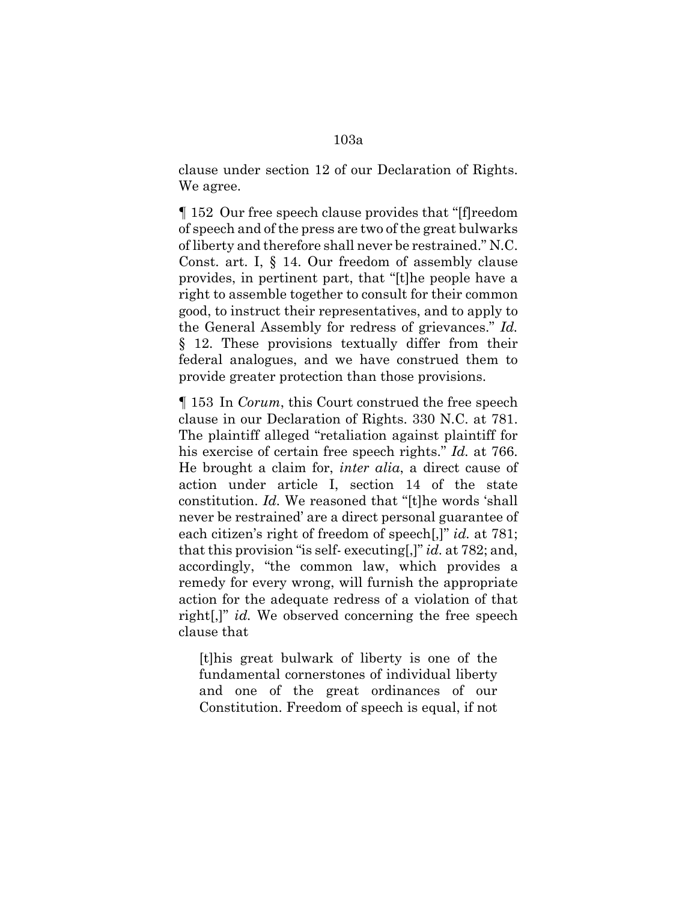clause under section 12 of our Declaration of Rights. We agree.

¶ 152 Our free speech clause provides that "[f]reedom of speech and of the press are two of the great bulwarks of liberty and therefore shall never be restrained." N.C. Const. art. I, § 14. Our freedom of assembly clause provides, in pertinent part, that "[t]he people have a right to assemble together to consult for their common good, to instruct their representatives, and to apply to the General Assembly for redress of grievances." *Id.* § 12. These provisions textually differ from their federal analogues, and we have construed them to provide greater protection than those provisions.

¶ 153 In *Corum*, this Court construed the free speech clause in our Declaration of Rights. 330 N.C. at 781. The plaintiff alleged "retaliation against plaintiff for his exercise of certain free speech rights." *Id.* at 766. He brought a claim for, *inter alia*, a direct cause of action under article I, section 14 of the state constitution. *Id.* We reasoned that "[t]he words 'shall never be restrained' are a direct personal guarantee of each citizen's right of freedom of speech[,]" *id.* at 781; that this provision "is self- executing[,]" *id.* at 782; and, accordingly, "the common law, which provides a remedy for every wrong, will furnish the appropriate action for the adequate redress of a violation of that right[,]" *id.* We observed concerning the free speech clause that

[t]his great bulwark of liberty is one of the fundamental cornerstones of individual liberty and one of the great ordinances of our Constitution. Freedom of speech is equal, if not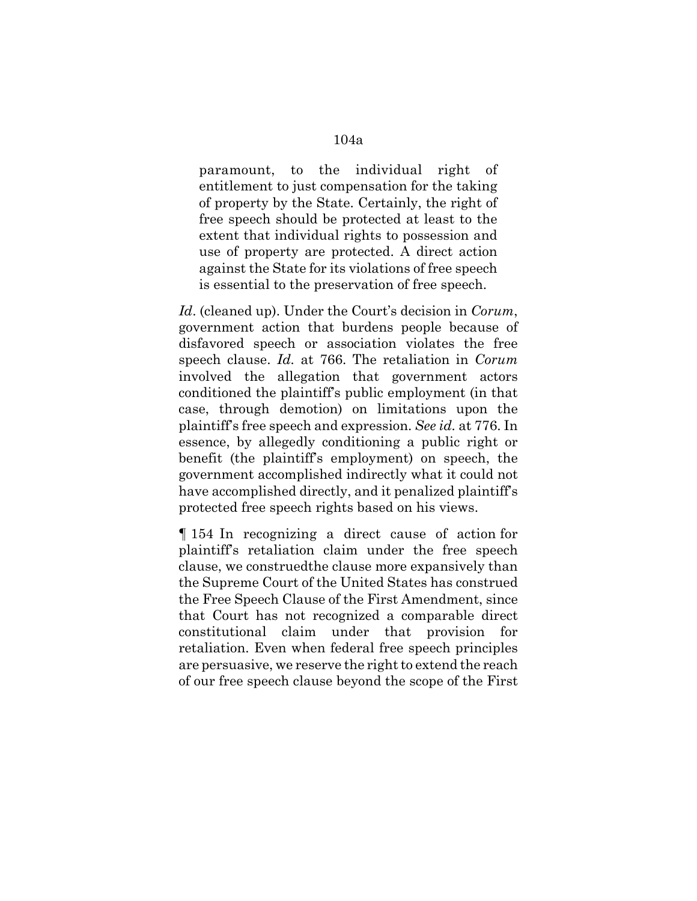paramount, to the individual right of entitlement to just compensation for the taking of property by the State. Certainly, the right of free speech should be protected at least to the extent that individual rights to possession and use of property are protected. A direct action against the State for its violations of free speech is essential to the preservation of free speech.

*Id*. (cleaned up). Under the Court's decision in *Corum*, government action that burdens people because of disfavored speech or association violates the free speech clause. *Id.* at 766. The retaliation in *Corum* involved the allegation that government actors conditioned the plaintiff's public employment (in that case, through demotion) on limitations upon the plaintiff's free speech and expression. *See id.* at 776. In essence, by allegedly conditioning a public right or benefit (the plaintiff's employment) on speech, the government accomplished indirectly what it could not have accomplished directly, and it penalized plaintiff's protected free speech rights based on his views.

¶ 154 In recognizing a direct cause of action for plaintiff's retaliation claim under the free speech clause, we construedthe clause more expansively than the Supreme Court of the United States has construed the Free Speech Clause of the First Amendment, since that Court has not recognized a comparable direct constitutional claim under that provision for retaliation. Even when federal free speech principles are persuasive, we reserve the right to extend the reach of our free speech clause beyond the scope of the First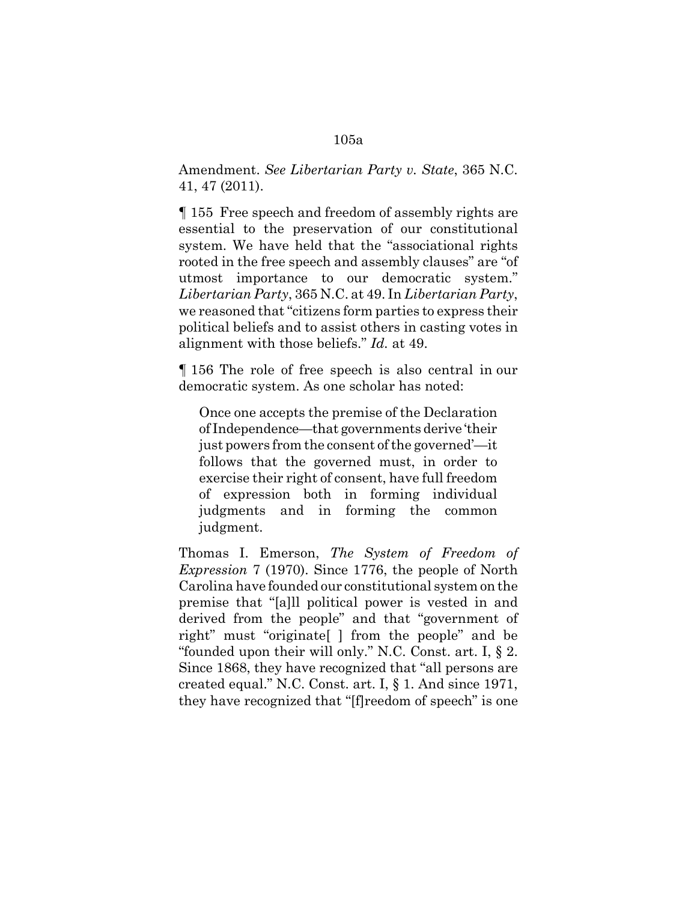#### 105a

Amendment. *See Libertarian Party v. State*, 365 N.C. 41, 47 (2011).

¶ 155 Free speech and freedom of assembly rights are essential to the preservation of our constitutional system. We have held that the "associational rights rooted in the free speech and assembly clauses" are "of utmost importance to our democratic system." *Libertarian Party*, 365 N.C. at 49. In *Libertarian Party*, we reasoned that "citizens form parties to express their political beliefs and to assist others in casting votes in alignment with those beliefs." *Id.* at 49.

¶ 156 The role of free speech is also central in our democratic system. As one scholar has noted:

Once one accepts the premise of the Declaration of Independence—that governments derive 'their just powers from the consent of the governed'—it follows that the governed must, in order to exercise their right of consent, have full freedom of expression both in forming individual judgments and in forming the common judgment.

Thomas I. Emerson, *The System of Freedom of Expression* 7 (1970). Since 1776, the people of North Carolina have founded our constitutional system on the premise that "[a]ll political power is vested in and derived from the people" and that "government of right" must "originate[ ] from the people" and be "founded upon their will only." N.C. Const. art. I, § 2. Since 1868, they have recognized that "all persons are created equal." N.C. Const. art. I, § 1. And since 1971, they have recognized that "[f]reedom of speech" is one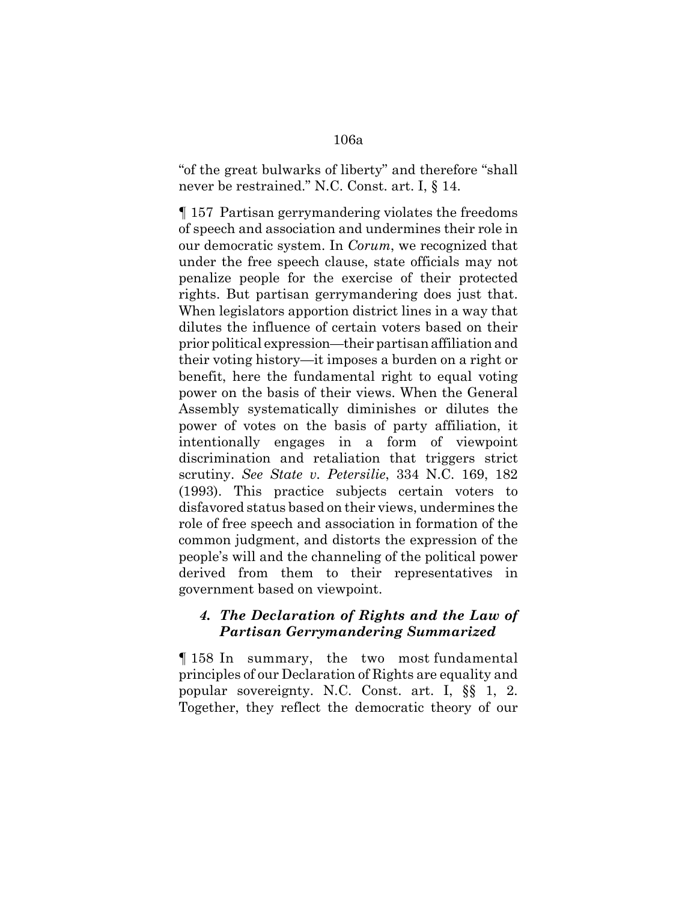### 106a

"of the great bulwarks of liberty" and therefore "shall never be restrained." N.C. Const. art. I, § 14.

¶ 157 Partisan gerrymandering violates the freedoms of speech and association and undermines their role in our democratic system. In *Corum*, we recognized that under the free speech clause, state officials may not penalize people for the exercise of their protected rights. But partisan gerrymandering does just that. When legislators apportion district lines in a way that dilutes the influence of certain voters based on their prior political expression—their partisan affiliation and their voting history—it imposes a burden on a right or benefit, here the fundamental right to equal voting power on the basis of their views. When the General Assembly systematically diminishes or dilutes the power of votes on the basis of party affiliation, it intentionally engages in a form of viewpoint discrimination and retaliation that triggers strict scrutiny. *See State v. Petersilie*, 334 N.C. 169, 182 (1993). This practice subjects certain voters to disfavored status based on their views, undermines the role of free speech and association in formation of the common judgment, and distorts the expression of the people's will and the channeling of the political power derived from them to their representatives in government based on viewpoint.

#### *4. The Declaration of Rights and the Law of Partisan Gerrymandering Summarized*

¶ 158 In summary, the two most fundamental principles of our Declaration of Rights are equality and popular sovereignty. N.C. Const. art. I, §§ 1, 2. Together, they reflect the democratic theory of our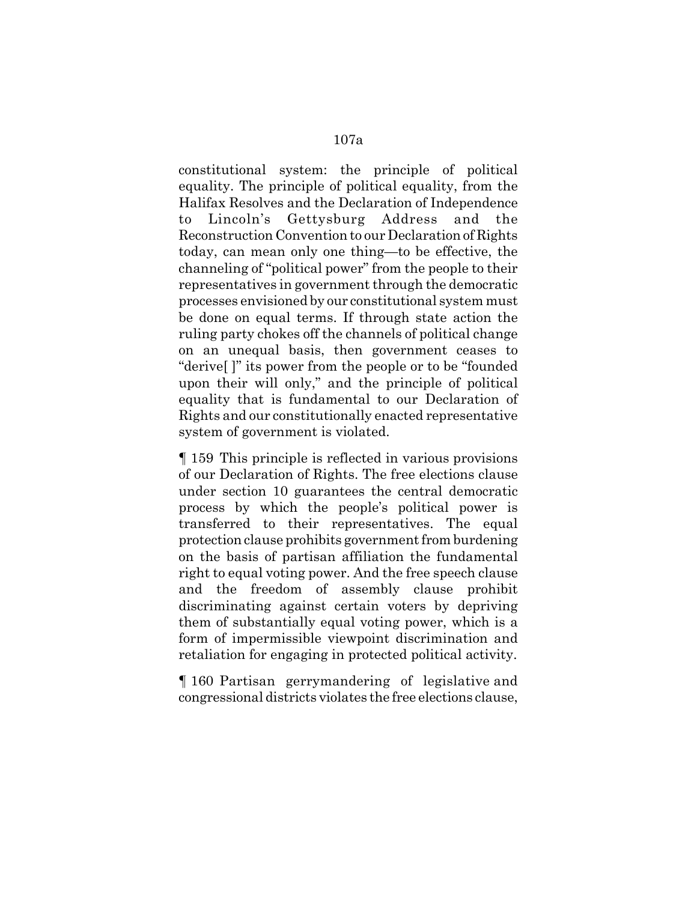constitutional system: the principle of political equality. The principle of political equality, from the Halifax Resolves and the Declaration of Independence to Lincoln's Gettysburg Address and the Reconstruction Convention to our Declaration of Rights today, can mean only one thing—to be effective, the channeling of "political power" from the people to their representatives in government through the democratic processes envisioned by our constitutional system must be done on equal terms. If through state action the ruling party chokes off the channels of political change on an unequal basis, then government ceases to "derive[ ]" its power from the people or to be "founded upon their will only," and the principle of political equality that is fundamental to our Declaration of Rights and our constitutionally enacted representative system of government is violated.

¶ 159 This principle is reflected in various provisions of our Declaration of Rights. The free elections clause under section 10 guarantees the central democratic process by which the people's political power is transferred to their representatives. The equal protection clause prohibits government from burdening on the basis of partisan affiliation the fundamental right to equal voting power. And the free speech clause and the freedom of assembly clause prohibit discriminating against certain voters by depriving them of substantially equal voting power, which is a form of impermissible viewpoint discrimination and retaliation for engaging in protected political activity.

¶ 160 Partisan gerrymandering of legislative and congressional districts violates the free elections clause,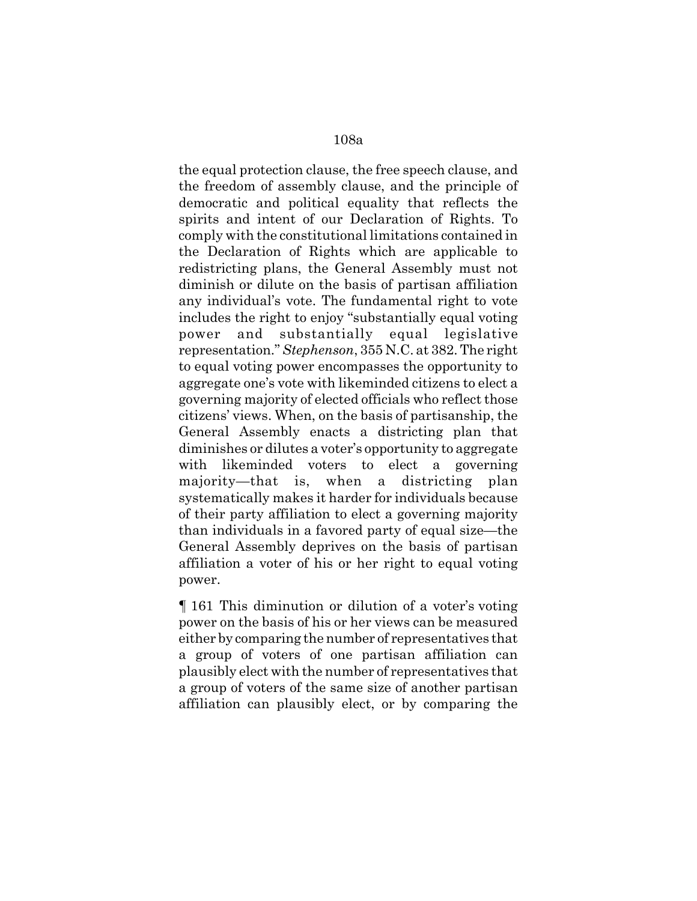the equal protection clause, the free speech clause, and the freedom of assembly clause, and the principle of democratic and political equality that reflects the spirits and intent of our Declaration of Rights. To comply with the constitutional limitations contained in the Declaration of Rights which are applicable to redistricting plans, the General Assembly must not diminish or dilute on the basis of partisan affiliation any individual's vote. The fundamental right to vote includes the right to enjoy "substantially equal voting power and substantially equal legislative representation." *Stephenson*, 355 N.C. at 382. The right to equal voting power encompasses the opportunity to aggregate one's vote with likeminded citizens to elect a governing majority of elected officials who reflect those citizens' views. When, on the basis of partisanship, the General Assembly enacts a districting plan that diminishes or dilutes a voter's opportunity to aggregate with likeminded voters to elect a governing majority—that is, when a districting plan systematically makes it harder for individuals because of their party affiliation to elect a governing majority than individuals in a favored party of equal size—the General Assembly deprives on the basis of partisan affiliation a voter of his or her right to equal voting power.

¶ 161 This diminution or dilution of a voter's voting power on the basis of his or her views can be measured either by comparing the number of representatives that a group of voters of one partisan affiliation can plausibly elect with the number of representatives that a group of voters of the same size of another partisan affiliation can plausibly elect, or by comparing the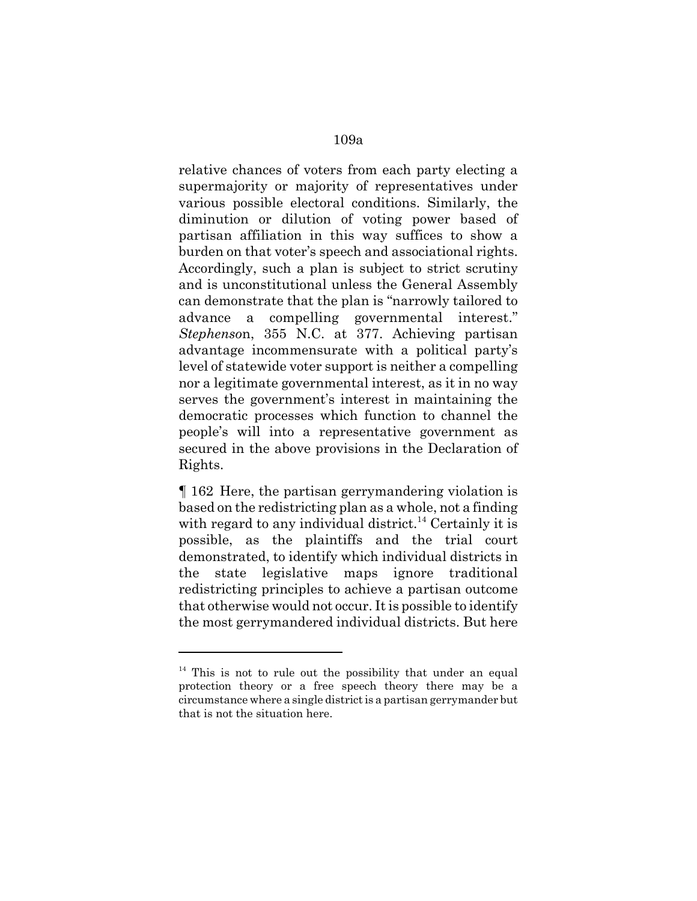relative chances of voters from each party electing a supermajority or majority of representatives under various possible electoral conditions. Similarly, the diminution or dilution of voting power based of partisan affiliation in this way suffices to show a burden on that voter's speech and associational rights. Accordingly, such a plan is subject to strict scrutiny and is unconstitutional unless the General Assembly can demonstrate that the plan is "narrowly tailored to advance a compelling governmental interest." *Stephenso*n, 355 N.C. at 377. Achieving partisan advantage incommensurate with a political party's level of statewide voter support is neither a compelling nor a legitimate governmental interest, as it in no way serves the government's interest in maintaining the democratic processes which function to channel the people's will into a representative government as secured in the above provisions in the Declaration of Rights.

¶ 162 Here, the partisan gerrymandering violation is based on the redistricting plan as a whole, not a finding with regard to any individual district.<sup>14</sup> Certainly it is possible, as the plaintiffs and the trial court demonstrated, to identify which individual districts in the state legislative maps ignore traditional redistricting principles to achieve a partisan outcome that otherwise would not occur. It is possible to identify the most gerrymandered individual districts. But here

 $14$  This is not to rule out the possibility that under an equal protection theory or a free speech theory there may be a circumstance where a single district is a partisan gerrymander but that is not the situation here.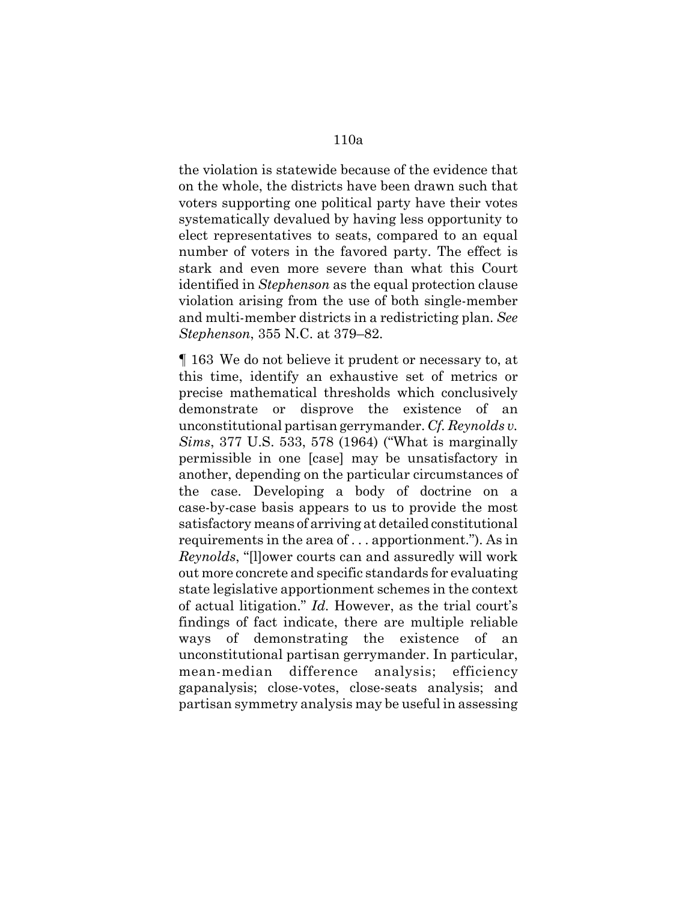the violation is statewide because of the evidence that on the whole, the districts have been drawn such that voters supporting one political party have their votes systematically devalued by having less opportunity to elect representatives to seats, compared to an equal number of voters in the favored party. The effect is stark and even more severe than what this Court identified in *Stephenson* as the equal protection clause violation arising from the use of both single-member and multi-member districts in a redistricting plan. *See Stephenson*, 355 N.C. at 379–82.

¶ 163 We do not believe it prudent or necessary to, at this time, identify an exhaustive set of metrics or precise mathematical thresholds which conclusively demonstrate or disprove the existence of an unconstitutional partisan gerrymander. *Cf. Reynolds v. Sims*, 377 U.S. 533, 578 (1964) ("What is marginally permissible in one [case] may be unsatisfactory in another, depending on the particular circumstances of the case. Developing a body of doctrine on a case-by-case basis appears to us to provide the most satisfactory means of arriving at detailed constitutional requirements in the area of . . . apportionment."). As in *Reynolds*, "[l]ower courts can and assuredly will work out more concrete and specific standards for evaluating state legislative apportionment schemes in the context of actual litigation." *Id.* However, as the trial court's findings of fact indicate, there are multiple reliable ways of demonstrating the existence of an unconstitutional partisan gerrymander. In particular, mean-median difference analysis; efficiency gapanalysis; close-votes, close-seats analysis; and partisan symmetry analysis may be useful in assessing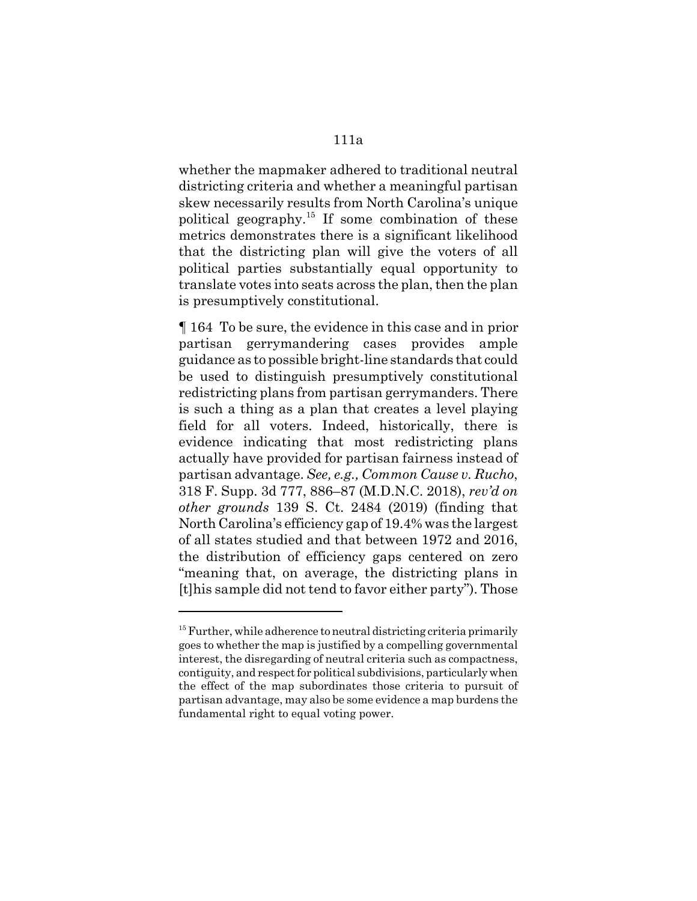whether the mapmaker adhered to traditional neutral districting criteria and whether a meaningful partisan skew necessarily results from North Carolina's unique political geography.<sup>15</sup> If some combination of these metrics demonstrates there is a significant likelihood that the districting plan will give the voters of all political parties substantially equal opportunity to translate votes into seats across the plan, then the plan is presumptively constitutional.

¶ 164 To be sure, the evidence in this case and in prior partisan gerrymandering cases provides ample guidance as to possible bright-line standards that could be used to distinguish presumptively constitutional redistricting plans from partisan gerrymanders. There is such a thing as a plan that creates a level playing field for all voters. Indeed, historically, there is evidence indicating that most redistricting plans actually have provided for partisan fairness instead of partisan advantage. *See, e.g., Common Cause v. Rucho*, 318 F. Supp. 3d 777, 886–87 (M.D.N.C. 2018), *rev'd on other grounds* 139 S. Ct. 2484 (2019) (finding that North Carolina's efficiency gap of 19.4% was the largest of all states studied and that between 1972 and 2016, the distribution of efficiency gaps centered on zero "meaning that, on average, the districting plans in [t]his sample did not tend to favor either party"). Those

 $15$  Further, while adherence to neutral districting criteria primarily goes to whether the map is justified by a compelling governmental interest, the disregarding of neutral criteria such as compactness, contiguity, and respect for political subdivisions, particularly when the effect of the map subordinates those criteria to pursuit of partisan advantage, may also be some evidence a map burdens the fundamental right to equal voting power.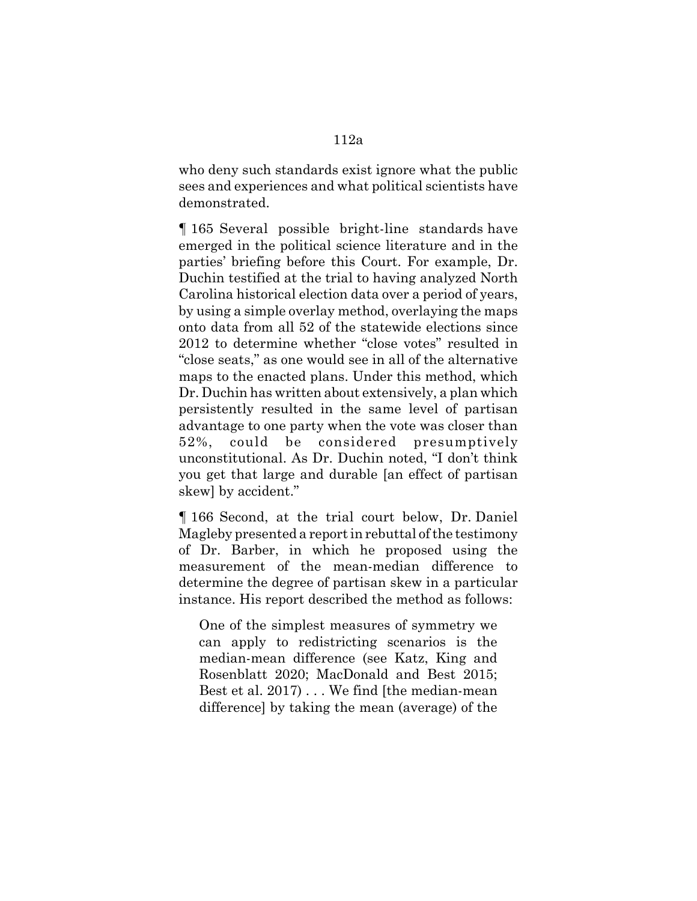who deny such standards exist ignore what the public sees and experiences and what political scientists have demonstrated.

¶ 165 Several possible bright-line standards have emerged in the political science literature and in the parties' briefing before this Court. For example, Dr. Duchin testified at the trial to having analyzed North Carolina historical election data over a period of years, by using a simple overlay method, overlaying the maps onto data from all 52 of the statewide elections since 2012 to determine whether "close votes" resulted in "close seats," as one would see in all of the alternative maps to the enacted plans. Under this method, which Dr. Duchin has written about extensively, a plan which persistently resulted in the same level of partisan advantage to one party when the vote was closer than 52%, could be considered presumptively unconstitutional. As Dr. Duchin noted, "I don't think you get that large and durable [an effect of partisan skew] by accident."

¶ 166 Second, at the trial court below, Dr. Daniel Magleby presented a report in rebuttal of the testimony of Dr. Barber, in which he proposed using the measurement of the mean-median difference to determine the degree of partisan skew in a particular instance. His report described the method as follows:

One of the simplest measures of symmetry we can apply to redistricting scenarios is the median-mean difference (see Katz, King and Rosenblatt 2020; MacDonald and Best 2015; Best et al. 2017) . . . We find [the median-mean difference] by taking the mean (average) of the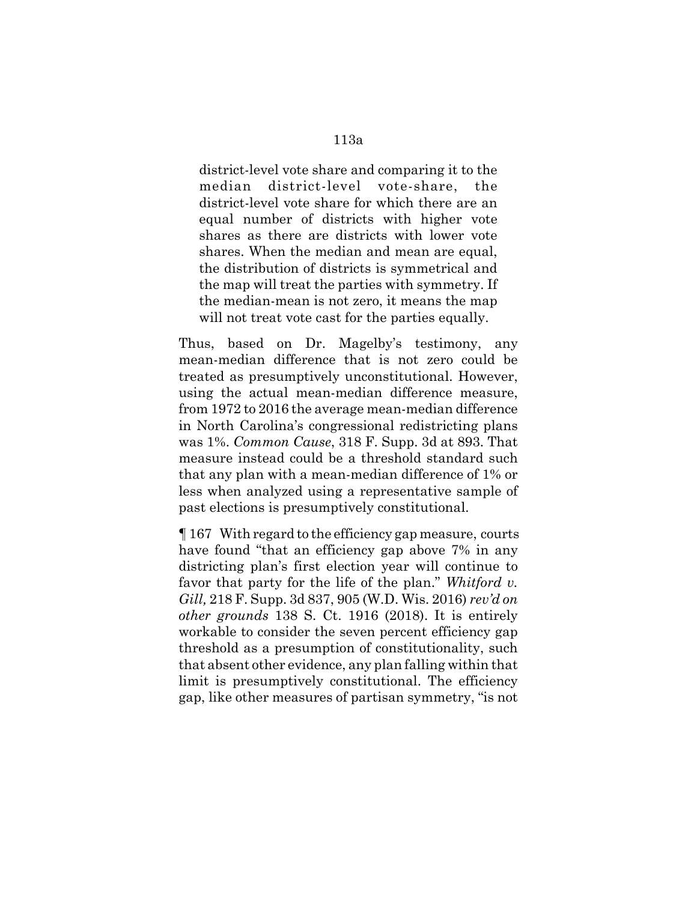district-level vote share and comparing it to the median district-level vote-share, the district-level vote share for which there are an equal number of districts with higher vote shares as there are districts with lower vote shares. When the median and mean are equal, the distribution of districts is symmetrical and the map will treat the parties with symmetry. If the median-mean is not zero, it means the map will not treat vote cast for the parties equally.

Thus, based on Dr. Magelby's testimony, any mean-median difference that is not zero could be treated as presumptively unconstitutional. However, using the actual mean-median difference measure, from 1972 to 2016 the average mean-median difference in North Carolina's congressional redistricting plans was 1%. *Common Cause*, 318 F. Supp. 3d at 893. That measure instead could be a threshold standard such that any plan with a mean-median difference of 1% or less when analyzed using a representative sample of past elections is presumptively constitutional.

¶ 167 With regard to the efficiency gap measure, courts have found "that an efficiency gap above 7% in any districting plan's first election year will continue to favor that party for the life of the plan." *Whitford v. Gill,* 218 F. Supp. 3d 837, 905 (W.D. Wis. 2016) *rev'd on other grounds* 138 S. Ct. 1916 (2018). It is entirely workable to consider the seven percent efficiency gap threshold as a presumption of constitutionality, such that absent other evidence, any plan falling within that limit is presumptively constitutional. The efficiency gap, like other measures of partisan symmetry, "is not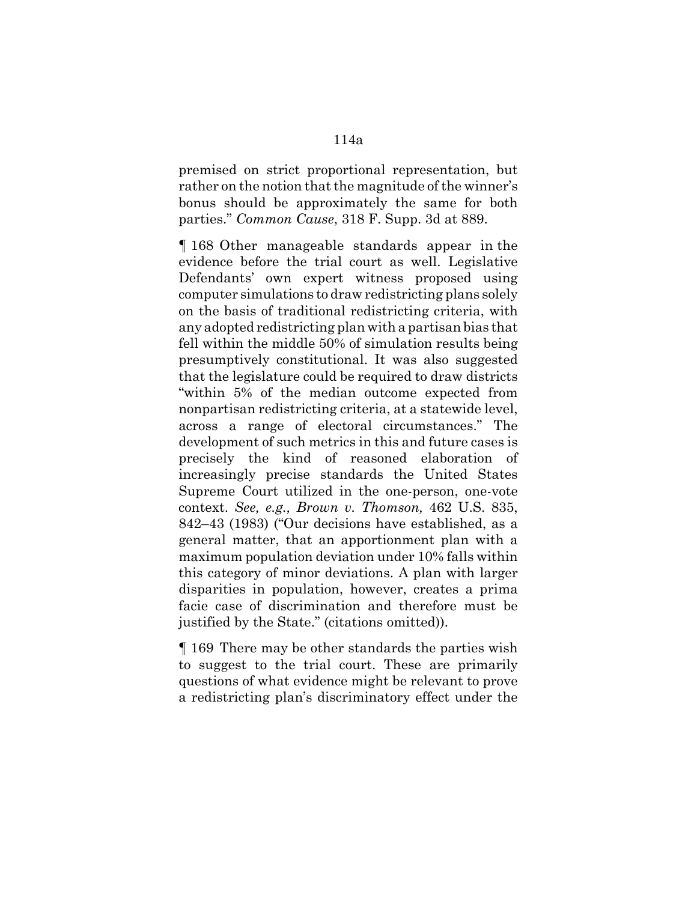premised on strict proportional representation, but rather on the notion that the magnitude of the winner's bonus should be approximately the same for both parties." *Common Cause*, 318 F. Supp. 3d at 889.

¶ 168 Other manageable standards appear in the evidence before the trial court as well. Legislative Defendants' own expert witness proposed using computer simulations to draw redistricting plans solely on the basis of traditional redistricting criteria, with any adopted redistricting plan with a partisan bias that fell within the middle 50% of simulation results being presumptively constitutional. It was also suggested that the legislature could be required to draw districts "within 5% of the median outcome expected from nonpartisan redistricting criteria, at a statewide level, across a range of electoral circumstances." The development of such metrics in this and future cases is precisely the kind of reasoned elaboration of increasingly precise standards the United States Supreme Court utilized in the one-person, one-vote context. *See, e.g., Brown v. Thomson,* 462 U.S. 835, 842–43 (1983) ("Our decisions have established, as a general matter, that an apportionment plan with a maximum population deviation under 10% falls within this category of minor deviations. A plan with larger disparities in population, however, creates a prima facie case of discrimination and therefore must be justified by the State." (citations omitted)).

¶ 169 There may be other standards the parties wish to suggest to the trial court. These are primarily questions of what evidence might be relevant to prove a redistricting plan's discriminatory effect under the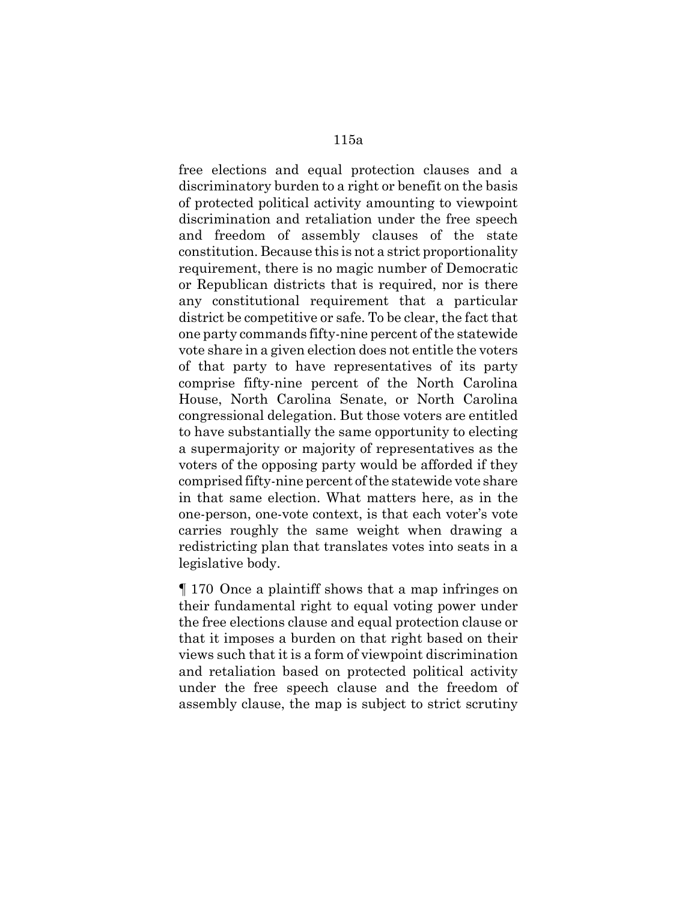free elections and equal protection clauses and a discriminatory burden to a right or benefit on the basis of protected political activity amounting to viewpoint discrimination and retaliation under the free speech and freedom of assembly clauses of the state constitution. Because this is not a strict proportionality requirement, there is no magic number of Democratic or Republican districts that is required, nor is there any constitutional requirement that a particular district be competitive or safe. To be clear, the fact that one party commands fifty-nine percent of the statewide vote share in a given election does not entitle the voters of that party to have representatives of its party comprise fifty-nine percent of the North Carolina House, North Carolina Senate, or North Carolina congressional delegation. But those voters are entitled to have substantially the same opportunity to electing a supermajority or majority of representatives as the voters of the opposing party would be afforded if they comprised fifty-nine percent of the statewide vote share in that same election. What matters here, as in the one-person, one-vote context, is that each voter's vote carries roughly the same weight when drawing a redistricting plan that translates votes into seats in a legislative body.

¶ 170 Once a plaintiff shows that a map infringes on their fundamental right to equal voting power under the free elections clause and equal protection clause or that it imposes a burden on that right based on their views such that it is a form of viewpoint discrimination and retaliation based on protected political activity under the free speech clause and the freedom of assembly clause, the map is subject to strict scrutiny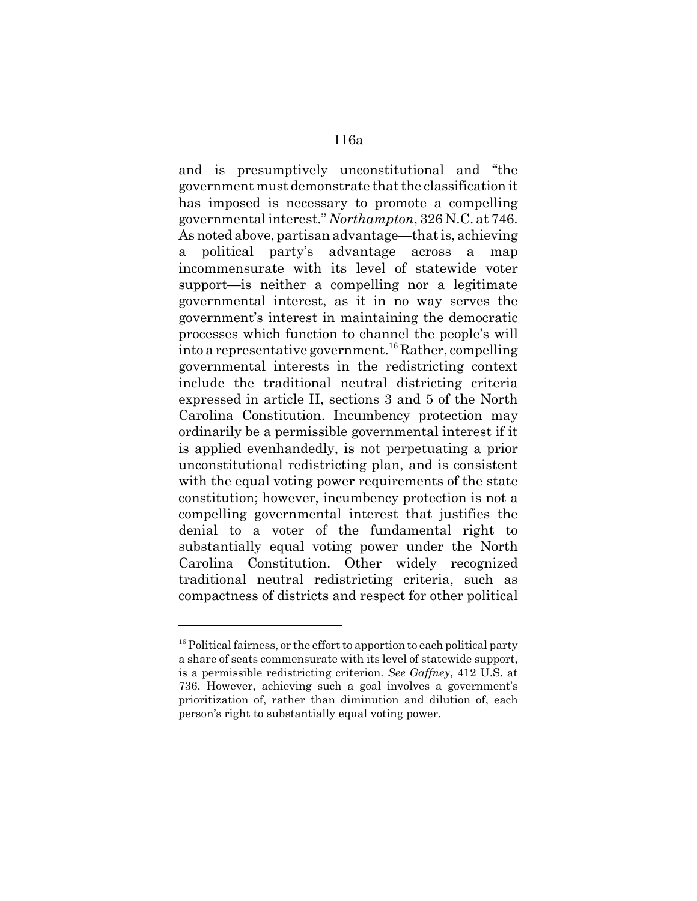and is presumptively unconstitutional and "the government must demonstrate that the classification it has imposed is necessary to promote a compelling governmental interest." *Northampton*, 326 N.C. at 746. As noted above, partisan advantage—that is, achieving a political party's advantage across a map incommensurate with its level of statewide voter support—is neither a compelling nor a legitimate governmental interest, as it in no way serves the government's interest in maintaining the democratic processes which function to channel the people's will into a representative government.<sup>16</sup> Rather, compelling governmental interests in the redistricting context include the traditional neutral districting criteria expressed in article II, sections 3 and 5 of the North Carolina Constitution. Incumbency protection may ordinarily be a permissible governmental interest if it is applied evenhandedly, is not perpetuating a prior unconstitutional redistricting plan, and is consistent with the equal voting power requirements of the state constitution; however, incumbency protection is not a compelling governmental interest that justifies the denial to a voter of the fundamental right to substantially equal voting power under the North Carolina Constitution. Other widely recognized traditional neutral redistricting criteria, such as compactness of districts and respect for other political

 $16$  Political fairness, or the effort to apportion to each political party a share of seats commensurate with its level of statewide support, is a permissible redistricting criterion. *See Gaffney*, 412 U.S. at 736. However, achieving such a goal involves a government's prioritization of, rather than diminution and dilution of, each person's right to substantially equal voting power.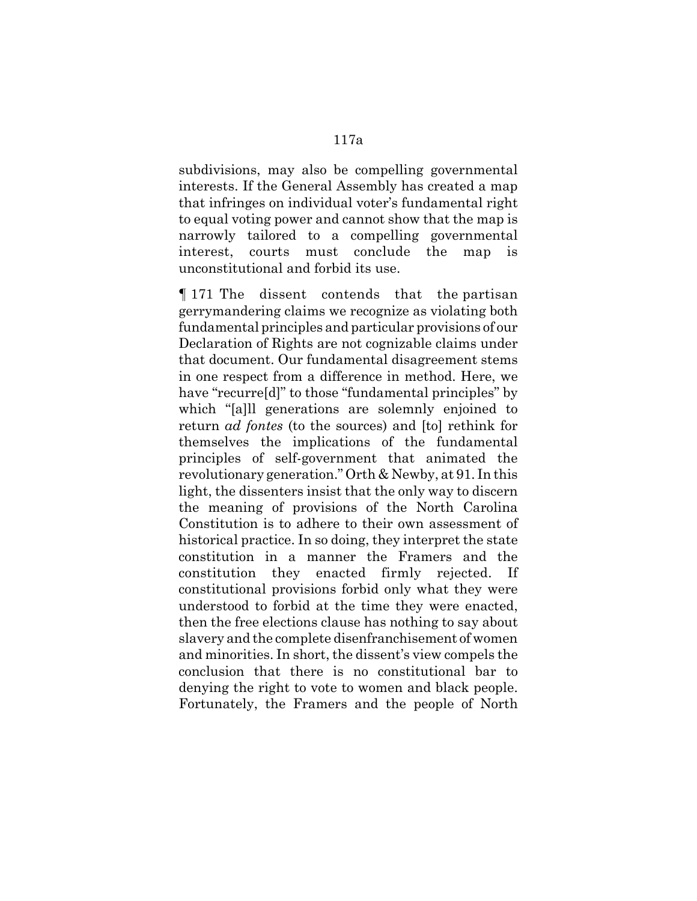subdivisions, may also be compelling governmental interests. If the General Assembly has created a map that infringes on individual voter's fundamental right to equal voting power and cannot show that the map is narrowly tailored to a compelling governmental interest, courts must conclude the map is unconstitutional and forbid its use.

¶ 171 The dissent contends that the partisan gerrymandering claims we recognize as violating both fundamental principles and particular provisions of our Declaration of Rights are not cognizable claims under that document. Our fundamental disagreement stems in one respect from a difference in method. Here, we have "recurre[d]" to those "fundamental principles" by which "[a]ll generations are solemnly enjoined to return *ad fontes* (to the sources) and [to] rethink for themselves the implications of the fundamental principles of self-government that animated the revolutionary generation." Orth & Newby, at 91. In this light, the dissenters insist that the only way to discern the meaning of provisions of the North Carolina Constitution is to adhere to their own assessment of historical practice. In so doing, they interpret the state constitution in a manner the Framers and the constitution they enacted firmly rejected. If constitutional provisions forbid only what they were understood to forbid at the time they were enacted, then the free elections clause has nothing to say about slavery and the complete disenfranchisement of women and minorities. In short, the dissent's view compels the conclusion that there is no constitutional bar to denying the right to vote to women and black people. Fortunately, the Framers and the people of North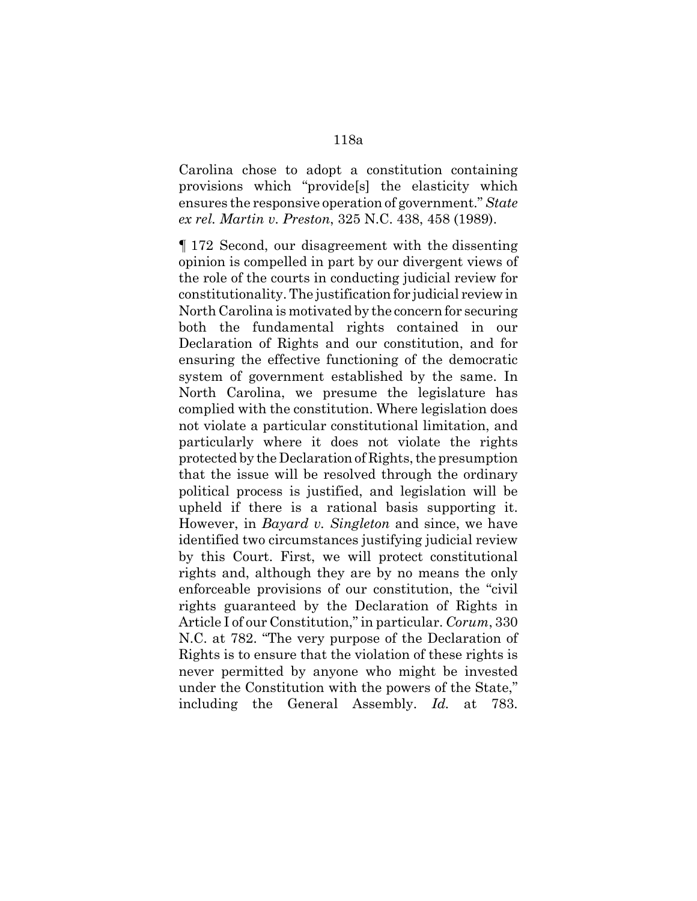Carolina chose to adopt a constitution containing provisions which "provide[s] the elasticity which ensures the responsive operation of government." *State ex rel. Martin v. Preston*, 325 N.C. 438, 458 (1989).

¶ 172 Second, our disagreement with the dissenting opinion is compelled in part by our divergent views of the role of the courts in conducting judicial review for constitutionality. The justification for judicial review in North Carolina is motivated by the concern for securing both the fundamental rights contained in our Declaration of Rights and our constitution, and for ensuring the effective functioning of the democratic system of government established by the same. In North Carolina, we presume the legislature has complied with the constitution. Where legislation does not violate a particular constitutional limitation, and particularly where it does not violate the rights protected by the Declaration of Rights, the presumption that the issue will be resolved through the ordinary political process is justified, and legislation will be upheld if there is a rational basis supporting it. However, in *Bayard v. Singleton* and since, we have identified two circumstances justifying judicial review by this Court. First, we will protect constitutional rights and, although they are by no means the only enforceable provisions of our constitution, the "civil rights guaranteed by the Declaration of Rights in Article I of our Constitution," in particular. *Corum*, 330 N.C. at 782. "The very purpose of the Declaration of Rights is to ensure that the violation of these rights is never permitted by anyone who might be invested under the Constitution with the powers of the State," including the General Assembly. *Id.* at 783.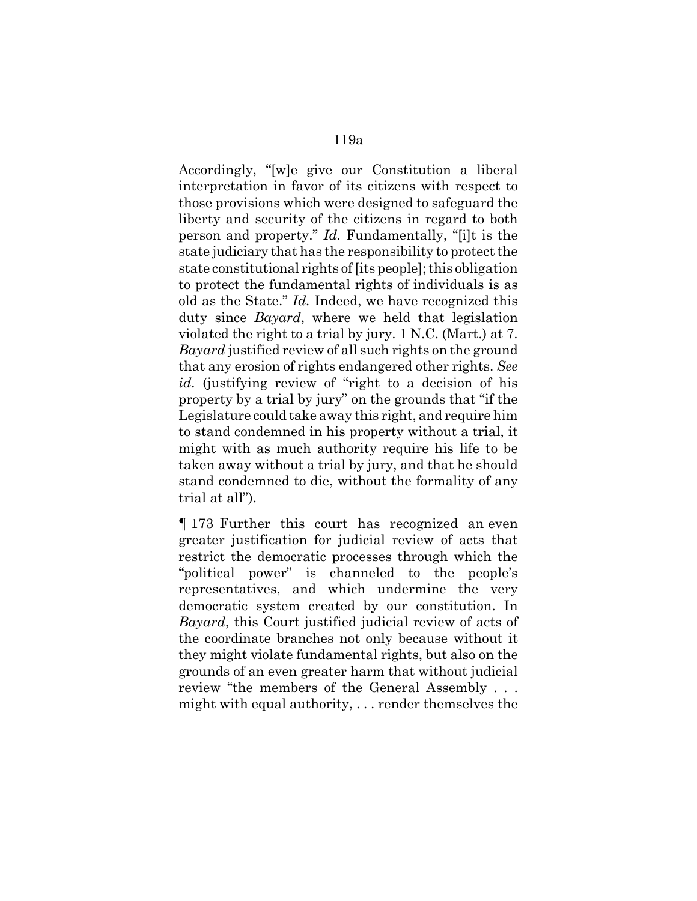Accordingly, "[w]e give our Constitution a liberal interpretation in favor of its citizens with respect to those provisions which were designed to safeguard the liberty and security of the citizens in regard to both person and property." *Id.* Fundamentally, "[i]t is the state judiciary that has the responsibility to protect the state constitutional rights of [its people]; this obligation to protect the fundamental rights of individuals is as old as the State." *Id.* Indeed, we have recognized this duty since *Bayard*, where we held that legislation violated the right to a trial by jury. 1 N.C. (Mart.) at 7. *Bayard* justified review of all such rights on the ground that any erosion of rights endangered other rights. *See id.* (justifying review of "right to a decision of his property by a trial by jury" on the grounds that "if the Legislature could take away this right, and require him to stand condemned in his property without a trial, it might with as much authority require his life to be taken away without a trial by jury, and that he should stand condemned to die, without the formality of any trial at all").

¶ 173 Further this court has recognized an even greater justification for judicial review of acts that restrict the democratic processes through which the "political power" is channeled to the people's representatives, and which undermine the very democratic system created by our constitution. In *Bayard*, this Court justified judicial review of acts of the coordinate branches not only because without it they might violate fundamental rights, but also on the grounds of an even greater harm that without judicial review "the members of the General Assembly . . . might with equal authority, . . . render themselves the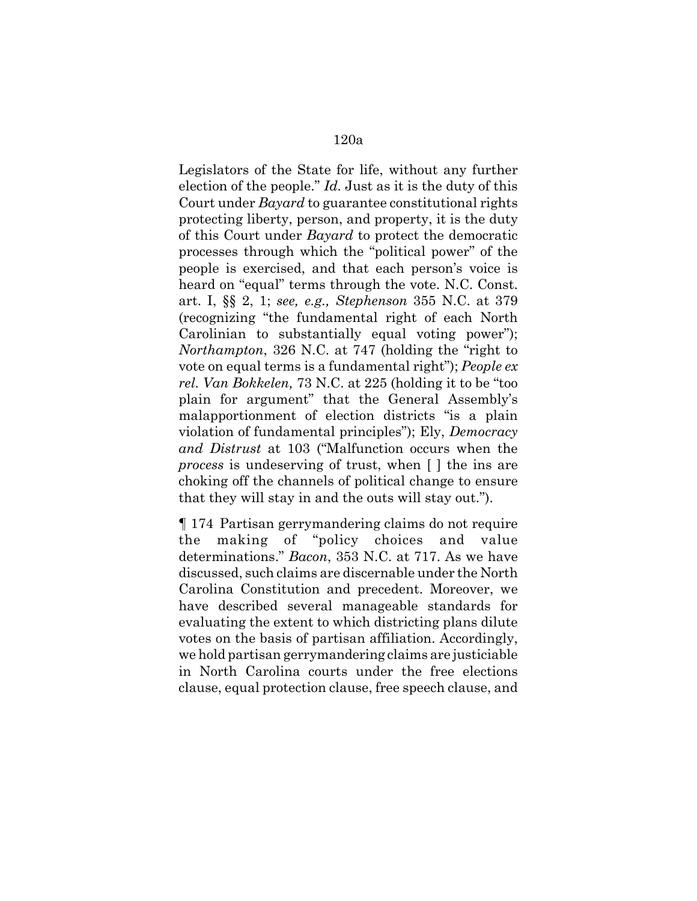Legislators of the State for life, without any further election of the people." *Id.* Just as it is the duty of this Court under *Bayard* to guarantee constitutional rights protecting liberty, person, and property, it is the duty of this Court under *Bayard* to protect the democratic processes through which the "political power" of the people is exercised, and that each person's voice is heard on "equal" terms through the vote. N.C. Const. art. I, §§ 2, 1; *see, e.g., Stephenson* 355 N.C. at 379 (recognizing "the fundamental right of each North Carolinian to substantially equal voting power"); *Northampton*, 326 N.C. at 747 (holding the "right to vote on equal terms is a fundamental right"); *People ex rel. Van Bokkelen,* 73 N.C. at 225 (holding it to be "too plain for argument" that the General Assembly's malapportionment of election districts "is a plain violation of fundamental principles"); Ely, *Democracy and Distrust* at 103 ("Malfunction occurs when the *process* is undeserving of trust, when [ ] the ins are choking off the channels of political change to ensure that they will stay in and the outs will stay out.").

¶ 174 Partisan gerrymandering claims do not require the making of "policy choices and value determinations." *Bacon*, 353 N.C. at 717. As we have discussed, such claims are discernable under the North Carolina Constitution and precedent. Moreover, we have described several manageable standards for evaluating the extent to which districting plans dilute votes on the basis of partisan affiliation. Accordingly, we hold partisan gerrymandering claims are justiciable in North Carolina courts under the free elections clause, equal protection clause, free speech clause, and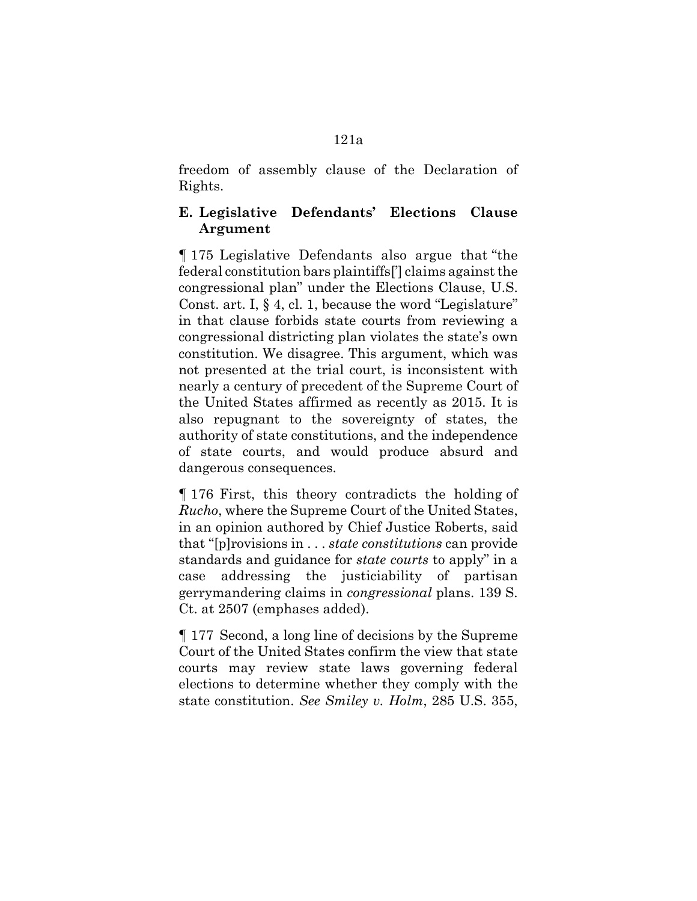#### freedom of assembly clause of the Declaration of Rights.

# **E. Legislative Defendants' Elections Clause Argument**

¶ 175 Legislative Defendants also argue that "the federal constitution bars plaintiffs['] claims against the congressional plan" under the Elections Clause, U.S. Const. art. I, § 4, cl. 1, because the word "Legislature" in that clause forbids state courts from reviewing a congressional districting plan violates the state's own constitution. We disagree. This argument, which was not presented at the trial court, is inconsistent with nearly a century of precedent of the Supreme Court of the United States affirmed as recently as 2015. It is also repugnant to the sovereignty of states, the authority of state constitutions, and the independence of state courts, and would produce absurd and dangerous consequences.

¶ 176 First, this theory contradicts the holding of *Rucho*, where the Supreme Court of the United States, in an opinion authored by Chief Justice Roberts, said that "[p]rovisions in . . . *state constitutions* can provide standards and guidance for *state courts* to apply" in a case addressing the justiciability of partisan gerrymandering claims in *congressional* plans. 139 S. Ct. at 2507 (emphases added).

¶ 177 Second, a long line of decisions by the Supreme Court of the United States confirm the view that state courts may review state laws governing federal elections to determine whether they comply with the state constitution. *See Smiley v. Holm*, 285 U.S. 355,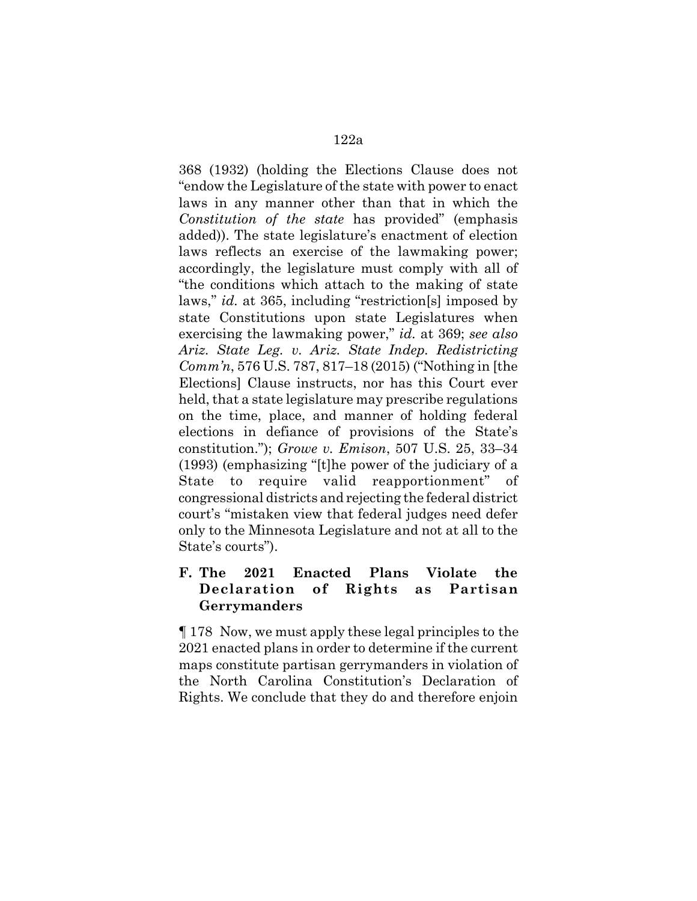368 (1932) (holding the Elections Clause does not "endow the Legislature of the state with power to enact laws in any manner other than that in which the *Constitution of the state* has provided" (emphasis added)). The state legislature's enactment of election laws reflects an exercise of the lawmaking power; accordingly, the legislature must comply with all of "the conditions which attach to the making of state laws," *id.* at 365, including "restriction[s] imposed by state Constitutions upon state Legislatures when exercising the lawmaking power," *id.* at 369; *see also Ariz. State Leg. v. Ariz. State Indep. Redistricting Comm'n*, 576 U.S. 787, 817–18 (2015) ("Nothing in [the Elections] Clause instructs, nor has this Court ever held, that a state legislature may prescribe regulations on the time, place, and manner of holding federal elections in defiance of provisions of the State's constitution."); *Growe v. Emison*, 507 U.S. 25, 33–34 (1993) (emphasizing "[t]he power of the judiciary of a State to require valid reapportionment" of congressional districts and rejecting the federal district court's "mistaken view that federal judges need defer only to the Minnesota Legislature and not at all to the State's courts").

## **F. The 2021 Enacted Plans Violate the Declaration of Rights as Partisan Gerrymanders**

¶ 178 Now, we must apply these legal principles to the 2021 enacted plans in order to determine if the current maps constitute partisan gerrymanders in violation of the North Carolina Constitution's Declaration of Rights. We conclude that they do and therefore enjoin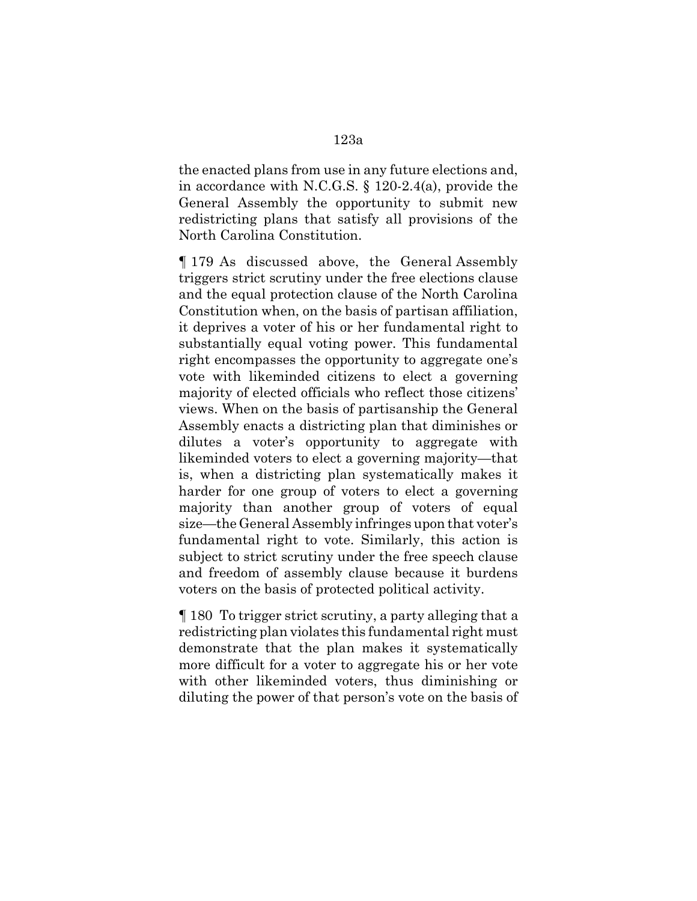the enacted plans from use in any future elections and, in accordance with N.C.G.S. § 120-2.4(a), provide the General Assembly the opportunity to submit new redistricting plans that satisfy all provisions of the North Carolina Constitution.

¶ 179 As discussed above, the General Assembly triggers strict scrutiny under the free elections clause and the equal protection clause of the North Carolina Constitution when, on the basis of partisan affiliation, it deprives a voter of his or her fundamental right to substantially equal voting power. This fundamental right encompasses the opportunity to aggregate one's vote with likeminded citizens to elect a governing majority of elected officials who reflect those citizens' views. When on the basis of partisanship the General Assembly enacts a districting plan that diminishes or dilutes a voter's opportunity to aggregate with likeminded voters to elect a governing majority—that is, when a districting plan systematically makes it harder for one group of voters to elect a governing majority than another group of voters of equal size—the General Assembly infringes upon that voter's fundamental right to vote. Similarly, this action is subject to strict scrutiny under the free speech clause and freedom of assembly clause because it burdens voters on the basis of protected political activity.

¶ 180 To trigger strict scrutiny, a party alleging that a redistricting plan violates this fundamental right must demonstrate that the plan makes it systematically more difficult for a voter to aggregate his or her vote with other likeminded voters, thus diminishing or diluting the power of that person's vote on the basis of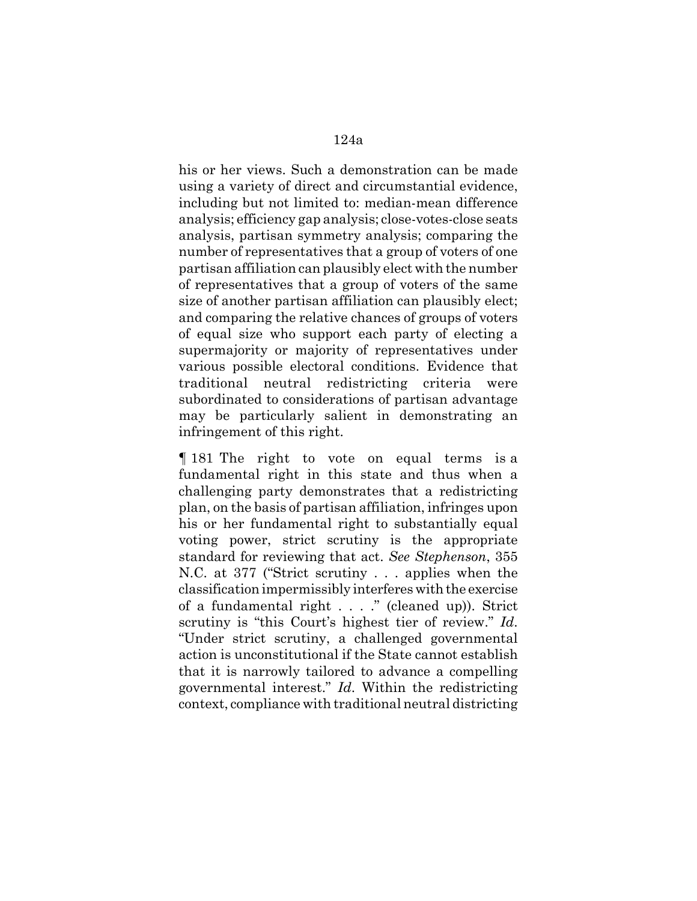his or her views. Such a demonstration can be made using a variety of direct and circumstantial evidence, including but not limited to: median-mean difference analysis; efficiency gap analysis; close-votes-close seats analysis, partisan symmetry analysis; comparing the number of representatives that a group of voters of one partisan affiliation can plausibly elect with the number of representatives that a group of voters of the same size of another partisan affiliation can plausibly elect; and comparing the relative chances of groups of voters of equal size who support each party of electing a supermajority or majority of representatives under various possible electoral conditions. Evidence that traditional neutral redistricting criteria were subordinated to considerations of partisan advantage may be particularly salient in demonstrating an infringement of this right.

¶ 181 The right to vote on equal terms is a fundamental right in this state and thus when a challenging party demonstrates that a redistricting plan, on the basis of partisan affiliation, infringes upon his or her fundamental right to substantially equal voting power, strict scrutiny is the appropriate standard for reviewing that act. *See Stephenson*, 355 N.C. at 377 ("Strict scrutiny . . . applies when the classification impermissibly interferes with the exercise of a fundamental right . . . ." (cleaned up)). Strict scrutiny is "this Court's highest tier of review." *Id*. "Under strict scrutiny, a challenged governmental action is unconstitutional if the State cannot establish that it is narrowly tailored to advance a compelling governmental interest." *Id*. Within the redistricting context, compliance with traditional neutral districting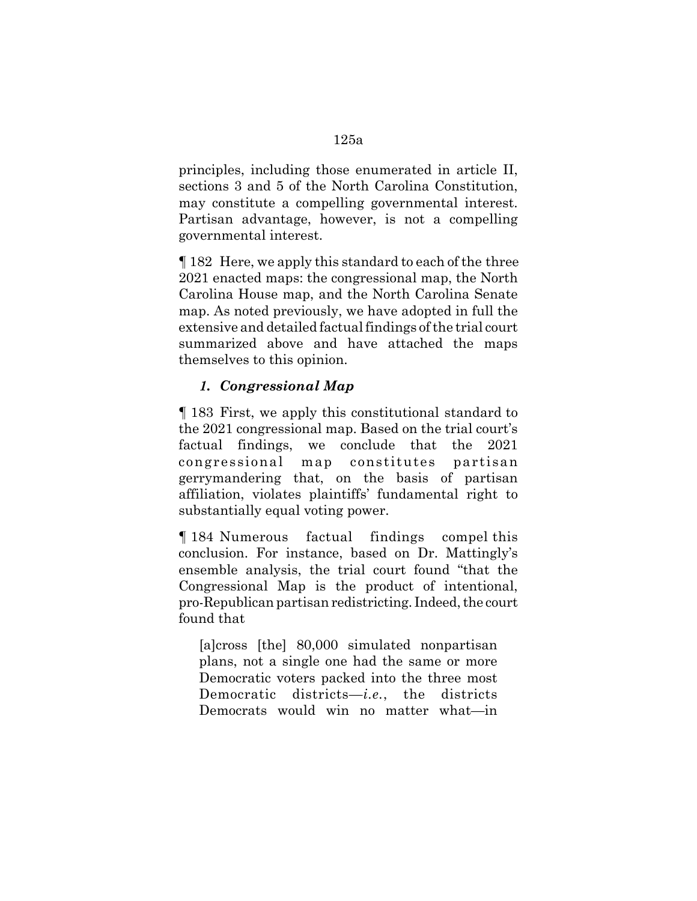principles, including those enumerated in article II, sections 3 and 5 of the North Carolina Constitution, may constitute a compelling governmental interest. Partisan advantage, however, is not a compelling governmental interest.

¶ 182 Here, we apply this standard to each of the three 2021 enacted maps: the congressional map, the North Carolina House map, and the North Carolina Senate map. As noted previously, we have adopted in full the extensive and detailed factual findings of the trial court summarized above and have attached the maps themselves to this opinion.

# *1. Congressional Map*

¶ 183 First, we apply this constitutional standard to the 2021 congressional map. Based on the trial court's factual findings, we conclude that the 2021 congressional map constitutes partisan gerrymandering that, on the basis of partisan affiliation, violates plaintiffs' fundamental right to substantially equal voting power.

¶ 184 Numerous factual findings compel this conclusion. For instance, based on Dr. Mattingly's ensemble analysis, the trial court found "that the Congressional Map is the product of intentional, pro-Republican partisan redistricting. Indeed, the court found that

[a]cross [the] 80,000 simulated nonpartisan plans, not a single one had the same or more Democratic voters packed into the three most Democratic districts—*i.e.*, the districts Democrats would win no matter what—in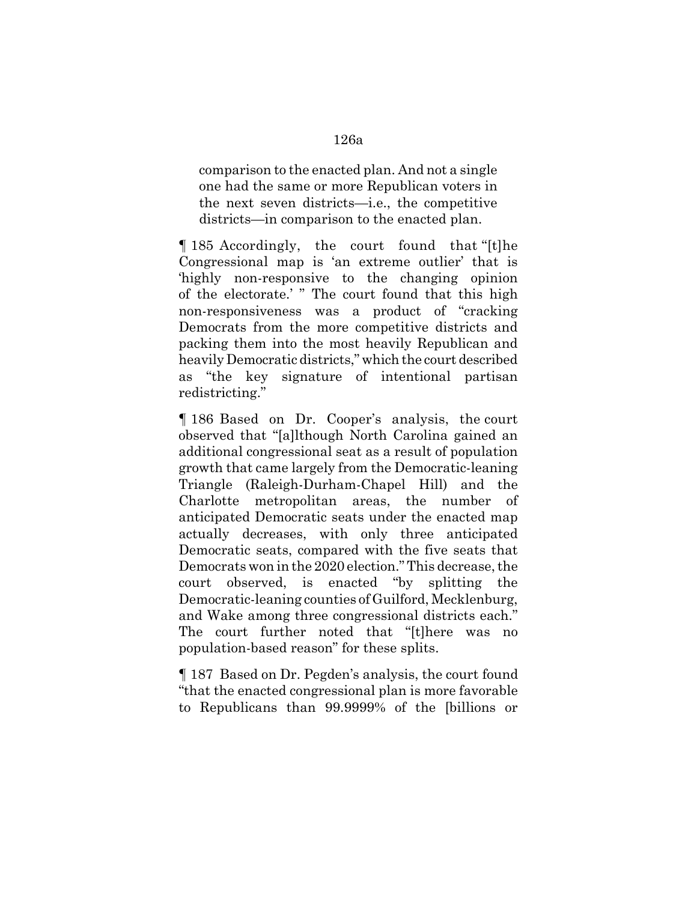comparison to the enacted plan. And not a single one had the same or more Republican voters in the next seven districts—i.e., the competitive districts—in comparison to the enacted plan.

¶ 185 Accordingly, the court found that "[t]he Congressional map is 'an extreme outlier' that is 'highly non-responsive to the changing opinion of the electorate.' " The court found that this high non-responsiveness was a product of "cracking Democrats from the more competitive districts and packing them into the most heavily Republican and heavily Democratic districts," which the court described as "the key signature of intentional partisan redistricting."

¶ 186 Based on Dr. Cooper's analysis, the court observed that "[a]lthough North Carolina gained an additional congressional seat as a result of population growth that came largely from the Democratic-leaning Triangle (Raleigh-Durham-Chapel Hill) and the Charlotte metropolitan areas, the number of anticipated Democratic seats under the enacted map actually decreases, with only three anticipated Democratic seats, compared with the five seats that Democrats won in the 2020 election." This decrease, the court observed, is enacted "by splitting the Democratic-leaning counties of Guilford, Mecklenburg, and Wake among three congressional districts each." The court further noted that "[t]here was no population-based reason" for these splits.

¶ 187 Based on Dr. Pegden's analysis, the court found "that the enacted congressional plan is more favorable to Republicans than 99.9999% of the [billions or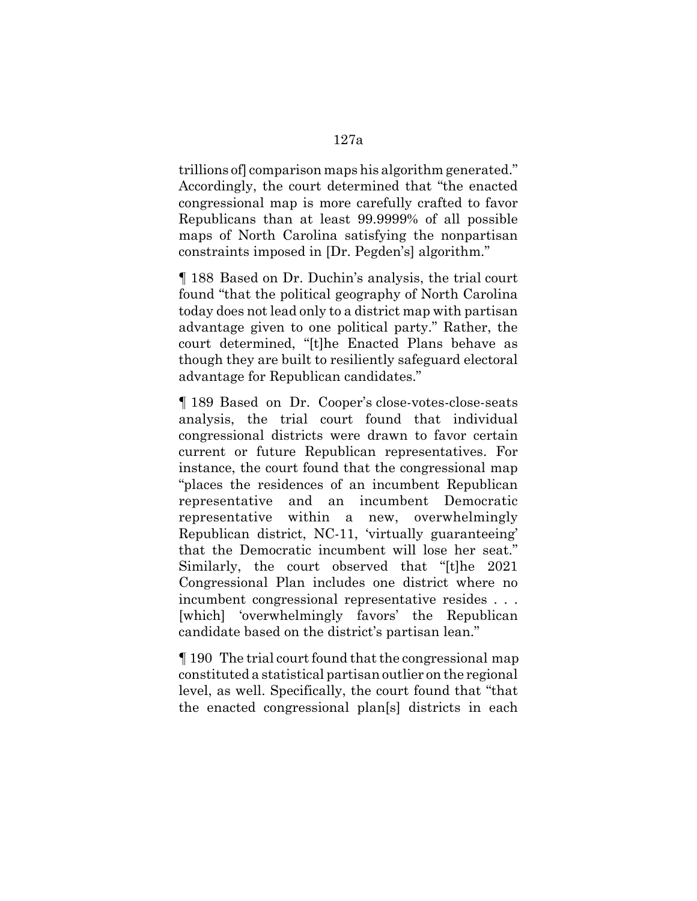trillions of] comparison maps his algorithm generated." Accordingly, the court determined that "the enacted congressional map is more carefully crafted to favor Republicans than at least 99.9999% of all possible maps of North Carolina satisfying the nonpartisan constraints imposed in [Dr. Pegden's] algorithm."

¶ 188 Based on Dr. Duchin's analysis, the trial court found "that the political geography of North Carolina today does not lead only to a district map with partisan advantage given to one political party." Rather, the court determined, "[t]he Enacted Plans behave as though they are built to resiliently safeguard electoral advantage for Republican candidates."

¶ 189 Based on Dr. Cooper's close-votes-close-seats analysis, the trial court found that individual congressional districts were drawn to favor certain current or future Republican representatives. For instance, the court found that the congressional map "places the residences of an incumbent Republican representative and an incumbent Democratic representative within a new, overwhelmingly Republican district, NC-11, 'virtually guaranteeing' that the Democratic incumbent will lose her seat." Similarly, the court observed that "[t]he 2021 Congressional Plan includes one district where no incumbent congressional representative resides . . . [which] 'overwhelmingly favors' the Republican candidate based on the district's partisan lean."

¶ 190 The trial court found that the congressional map constituted a statistical partisan outlier on the regional level, as well. Specifically, the court found that "that the enacted congressional plan[s] districts in each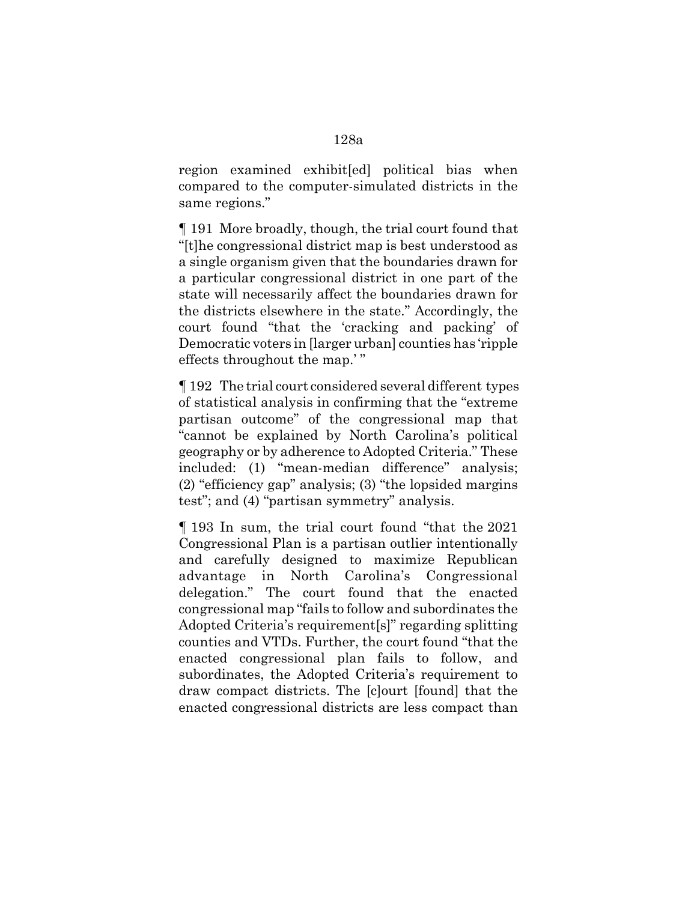region examined exhibit[ed] political bias when compared to the computer-simulated districts in the same regions."

¶ 191 More broadly, though, the trial court found that "[t]he congressional district map is best understood as a single organism given that the boundaries drawn for a particular congressional district in one part of the state will necessarily affect the boundaries drawn for the districts elsewhere in the state." Accordingly, the court found "that the 'cracking and packing' of Democratic voters in [larger urban] counties has 'ripple effects throughout the map.' "

¶ 192 The trial court considered several different types of statistical analysis in confirming that the "extreme partisan outcome" of the congressional map that "cannot be explained by North Carolina's political geography or by adherence to Adopted Criteria." These included: (1) "mean-median difference" analysis; (2) "efficiency gap" analysis; (3) "the lopsided margins test"; and (4) "partisan symmetry" analysis.

¶ 193 In sum, the trial court found "that the 2021 Congressional Plan is a partisan outlier intentionally and carefully designed to maximize Republican advantage in North Carolina's Congressional delegation." The court found that the enacted congressional map "fails to follow and subordinates the Adopted Criteria's requirement[s]" regarding splitting counties and VTDs. Further, the court found "that the enacted congressional plan fails to follow, and subordinates, the Adopted Criteria's requirement to draw compact districts. The [c]ourt [found] that the enacted congressional districts are less compact than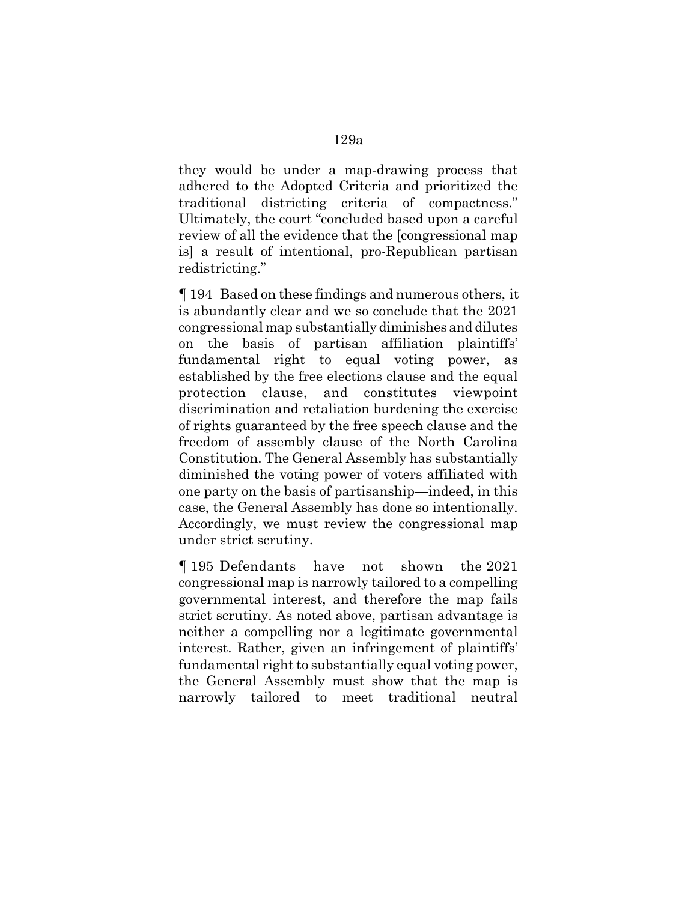they would be under a map-drawing process that adhered to the Adopted Criteria and prioritized the traditional districting criteria of compactness." Ultimately, the court "concluded based upon a careful review of all the evidence that the [congressional map is] a result of intentional, pro-Republican partisan redistricting."

¶ 194 Based on these findings and numerous others, it is abundantly clear and we so conclude that the 2021 congressional map substantially diminishes and dilutes on the basis of partisan affiliation plaintiffs' fundamental right to equal voting power, as established by the free elections clause and the equal protection clause, and constitutes viewpoint discrimination and retaliation burdening the exercise of rights guaranteed by the free speech clause and the freedom of assembly clause of the North Carolina Constitution. The General Assembly has substantially diminished the voting power of voters affiliated with one party on the basis of partisanship—indeed, in this case, the General Assembly has done so intentionally. Accordingly, we must review the congressional map under strict scrutiny.

¶ 195 Defendants have not shown the 2021 congressional map is narrowly tailored to a compelling governmental interest, and therefore the map fails strict scrutiny. As noted above, partisan advantage is neither a compelling nor a legitimate governmental interest. Rather, given an infringement of plaintiffs' fundamental right to substantially equal voting power, the General Assembly must show that the map is narrowly tailored to meet traditional neutral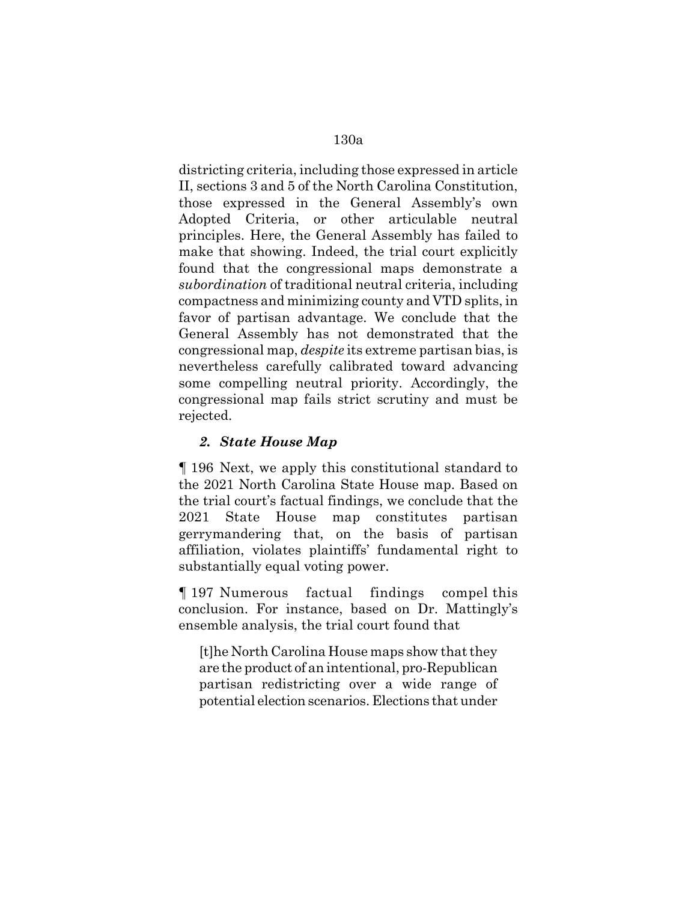districting criteria, including those expressed in article II, sections 3 and 5 of the North Carolina Constitution, those expressed in the General Assembly's own Adopted Criteria, or other articulable neutral principles. Here, the General Assembly has failed to make that showing. Indeed, the trial court explicitly found that the congressional maps demonstrate a *subordination* of traditional neutral criteria, including compactness and minimizing county and VTD splits, in favor of partisan advantage. We conclude that the General Assembly has not demonstrated that the congressional map, *despite* its extreme partisan bias, is nevertheless carefully calibrated toward advancing some compelling neutral priority. Accordingly, the congressional map fails strict scrutiny and must be rejected.

## *2. State House Map*

¶ 196 Next, we apply this constitutional standard to the 2021 North Carolina State House map. Based on the trial court's factual findings, we conclude that the 2021 State House map constitutes partisan gerrymandering that, on the basis of partisan affiliation, violates plaintiffs' fundamental right to substantially equal voting power.

¶ 197 Numerous factual findings compel this conclusion. For instance, based on Dr. Mattingly's ensemble analysis, the trial court found that

[t]he North Carolina House maps show that they are the product of an intentional, pro-Republican partisan redistricting over a wide range of potential election scenarios. Elections that under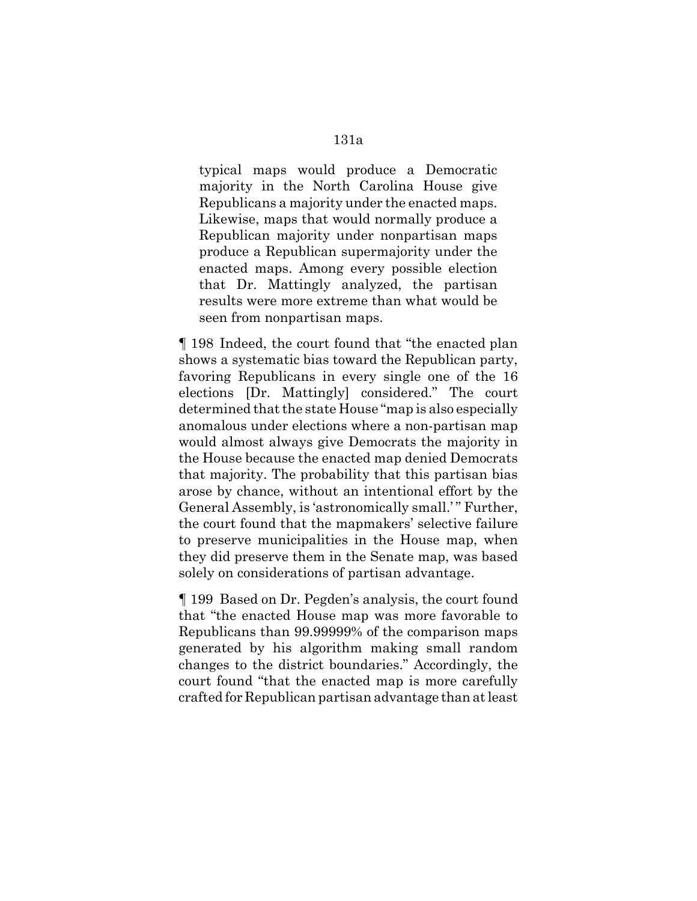typical maps would produce a Democratic majority in the North Carolina House give Republicans a majority under the enacted maps. Likewise, maps that would normally produce a Republican majority under nonpartisan maps produce a Republican supermajority under the enacted maps. Among every possible election that Dr. Mattingly analyzed, the partisan results were more extreme than what would be seen from nonpartisan maps.

¶ 198 Indeed, the court found that "the enacted plan shows a systematic bias toward the Republican party, favoring Republicans in every single one of the 16 elections [Dr. Mattingly] considered." The court determined that the state House "map is also especially anomalous under elections where a non-partisan map would almost always give Democrats the majority in the House because the enacted map denied Democrats that majority. The probability that this partisan bias arose by chance, without an intentional effort by the General Assembly, is 'astronomically small.' " Further, the court found that the mapmakers' selective failure to preserve municipalities in the House map, when they did preserve them in the Senate map, was based solely on considerations of partisan advantage.

¶ 199 Based on Dr. Pegden's analysis, the court found that "the enacted House map was more favorable to Republicans than 99.99999% of the comparison maps generated by his algorithm making small random changes to the district boundaries." Accordingly, the court found "that the enacted map is more carefully crafted for Republican partisan advantage than at least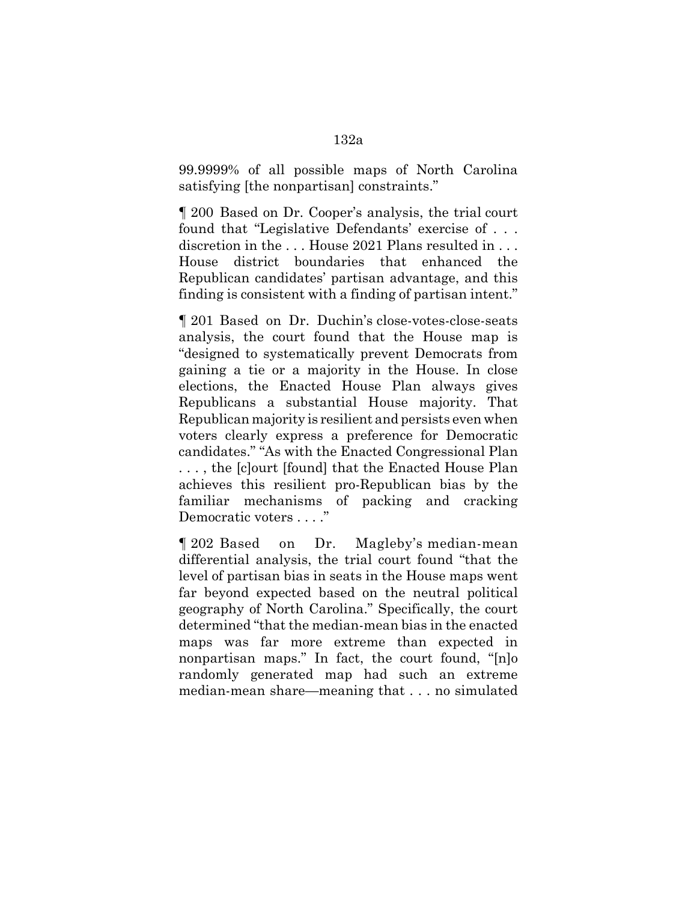99.9999% of all possible maps of North Carolina satisfying [the nonpartisan] constraints."

¶ 200 Based on Dr. Cooper's analysis, the trial court found that "Legislative Defendants' exercise of . . . discretion in the . . . House 2021 Plans resulted in . . . House district boundaries that enhanced the Republican candidates' partisan advantage, and this finding is consistent with a finding of partisan intent."

¶ 201 Based on Dr. Duchin's close-votes-close-seats analysis, the court found that the House map is "designed to systematically prevent Democrats from gaining a tie or a majority in the House. In close elections, the Enacted House Plan always gives Republicans a substantial House majority. That Republican majority is resilient and persists even when voters clearly express a preference for Democratic candidates." "As with the Enacted Congressional Plan . . . , the [c]ourt [found] that the Enacted House Plan achieves this resilient pro-Republican bias by the familiar mechanisms of packing and cracking Democratic voters . . . ."

¶ 202 Based on Dr. Magleby's median-mean differential analysis, the trial court found "that the level of partisan bias in seats in the House maps went far beyond expected based on the neutral political geography of North Carolina." Specifically, the court determined "that the median-mean bias in the enacted maps was far more extreme than expected in nonpartisan maps." In fact, the court found, "[n]o randomly generated map had such an extreme median-mean share—meaning that . . . no simulated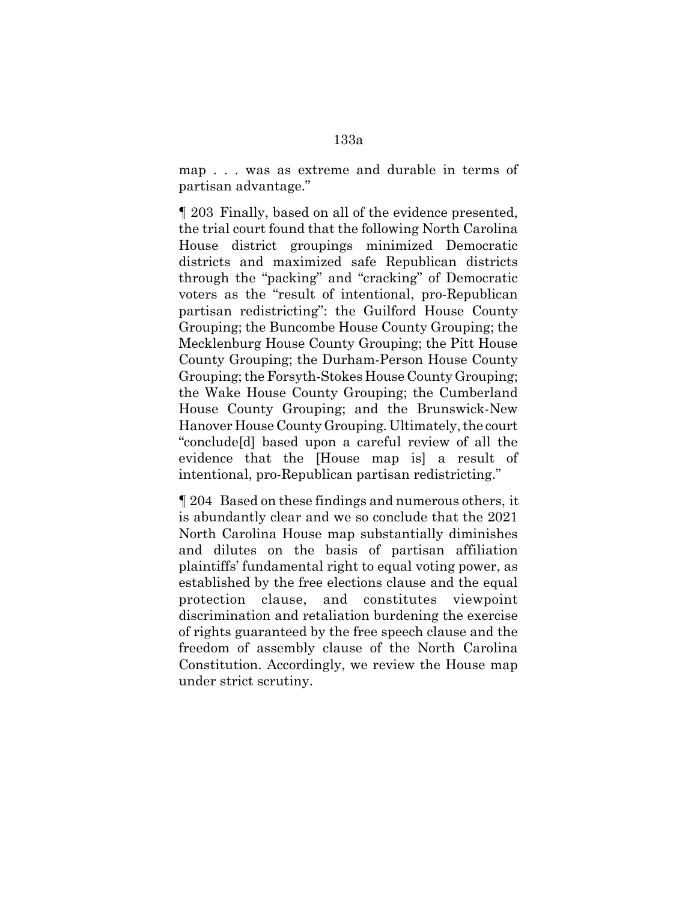map . . . was as extreme and durable in terms of partisan advantage."

¶ 203 Finally, based on all of the evidence presented, the trial court found that the following North Carolina House district groupings minimized Democratic districts and maximized safe Republican districts through the "packing" and "cracking" of Democratic voters as the "result of intentional, pro-Republican partisan redistricting": the Guilford House County Grouping; the Buncombe House County Grouping; the Mecklenburg House County Grouping; the Pitt House County Grouping; the Durham-Person House County Grouping; the Forsyth-Stokes House County Grouping; the Wake House County Grouping; the Cumberland House County Grouping; and the Brunswick-New Hanover House County Grouping. Ultimately, the court "conclude[d] based upon a careful review of all the evidence that the [House map is] a result of intentional, pro-Republican partisan redistricting."

¶ 204 Based on these findings and numerous others, it is abundantly clear and we so conclude that the 2021 North Carolina House map substantially diminishes and dilutes on the basis of partisan affiliation plaintiffs' fundamental right to equal voting power, as established by the free elections clause and the equal protection clause, and constitutes viewpoint discrimination and retaliation burdening the exercise of rights guaranteed by the free speech clause and the freedom of assembly clause of the North Carolina Constitution. Accordingly, we review the House map under strict scrutiny.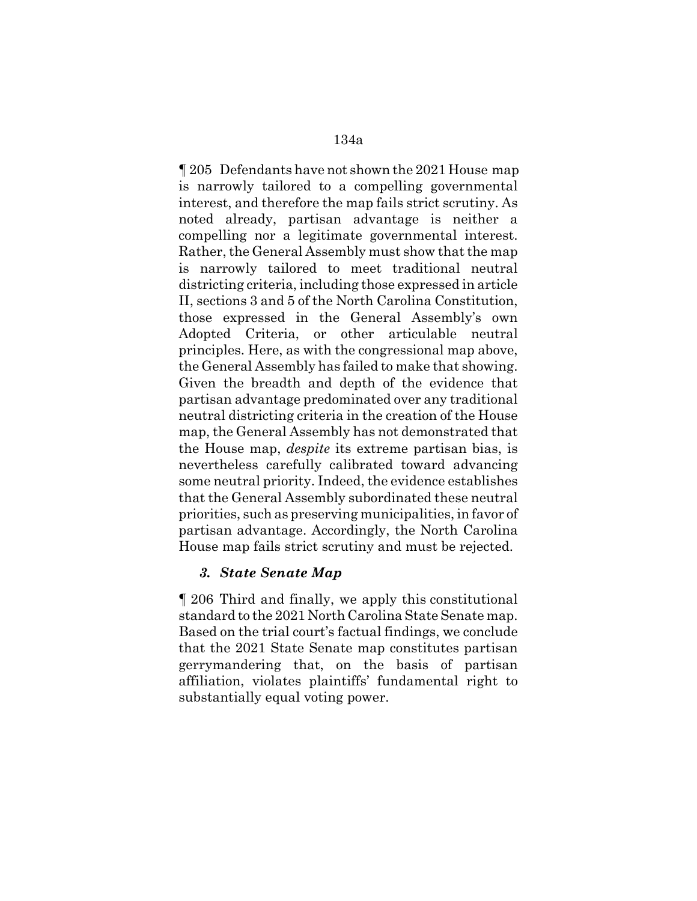¶ 205 Defendants have not shown the 2021 House map is narrowly tailored to a compelling governmental interest, and therefore the map fails strict scrutiny. As noted already, partisan advantage is neither a compelling nor a legitimate governmental interest. Rather, the General Assembly must show that the map is narrowly tailored to meet traditional neutral districting criteria, including those expressed in article II, sections 3 and 5 of the North Carolina Constitution, those expressed in the General Assembly's own Adopted Criteria, or other articulable neutral principles. Here, as with the congressional map above, the General Assembly has failed to make that showing. Given the breadth and depth of the evidence that partisan advantage predominated over any traditional neutral districting criteria in the creation of the House map, the General Assembly has not demonstrated that the House map, *despite* its extreme partisan bias, is nevertheless carefully calibrated toward advancing some neutral priority. Indeed, the evidence establishes that the General Assembly subordinated these neutral priorities, such as preserving municipalities, in favor of partisan advantage. Accordingly, the North Carolina House map fails strict scrutiny and must be rejected.

#### *3. State Senate Map*

¶ 206 Third and finally, we apply this constitutional standard to the 2021 North Carolina State Senate map. Based on the trial court's factual findings, we conclude that the 2021 State Senate map constitutes partisan gerrymandering that, on the basis of partisan affiliation, violates plaintiffs' fundamental right to substantially equal voting power.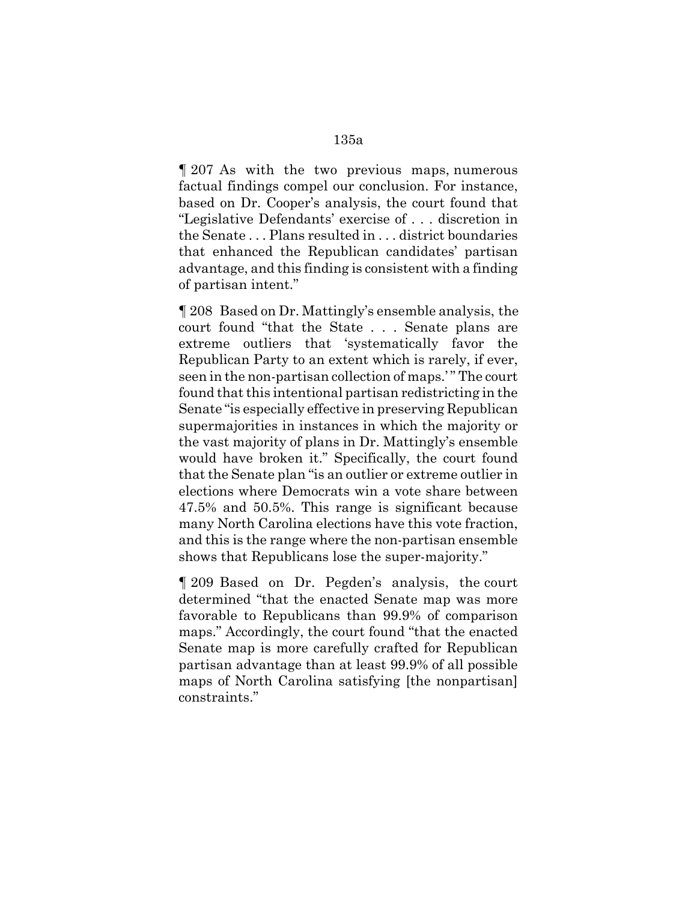¶ 207 As with the two previous maps, numerous factual findings compel our conclusion. For instance, based on Dr. Cooper's analysis, the court found that "Legislative Defendants' exercise of . . . discretion in the Senate . . . Plans resulted in . . . district boundaries that enhanced the Republican candidates' partisan advantage, and this finding is consistent with a finding

of partisan intent."

¶ 208 Based on Dr. Mattingly's ensemble analysis, the court found "that the State . . . Senate plans are extreme outliers that 'systematically favor the Republican Party to an extent which is rarely, if ever, seen in the non-partisan collection of maps.' " The court found that this intentional partisan redistricting in the Senate "is especially effective in preserving Republican supermajorities in instances in which the majority or the vast majority of plans in Dr. Mattingly's ensemble would have broken it." Specifically, the court found that the Senate plan "is an outlier or extreme outlier in elections where Democrats win a vote share between 47.5% and 50.5%. This range is significant because many North Carolina elections have this vote fraction, and this is the range where the non-partisan ensemble shows that Republicans lose the super-majority."

¶ 209 Based on Dr. Pegden's analysis, the court determined "that the enacted Senate map was more favorable to Republicans than 99.9% of comparison maps." Accordingly, the court found "that the enacted Senate map is more carefully crafted for Republican partisan advantage than at least 99.9% of all possible maps of North Carolina satisfying [the nonpartisan] constraints."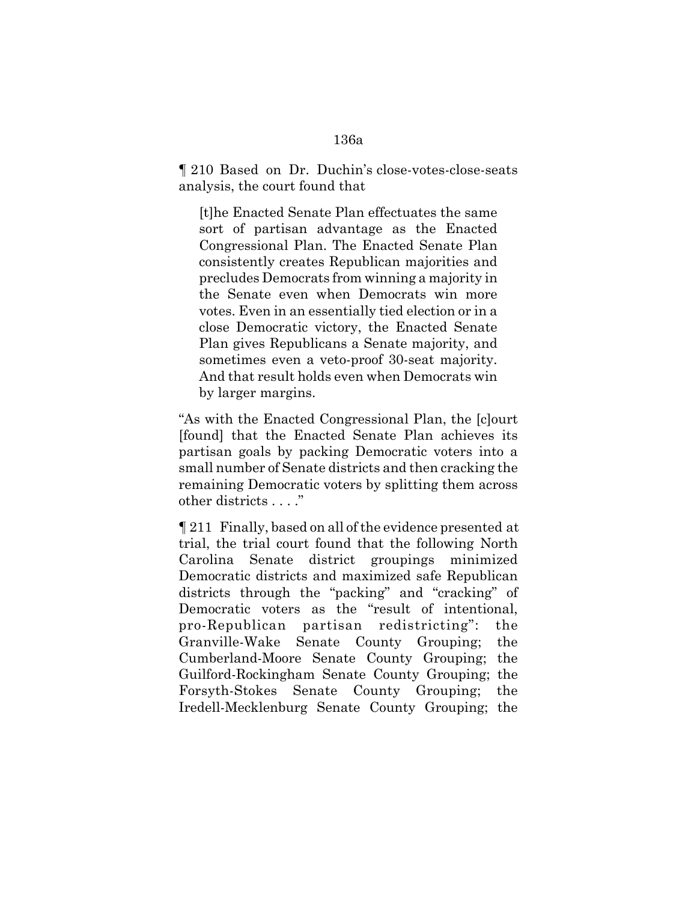¶ 210 Based on Dr. Duchin's close-votes-close-seats analysis, the court found that

[t]he Enacted Senate Plan effectuates the same sort of partisan advantage as the Enacted Congressional Plan. The Enacted Senate Plan consistently creates Republican majorities and precludes Democrats from winning a majority in the Senate even when Democrats win more votes. Even in an essentially tied election or in a close Democratic victory, the Enacted Senate Plan gives Republicans a Senate majority, and sometimes even a veto-proof 30-seat majority. And that result holds even when Democrats win by larger margins.

"As with the Enacted Congressional Plan, the [c]ourt [found] that the Enacted Senate Plan achieves its partisan goals by packing Democratic voters into a small number of Senate districts and then cracking the remaining Democratic voters by splitting them across other districts . . . ."

¶ 211 Finally, based on all of the evidence presented at trial, the trial court found that the following North Carolina Senate district groupings minimized Democratic districts and maximized safe Republican districts through the "packing" and "cracking" of Democratic voters as the "result of intentional, pro-Republican partisan redistricting": the Granville-Wake Senate County Grouping; the Cumberland-Moore Senate County Grouping; the Guilford-Rockingham Senate County Grouping; the Forsyth-Stokes Senate County Grouping; the Iredell-Mecklenburg Senate County Grouping; the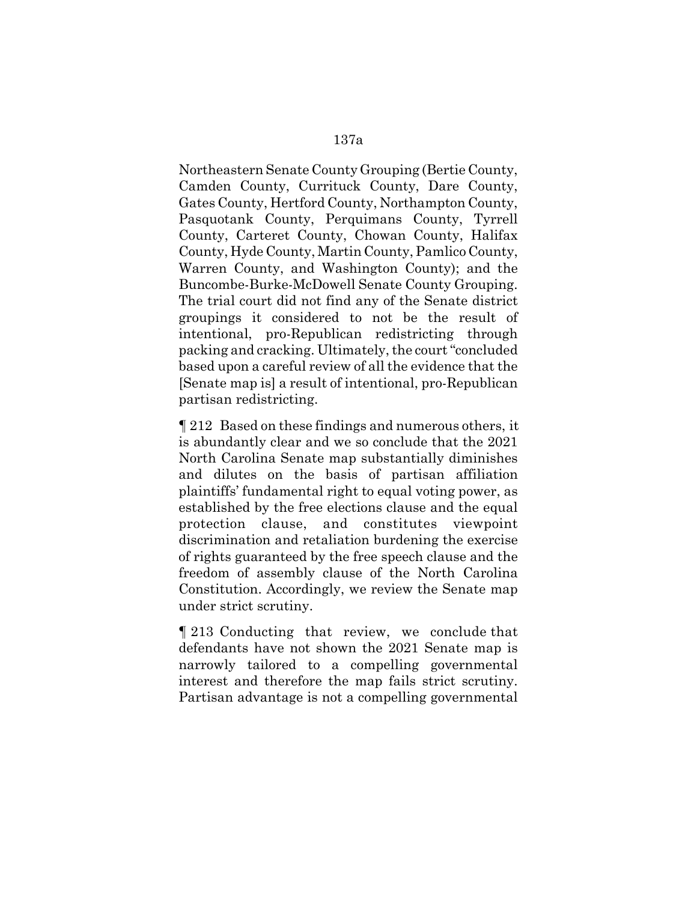Northeastern Senate County Grouping (Bertie County, Camden County, Currituck County, Dare County, Gates County, Hertford County, Northampton County, Pasquotank County, Perquimans County, Tyrrell County, Carteret County, Chowan County, Halifax County, Hyde County, Martin County, Pamlico County, Warren County, and Washington County); and the Buncombe-Burke-McDowell Senate County Grouping. The trial court did not find any of the Senate district groupings it considered to not be the result of intentional, pro-Republican redistricting through packing and cracking. Ultimately, the court "concluded based upon a careful review of all the evidence that the [Senate map is] a result of intentional, pro-Republican partisan redistricting.

¶ 212 Based on these findings and numerous others, it is abundantly clear and we so conclude that the 2021 North Carolina Senate map substantially diminishes and dilutes on the basis of partisan affiliation plaintiffs' fundamental right to equal voting power, as established by the free elections clause and the equal protection clause, and constitutes viewpoint discrimination and retaliation burdening the exercise of rights guaranteed by the free speech clause and the freedom of assembly clause of the North Carolina Constitution. Accordingly, we review the Senate map under strict scrutiny.

¶ 213 Conducting that review, we conclude that defendants have not shown the 2021 Senate map is narrowly tailored to a compelling governmental interest and therefore the map fails strict scrutiny. Partisan advantage is not a compelling governmental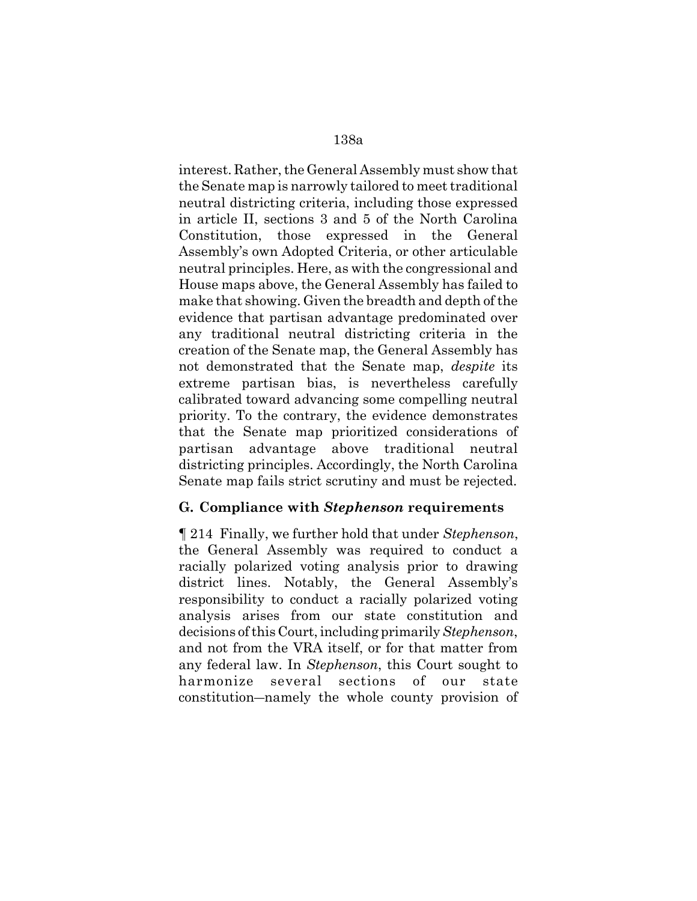interest. Rather, the General Assembly must show that the Senate map is narrowly tailored to meet traditional neutral districting criteria, including those expressed in article II, sections 3 and 5 of the North Carolina Constitution, those expressed in the General Assembly's own Adopted Criteria, or other articulable neutral principles. Here, as with the congressional and House maps above, the General Assembly has failed to make that showing. Given the breadth and depth of the evidence that partisan advantage predominated over any traditional neutral districting criteria in the creation of the Senate map, the General Assembly has not demonstrated that the Senate map, *despite* its extreme partisan bias, is nevertheless carefully calibrated toward advancing some compelling neutral priority. To the contrary, the evidence demonstrates that the Senate map prioritized considerations of partisan advantage above traditional neutral districting principles. Accordingly, the North Carolina Senate map fails strict scrutiny and must be rejected.

#### **G. Compliance with** *Stephenson* **requirements**

¶ 214 Finally, we further hold that under *Stephenson*, the General Assembly was required to conduct a racially polarized voting analysis prior to drawing district lines. Notably, the General Assembly's responsibility to conduct a racially polarized voting analysis arises from our state constitution and decisions of this Court, including primarily *Stephenson*, and not from the VRA itself, or for that matter from any federal law. In *Stephenson*, this Court sought to harmonize several sections of our state constitution―namely the whole county provision of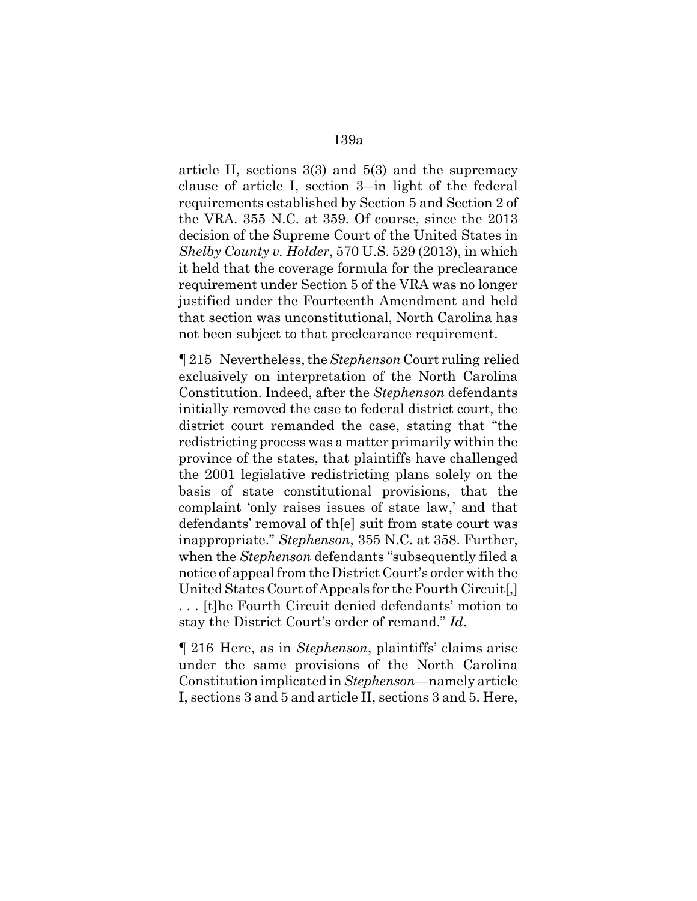article II, sections  $3(3)$  and  $5(3)$  and the supremacy clause of article I, section 3―in light of the federal requirements established by Section 5 and Section 2 of the VRA. 355 N.C. at 359. Of course, since the 2013 decision of the Supreme Court of the United States in *Shelby County v. Holder*, 570 U.S. 529 (2013), in which it held that the coverage formula for the preclearance requirement under Section 5 of the VRA was no longer justified under the Fourteenth Amendment and held that section was unconstitutional, North Carolina has not been subject to that preclearance requirement.

¶ 215 Nevertheless, the *Stephenson* Court ruling relied exclusively on interpretation of the North Carolina Constitution. Indeed, after the *Stephenson* defendants initially removed the case to federal district court, the district court remanded the case, stating that "the redistricting process was a matter primarily within the province of the states, that plaintiffs have challenged the 2001 legislative redistricting plans solely on the basis of state constitutional provisions, that the complaint 'only raises issues of state law,' and that defendants' removal of th[e] suit from state court was inappropriate." *Stephenson*, 355 N.C. at 358. Further, when the *Stephenson* defendants "subsequently filed a notice of appeal from the District Court's order with the United States Court of Appeals for the Fourth Circuit[,] . . . [t]he Fourth Circuit denied defendants' motion to stay the District Court's order of remand." *Id*.

¶ 216 Here, as in *Stephenson*, plaintiffs' claims arise under the same provisions of the North Carolina Constitution implicated in *Stephenson*—namely article I, sections 3 and 5 and article II, sections 3 and 5. Here,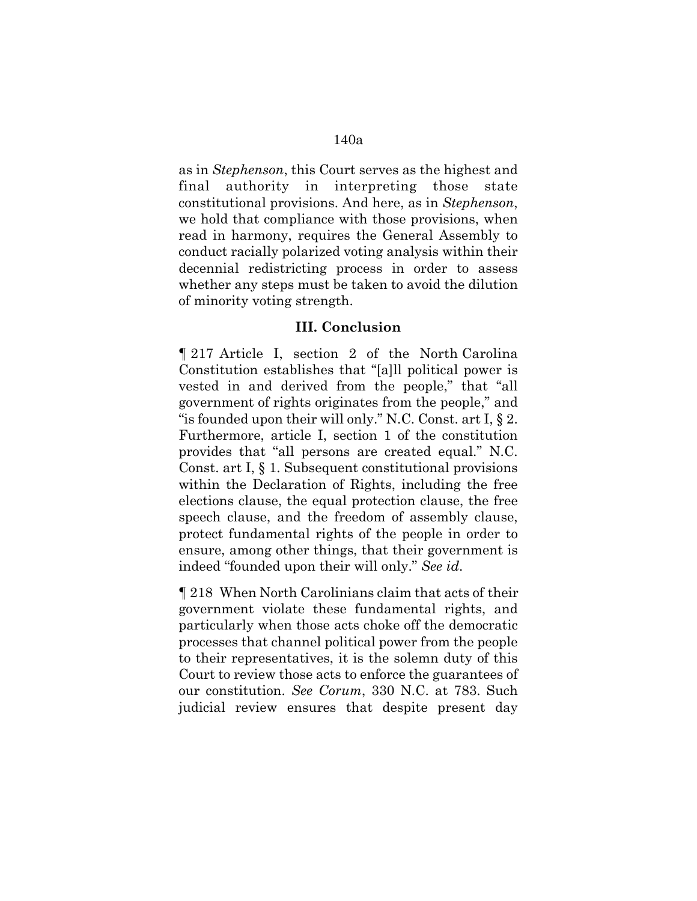as in *Stephenson*, this Court serves as the highest and final authority in interpreting those state constitutional provisions. And here, as in *Stephenson*, we hold that compliance with those provisions, when read in harmony, requires the General Assembly to conduct racially polarized voting analysis within their decennial redistricting process in order to assess whether any steps must be taken to avoid the dilution of minority voting strength.

#### **III. Conclusion**

¶ 217 Article I, section 2 of the North Carolina Constitution establishes that "[a]ll political power is vested in and derived from the people," that "all government of rights originates from the people," and "is founded upon their will only." N.C. Const. art I, § 2. Furthermore, article I, section 1 of the constitution provides that "all persons are created equal." N.C. Const. art I, § 1. Subsequent constitutional provisions within the Declaration of Rights, including the free elections clause, the equal protection clause, the free speech clause, and the freedom of assembly clause, protect fundamental rights of the people in order to ensure, among other things, that their government is indeed "founded upon their will only." *See id*.

¶ 218 When North Carolinians claim that acts of their government violate these fundamental rights, and particularly when those acts choke off the democratic processes that channel political power from the people to their representatives, it is the solemn duty of this Court to review those acts to enforce the guarantees of our constitution. *See Corum*, 330 N.C. at 783. Such judicial review ensures that despite present day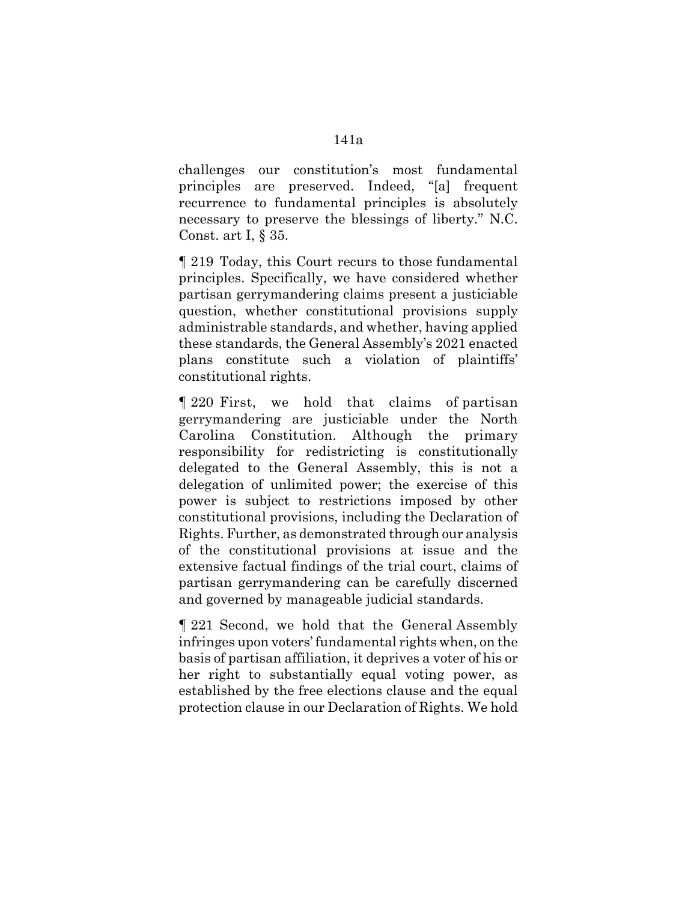challenges our constitution's most fundamental principles are preserved. Indeed, "[a] frequent recurrence to fundamental principles is absolutely necessary to preserve the blessings of liberty." N.C. Const. art I, § 35.

¶ 219 Today, this Court recurs to those fundamental principles. Specifically, we have considered whether partisan gerrymandering claims present a justiciable question, whether constitutional provisions supply administrable standards, and whether, having applied these standards, the General Assembly's 2021 enacted plans constitute such a violation of plaintiffs' constitutional rights.

¶ 220 First, we hold that claims of partisan gerrymandering are justiciable under the North Carolina Constitution. Although the primary responsibility for redistricting is constitutionally delegated to the General Assembly, this is not a delegation of unlimited power; the exercise of this power is subject to restrictions imposed by other constitutional provisions, including the Declaration of Rights. Further, as demonstrated through our analysis of the constitutional provisions at issue and the extensive factual findings of the trial court, claims of partisan gerrymandering can be carefully discerned and governed by manageable judicial standards.

¶ 221 Second, we hold that the General Assembly infringes upon voters' fundamental rights when, on the basis of partisan affiliation, it deprives a voter of his or her right to substantially equal voting power, as established by the free elections clause and the equal protection clause in our Declaration of Rights. We hold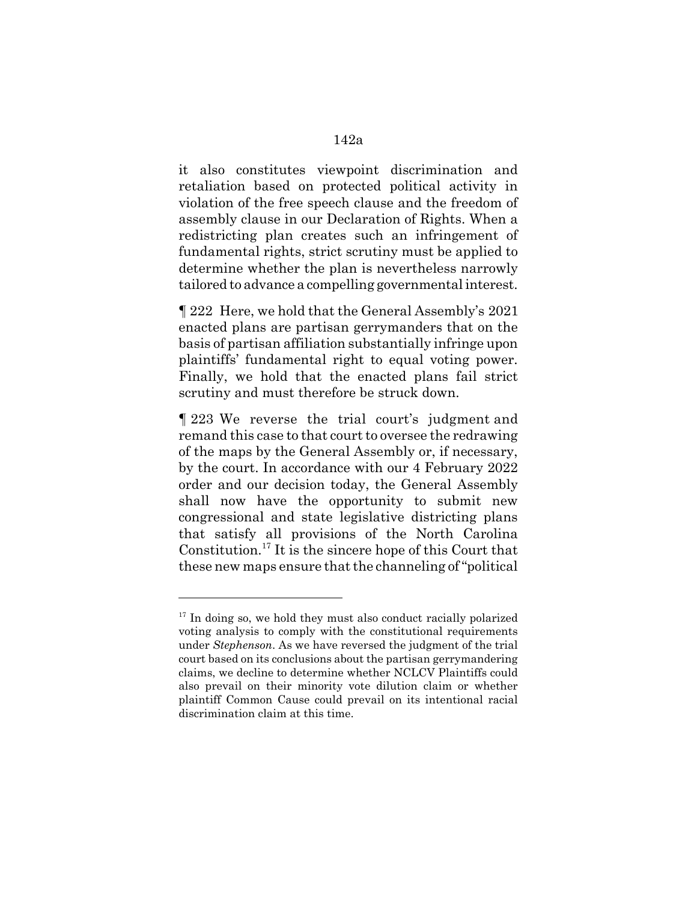it also constitutes viewpoint discrimination and retaliation based on protected political activity in violation of the free speech clause and the freedom of assembly clause in our Declaration of Rights. When a redistricting plan creates such an infringement of fundamental rights, strict scrutiny must be applied to determine whether the plan is nevertheless narrowly tailored to advance a compelling governmental interest.

¶ 222 Here, we hold that the General Assembly's 2021 enacted plans are partisan gerrymanders that on the basis of partisan affiliation substantially infringe upon plaintiffs' fundamental right to equal voting power. Finally, we hold that the enacted plans fail strict scrutiny and must therefore be struck down.

¶ 223 We reverse the trial court's judgment and remand this case to that court to oversee the redrawing of the maps by the General Assembly or, if necessary, by the court. In accordance with our 4 February 2022 order and our decision today, the General Assembly shall now have the opportunity to submit new congressional and state legislative districting plans that satisfy all provisions of the North Carolina Constitution.17 It is the sincere hope of this Court that these new maps ensure that the channeling of "political

 $17$  In doing so, we hold they must also conduct racially polarized voting analysis to comply with the constitutional requirements under *Stephenson*. As we have reversed the judgment of the trial court based on its conclusions about the partisan gerrymandering claims, we decline to determine whether NCLCV Plaintiffs could also prevail on their minority vote dilution claim or whether plaintiff Common Cause could prevail on its intentional racial discrimination claim at this time.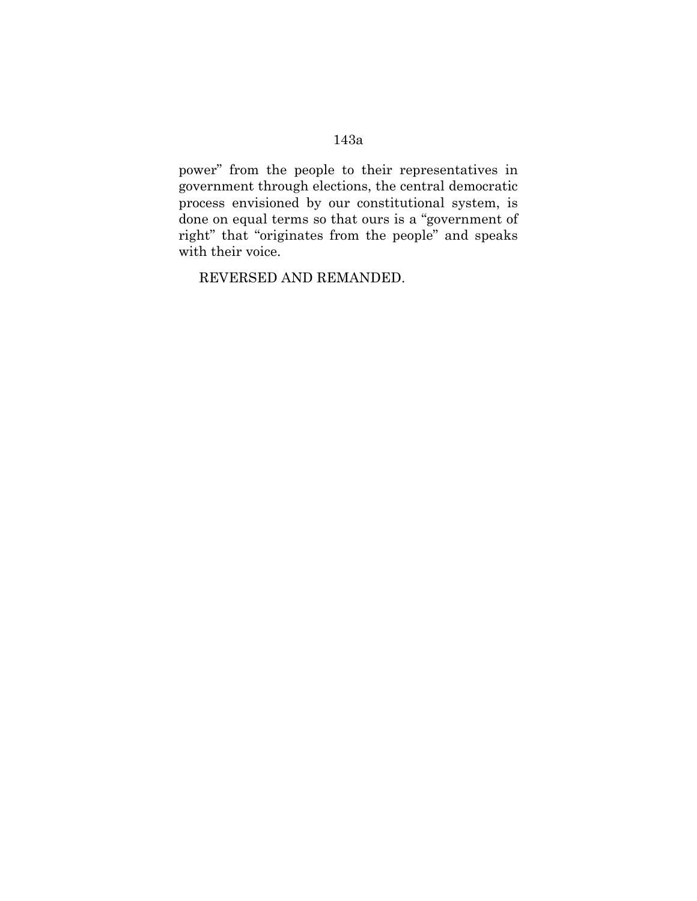# 143a

power" from the people to their representatives in government through elections, the central democratic process envisioned by our constitutional system, is done on equal terms so that ours is a "government of right" that "originates from the people" and speaks with their voice.

REVERSED AND REMANDED.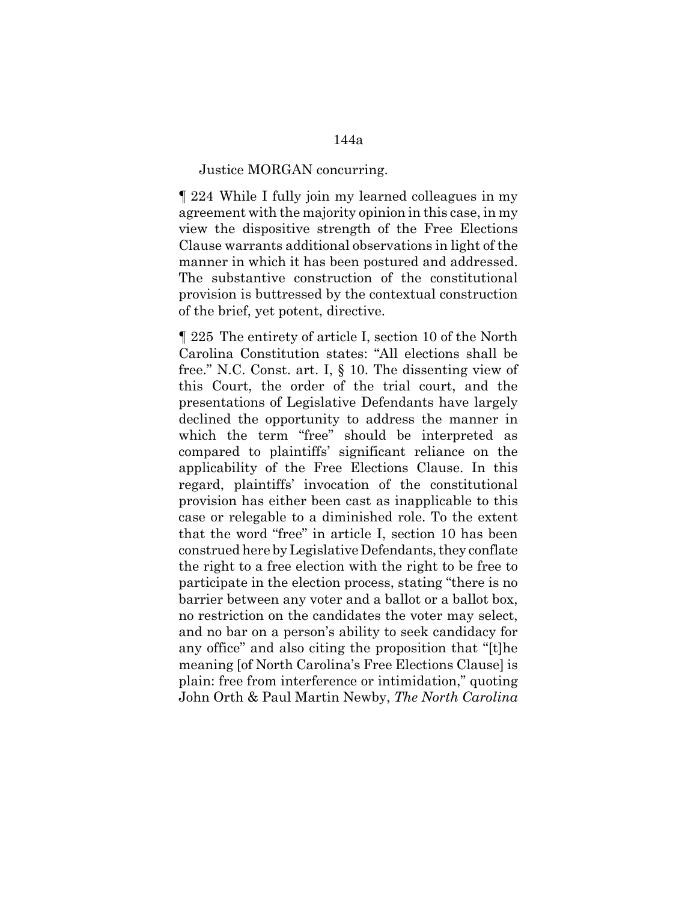#### Justice MORGAN concurring.

¶ 224 While I fully join my learned colleagues in my agreement with the majority opinion in this case, in my view the dispositive strength of the Free Elections Clause warrants additional observations in light of the manner in which it has been postured and addressed. The substantive construction of the constitutional provision is buttressed by the contextual construction of the brief, yet potent, directive.

¶ 225 The entirety of article I, section 10 of the North Carolina Constitution states: "All elections shall be free." N.C. Const. art. I, § 10. The dissenting view of this Court, the order of the trial court, and the presentations of Legislative Defendants have largely declined the opportunity to address the manner in which the term "free" should be interpreted as compared to plaintiffs' significant reliance on the applicability of the Free Elections Clause. In this regard, plaintiffs' invocation of the constitutional provision has either been cast as inapplicable to this case or relegable to a diminished role. To the extent that the word "free" in article I, section 10 has been construed here by Legislative Defendants, they conflate the right to a free election with the right to be free to participate in the election process, stating "there is no barrier between any voter and a ballot or a ballot box, no restriction on the candidates the voter may select, and no bar on a person's ability to seek candidacy for any office" and also citing the proposition that "[t]he meaning [of North Carolina's Free Elections Clause] is plain: free from interference or intimidation," quoting John Orth & Paul Martin Newby, *The North Carolina*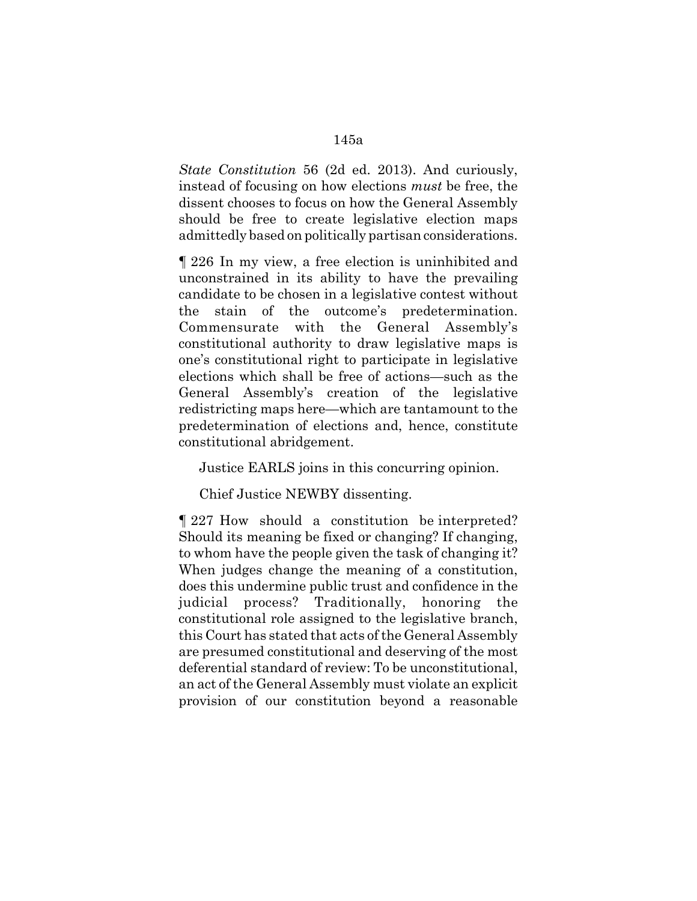*State Constitution* 56 (2d ed. 2013). And curiously, instead of focusing on how elections *must* be free, the dissent chooses to focus on how the General Assembly should be free to create legislative election maps admittedly based on politically partisan considerations.

¶ 226 In my view, a free election is uninhibited and unconstrained in its ability to have the prevailing candidate to be chosen in a legislative contest without the stain of the outcome's predetermination. Commensurate with the General Assembly's constitutional authority to draw legislative maps is one's constitutional right to participate in legislative elections which shall be free of actions—such as the General Assembly's creation of the legislative redistricting maps here—which are tantamount to the predetermination of elections and, hence, constitute constitutional abridgement.

Justice EARLS joins in this concurring opinion.

Chief Justice NEWBY dissenting.

¶ 227 How should a constitution be interpreted? Should its meaning be fixed or changing? If changing, to whom have the people given the task of changing it? When judges change the meaning of a constitution, does this undermine public trust and confidence in the judicial process? Traditionally, honoring the constitutional role assigned to the legislative branch, this Court has stated that acts of the General Assembly are presumed constitutional and deserving of the most deferential standard of review: To be unconstitutional, an act of the General Assembly must violate an explicit provision of our constitution beyond a reasonable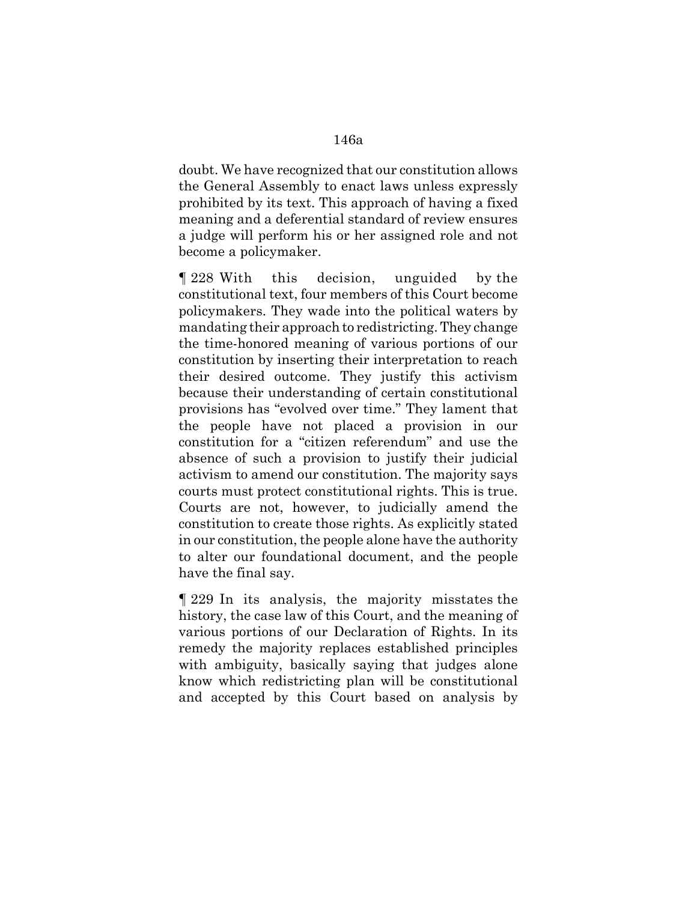doubt. We have recognized that our constitution allows the General Assembly to enact laws unless expressly prohibited by its text. This approach of having a fixed meaning and a deferential standard of review ensures a judge will perform his or her assigned role and not become a policymaker.

¶ 228 With this decision, unguided by the constitutional text, four members of this Court become policymakers. They wade into the political waters by mandating their approach to redistricting. They change the time-honored meaning of various portions of our constitution by inserting their interpretation to reach their desired outcome. They justify this activism because their understanding of certain constitutional provisions has "evolved over time." They lament that the people have not placed a provision in our constitution for a "citizen referendum" and use the absence of such a provision to justify their judicial activism to amend our constitution. The majority says courts must protect constitutional rights. This is true. Courts are not, however, to judicially amend the constitution to create those rights. As explicitly stated in our constitution, the people alone have the authority to alter our foundational document, and the people have the final say.

¶ 229 In its analysis, the majority misstates the history, the case law of this Court, and the meaning of various portions of our Declaration of Rights. In its remedy the majority replaces established principles with ambiguity, basically saying that judges alone know which redistricting plan will be constitutional and accepted by this Court based on analysis by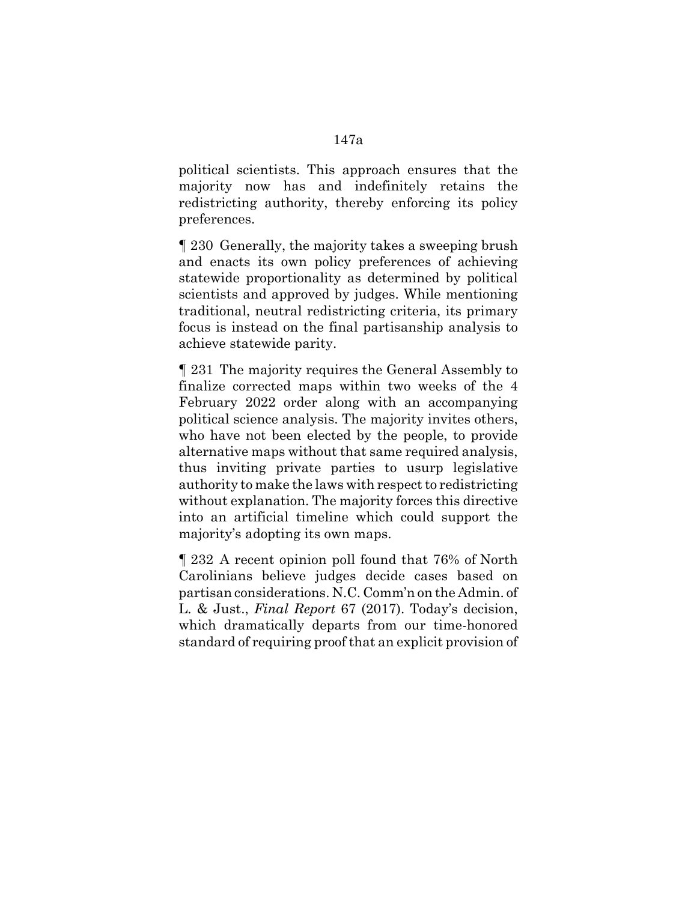political scientists. This approach ensures that the majority now has and indefinitely retains the redistricting authority, thereby enforcing its policy preferences.

¶ 230 Generally, the majority takes a sweeping brush and enacts its own policy preferences of achieving statewide proportionality as determined by political scientists and approved by judges. While mentioning traditional, neutral redistricting criteria, its primary focus is instead on the final partisanship analysis to achieve statewide parity.

¶ 231 The majority requires the General Assembly to finalize corrected maps within two weeks of the 4 February 2022 order along with an accompanying political science analysis. The majority invites others, who have not been elected by the people, to provide alternative maps without that same required analysis, thus inviting private parties to usurp legislative authority to make the laws with respect to redistricting without explanation. The majority forces this directive into an artificial timeline which could support the majority's adopting its own maps.

¶ 232 A recent opinion poll found that 76% of North Carolinians believe judges decide cases based on partisan considerations. N.C. Comm'n on the Admin. of L. & Just., *Final Report* 67 (2017). Today's decision, which dramatically departs from our time-honored standard of requiring proof that an explicit provision of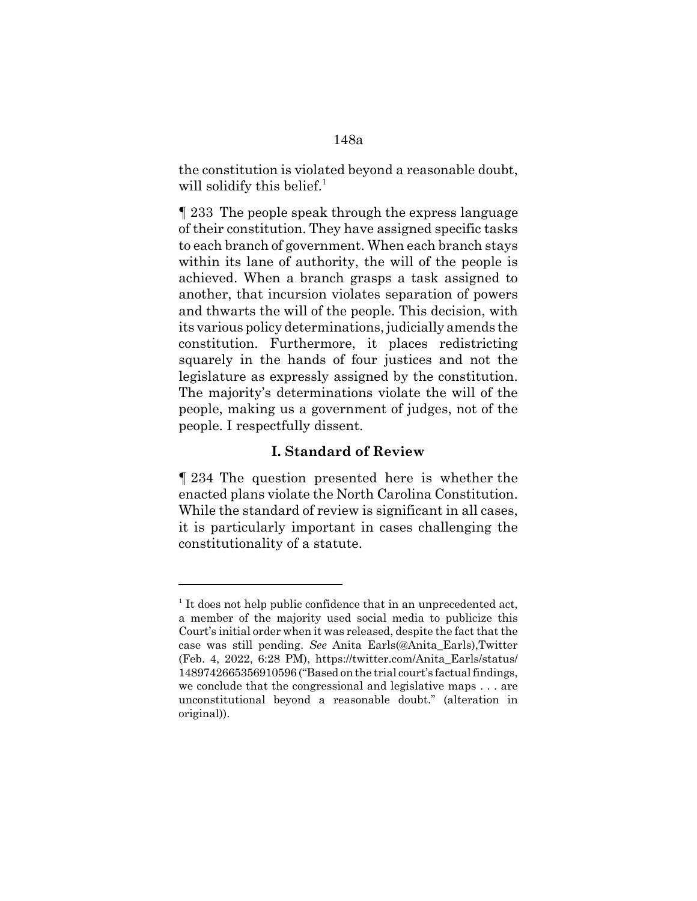the constitution is violated beyond a reasonable doubt, will solidify this belief.<sup>1</sup>

¶ 233 The people speak through the express language of their constitution. They have assigned specific tasks to each branch of government. When each branch stays within its lane of authority, the will of the people is achieved. When a branch grasps a task assigned to another, that incursion violates separation of powers and thwarts the will of the people. This decision, with its various policy determinations, judicially amends the constitution. Furthermore, it places redistricting squarely in the hands of four justices and not the legislature as expressly assigned by the constitution. The majority's determinations violate the will of the people, making us a government of judges, not of the people. I respectfully dissent.

## **I. Standard of Review**

¶ 234 The question presented here is whether the enacted plans violate the North Carolina Constitution. While the standard of review is significant in all cases, it is particularly important in cases challenging the constitutionality of a statute.

 $<sup>1</sup>$  It does not help public confidence that in an unprecedented act,</sup> a member of the majority used social media to publicize this Court's initial order when it was released, despite the fact that the case was still pending. *See* Anita Earls(@Anita\_Earls),Twitter (Feb. 4, 2022, 6:28 PM), https://twitter.com/Anita\_Earls/status/ 1489742665356910596 ("Based on the trial court's factual findings, we conclude that the congressional and legislative maps . . . are unconstitutional beyond a reasonable doubt." (alteration in original)).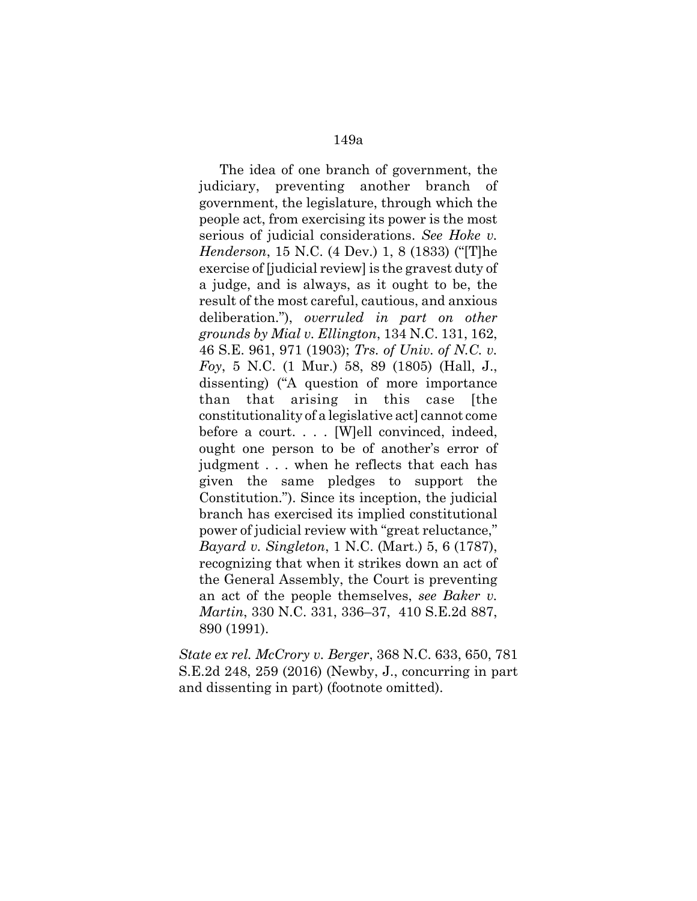The idea of one branch of government, the judiciary, preventing another branch of government, the legislature, through which the people act, from exercising its power is the most serious of judicial considerations. *See Hoke v. Henderson*, 15 N.C. (4 Dev.) 1, 8 (1833) ("[T]he exercise of [judicial review] is the gravest duty of a judge, and is always, as it ought to be, the result of the most careful, cautious, and anxious deliberation."), *overruled in part on other grounds by Mial v. Ellington*, 134 N.C. 131, 162, 46 S.E. 961, 971 (1903); *Trs. of Univ. of N.C. v. Foy*, 5 N.C. (1 Mur.) 58, 89 (1805) (Hall, J., dissenting) ("A question of more importance than that arising in this case [the constitutionality of a legislative act] cannot come before a court. . . . [W]ell convinced, indeed, ought one person to be of another's error of judgment . . . when he reflects that each has given the same pledges to support the Constitution."). Since its inception, the judicial branch has exercised its implied constitutional power of judicial review with "great reluctance," *Bayard v. Singleton*, 1 N.C. (Mart.) 5, 6 (1787), recognizing that when it strikes down an act of the General Assembly, the Court is preventing an act of the people themselves, *see Baker v. Martin*, 330 N.C. 331, 336–37, 410 S.E.2d 887, 890 (1991).

*State ex rel. McCrory v. Berger*, 368 N.C. 633, 650, 781 S.E.2d 248, 259 (2016) (Newby, J., concurring in part and dissenting in part) (footnote omitted).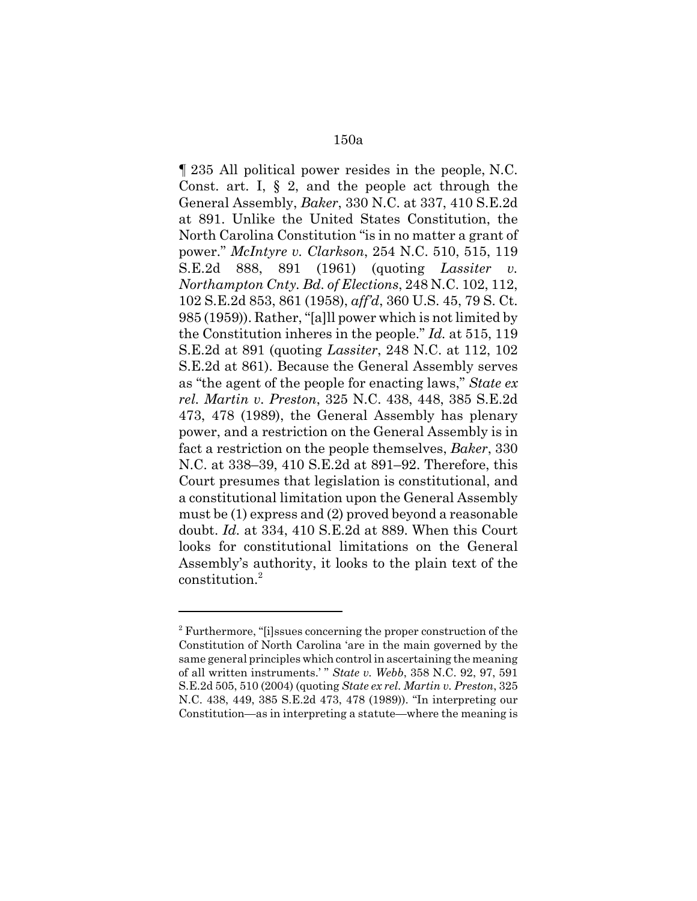¶ 235 All political power resides in the people, N.C. Const. art. I,  $\S$  2, and the people act through the General Assembly, *Baker*, 330 N.C. at 337, 410 S.E.2d at 891. Unlike the United States Constitution, the North Carolina Constitution "is in no matter a grant of power." *McIntyre v. Clarkson*, 254 N.C. 510, 515, 119 S.E.2d 888, 891 (1961) (quoting *Lassiter v. Northampton Cnty. Bd. of Elections*, 248 N.C. 102, 112, 102 S.E.2d 853, 861 (1958), *aff'd*, 360 U.S. 45, 79 S. Ct. 985 (1959)). Rather, "[a]ll power which is not limited by the Constitution inheres in the people." *Id.* at 515, 119 S.E.2d at 891 (quoting *Lassiter*, 248 N.C. at 112, 102 S.E.2d at 861). Because the General Assembly serves as "the agent of the people for enacting laws," *State ex rel. Martin v. Preston*, 325 N.C. 438, 448, 385 S.E.2d 473, 478 (1989), the General Assembly has plenary power, and a restriction on the General Assembly is in fact a restriction on the people themselves, *Baker*, 330 N.C. at 338–39, 410 S.E.2d at 891–92. Therefore, this Court presumes that legislation is constitutional, and a constitutional limitation upon the General Assembly must be (1) express and (2) proved beyond a reasonable doubt. *Id.* at 334, 410 S.E.2d at 889. When this Court looks for constitutional limitations on the General Assembly's authority, it looks to the plain text of the constitution.<sup>2</sup>

 $2^2$  Furthermore, "[i]ssues concerning the proper construction of the Constitution of North Carolina 'are in the main governed by the same general principles which control in ascertaining the meaning of all written instruments.' " *State v. Webb*, 358 N.C. 92, 97, 591 S.E.2d 505, 510 (2004) (quoting *State ex rel. Martin v. Preston*, 325 N.C. 438, 449, 385 S.E.2d 473, 478 (1989)). "In interpreting our Constitution—as in interpreting a statute—where the meaning is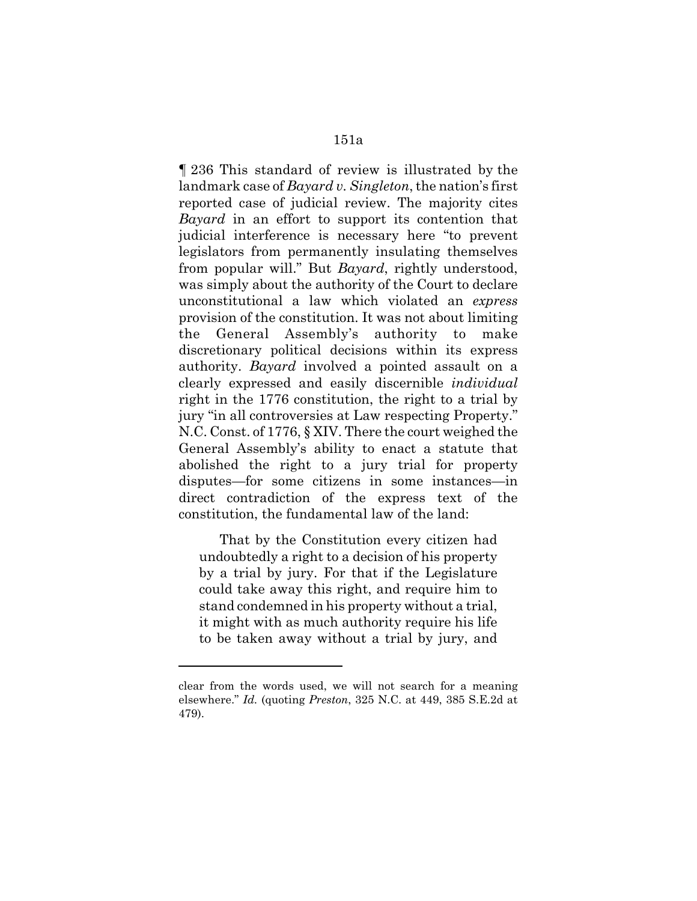¶ 236 This standard of review is illustrated by the landmark case of *Bayard v. Singleton*, the nation's first reported case of judicial review. The majority cites *Bayard* in an effort to support its contention that judicial interference is necessary here "to prevent legislators from permanently insulating themselves from popular will." But *Bayard*, rightly understood, was simply about the authority of the Court to declare unconstitutional a law which violated an *express* provision of the constitution. It was not about limiting the General Assembly's authority to make discretionary political decisions within its express authority. *Bayard* involved a pointed assault on a clearly expressed and easily discernible *individual* right in the 1776 constitution, the right to a trial by jury "in all controversies at Law respecting Property." N.C. Const. of 1776, § XIV. There the court weighed the General Assembly's ability to enact a statute that abolished the right to a jury trial for property disputes—for some citizens in some instances—in direct contradiction of the express text of the constitution, the fundamental law of the land:

That by the Constitution every citizen had undoubtedly a right to a decision of his property by a trial by jury. For that if the Legislature could take away this right, and require him to stand condemned in his property without a trial, it might with as much authority require his life to be taken away without a trial by jury, and

clear from the words used, we will not search for a meaning elsewhere." *Id.* (quoting *Preston*, 325 N.C. at 449, 385 S.E.2d at 479).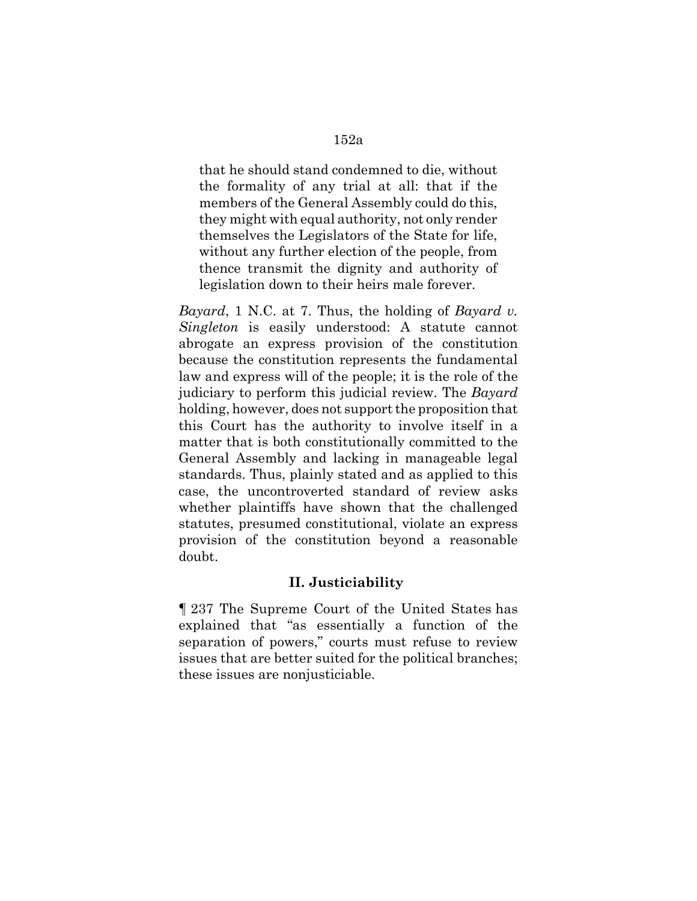that he should stand condemned to die, without the formality of any trial at all: that if the members of the General Assembly could do this, they might with equal authority, not only render themselves the Legislators of the State for life, without any further election of the people, from thence transmit the dignity and authority of legislation down to their heirs male forever.

*Bayard*, 1 N.C. at 7. Thus, the holding of *Bayard v. Singleton* is easily understood: A statute cannot abrogate an express provision of the constitution because the constitution represents the fundamental law and express will of the people; it is the role of the judiciary to perform this judicial review. The *Bayard* holding, however, does not support the proposition that this Court has the authority to involve itself in a matter that is both constitutionally committed to the General Assembly and lacking in manageable legal standards. Thus, plainly stated and as applied to this case, the uncontroverted standard of review asks whether plaintiffs have shown that the challenged statutes, presumed constitutional, violate an express provision of the constitution beyond a reasonable doubt.

## **II. Justiciability**

¶ 237 The Supreme Court of the United States has explained that "as essentially a function of the separation of powers," courts must refuse to review issues that are better suited for the political branches; these issues are nonjusticiable.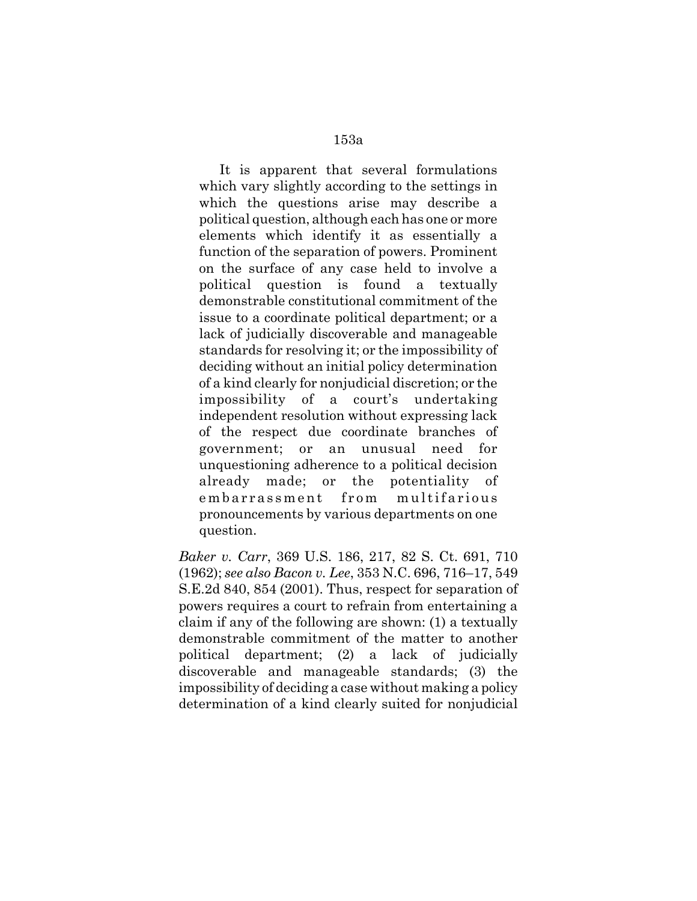It is apparent that several formulations which vary slightly according to the settings in which the questions arise may describe a political question, although each has one or more elements which identify it as essentially a function of the separation of powers. Prominent on the surface of any case held to involve a political question is found a textually demonstrable constitutional commitment of the issue to a coordinate political department; or a lack of judicially discoverable and manageable standards for resolving it; or the impossibility of deciding without an initial policy determination of a kind clearly for nonjudicial discretion; or the impossibility of a court's undertaking independent resolution without expressing lack of the respect due coordinate branches of government; or an unusual need for unquestioning adherence to a political decision already made; or the potentiality of embarrassment from multifarious pronouncements by various departments on one question.

*Baker v. Carr*, 369 U.S. 186, 217, 82 S. Ct. 691, 710 (1962); *see also Bacon v. Lee*, 353 N.C. 696, 716–17, 549 S.E.2d 840, 854 (2001). Thus, respect for separation of powers requires a court to refrain from entertaining a claim if any of the following are shown: (1) a textually demonstrable commitment of the matter to another political department; (2) a lack of judicially discoverable and manageable standards; (3) the impossibility of deciding a case without making a policy determination of a kind clearly suited for nonjudicial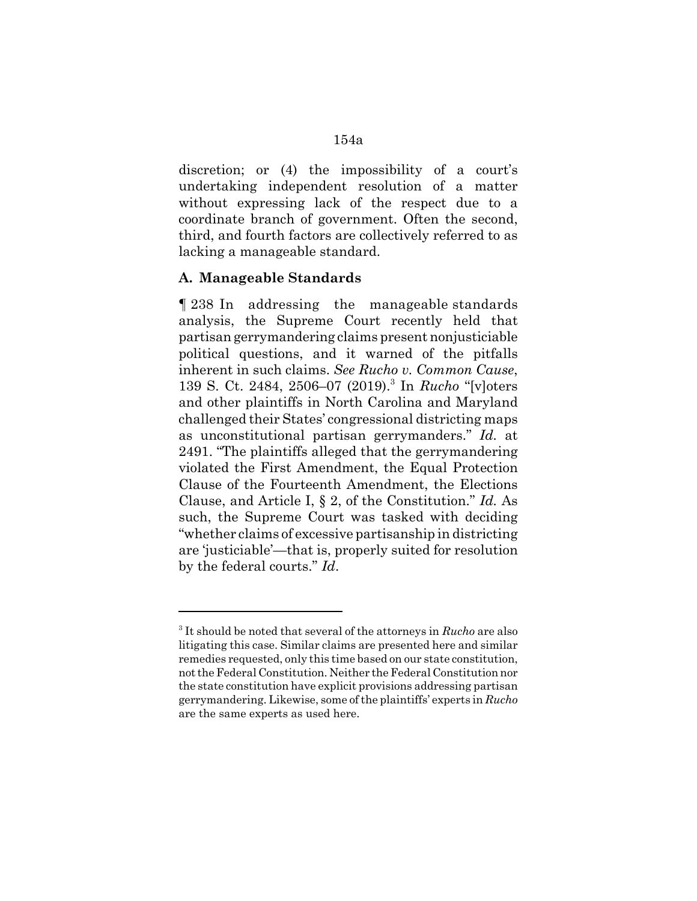discretion; or (4) the impossibility of a court's undertaking independent resolution of a matter without expressing lack of the respect due to a coordinate branch of government. Often the second, third, and fourth factors are collectively referred to as lacking a manageable standard.

## **A. Manageable Standards**

¶ 238 In addressing the manageable standards analysis, the Supreme Court recently held that partisan gerrymandering claims present nonjusticiable political questions, and it warned of the pitfalls inherent in such claims. *See Rucho v. Common Cause*, 139 S. Ct. 2484, 2506–07 (2019).<sup>3</sup> In *Rucho* "[v]oters and other plaintiffs in North Carolina and Maryland challenged their States' congressional districting maps as unconstitutional partisan gerrymanders." *Id.* at 2491. "The plaintiffs alleged that the gerrymandering violated the First Amendment, the Equal Protection Clause of the Fourteenth Amendment, the Elections Clause, and Article I, § 2, of the Constitution." *Id.* As such, the Supreme Court was tasked with deciding "whether claims of excessive partisanship in districting are 'justiciable'—that is, properly suited for resolution by the federal courts." *Id*.

<sup>3</sup> It should be noted that several of the attorneys in *Rucho* are also litigating this case. Similar claims are presented here and similar remedies requested, only this time based on our state constitution, not the Federal Constitution. Neither the Federal Constitution nor the state constitution have explicit provisions addressing partisan gerrymandering. Likewise, some of the plaintiffs' experts in *Rucho* are the same experts as used here.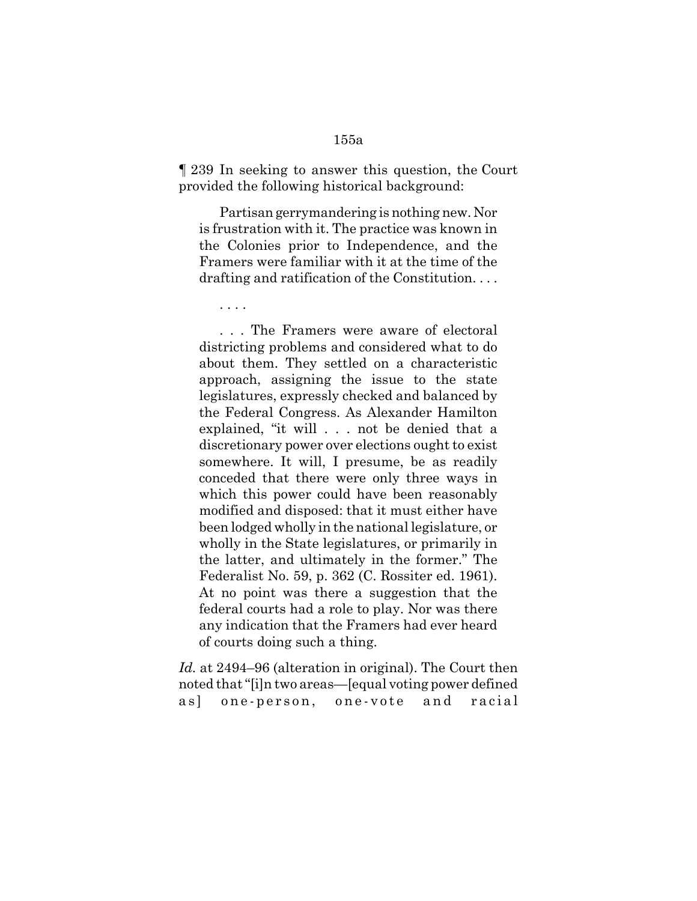¶ 239 In seeking to answer this question, the Court provided the following historical background:

Partisan gerrymandering is nothing new. Nor is frustration with it. The practice was known in the Colonies prior to Independence, and the Framers were familiar with it at the time of the drafting and ratification of the Constitution. . . .

. . . .

. . . The Framers were aware of electoral districting problems and considered what to do about them. They settled on a characteristic approach, assigning the issue to the state legislatures, expressly checked and balanced by the Federal Congress. As Alexander Hamilton explained, "it will . . . not be denied that a discretionary power over elections ought to exist somewhere. It will, I presume, be as readily conceded that there were only three ways in which this power could have been reasonably modified and disposed: that it must either have been lodged wholly in the national legislature, or wholly in the State legislatures, or primarily in the latter, and ultimately in the former." The Federalist No. 59, p. 362 (C. Rossiter ed. 1961). At no point was there a suggestion that the federal courts had a role to play. Nor was there any indication that the Framers had ever heard of courts doing such a thing.

*Id.* at 2494–96 (alteration in original). The Court then noted that "[i]n two areas—[equal voting power defined as] one-person, one-vote and racial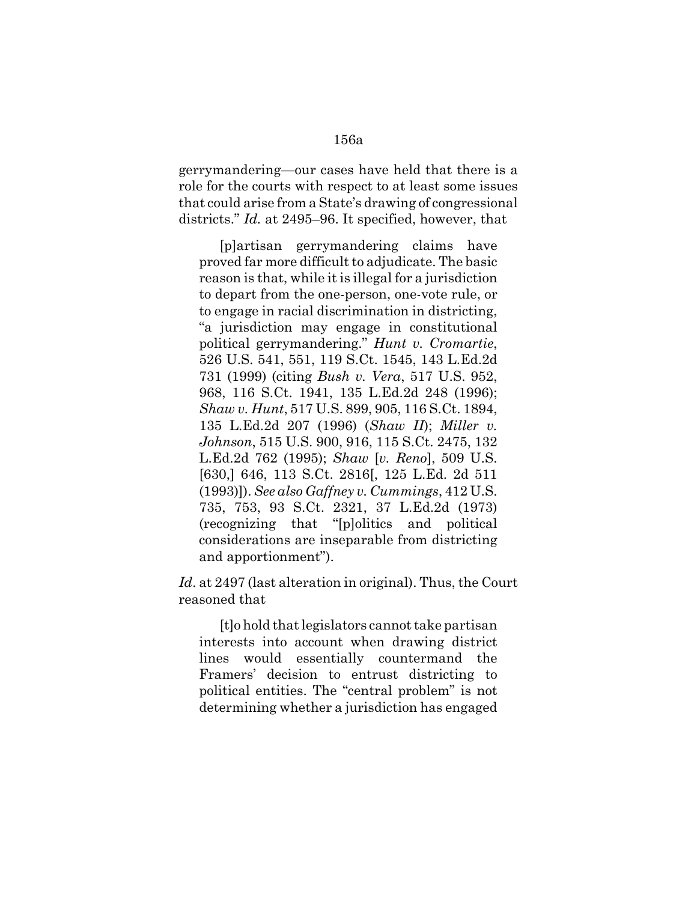gerrymandering—our cases have held that there is a role for the courts with respect to at least some issues that could arise from a State's drawing of congressional districts." *Id.* at 2495–96. It specified, however, that

[p]artisan gerrymandering claims have proved far more difficult to adjudicate. The basic reason is that, while it is illegal for a jurisdiction to depart from the one-person, one-vote rule, or to engage in racial discrimination in districting, "a jurisdiction may engage in constitutional political gerrymandering." *Hunt v. Cromartie*, 526 U.S. 541, 551, 119 S.Ct. 1545, 143 L.Ed.2d 731 (1999) (citing *Bush v. Vera*, 517 U.S. 952, 968, 116 S.Ct. 1941, 135 L.Ed.2d 248 (1996); *Shaw v. Hunt*, 517 U.S. 899, 905, 116 S.Ct. 1894, 135 L.Ed.2d 207 (1996) (*Shaw II*); *Miller v. Johnson*, 515 U.S. 900, 916, 115 S.Ct. 2475, 132 L.Ed.2d 762 (1995); *Shaw* [*v. Reno*], 509 U.S. [630,] 646, 113 S.Ct. 2816[, 125 L.Ed. 2d 511 (1993)]). *See also Gaffney v. Cummings*, 412 U.S. 735, 753, 93 S.Ct. 2321, 37 L.Ed.2d (1973) (recognizing that "[p]olitics and political considerations are inseparable from districting and apportionment").

*Id*. at 2497 (last alteration in original). Thus, the Court reasoned that

[t]o hold that legislators cannot take partisan interests into account when drawing district lines would essentially countermand the Framers' decision to entrust districting to political entities. The "central problem" is not determining whether a jurisdiction has engaged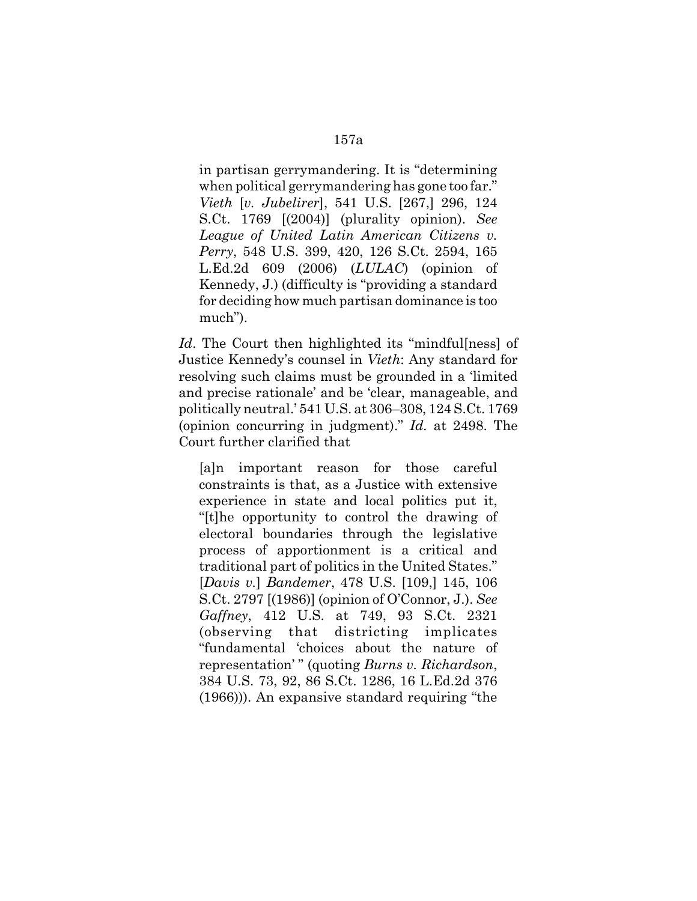in partisan gerrymandering. It is "determining when political gerrymandering has gone too far." *Vieth* [*v. Jubelirer*], 541 U.S. [267,] 296, 124 S.Ct. 1769 [(2004)] (plurality opinion). *See League of United Latin American Citizens v. Perry*, 548 U.S. 399, 420, 126 S.Ct. 2594, 165 L.Ed.2d 609 (2006) (*LULAC*) (opinion of Kennedy, J.) (difficulty is "providing a standard for deciding how much partisan dominance is too much").

Id. The Court then highlighted its "mindfullness" of Justice Kennedy's counsel in *Vieth*: Any standard for resolving such claims must be grounded in a 'limited and precise rationale' and be 'clear, manageable, and politically neutral.' 541 U.S. at 306–308, 124 S.Ct. 1769 (opinion concurring in judgment)." *Id.* at 2498. The Court further clarified that

[a]n important reason for those careful constraints is that, as a Justice with extensive experience in state and local politics put it, "[t]he opportunity to control the drawing of electoral boundaries through the legislative process of apportionment is a critical and traditional part of politics in the United States." [*Davis v.*] *Bandemer*, 478 U.S. [109,] 145, 106 S.Ct. 2797 [(1986)] (opinion of O'Connor, J.). *See Gaffney*, 412 U.S. at 749, 93 S.Ct. 2321 (observing that districting implicates "fundamental 'choices about the nature of representation' " (quoting *Burns v. Richardson*, 384 U.S. 73, 92, 86 S.Ct. 1286, 16 L.Ed.2d 376 (1966))). An expansive standard requiring "the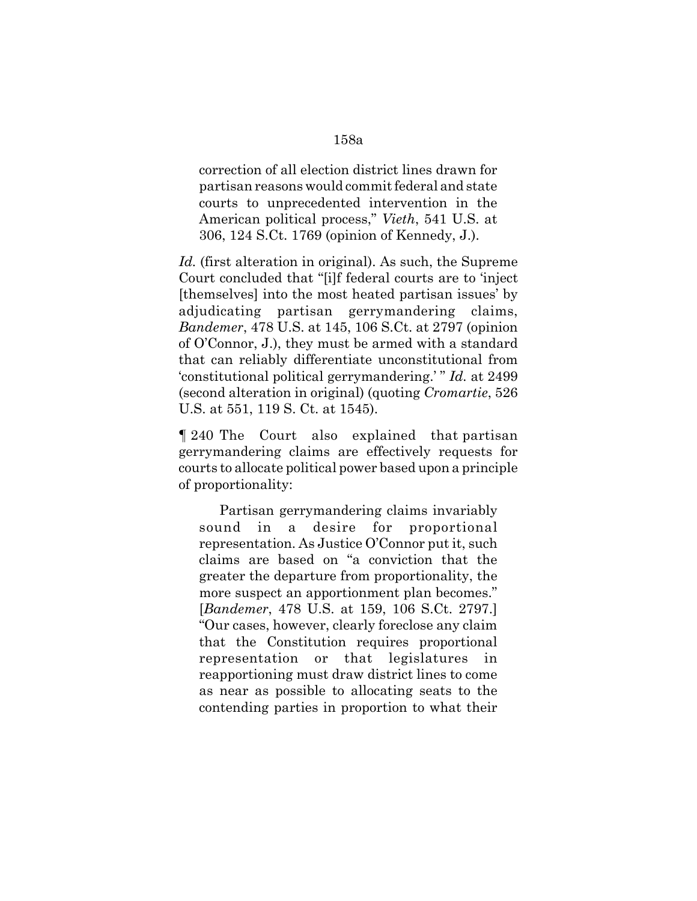correction of all election district lines drawn for partisan reasons would commit federal and state courts to unprecedented intervention in the American political process," *Vieth*, 541 U.S. at 306, 124 S.Ct. 1769 (opinion of Kennedy, J.).

Id. (first alteration in original). As such, the Supreme Court concluded that "[i]f federal courts are to 'inject [themselves] into the most heated partisan issues' by adjudicating partisan gerrymandering claims, *Bandemer*, 478 U.S. at 145, 106 S.Ct. at 2797 (opinion of O'Connor, J.), they must be armed with a standard that can reliably differentiate unconstitutional from 'constitutional political gerrymandering.' " *Id.* at 2499 (second alteration in original) (quoting *Cromartie*, 526 U.S. at 551, 119 S. Ct. at 1545).

¶ 240 The Court also explained that partisan gerrymandering claims are effectively requests for courts to allocate political power based upon a principle of proportionality:

Partisan gerrymandering claims invariably sound in a desire for proportional representation. As Justice O'Connor put it, such claims are based on "a conviction that the greater the departure from proportionality, the more suspect an apportionment plan becomes." [*Bandemer*, 478 U.S. at 159, 106 S.Ct. 2797.] "Our cases, however, clearly foreclose any claim that the Constitution requires proportional representation or that legislatures in reapportioning must draw district lines to come as near as possible to allocating seats to the contending parties in proportion to what their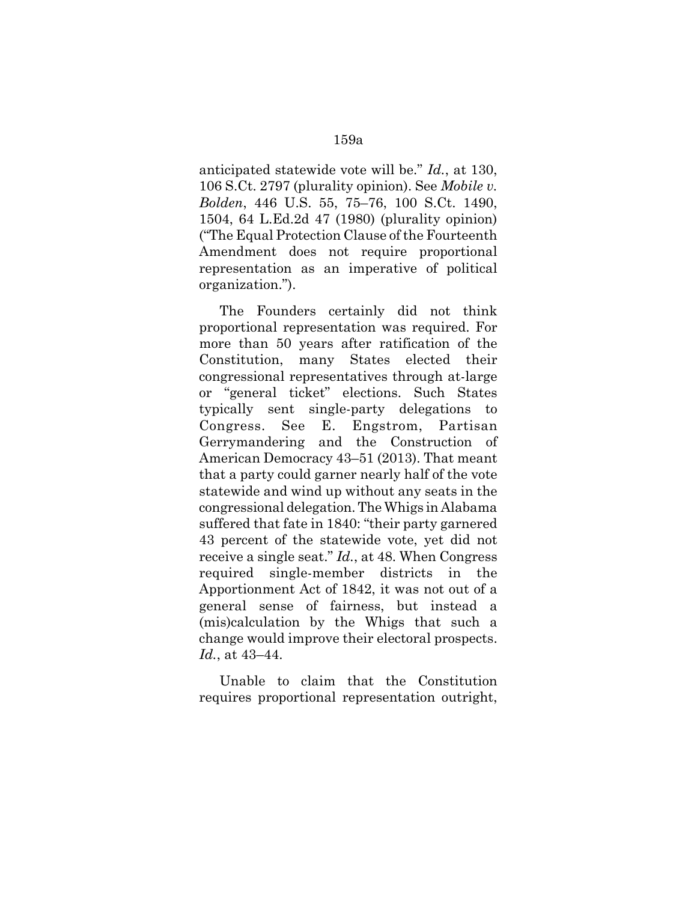anticipated statewide vote will be." *Id.*, at 130, 106 S.Ct. 2797 (plurality opinion). See *Mobile v. Bolden*, 446 U.S. 55, 75–76, 100 S.Ct. 1490, 1504, 64 L.Ed.2d 47 (1980) (plurality opinion) ("The Equal Protection Clause of the Fourteenth Amendment does not require proportional representation as an imperative of political organization.").

The Founders certainly did not think proportional representation was required. For more than 50 years after ratification of the Constitution, many States elected their congressional representatives through at-large or "general ticket" elections. Such States typically sent single-party delegations to Congress. See E. Engstrom, Partisan Gerrymandering and the Construction of American Democracy 43–51 (2013). That meant that a party could garner nearly half of the vote statewide and wind up without any seats in the congressional delegation. The Whigs in Alabama suffered that fate in 1840: "their party garnered 43 percent of the statewide vote, yet did not receive a single seat." *Id.*, at 48. When Congress required single-member districts in the Apportionment Act of 1842, it was not out of a general sense of fairness, but instead a (mis)calculation by the Whigs that such a change would improve their electoral prospects. *Id.*, at 43–44.

Unable to claim that the Constitution requires proportional representation outright,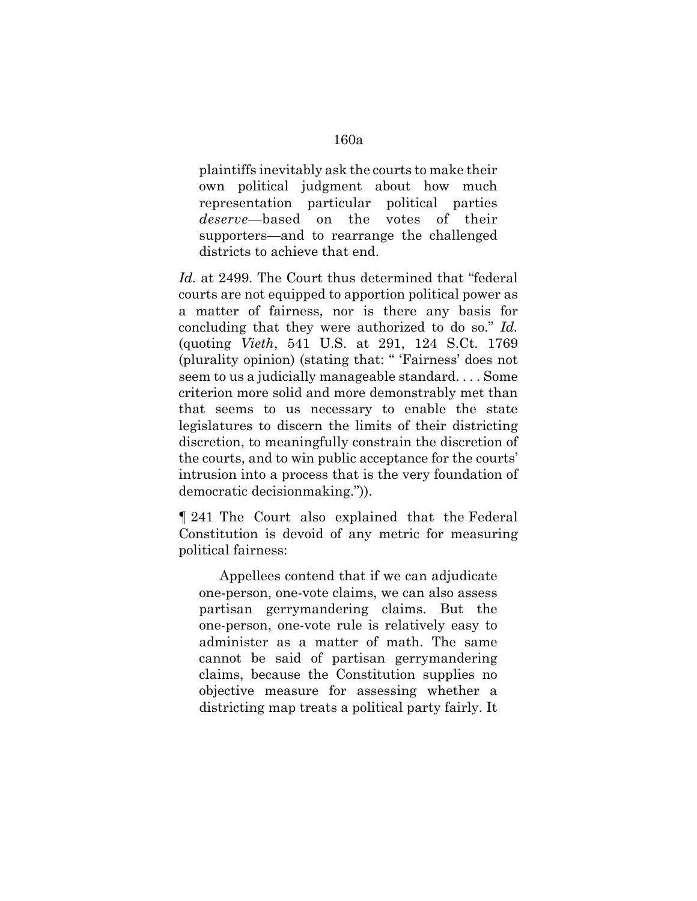plaintiffs inevitably ask the courts to make their own political judgment about how much representation particular political parties *deserve*—based on the votes of their supporters—and to rearrange the challenged districts to achieve that end.

Id. at 2499. The Court thus determined that "federal" courts are not equipped to apportion political power as a matter of fairness, nor is there any basis for concluding that they were authorized to do so." *Id.* (quoting *Vieth*, 541 U.S. at 291, 124 S.Ct. 1769 (plurality opinion) (stating that: " 'Fairness' does not seem to us a judicially manageable standard. . . . Some criterion more solid and more demonstrably met than that seems to us necessary to enable the state legislatures to discern the limits of their districting discretion, to meaningfully constrain the discretion of the courts, and to win public acceptance for the courts' intrusion into a process that is the very foundation of democratic decisionmaking.")).

¶ 241 The Court also explained that the Federal Constitution is devoid of any metric for measuring political fairness:

Appellees contend that if we can adjudicate one-person, one-vote claims, we can also assess partisan gerrymandering claims. But the one-person, one-vote rule is relatively easy to administer as a matter of math. The same cannot be said of partisan gerrymandering claims, because the Constitution supplies no objective measure for assessing whether a districting map treats a political party fairly. It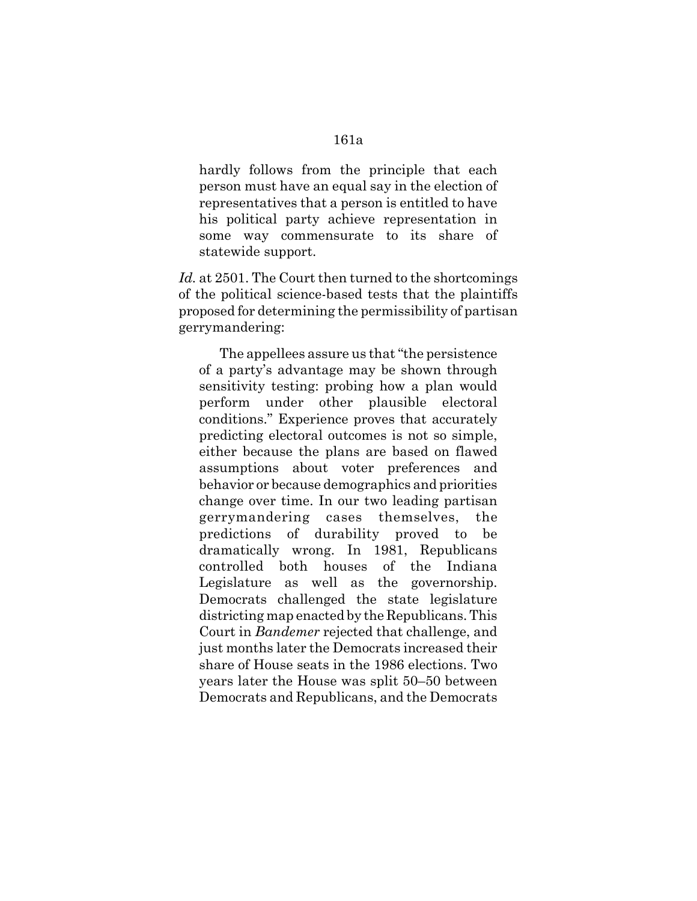hardly follows from the principle that each person must have an equal say in the election of representatives that a person is entitled to have his political party achieve representation in some way commensurate to its share of

statewide support.

Id. at 2501. The Court then turned to the shortcomings of the political science-based tests that the plaintiffs proposed for determining the permissibility of partisan gerrymandering:

The appellees assure us that "the persistence of a party's advantage may be shown through sensitivity testing: probing how a plan would perform under other plausible electoral conditions." Experience proves that accurately predicting electoral outcomes is not so simple, either because the plans are based on flawed assumptions about voter preferences and behavior or because demographics and priorities change over time. In our two leading partisan gerrymandering cases themselves, the predictions of durability proved to be dramatically wrong. In 1981, Republicans controlled both houses of the Indiana Legislature as well as the governorship. Democrats challenged the state legislature districting map enacted by the Republicans. This Court in *Bandemer* rejected that challenge, and just months later the Democrats increased their share of House seats in the 1986 elections. Two years later the House was split 50–50 between Democrats and Republicans, and the Democrats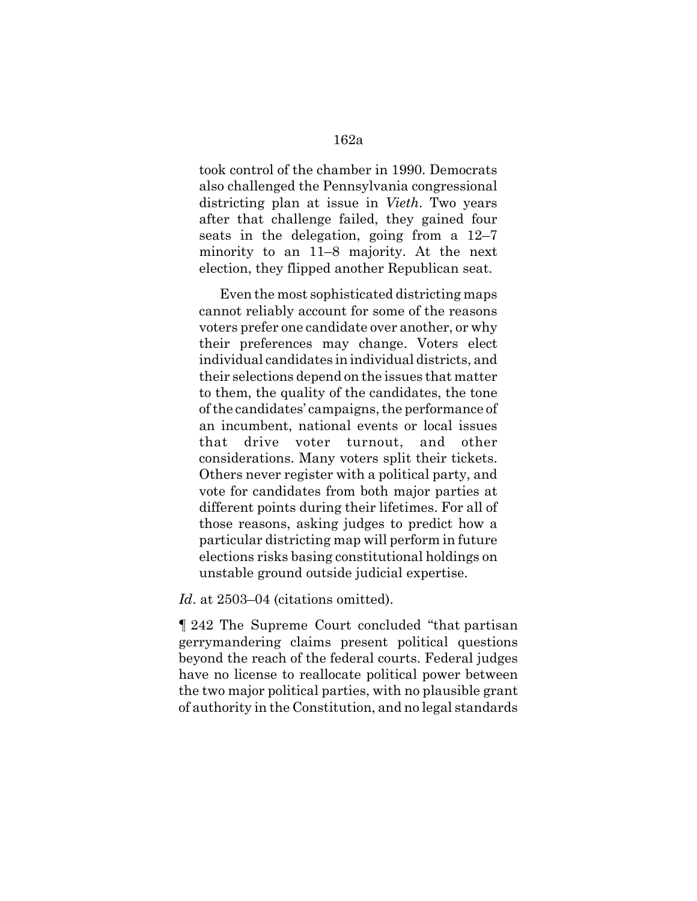took control of the chamber in 1990. Democrats also challenged the Pennsylvania congressional districting plan at issue in *Vieth*. Two years after that challenge failed, they gained four seats in the delegation, going from a 12–7 minority to an 11–8 majority. At the next election, they flipped another Republican seat.

Even the most sophisticated districting maps cannot reliably account for some of the reasons voters prefer one candidate over another, or why their preferences may change. Voters elect individual candidates in individual districts, and their selections depend on the issues that matter to them, the quality of the candidates, the tone of the candidates' campaigns, the performance of an incumbent, national events or local issues that drive voter turnout, and other considerations. Many voters split their tickets. Others never register with a political party, and vote for candidates from both major parties at different points during their lifetimes. For all of those reasons, asking judges to predict how a particular districting map will perform in future elections risks basing constitutional holdings on unstable ground outside judicial expertise.

Id. at 2503–04 (citations omitted).

¶ 242 The Supreme Court concluded "that partisan gerrymandering claims present political questions beyond the reach of the federal courts. Federal judges have no license to reallocate political power between the two major political parties, with no plausible grant of authority in the Constitution, and no legal standards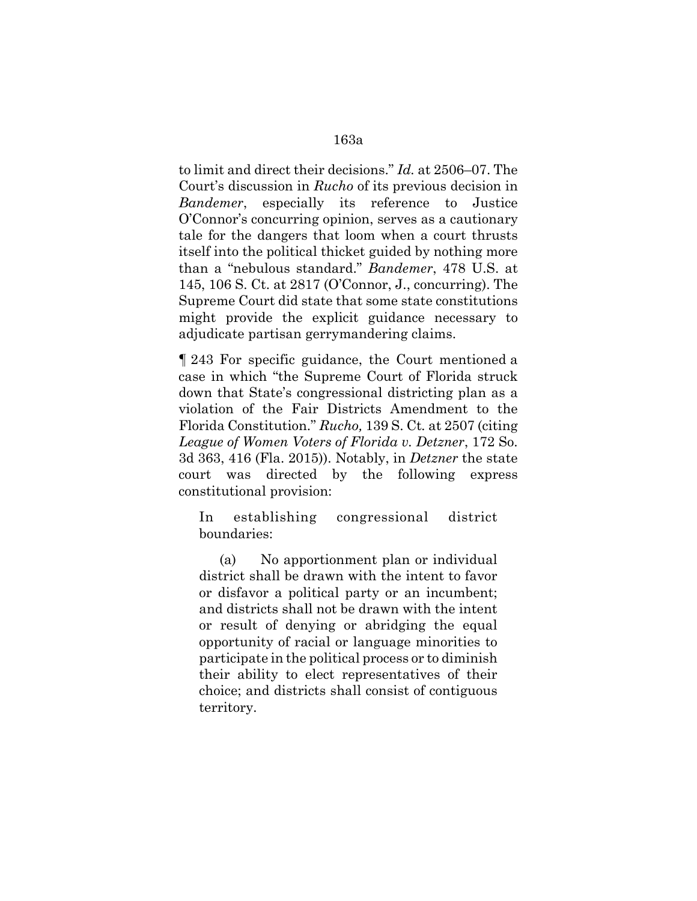to limit and direct their decisions." *Id.* at 2506–07. The Court's discussion in *Rucho* of its previous decision in *Bandemer*, especially its reference to Justice O'Connor's concurring opinion, serves as a cautionary tale for the dangers that loom when a court thrusts itself into the political thicket guided by nothing more than a "nebulous standard." *Bandemer*, 478 U.S. at 145, 106 S. Ct. at 2817 (O'Connor, J., concurring). The Supreme Court did state that some state constitutions might provide the explicit guidance necessary to adjudicate partisan gerrymandering claims.

¶ 243 For specific guidance, the Court mentioned a case in which "the Supreme Court of Florida struck down that State's congressional districting plan as a violation of the Fair Districts Amendment to the Florida Constitution." *Rucho,* 139 S. Ct*.* at 2507 (citing *League of Women Voters of Florida v. Detzner*, 172 So. 3d 363, 416 (Fla. 2015)). Notably, in *Detzner* the state court was directed by the following express constitutional provision:

In establishing congressional district boundaries:

(a) No apportionment plan or individual district shall be drawn with the intent to favor or disfavor a political party or an incumbent; and districts shall not be drawn with the intent or result of denying or abridging the equal opportunity of racial or language minorities to participate in the political process or to diminish their ability to elect representatives of their choice; and districts shall consist of contiguous territory.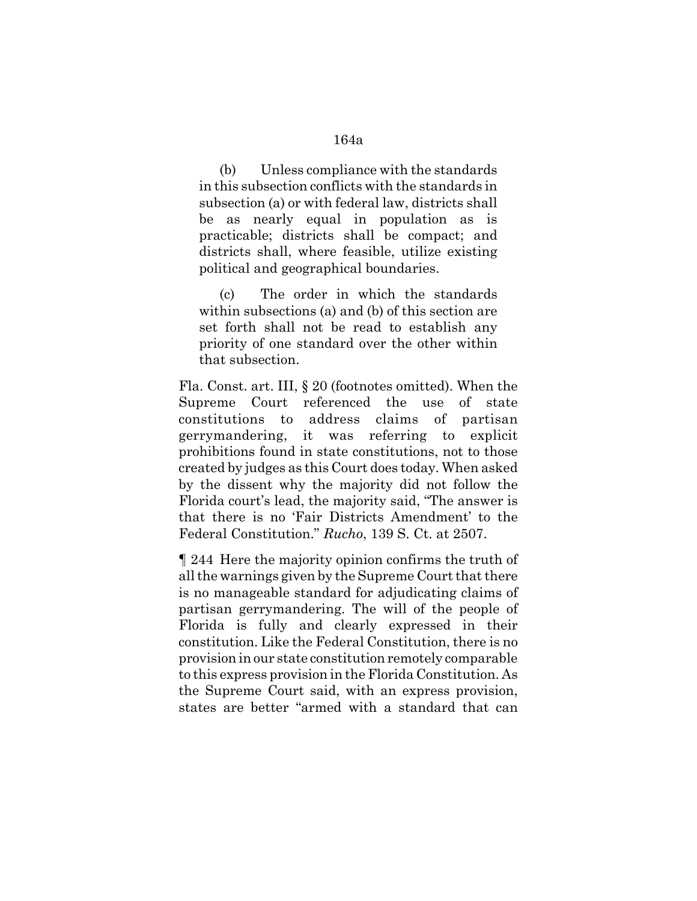# (b) Unless compliance with the standards in this subsection conflicts with the standards in subsection (a) or with federal law, districts shall be as nearly equal in population as is practicable; districts shall be compact; and districts shall, where feasible, utilize existing political and geographical boundaries.

(c) The order in which the standards within subsections (a) and (b) of this section are set forth shall not be read to establish any priority of one standard over the other within that subsection.

Fla. Const. art. III, § 20 (footnotes omitted). When the Supreme Court referenced the use of state constitutions to address claims of partisan gerrymandering, it was referring to explicit prohibitions found in state constitutions, not to those created by judges as this Court does today. When asked by the dissent why the majority did not follow the Florida court's lead, the majority said, "The answer is that there is no 'Fair Districts Amendment' to the Federal Constitution." *Rucho*, 139 S. Ct. at 2507.

¶ 244 Here the majority opinion confirms the truth of all the warnings given by the Supreme Court that there is no manageable standard for adjudicating claims of partisan gerrymandering. The will of the people of Florida is fully and clearly expressed in their constitution. Like the Federal Constitution, there is no provision in our state constitution remotely comparable to this express provision in the Florida Constitution. As the Supreme Court said, with an express provision, states are better "armed with a standard that can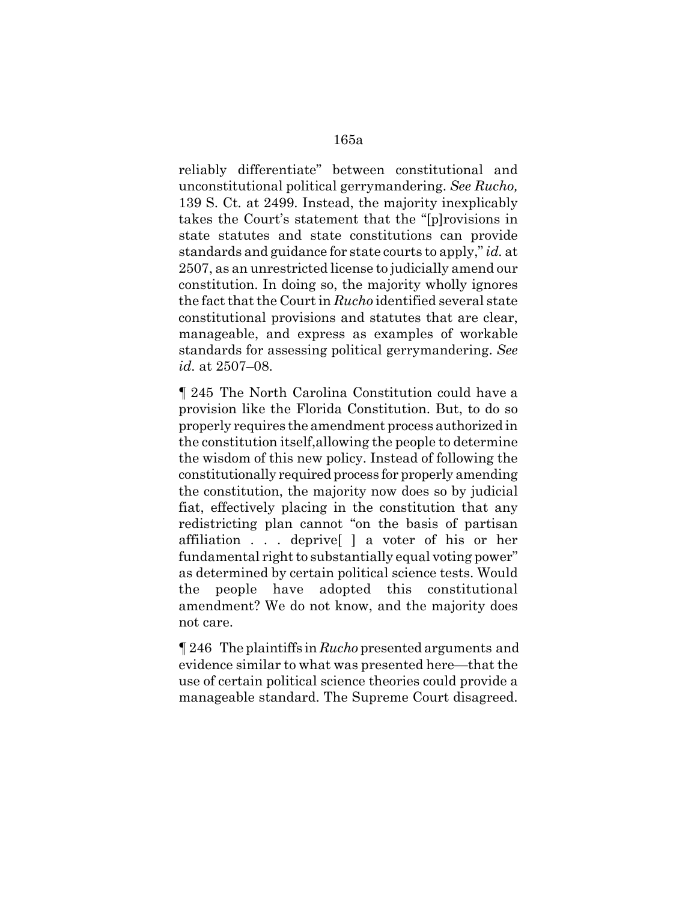reliably differentiate" between constitutional and unconstitutional political gerrymandering. *See Rucho,* 139 S. Ct*.* at 2499. Instead, the majority inexplicably takes the Court's statement that the "[p]rovisions in state statutes and state constitutions can provide standards and guidance for state courts to apply," *id.* at 2507, as an unrestricted license to judicially amend our constitution. In doing so, the majority wholly ignores the fact that the Court in *Rucho* identified several state constitutional provisions and statutes that are clear, manageable, and express as examples of workable standards for assessing political gerrymandering. *See id.* at 2507–08.

¶ 245 The North Carolina Constitution could have a provision like the Florida Constitution. But, to do so properly requires the amendment process authorized in the constitution itself,allowing the people to determine the wisdom of this new policy. Instead of following the constitutionally required process for properly amending the constitution, the majority now does so by judicial fiat, effectively placing in the constitution that any redistricting plan cannot "on the basis of partisan affiliation . . . deprive[ ] a voter of his or her fundamental right to substantially equal voting power" as determined by certain political science tests. Would the people have adopted this constitutional amendment? We do not know, and the majority does not care.

¶ 246 The plaintiffs in *Rucho* presented arguments and evidence similar to what was presented here—that the use of certain political science theories could provide a manageable standard. The Supreme Court disagreed.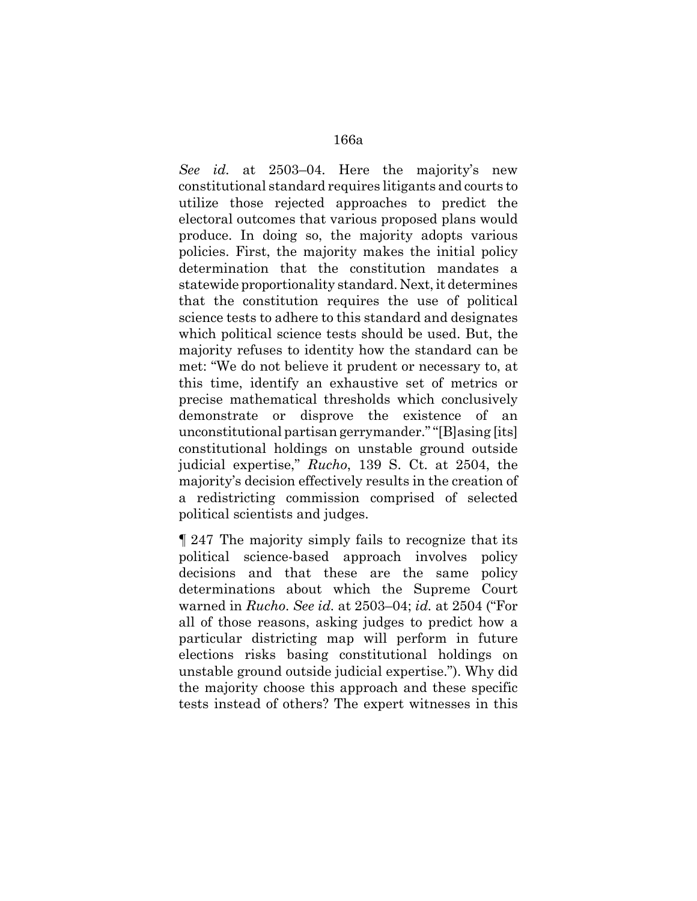*See id.* at 2503–04. Here the majority's new constitutional standard requires litigants and courts to utilize those rejected approaches to predict the electoral outcomes that various proposed plans would produce. In doing so, the majority adopts various policies. First, the majority makes the initial policy determination that the constitution mandates a statewide proportionality standard. Next, it determines that the constitution requires the use of political science tests to adhere to this standard and designates which political science tests should be used. But, the majority refuses to identity how the standard can be met: "We do not believe it prudent or necessary to, at this time, identify an exhaustive set of metrics or precise mathematical thresholds which conclusively demonstrate or disprove the existence of an unconstitutional partisan gerrymander." "[B]asing [its] constitutional holdings on unstable ground outside judicial expertise," *Rucho*, 139 S. Ct. at 2504, the majority's decision effectively results in the creation of a redistricting commission comprised of selected political scientists and judges.

¶ 247 The majority simply fails to recognize that its political science-based approach involves policy decisions and that these are the same policy determinations about which the Supreme Court warned in *Rucho*. *See id.* at 2503–04; *id.* at 2504 ("For all of those reasons, asking judges to predict how a particular districting map will perform in future elections risks basing constitutional holdings on unstable ground outside judicial expertise."). Why did the majority choose this approach and these specific tests instead of others? The expert witnesses in this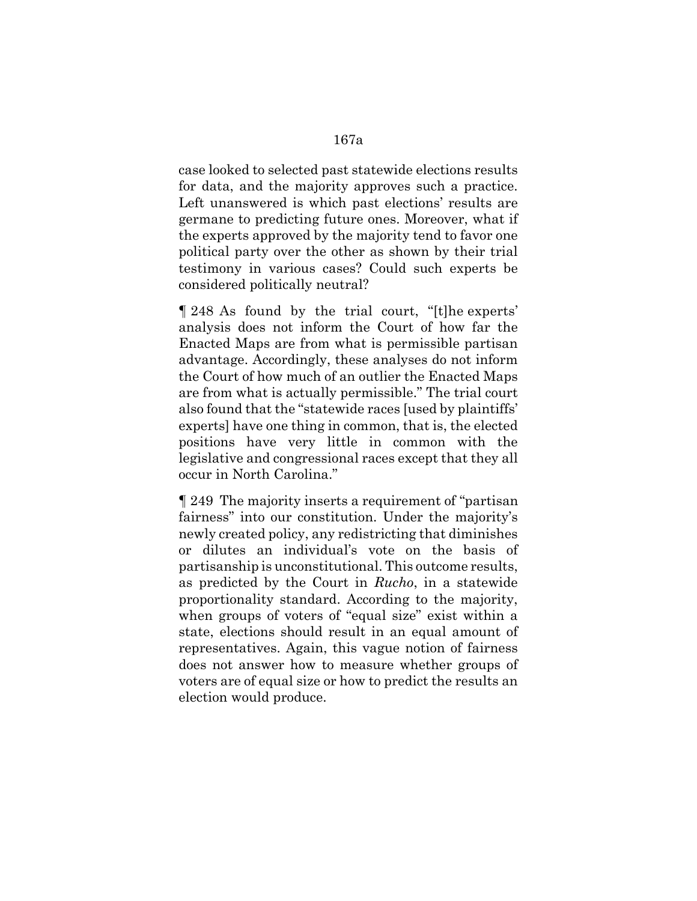case looked to selected past statewide elections results for data, and the majority approves such a practice. Left unanswered is which past elections' results are germane to predicting future ones. Moreover, what if the experts approved by the majority tend to favor one political party over the other as shown by their trial testimony in various cases? Could such experts be considered politically neutral?

¶ 248 As found by the trial court, "[t]he experts' analysis does not inform the Court of how far the Enacted Maps are from what is permissible partisan advantage. Accordingly, these analyses do not inform the Court of how much of an outlier the Enacted Maps are from what is actually permissible." The trial court also found that the "statewide races [used by plaintiffs' experts] have one thing in common, that is, the elected positions have very little in common with the legislative and congressional races except that they all occur in North Carolina."

¶ 249 The majority inserts a requirement of "partisan fairness" into our constitution. Under the majority's newly created policy, any redistricting that diminishes or dilutes an individual's vote on the basis of partisanship is unconstitutional. This outcome results, as predicted by the Court in *Rucho*, in a statewide proportionality standard. According to the majority, when groups of voters of "equal size" exist within a state, elections should result in an equal amount of representatives. Again, this vague notion of fairness does not answer how to measure whether groups of voters are of equal size or how to predict the results an election would produce.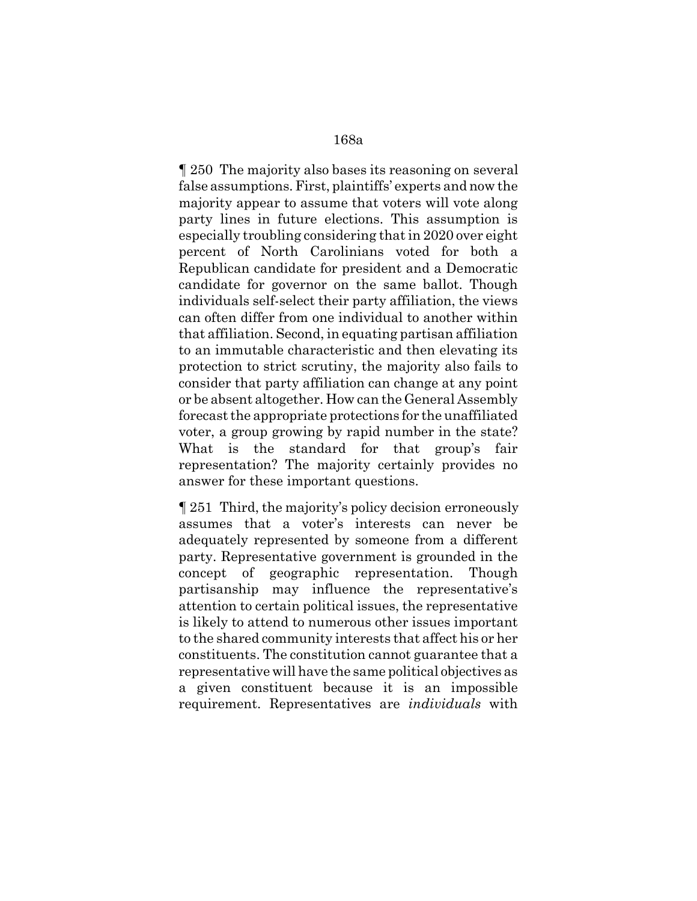¶ 250 The majority also bases its reasoning on several false assumptions. First, plaintiffs' experts and now the majority appear to assume that voters will vote along party lines in future elections. This assumption is especially troubling considering that in 2020 over eight percent of North Carolinians voted for both a Republican candidate for president and a Democratic candidate for governor on the same ballot. Though individuals self-select their party affiliation, the views can often differ from one individual to another within that affiliation. Second, in equating partisan affiliation to an immutable characteristic and then elevating its protection to strict scrutiny, the majority also fails to consider that party affiliation can change at any point or be absent altogether. How can the General Assembly forecast the appropriate protections for the unaffiliated voter, a group growing by rapid number in the state? What is the standard for that group's fair representation? The majority certainly provides no answer for these important questions.

¶ 251 Third, the majority's policy decision erroneously assumes that a voter's interests can never be adequately represented by someone from a different party. Representative government is grounded in the concept of geographic representation. Though partisanship may influence the representative's attention to certain political issues, the representative is likely to attend to numerous other issues important to the shared community interests that affect his or her constituents. The constitution cannot guarantee that a representative will have the same political objectives as a given constituent because it is an impossible requirement. Representatives are *individuals* with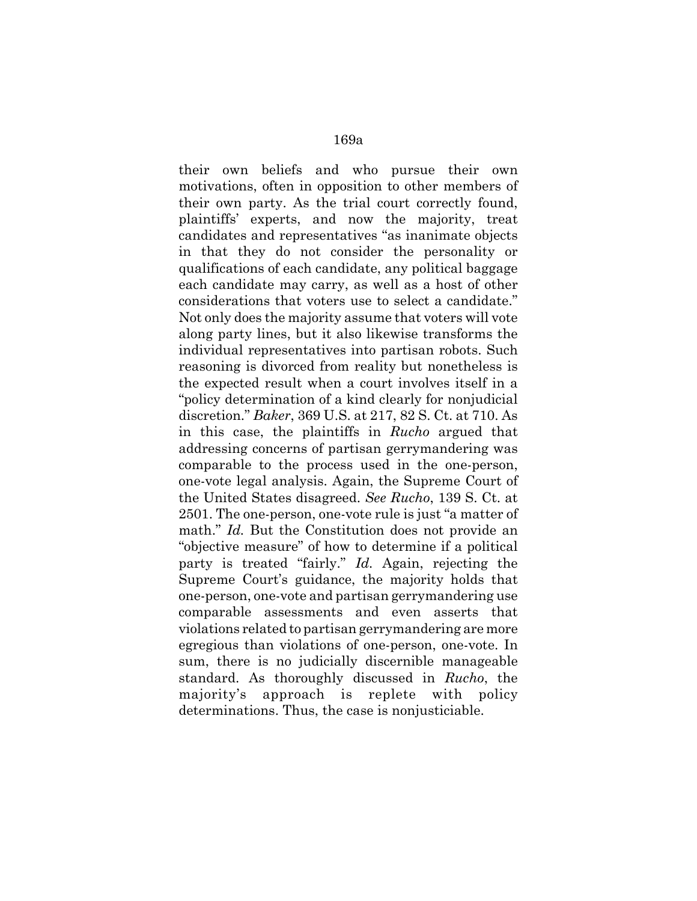their own beliefs and who pursue their own motivations, often in opposition to other members of their own party. As the trial court correctly found, plaintiffs' experts, and now the majority, treat candidates and representatives "as inanimate objects in that they do not consider the personality or qualifications of each candidate, any political baggage each candidate may carry, as well as a host of other considerations that voters use to select a candidate." Not only does the majority assume that voters will vote along party lines, but it also likewise transforms the individual representatives into partisan robots. Such reasoning is divorced from reality but nonetheless is the expected result when a court involves itself in a "policy determination of a kind clearly for nonjudicial discretion." *Baker*, 369 U.S. at 217, 82 S. Ct. at 710. As in this case, the plaintiffs in *Rucho* argued that addressing concerns of partisan gerrymandering was comparable to the process used in the one-person, one-vote legal analysis. Again, the Supreme Court of the United States disagreed. *See Rucho*, 139 S. Ct. at 2501. The one-person, one-vote rule is just "a matter of math." *Id.* But the Constitution does not provide an "objective measure" of how to determine if a political party is treated "fairly." *Id.* Again, rejecting the Supreme Court's guidance, the majority holds that one-person, one-vote and partisan gerrymandering use comparable assessments and even asserts that violations related to partisan gerrymandering are more egregious than violations of one-person, one-vote. In sum, there is no judicially discernible manageable standard. As thoroughly discussed in *Rucho*, the majority's approach is replete with policy determinations. Thus, the case is nonjusticiable.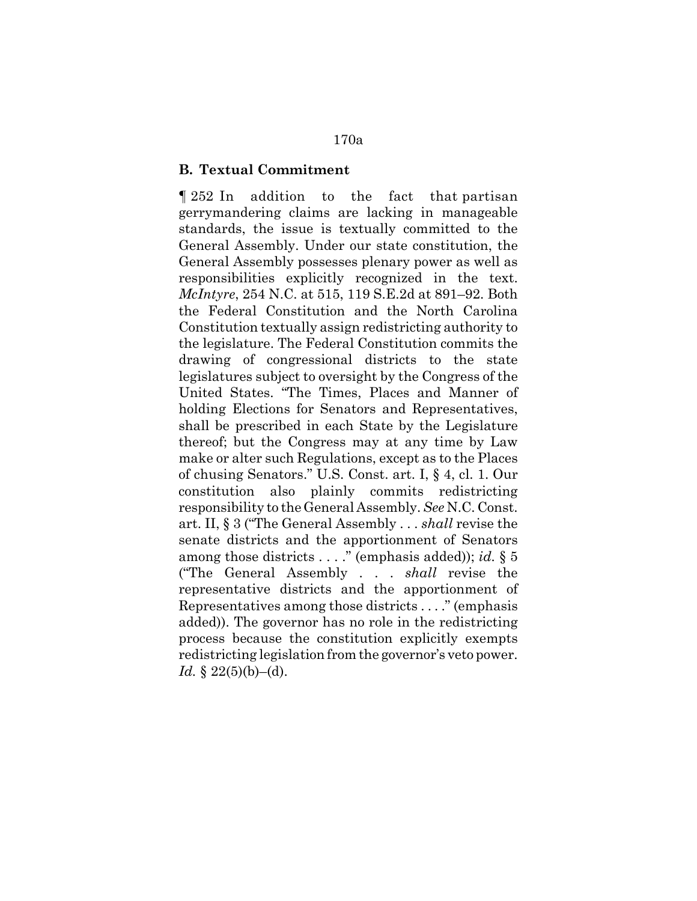#### **B. Textual Commitment**

¶ 252 In addition to the fact that partisan gerrymandering claims are lacking in manageable standards, the issue is textually committed to the General Assembly. Under our state constitution, the General Assembly possesses plenary power as well as responsibilities explicitly recognized in the text. *McIntyre*, 254 N.C. at 515, 119 S.E.2d at 891–92. Both the Federal Constitution and the North Carolina Constitution textually assign redistricting authority to the legislature. The Federal Constitution commits the drawing of congressional districts to the state legislatures subject to oversight by the Congress of the United States. "The Times, Places and Manner of holding Elections for Senators and Representatives, shall be prescribed in each State by the Legislature thereof; but the Congress may at any time by Law make or alter such Regulations, except as to the Places of chusing Senators." U.S. Const. art. I, § 4, cl. 1. Our constitution also plainly commits redistricting responsibility to the General Assembly. *See* N.C. Const. art. II, § 3 ("The General Assembly . . . *shall* revise the senate districts and the apportionment of Senators among those districts . . . ." (emphasis added)); *id.* § 5 ("The General Assembly . . . *shall* revise the representative districts and the apportionment of Representatives among those districts . . . ." (emphasis added)). The governor has no role in the redistricting process because the constitution explicitly exempts redistricting legislation from the governor's veto power. *Id.* § 22(5)(b)–(d).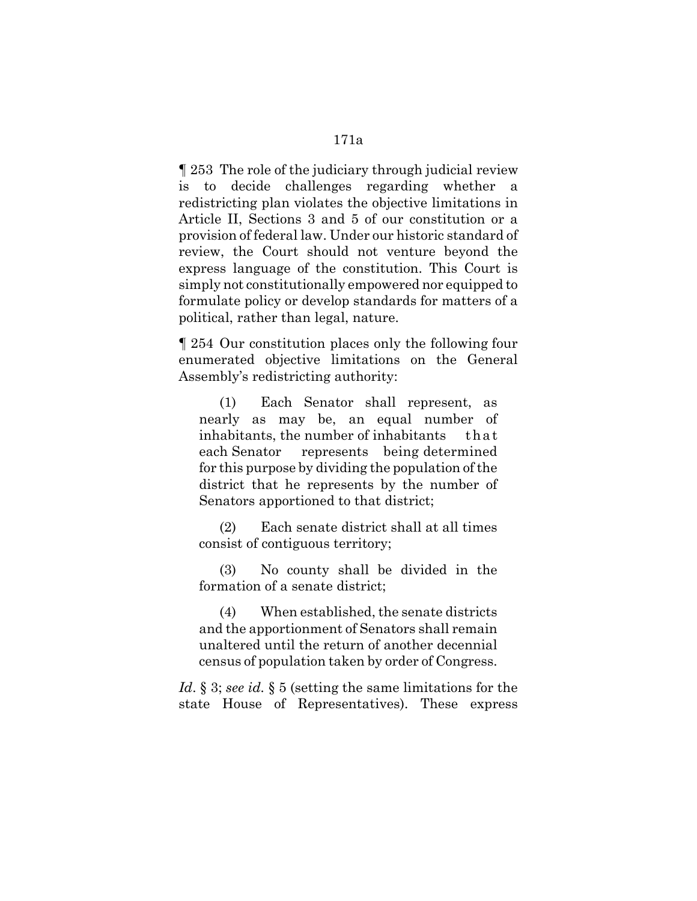¶ 253 The role of the judiciary through judicial review is to decide challenges regarding whether a redistricting plan violates the objective limitations in Article II, Sections 3 and 5 of our constitution or a provision of federal law. Under our historic standard of review, the Court should not venture beyond the express language of the constitution. This Court is simply not constitutionally empowered nor equipped to formulate policy or develop standards for matters of a political, rather than legal, nature.

¶ 254 Our constitution places only the following four enumerated objective limitations on the General Assembly's redistricting authority:

(1) Each Senator shall represent, as nearly as may be, an equal number of inhabitants, the number of inhabitants that each Senator represents being determined for this purpose by dividing the population of the district that he represents by the number of Senators apportioned to that district;

(2) Each senate district shall at all times consist of contiguous territory;

(3) No county shall be divided in the formation of a senate district;

(4) When established, the senate districts and the apportionment of Senators shall remain unaltered until the return of another decennial census of population taken by order of Congress.

*Id*. § 3; *see id.* § 5 (setting the same limitations for the state House of Representatives). These express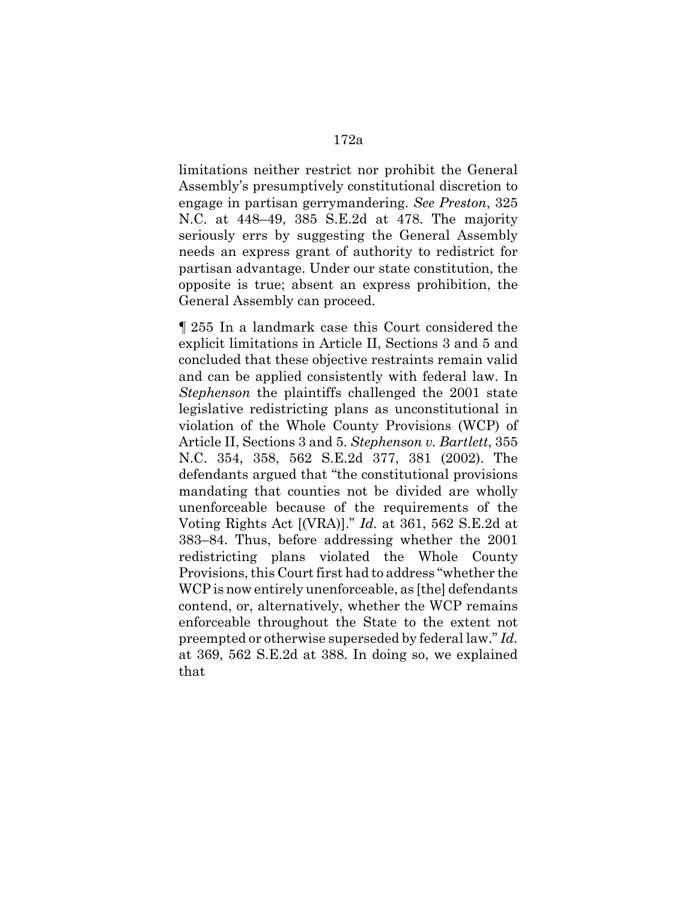limitations neither restrict nor prohibit the General Assembly's presumptively constitutional discretion to engage in partisan gerrymandering. *See Preston*, 325 N.C. at 448–49, 385 S.E.2d at 478. The majority seriously errs by suggesting the General Assembly needs an express grant of authority to redistrict for partisan advantage. Under our state constitution, the opposite is true; absent an express prohibition, the General Assembly can proceed.

¶ 255 In a landmark case this Court considered the explicit limitations in Article II, Sections 3 and 5 and concluded that these objective restraints remain valid and can be applied consistently with federal law. In *Stephenson* the plaintiffs challenged the 2001 state legislative redistricting plans as unconstitutional in violation of the Whole County Provisions (WCP) of Article II, Sections 3 and 5. *Stephenson v. Bartlett*, 355 N.C. 354, 358, 562 S.E.2d 377, 381 (2002). The defendants argued that "the constitutional provisions mandating that counties not be divided are wholly unenforceable because of the requirements of the Voting Rights Act [(VRA)]." *Id.* at 361, 562 S.E.2d at 383–84. Thus, before addressing whether the 2001 redistricting plans violated the Whole County Provisions, this Court first had to address "whether the WCP is now entirely unenforceable, as [the] defendants contend, or, alternatively, whether the WCP remains enforceable throughout the State to the extent not preempted or otherwise superseded by federal law." *Id.* at 369, 562 S.E.2d at 388. In doing so, we explained that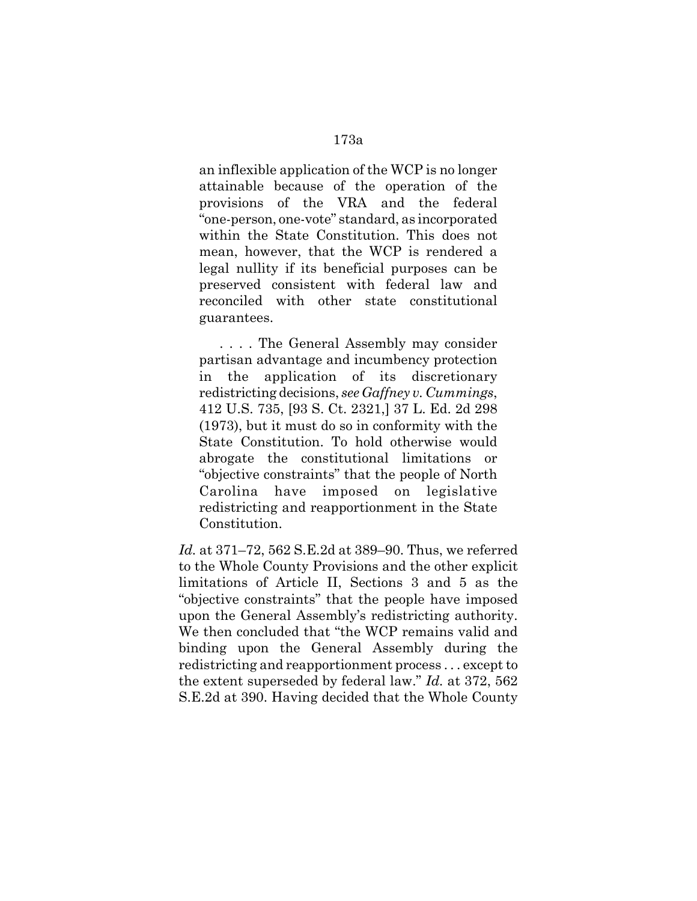an inflexible application of the WCP is no longer attainable because of the operation of the provisions of the VRA and the federal "one-person, one-vote" standard, as incorporated within the State Constitution. This does not mean, however, that the WCP is rendered a legal nullity if its beneficial purposes can be preserved consistent with federal law and reconciled with other state constitutional guarantees.

. . . . The General Assembly may consider partisan advantage and incumbency protection in the application of its discretionary redistricting decisions, *see Gaffney v. Cummings*, 412 U.S. 735, [93 S. Ct. 2321,] 37 L. Ed. 2d 298 (1973), but it must do so in conformity with the State Constitution. To hold otherwise would abrogate the constitutional limitations or "objective constraints" that the people of North Carolina have imposed on legislative redistricting and reapportionment in the State Constitution.

*Id.* at 371–72, 562 S.E.2d at 389–90. Thus, we referred to the Whole County Provisions and the other explicit limitations of Article II, Sections 3 and 5 as the "objective constraints" that the people have imposed upon the General Assembly's redistricting authority. We then concluded that "the WCP remains valid and binding upon the General Assembly during the redistricting and reapportionment process . . . except to the extent superseded by federal law." *Id.* at 372, 562 S.E.2d at 390. Having decided that the Whole County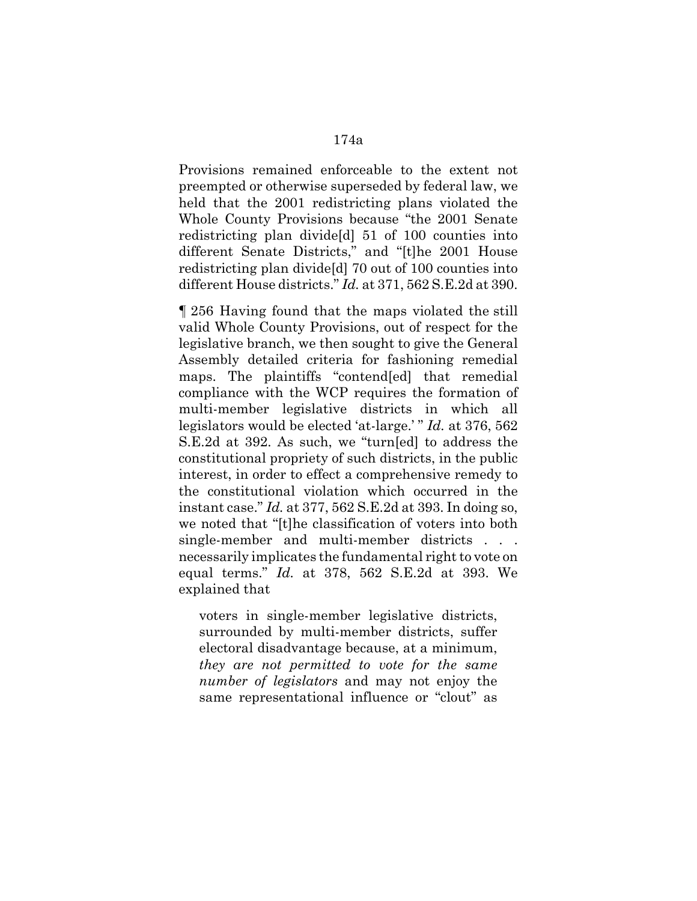Provisions remained enforceable to the extent not preempted or otherwise superseded by federal law, we held that the 2001 redistricting plans violated the Whole County Provisions because "the 2001 Senate redistricting plan divide[d] 51 of 100 counties into different Senate Districts," and "[t]he 2001 House redistricting plan divide[d] 70 out of 100 counties into different House districts." *Id.* at 371, 562 S.E.2d at 390.

¶ 256 Having found that the maps violated the still valid Whole County Provisions, out of respect for the legislative branch, we then sought to give the General Assembly detailed criteria for fashioning remedial maps. The plaintiffs "contend[ed] that remedial compliance with the WCP requires the formation of multi-member legislative districts in which all legislators would be elected 'at-large.' " *Id.* at 376, 562 S.E.2d at 392. As such, we "turn[ed] to address the constitutional propriety of such districts, in the public interest, in order to effect a comprehensive remedy to the constitutional violation which occurred in the instant case." *Id.* at 377, 562 S.E.2d at 393. In doing so, we noted that "[t]he classification of voters into both single-member and multi-member districts . . . necessarily implicates the fundamental right to vote on equal terms." *Id.* at 378, 562 S.E.2d at 393. We explained that

voters in single-member legislative districts, surrounded by multi-member districts, suffer electoral disadvantage because, at a minimum, *they are not permitted to vote for the same number of legislators* and may not enjoy the same representational influence or "clout" as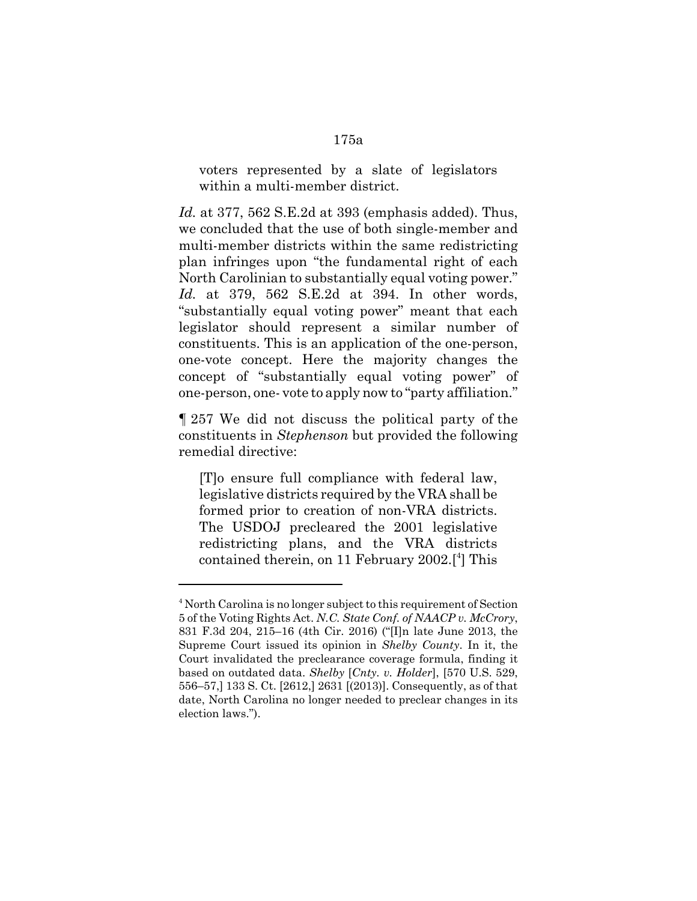voters represented by a slate of legislators within a multi-member district.

*Id.* at 377, 562 S.E.2d at 393 (emphasis added). Thus, we concluded that the use of both single-member and multi-member districts within the same redistricting plan infringes upon "the fundamental right of each North Carolinian to substantially equal voting power." *Id.* at 379, 562 S.E.2d at 394. In other words, "substantially equal voting power" meant that each legislator should represent a similar number of constituents. This is an application of the one-person, one-vote concept. Here the majority changes the concept of "substantially equal voting power" of one-person, one- vote to apply now to "party affiliation."

¶ 257 We did not discuss the political party of the constituents in *Stephenson* but provided the following remedial directive:

[T]o ensure full compliance with federal law, legislative districts required by the VRA shall be formed prior to creation of non-VRA districts. The USDOJ precleared the 2001 legislative redistricting plans, and the VRA districts contained therein, on 11 February 2002.<sup>[4]</sup> This

<sup>&</sup>lt;sup>4</sup> North Carolina is no longer subject to this requirement of Section 5 of the Voting Rights Act. *N.C. State Conf. of NAACP v. McCrory*, 831 F.3d 204, 215–16 (4th Cir. 2016) ("[I]n late June 2013, the Supreme Court issued its opinion in *Shelby County*. In it, the Court invalidated the preclearance coverage formula, finding it based on outdated data. *Shelby* [*Cnty. v. Holder*], [570 U.S. 529, 556–57,] 133 S. Ct. [2612,] 2631 [(2013)]. Consequently, as of that date, North Carolina no longer needed to preclear changes in its election laws.").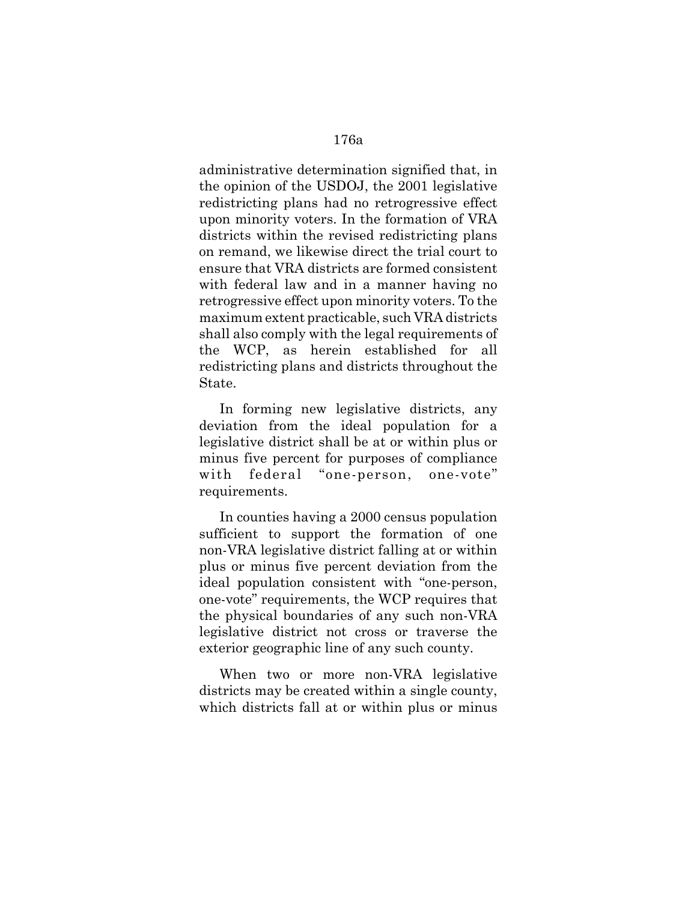administrative determination signified that, in the opinion of the USDOJ, the 2001 legislative redistricting plans had no retrogressive effect upon minority voters. In the formation of VRA districts within the revised redistricting plans on remand, we likewise direct the trial court to ensure that VRA districts are formed consistent with federal law and in a manner having no retrogressive effect upon minority voters. To the maximum extent practicable, such VRA districts shall also comply with the legal requirements of the WCP, as herein established for all redistricting plans and districts throughout the State.

In forming new legislative districts, any deviation from the ideal population for a legislative district shall be at or within plus or minus five percent for purposes of compliance with federal "one-person, one-vote" requirements.

In counties having a 2000 census population sufficient to support the formation of one non-VRA legislative district falling at or within plus or minus five percent deviation from the ideal population consistent with "one-person, one-vote" requirements, the WCP requires that the physical boundaries of any such non-VRA legislative district not cross or traverse the exterior geographic line of any such county.

When two or more non-VRA legislative districts may be created within a single county, which districts fall at or within plus or minus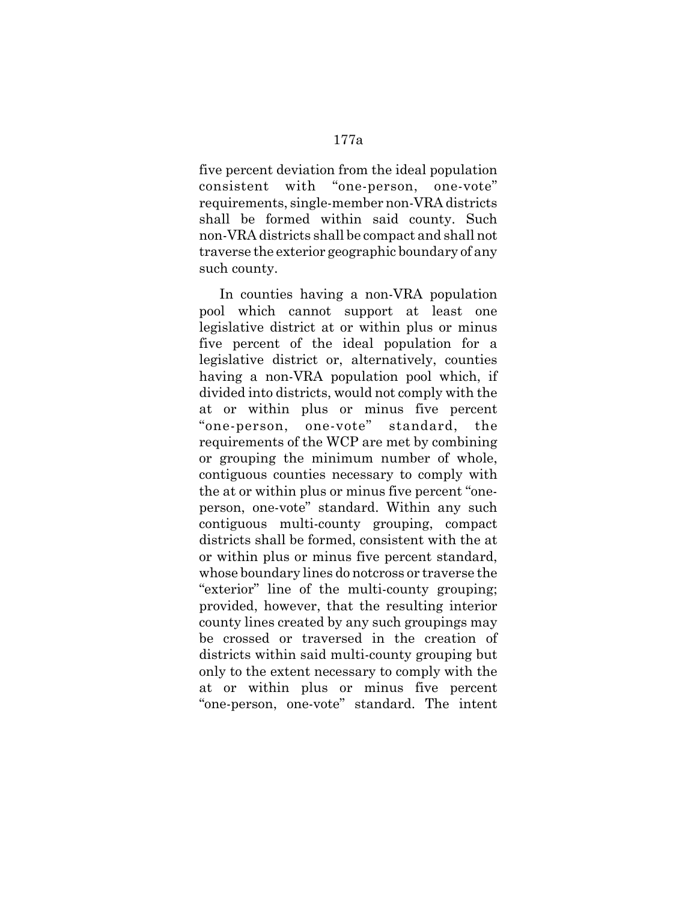five percent deviation from the ideal population consistent with "one-person, one-vote" requirements, single-member non-VRA districts shall be formed within said county. Such non-VRA districts shall be compact and shall not traverse the exterior geographic boundary of any such county.

In counties having a non-VRA population pool which cannot support at least one legislative district at or within plus or minus five percent of the ideal population for a legislative district or, alternatively, counties having a non-VRA population pool which, if divided into districts, would not comply with the at or within plus or minus five percent "one-person, one-vote" standard, the requirements of the WCP are met by combining or grouping the minimum number of whole, contiguous counties necessary to comply with the at or within plus or minus five percent "oneperson, one-vote" standard. Within any such contiguous multi-county grouping, compact districts shall be formed, consistent with the at or within plus or minus five percent standard, whose boundary lines do notcross or traverse the "exterior" line of the multi-county grouping; provided, however, that the resulting interior county lines created by any such groupings may be crossed or traversed in the creation of districts within said multi-county grouping but only to the extent necessary to comply with the at or within plus or minus five percent "one-person, one-vote" standard. The intent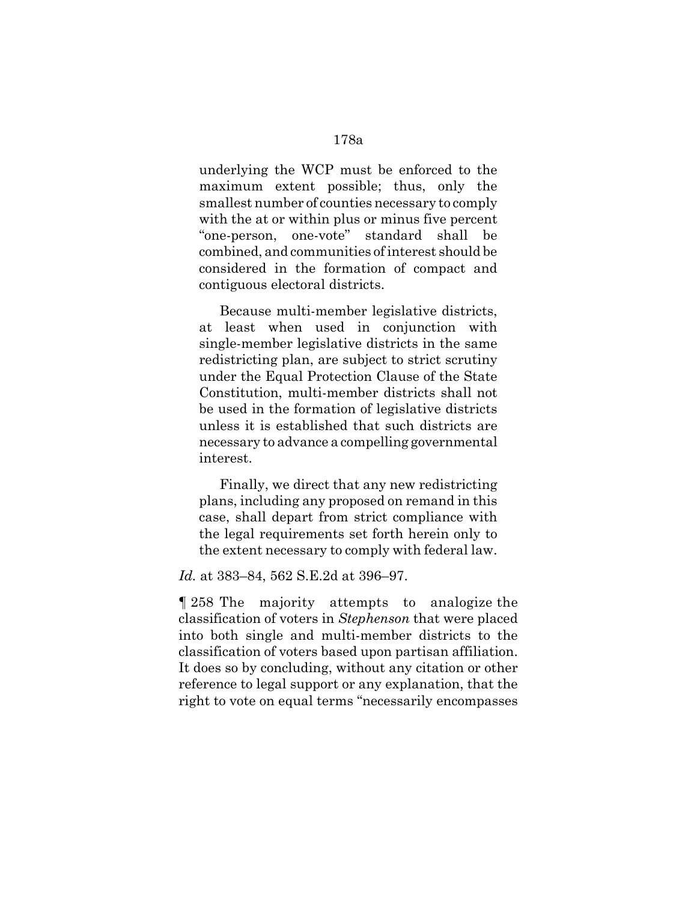underlying the WCP must be enforced to the maximum extent possible; thus, only the smallest number of counties necessary to comply with the at or within plus or minus five percent "one-person, one-vote" standard shall be combined, and communities of interest should be considered in the formation of compact and contiguous electoral districts.

Because multi-member legislative districts, at least when used in conjunction with single-member legislative districts in the same redistricting plan, are subject to strict scrutiny under the Equal Protection Clause of the State Constitution, multi-member districts shall not be used in the formation of legislative districts unless it is established that such districts are necessary to advance a compelling governmental interest.

Finally, we direct that any new redistricting plans, including any proposed on remand in this case, shall depart from strict compliance with the legal requirements set forth herein only to the extent necessary to comply with federal law.

*Id.* at 383–84, 562 S.E.2d at 396–97.

¶ 258 The majority attempts to analogize the classification of voters in *Stephenson* that were placed into both single and multi-member districts to the classification of voters based upon partisan affiliation. It does so by concluding, without any citation or other reference to legal support or any explanation, that the right to vote on equal terms "necessarily encompasses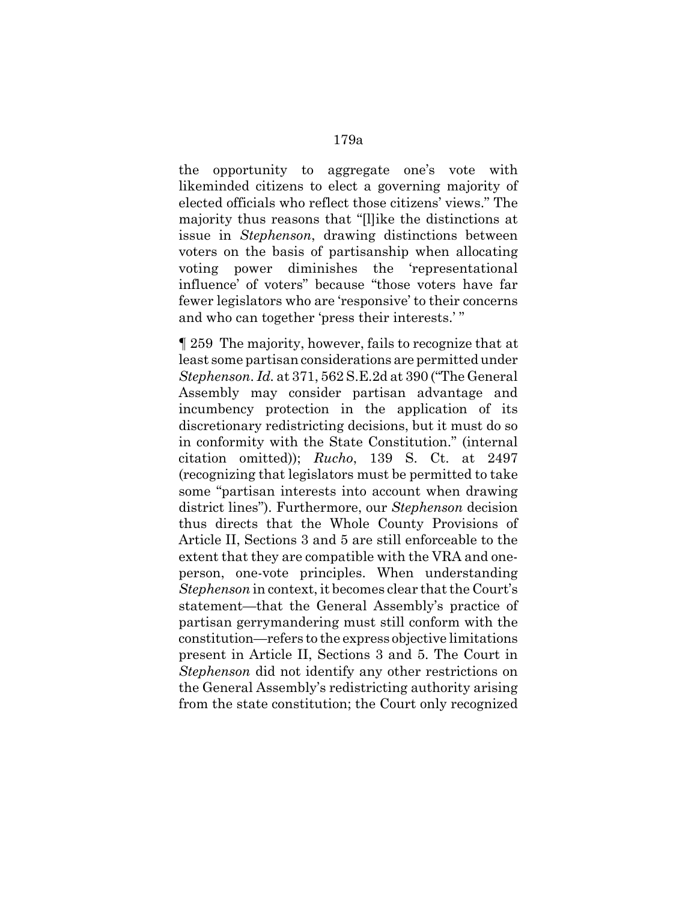the opportunity to aggregate one's vote with likeminded citizens to elect a governing majority of elected officials who reflect those citizens' views." The majority thus reasons that "[l]ike the distinctions at issue in *Stephenson*, drawing distinctions between voters on the basis of partisanship when allocating voting power diminishes the 'representational influence' of voters" because "those voters have far fewer legislators who are 'responsive' to their concerns and who can together 'press their interests.' "

¶ 259 The majority, however, fails to recognize that at least some partisan considerations are permitted under *Stephenson*. *Id.* at 371, 562 S.E.2d at 390 ("The General Assembly may consider partisan advantage and incumbency protection in the application of its discretionary redistricting decisions, but it must do so in conformity with the State Constitution." (internal citation omitted)); *Rucho*, 139 S. Ct. at 2497 (recognizing that legislators must be permitted to take some "partisan interests into account when drawing district lines"). Furthermore, our *Stephenson* decision thus directs that the Whole County Provisions of Article II, Sections 3 and 5 are still enforceable to the extent that they are compatible with the VRA and oneperson, one-vote principles. When understanding *Stephenson* in context, it becomes clear that the Court's statement—that the General Assembly's practice of partisan gerrymandering must still conform with the constitution—refers to the express objective limitations present in Article II, Sections 3 and 5. The Court in *Stephenson* did not identify any other restrictions on the General Assembly's redistricting authority arising from the state constitution; the Court only recognized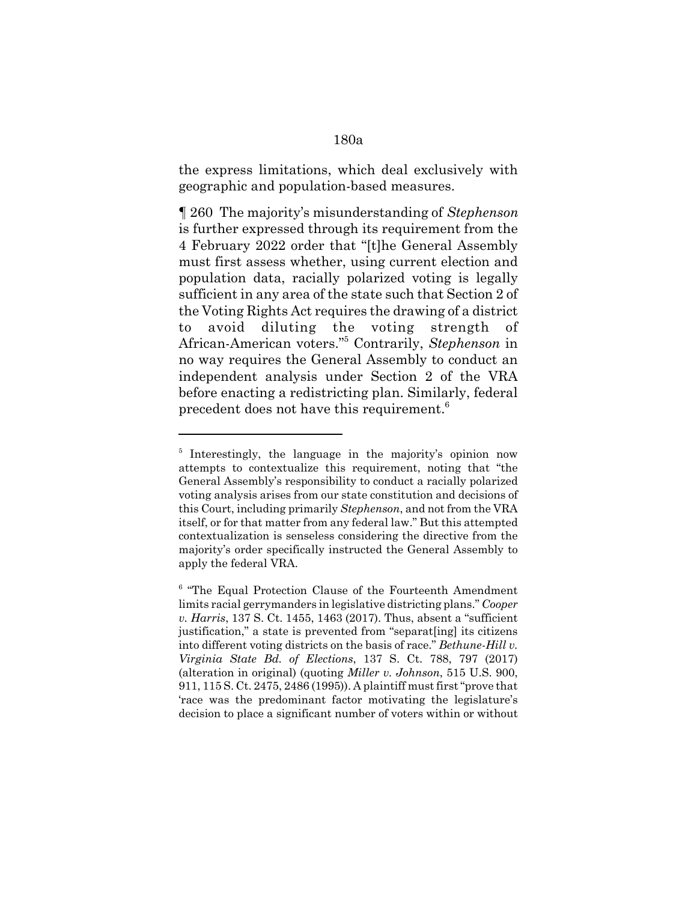the express limitations, which deal exclusively with geographic and population-based measures.

¶ 260 The majority's misunderstanding of *Stephenson* is further expressed through its requirement from the 4 February 2022 order that "[t]he General Assembly must first assess whether, using current election and population data, racially polarized voting is legally sufficient in any area of the state such that Section 2 of the Voting Rights Act requires the drawing of a district to avoid diluting the voting strength African-American voters."5 Contrarily, *Stephenson* in no way requires the General Assembly to conduct an independent analysis under Section 2 of the VRA before enacting a redistricting plan. Similarly, federal precedent does not have this requirement.<sup>6</sup>

## 180a

<sup>&</sup>lt;sup>5</sup> Interestingly, the language in the majority's opinion now attempts to contextualize this requirement, noting that "the General Assembly's responsibility to conduct a racially polarized voting analysis arises from our state constitution and decisions of this Court, including primarily *Stephenson*, and not from the VRA itself, or for that matter from any federal law." But this attempted contextualization is senseless considering the directive from the majority's order specifically instructed the General Assembly to apply the federal VRA.

<sup>&</sup>lt;sup>6</sup> "The Equal Protection Clause of the Fourteenth Amendment limits racial gerrymanders in legislative districting plans." *Cooper v. Harris*, 137 S. Ct. 1455, 1463 (2017). Thus, absent a "sufficient justification," a state is prevented from "separat[ing] its citizens into different voting districts on the basis of race." *Bethune-Hill v. Virginia State Bd. of Elections*, 137 S. Ct. 788, 797 (2017) (alteration in original) (quoting *Miller v. Johnson*, 515 U.S. 900, 911, 115 S. Ct. 2475, 2486 (1995)). A plaintiff must first "prove that 'race was the predominant factor motivating the legislature's decision to place a significant number of voters within or without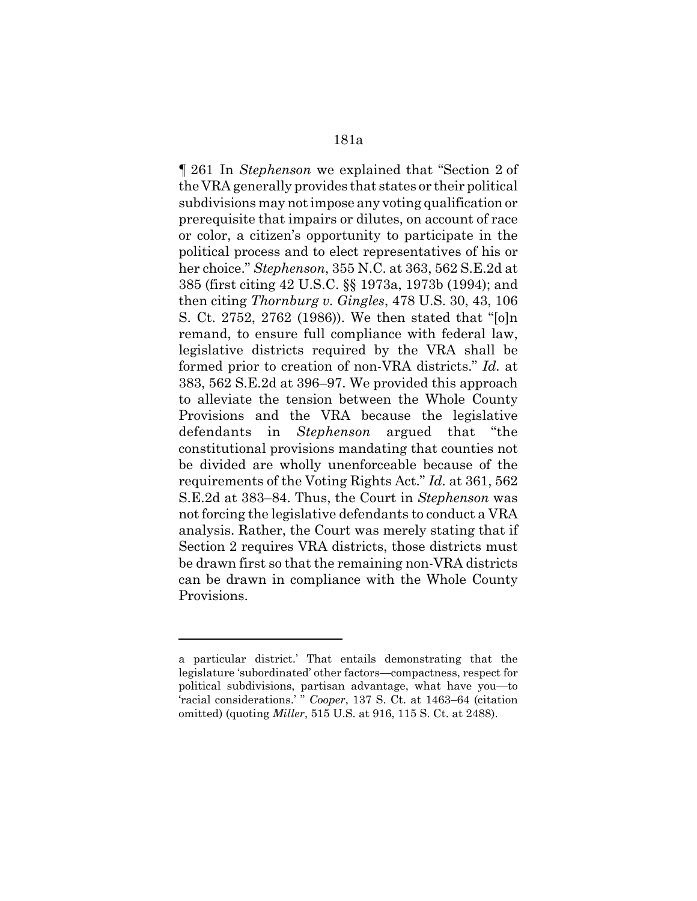¶ 261 In *Stephenson* we explained that "Section 2 of the VRA generally provides that states or their political subdivisions may not impose any voting qualification or prerequisite that impairs or dilutes, on account of race or color, a citizen's opportunity to participate in the political process and to elect representatives of his or her choice." *Stephenson*, 355 N.C. at 363, 562 S.E.2d at 385 (first citing 42 U.S.C. §§ 1973a, 1973b (1994); and then citing *Thornburg v. Gingles*, 478 U.S. 30, 43, 106 S. Ct. 2752, 2762 (1986)). We then stated that "[o]n remand, to ensure full compliance with federal law, legislative districts required by the VRA shall be formed prior to creation of non-VRA districts." *Id.* at 383, 562 S.E.2d at 396–97. We provided this approach to alleviate the tension between the Whole County Provisions and the VRA because the legislative defendants in *Stephenson* argued that "the constitutional provisions mandating that counties not be divided are wholly unenforceable because of the requirements of the Voting Rights Act." *Id.* at 361, 562 S.E.2d at 383–84. Thus, the Court in *Stephenson* was not forcing the legislative defendants to conduct a VRA analysis. Rather, the Court was merely stating that if Section 2 requires VRA districts, those districts must be drawn first so that the remaining non-VRA districts can be drawn in compliance with the Whole County Provisions.

a particular district.' That entails demonstrating that the legislature 'subordinated' other factors—compactness, respect for political subdivisions, partisan advantage, what have you—to 'racial considerations.' " *Cooper*, 137 S. Ct. at 1463–64 (citation omitted) (quoting *Miller*, 515 U.S. at 916, 115 S. Ct. at 2488).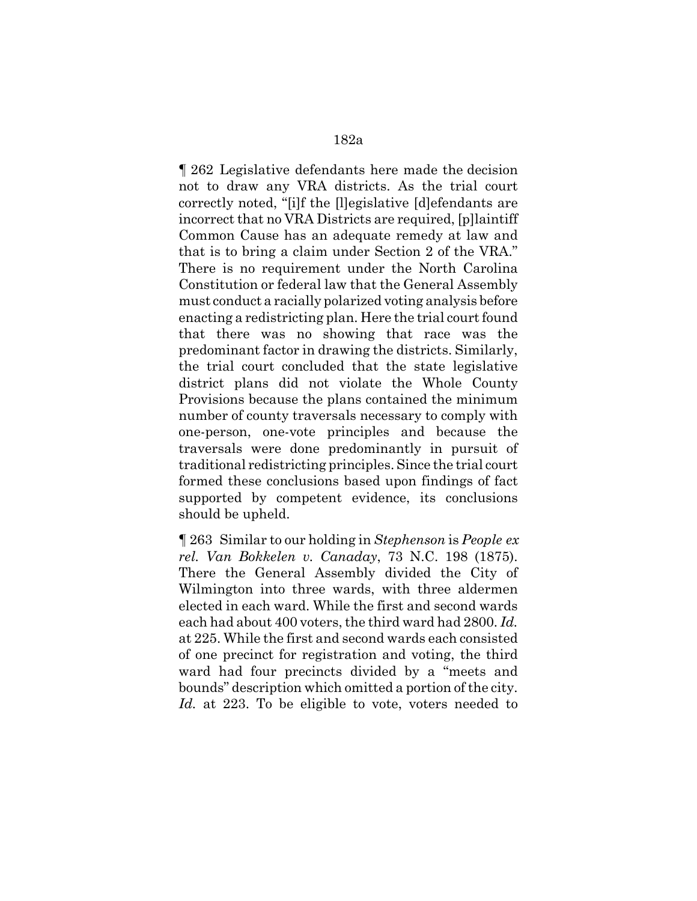¶ 262 Legislative defendants here made the decision not to draw any VRA districts. As the trial court correctly noted, "[i]f the [l]egislative [d]efendants are incorrect that no VRA Districts are required, [p]laintiff Common Cause has an adequate remedy at law and that is to bring a claim under Section 2 of the VRA." There is no requirement under the North Carolina Constitution or federal law that the General Assembly must conduct a racially polarized voting analysis before enacting a redistricting plan. Here the trial court found that there was no showing that race was the predominant factor in drawing the districts. Similarly, the trial court concluded that the state legislative district plans did not violate the Whole County Provisions because the plans contained the minimum number of county traversals necessary to comply with one-person, one-vote principles and because the traversals were done predominantly in pursuit of traditional redistricting principles. Since the trial court formed these conclusions based upon findings of fact supported by competent evidence, its conclusions should be upheld.

¶ 263 Similar to our holding in *Stephenson* is *People ex rel. Van Bokkelen v. Canaday*, 73 N.C. 198 (1875). There the General Assembly divided the City of Wilmington into three wards, with three aldermen elected in each ward. While the first and second wards each had about 400 voters, the third ward had 2800. *Id.* at 225. While the first and second wards each consisted of one precinct for registration and voting, the third ward had four precincts divided by a "meets and bounds" description which omitted a portion of the city. *Id.* at 223. To be eligible to vote, voters needed to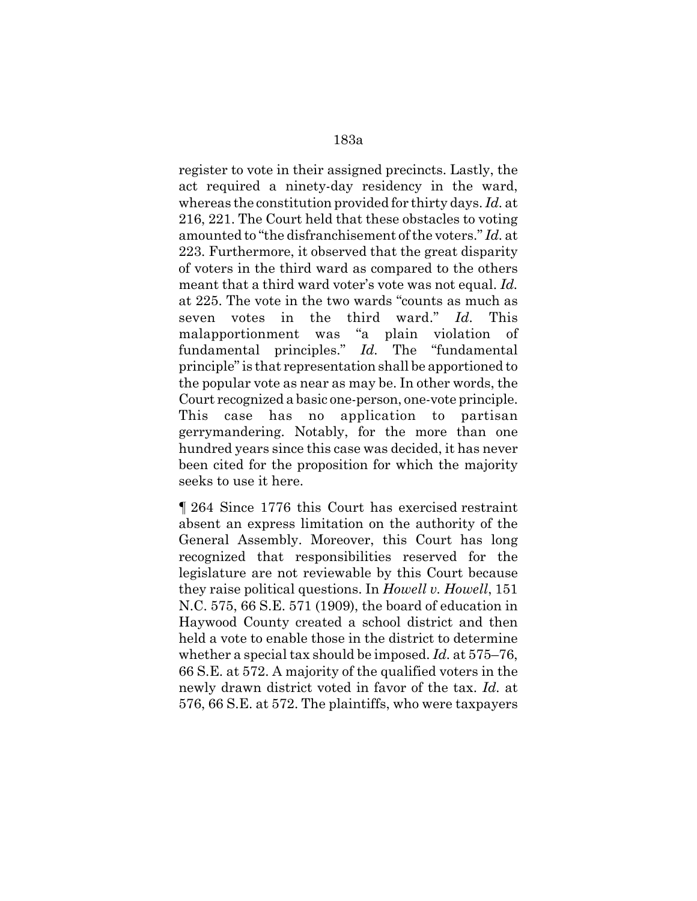register to vote in their assigned precincts. Lastly, the act required a ninety-day residency in the ward, whereas the constitution provided for thirty days. *Id.* at 216, 221. The Court held that these obstacles to voting amounted to "the disfranchisement of the voters." *Id.* at 223. Furthermore, it observed that the great disparity of voters in the third ward as compared to the others meant that a third ward voter's vote was not equal. *Id.* at 225. The vote in the two wards "counts as much as seven votes in the third ward." *Id.* This malapportionment was "a plain violation of fundamental principles." *Id.* The "fundamental principle" is that representation shall be apportioned to the popular vote as near as may be. In other words, the Court recognized a basic one-person, one-vote principle. This case has no application to partisan gerrymandering. Notably, for the more than one hundred years since this case was decided, it has never been cited for the proposition for which the majority seeks to use it here.

¶ 264 Since 1776 this Court has exercised restraint absent an express limitation on the authority of the General Assembly. Moreover, this Court has long recognized that responsibilities reserved for the legislature are not reviewable by this Court because they raise political questions. In *Howell v. Howell*, 151 N.C. 575, 66 S.E. 571 (1909), the board of education in Haywood County created a school district and then held a vote to enable those in the district to determine whether a special tax should be imposed. *Id.* at 575–76, 66 S.E. at 572. A majority of the qualified voters in the newly drawn district voted in favor of the tax. *Id.* at 576, 66 S.E. at 572. The plaintiffs, who were taxpayers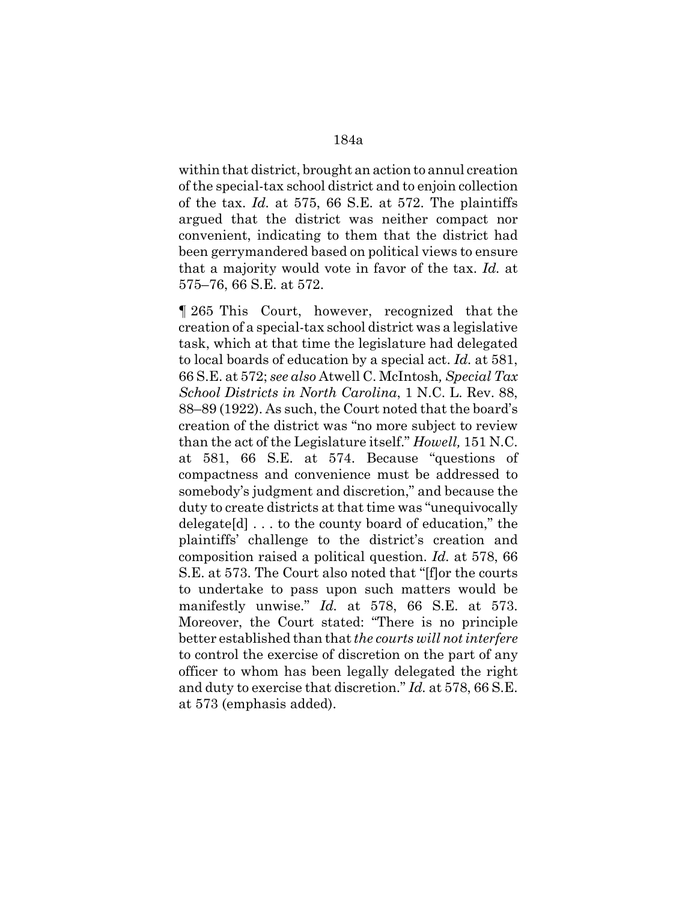within that district, brought an action to annul creation of the special-tax school district and to enjoin collection of the tax. *Id.* at 575, 66 S.E. at 572. The plaintiffs argued that the district was neither compact nor convenient, indicating to them that the district had been gerrymandered based on political views to ensure that a majority would vote in favor of the tax. *Id.* at 575–76, 66 S.E. at 572.

¶ 265 This Court, however, recognized that the creation of a special-tax school district was a legislative task, which at that time the legislature had delegated to local boards of education by a special act. *Id.* at 581, 66 S.E. at 572; *see also* Atwell C. McIntosh*, Special Tax School Districts in North Carolina*, 1 N.C. L. Rev. 88, 88–89 (1922). As such, the Court noted that the board's creation of the district was "no more subject to review than the act of the Legislature itself." *Howell,* 151 N.C. at 581, 66 S.E. at 574. Because "questions of compactness and convenience must be addressed to somebody's judgment and discretion," and because the duty to create districts at that time was "unequivocally delegate[d] . . . to the county board of education," the plaintiffs' challenge to the district's creation and composition raised a political question. *Id.* at 578, 66 S.E. at 573. The Court also noted that "[f]or the courts to undertake to pass upon such matters would be manifestly unwise." *Id.* at 578, 66 S.E. at 573. Moreover, the Court stated: "There is no principle better established than that *the courts will not interfere* to control the exercise of discretion on the part of any officer to whom has been legally delegated the right and duty to exercise that discretion." *Id.* at 578, 66 S.E. at 573 (emphasis added).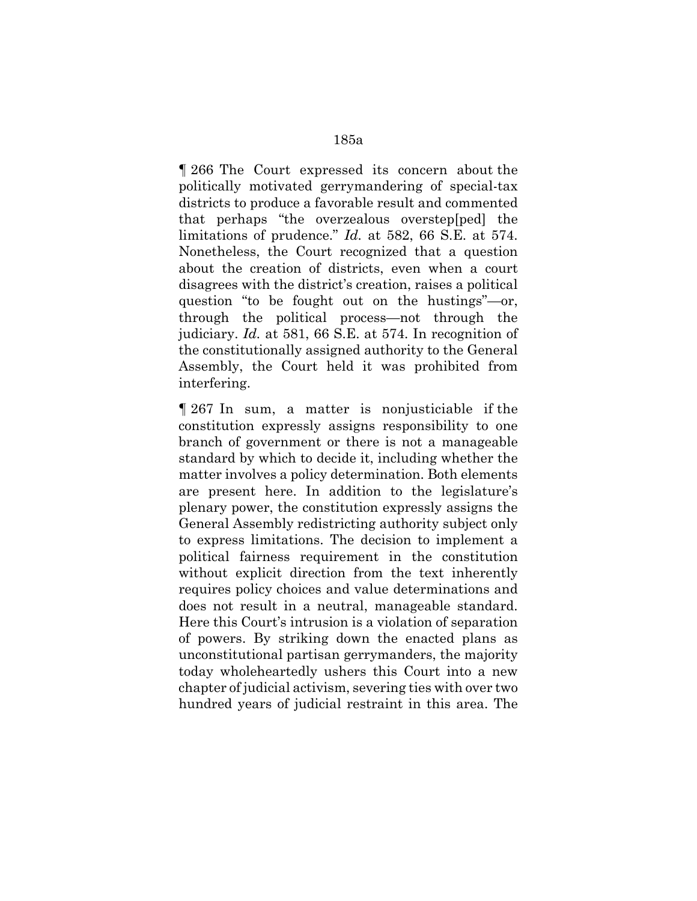¶ 266 The Court expressed its concern about the politically motivated gerrymandering of special-tax districts to produce a favorable result and commented that perhaps "the overzealous overstep[ped] the limitations of prudence." *Id.* at 582, 66 S.E. at 574. Nonetheless, the Court recognized that a question about the creation of districts, even when a court disagrees with the district's creation, raises a political question "to be fought out on the hustings"—or, through the political process—not through the judiciary. *Id.* at 581, 66 S.E. at 574. In recognition of the constitutionally assigned authority to the General Assembly, the Court held it was prohibited from interfering.

¶ 267 In sum, a matter is nonjusticiable if the constitution expressly assigns responsibility to one branch of government or there is not a manageable standard by which to decide it, including whether the matter involves a policy determination. Both elements are present here. In addition to the legislature's plenary power, the constitution expressly assigns the General Assembly redistricting authority subject only to express limitations. The decision to implement a political fairness requirement in the constitution without explicit direction from the text inherently requires policy choices and value determinations and does not result in a neutral, manageable standard. Here this Court's intrusion is a violation of separation of powers. By striking down the enacted plans as unconstitutional partisan gerrymanders, the majority today wholeheartedly ushers this Court into a new chapter of judicial activism, severing ties with over two hundred years of judicial restraint in this area. The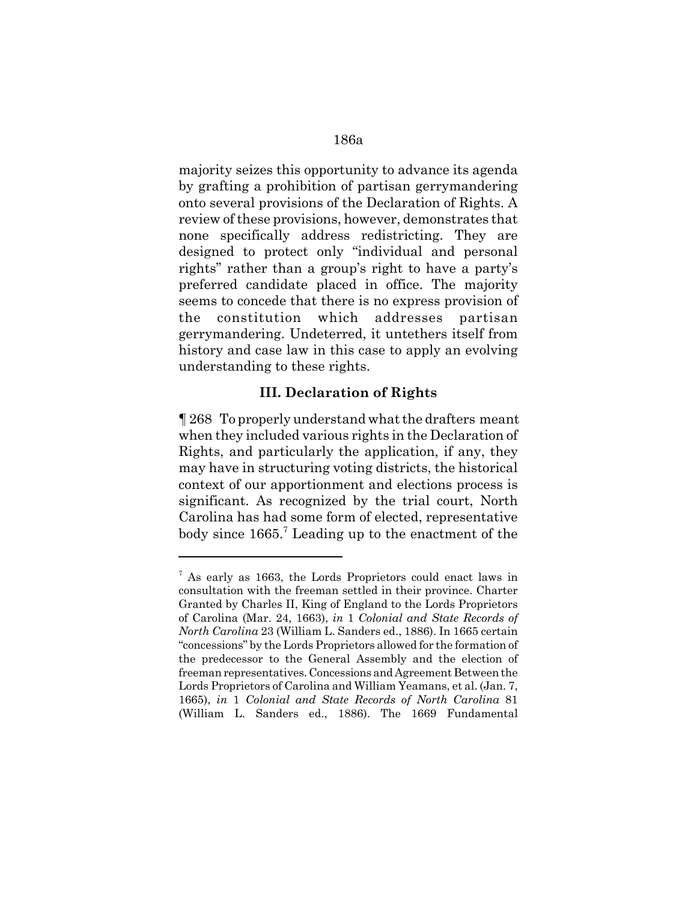majority seizes this opportunity to advance its agenda by grafting a prohibition of partisan gerrymandering onto several provisions of the Declaration of Rights. A review of these provisions, however, demonstrates that none specifically address redistricting. They are designed to protect only "individual and personal rights" rather than a group's right to have a party's preferred candidate placed in office. The majority seems to concede that there is no express provision of the constitution which addresses partisan gerrymandering. Undeterred, it untethers itself from history and case law in this case to apply an evolving understanding to these rights.

### **III. Declaration of Rights**

¶ 268 To properly understand what the drafters meant when they included various rights in the Declaration of Rights, and particularly the application, if any, they may have in structuring voting districts, the historical context of our apportionment and elections process is significant. As recognized by the trial court, North Carolina has had some form of elected, representative body since 1665.<sup>7</sup> Leading up to the enactment of the

 $7$  As early as 1663, the Lords Proprietors could enact laws in consultation with the freeman settled in their province. Charter Granted by Charles II, King of England to the Lords Proprietors of Carolina (Mar. 24, 1663), *in* 1 *Colonial and State Records of North Carolina* 23 (William L. Sanders ed., 1886). In 1665 certain "concessions" by the Lords Proprietors allowed for the formation of the predecessor to the General Assembly and the election of freeman representatives. Concessions and Agreement Between the Lords Proprietors of Carolina and William Yeamans, et al. (Jan. 7, 1665), *in* 1 *Colonial and State Records of North Carolina* 81 (William L. Sanders ed., 1886). The 1669 Fundamental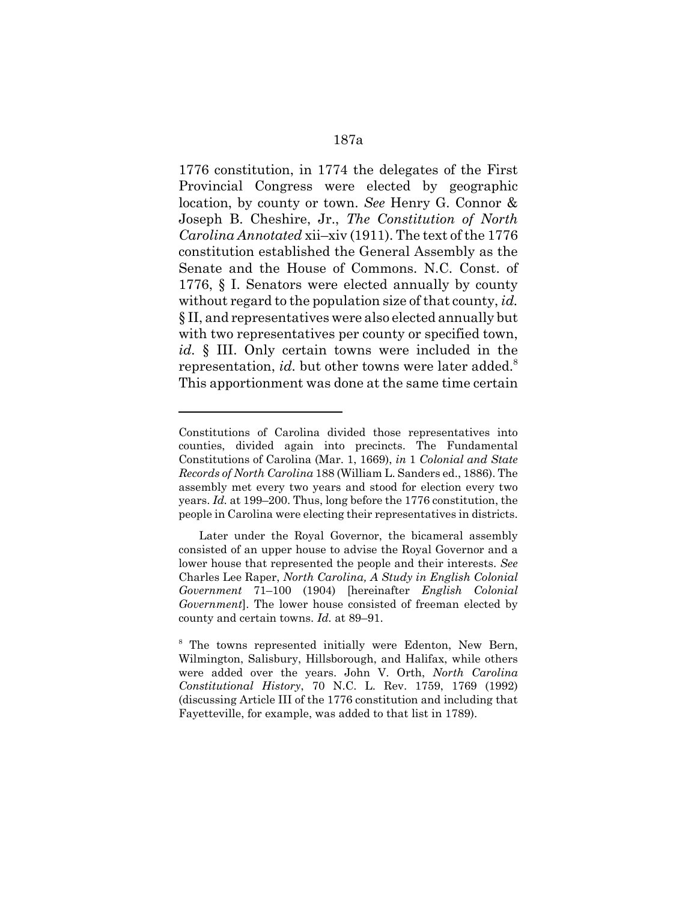1776 constitution, in 1774 the delegates of the First Provincial Congress were elected by geographic location, by county or town. *See* Henry G. Connor & Joseph B. Cheshire, Jr., *The Constitution of North Carolina Annotated* xii–xiv (1911). The text of the 1776 constitution established the General Assembly as the Senate and the House of Commons. N.C. Const. of 1776, § I. Senators were elected annually by county without regard to the population size of that county, *id.* § II, and representatives were also elected annually but with two representatives per county or specified town, *id.* § III. Only certain towns were included in the representation, *id.* but other towns were later added.<sup>8</sup> This apportionment was done at the same time certain

Constitutions of Carolina divided those representatives into counties, divided again into precincts. The Fundamental Constitutions of Carolina (Mar. 1, 1669), *in* 1 *Colonial and State Records of North Carolina* 188 (William L. Sanders ed., 1886). The assembly met every two years and stood for election every two years. *Id.* at 199–200. Thus, long before the 1776 constitution, the people in Carolina were electing their representatives in districts.

Later under the Royal Governor, the bicameral assembly consisted of an upper house to advise the Royal Governor and a lower house that represented the people and their interests. *See* Charles Lee Raper, *North Carolina, A Study in English Colonial Government* 71–100 (1904) [hereinafter *English Colonial Government*]. The lower house consisted of freeman elected by county and certain towns. *Id.* at 89–91.

<sup>&</sup>lt;sup>8</sup> The towns represented initially were Edenton, New Bern, Wilmington, Salisbury, Hillsborough, and Halifax, while others were added over the years. John V. Orth, *North Carolina Constitutional History*, 70 N.C. L. Rev. 1759, 1769 (1992) (discussing Article III of the 1776 constitution and including that Fayetteville, for example, was added to that list in 1789).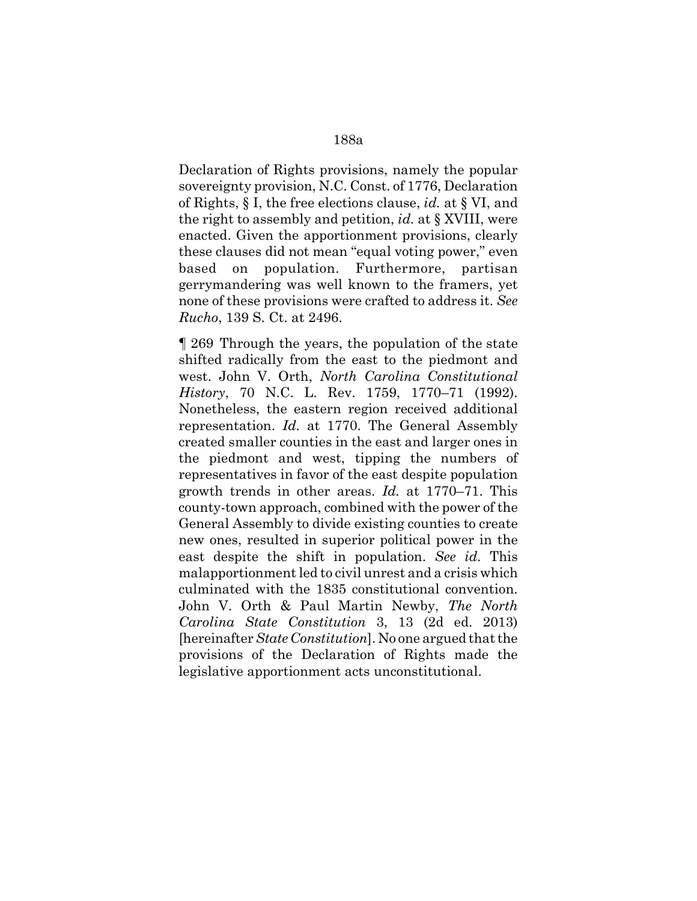Declaration of Rights provisions, namely the popular sovereignty provision, N.C. Const. of 1776, Declaration of Rights, § I, the free elections clause, *id.* at § VI, and the right to assembly and petition, *id.* at § XVIII, were enacted. Given the apportionment provisions, clearly these clauses did not mean "equal voting power," even based on population. Furthermore, partisan gerrymandering was well known to the framers, yet none of these provisions were crafted to address it. *See Rucho*, 139 S. Ct. at 2496.

¶ 269 Through the years, the population of the state shifted radically from the east to the piedmont and west. John V. Orth, *North Carolina Constitutional History*, 70 N.C. L. Rev. 1759, 1770–71 (1992). Nonetheless, the eastern region received additional representation. *Id.* at 1770. The General Assembly created smaller counties in the east and larger ones in the piedmont and west, tipping the numbers of representatives in favor of the east despite population growth trends in other areas. *Id.* at 1770–71. This county-town approach, combined with the power of the General Assembly to divide existing counties to create new ones, resulted in superior political power in the east despite the shift in population. *See id.* This malapportionment led to civil unrest and a crisis which culminated with the 1835 constitutional convention. John V. Orth & Paul Martin Newby, *The North Carolina State Constitution* 3, 13 (2d ed. 2013) [hereinafter *State Constitution*]. No one argued that the provisions of the Declaration of Rights made the legislative apportionment acts unconstitutional.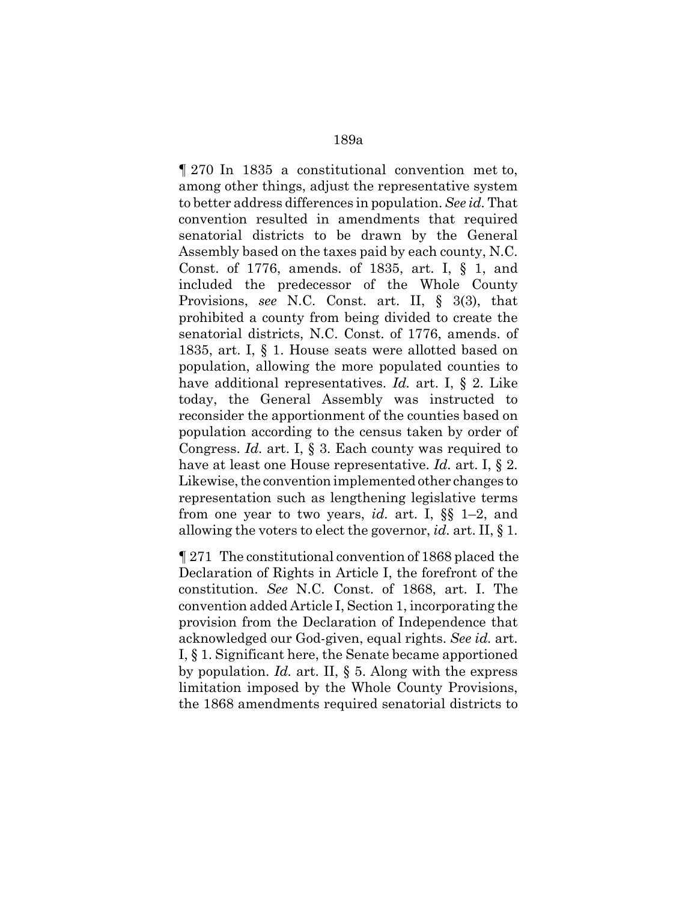¶ 270 In 1835 a constitutional convention met to, among other things, adjust the representative system to better address differences in population. *See id.* That convention resulted in amendments that required senatorial districts to be drawn by the General Assembly based on the taxes paid by each county, N.C. Const. of 1776, amends. of 1835, art. I, § 1, and included the predecessor of the Whole County Provisions, *see* N.C. Const. art. II, § 3(3), that prohibited a county from being divided to create the senatorial districts, N.C. Const. of 1776, amends. of 1835, art. I, § 1. House seats were allotted based on population, allowing the more populated counties to have additional representatives. *Id.* art. I, § 2. Like today, the General Assembly was instructed to reconsider the apportionment of the counties based on population according to the census taken by order of Congress. *Id.* art. I, § 3. Each county was required to have at least one House representative. *Id.* art. I, § 2. Likewise, the convention implemented other changes to representation such as lengthening legislative terms from one year to two years, *id.* art. I, §§ 1–2, and allowing the voters to elect the governor, *id.* art. II, § 1.

¶ 271 The constitutional convention of 1868 placed the Declaration of Rights in Article I, the forefront of the constitution. *See* N.C. Const. of 1868, art. I. The convention added Article I, Section 1, incorporating the provision from the Declaration of Independence that acknowledged our God-given, equal rights. *See id.* art. I, § 1. Significant here, the Senate became apportioned by population. *Id.* art. II, § 5. Along with the express limitation imposed by the Whole County Provisions, the 1868 amendments required senatorial districts to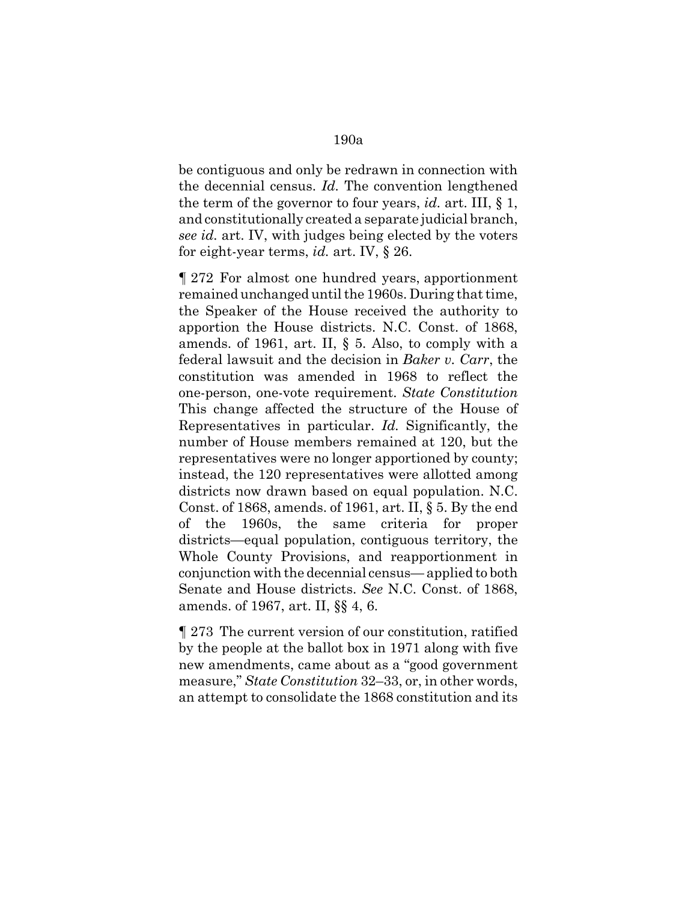be contiguous and only be redrawn in connection with the decennial census. *Id.* The convention lengthened the term of the governor to four years, *id.* art. III, § 1, and constitutionally created a separate judicial branch, *see id.* art. IV, with judges being elected by the voters for eight-year terms, *id.* art. IV, § 26.

¶ 272 For almost one hundred years, apportionment remained unchanged until the 1960s. During that time, the Speaker of the House received the authority to apportion the House districts. N.C. Const. of 1868, amends. of 1961, art. II, § 5. Also, to comply with a federal lawsuit and the decision in *Baker v. Carr*, the constitution was amended in 1968 to reflect the one-person, one-vote requirement. *State Constitution* This change affected the structure of the House of Representatives in particular. *Id.* Significantly, the number of House members remained at 120, but the representatives were no longer apportioned by county; instead, the 120 representatives were allotted among districts now drawn based on equal population. N.C. Const. of 1868, amends. of 1961, art. II, § 5. By the end of the 1960s, the same criteria for proper districts—equal population, contiguous territory, the Whole County Provisions, and reapportionment in conjunction with the decennial census— applied to both Senate and House districts. *See* N.C. Const. of 1868, amends. of 1967, art. II, §§ 4, 6.

¶ 273 The current version of our constitution, ratified by the people at the ballot box in 1971 along with five new amendments, came about as a "good government measure," *State Constitution* 32–33, or, in other words, an attempt to consolidate the 1868 constitution and its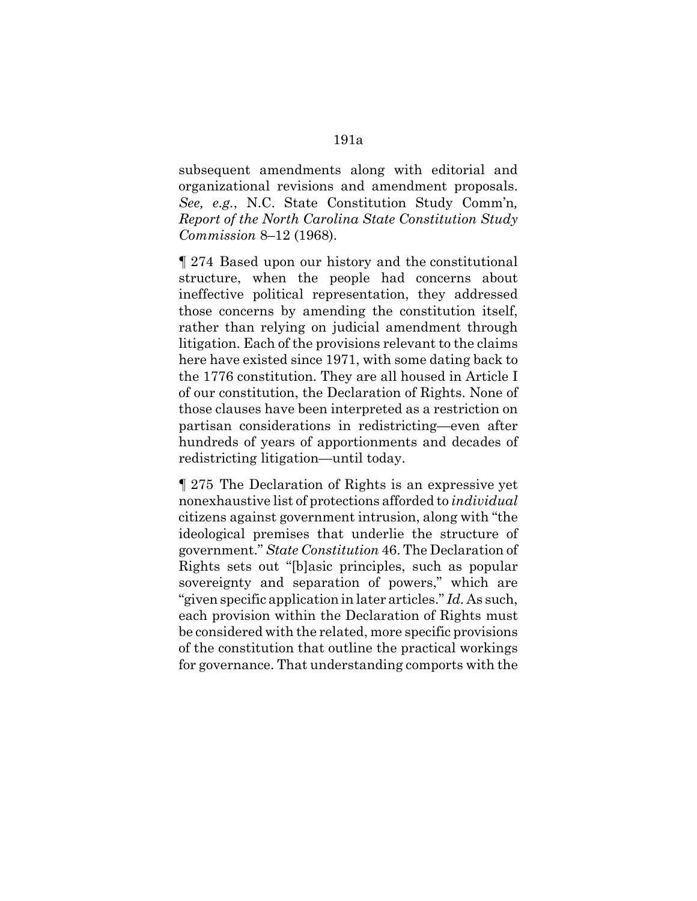subsequent amendments along with editorial and organizational revisions and amendment proposals. *See, e.g.*, N.C. State Constitution Study Comm'n*, Report of the North Carolina State Constitution Study Commission* 8–12 (1968).

¶ 274 Based upon our history and the constitutional structure, when the people had concerns about ineffective political representation, they addressed those concerns by amending the constitution itself, rather than relying on judicial amendment through litigation. Each of the provisions relevant to the claims here have existed since 1971, with some dating back to the 1776 constitution. They are all housed in Article I of our constitution, the Declaration of Rights. None of those clauses have been interpreted as a restriction on partisan considerations in redistricting—even after hundreds of years of apportionments and decades of redistricting litigation—until today.

¶ 275 The Declaration of Rights is an expressive yet nonexhaustive list of protections afforded to *individual* citizens against government intrusion, along with "the ideological premises that underlie the structure of government." *State Constitution* 46. The Declaration of Rights sets out "[b]asic principles, such as popular sovereignty and separation of powers," which are "given specific application in later articles." *Id.* As such, each provision within the Declaration of Rights must be considered with the related, more specific provisions of the constitution that outline the practical workings for governance. That understanding comports with the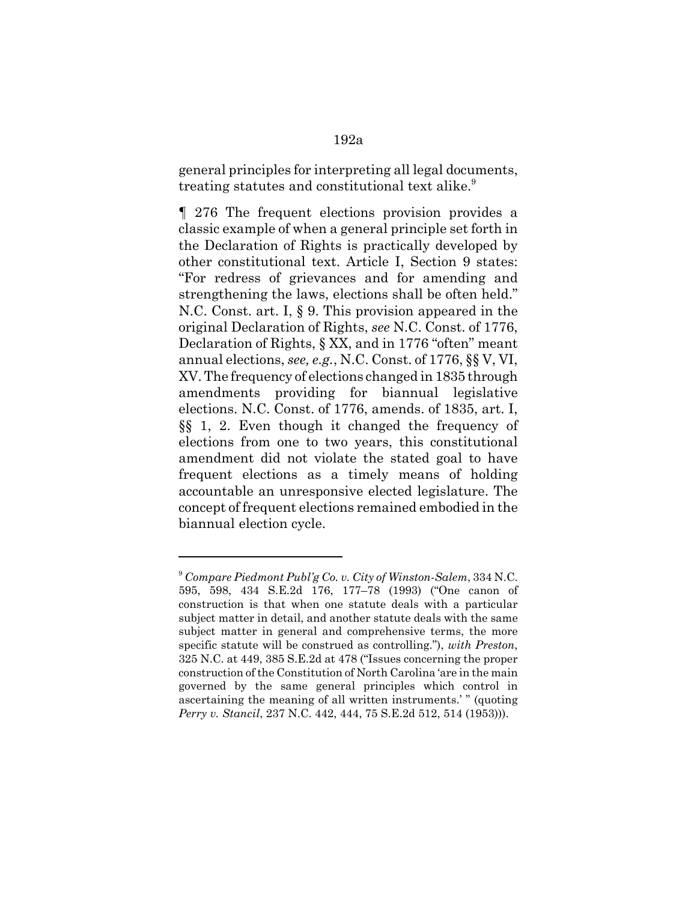general principles for interpreting all legal documents, treating statutes and constitutional text alike.<sup>9</sup>

¶ 276 The frequent elections provision provides a classic example of when a general principle set forth in the Declaration of Rights is practically developed by other constitutional text. Article I, Section 9 states: "For redress of grievances and for amending and strengthening the laws, elections shall be often held." N.C. Const. art. I, § 9. This provision appeared in the original Declaration of Rights, *see* N.C. Const. of 1776, Declaration of Rights, § XX, and in 1776 "often" meant annual elections, *see, e.g.*, N.C. Const. of 1776, §§ V, VI, XV. The frequency of elections changed in 1835 through amendments providing for biannual legislative elections. N.C. Const. of 1776, amends. of 1835, art. I, §§ 1, 2. Even though it changed the frequency of elections from one to two years, this constitutional amendment did not violate the stated goal to have frequent elections as a timely means of holding accountable an unresponsive elected legislature. The concept of frequent elections remained embodied in the biannual election cycle.

<sup>9</sup> *Compare Piedmont Publ'g Co. v. City of Winston-Salem*, 334 N.C. 595, 598, 434 S.E.2d 176, 177–78 (1993) ("One canon of construction is that when one statute deals with a particular subject matter in detail, and another statute deals with the same subject matter in general and comprehensive terms, the more specific statute will be construed as controlling."), *with Preston*, 325 N.C. at 449, 385 S.E.2d at 478 ("Issues concerning the proper construction of the Constitution of North Carolina 'are in the main governed by the same general principles which control in ascertaining the meaning of all written instruments.' " (quoting *Perry v. Stancil*, 237 N.C. 442, 444, 75 S.E.2d 512, 514 (1953))).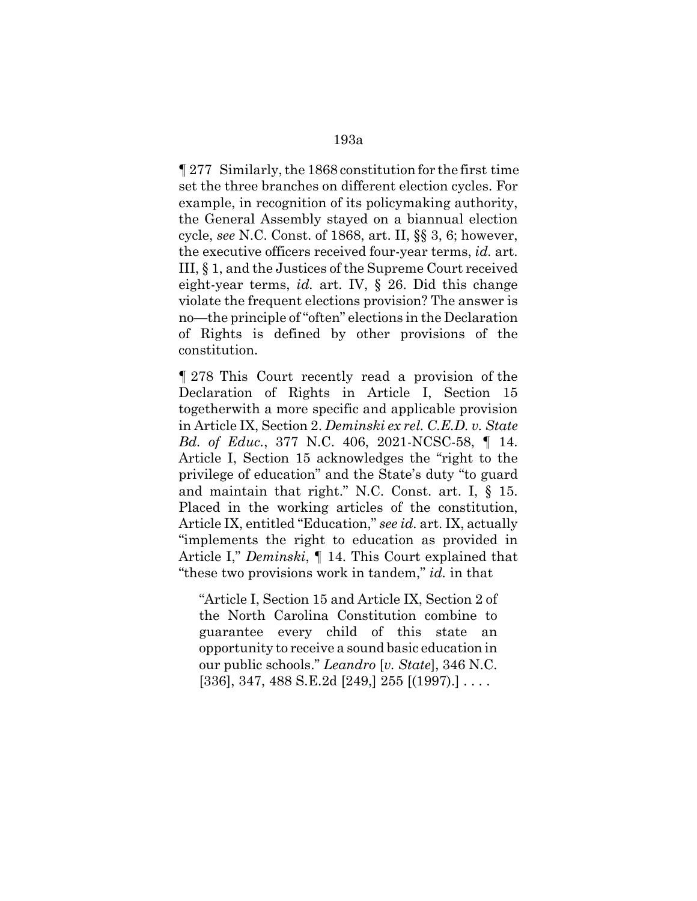¶ 277 Similarly, the 1868 constitution for the first time set the three branches on different election cycles. For example, in recognition of its policymaking authority, the General Assembly stayed on a biannual election cycle, *see* N.C. Const. of 1868, art. II, §§ 3, 6; however, the executive officers received four-year terms, *id.* art. III, § 1, and the Justices of the Supreme Court received eight-year terms, *id.* art. IV, § 26. Did this change violate the frequent elections provision? The answer is no—the principle of "often" elections in the Declaration of Rights is defined by other provisions of the constitution.

¶ 278 This Court recently read a provision of the Declaration of Rights in Article I, Section 15 togetherwith a more specific and applicable provision in Article IX, Section 2. *Deminski ex rel. C.E.D. v. State Bd. of Educ.*, 377 N.C. 406, 2021-NCSC-58, ¶ 14. Article I, Section 15 acknowledges the "right to the privilege of education" and the State's duty "to guard and maintain that right." N.C. Const. art. I, § 15. Placed in the working articles of the constitution, Article IX, entitled "Education," *see id.* art. IX, actually "implements the right to education as provided in Article I," *Deminski*, ¶ 14. This Court explained that "these two provisions work in tandem," *id.* in that

"Article I, Section 15 and Article IX, Section 2 of the North Carolina Constitution combine to guarantee every child of this state an opportunity to receive a sound basic education in our public schools." *Leandro* [*v. State*], 346 N.C.  $[336]$ , 347, 488 S.E.2d  $[249]$ , 255  $[(1997)$ .] ...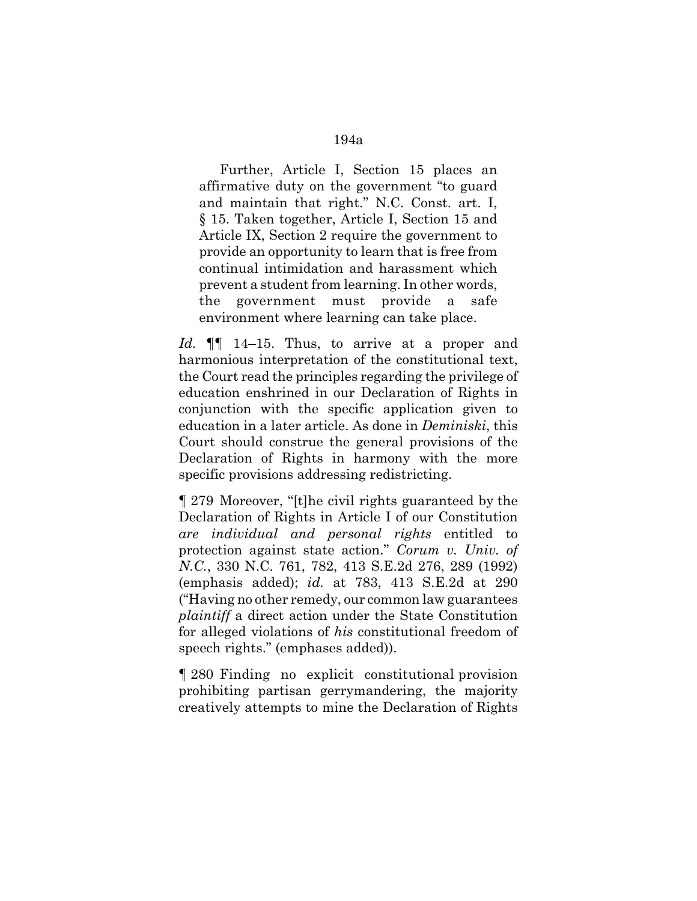Further, Article I, Section 15 places an affirmative duty on the government "to guard and maintain that right." N.C. Const. art. I, § 15. Taken together, Article I, Section 15 and Article IX, Section 2 require the government to provide an opportunity to learn that is free from continual intimidation and harassment which prevent a student from learning. In other words, the government must provide a safe environment where learning can take place.

Id. **[1]** 14–15. Thus, to arrive at a proper and harmonious interpretation of the constitutional text, the Court read the principles regarding the privilege of education enshrined in our Declaration of Rights in conjunction with the specific application given to education in a later article. As done in *Deminiski*, this Court should construe the general provisions of the Declaration of Rights in harmony with the more specific provisions addressing redistricting.

¶ 279 Moreover, "[t]he civil rights guaranteed by the Declaration of Rights in Article I of our Constitution *are individual and personal rights* entitled to protection against state action." *Corum v. Univ. of N.C.*, 330 N.C. 761, 782, 413 S.E.2d 276, 289 (1992) (emphasis added); *id.* at 783, 413 S.E.2d at 290 ("Having no other remedy, our common law guarantees *plaintiff* a direct action under the State Constitution for alleged violations of *his* constitutional freedom of speech rights." (emphases added)).

¶ 280 Finding no explicit constitutional provision prohibiting partisan gerrymandering, the majority creatively attempts to mine the Declaration of Rights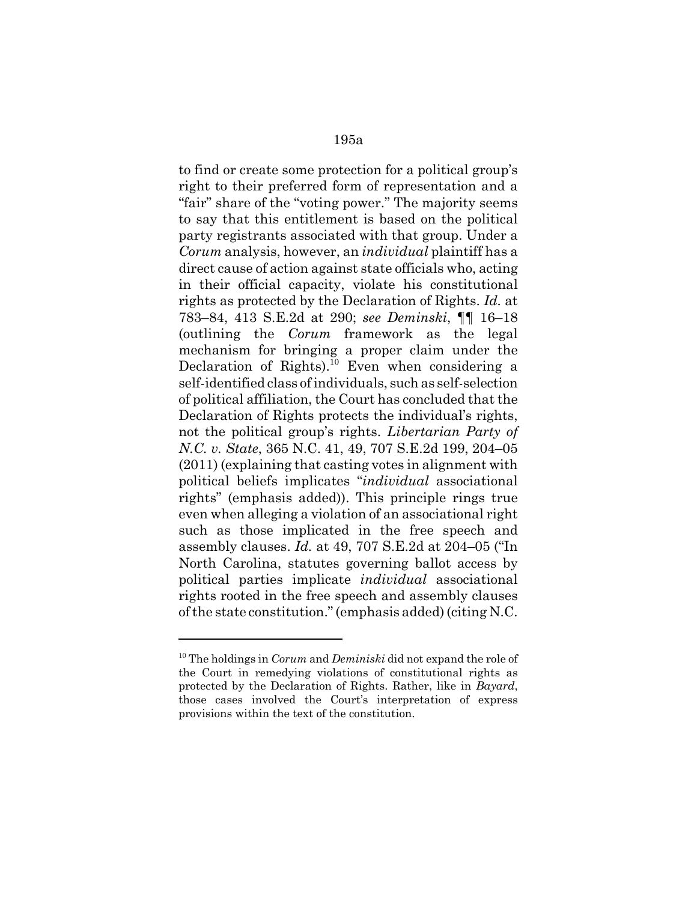to find or create some protection for a political group's right to their preferred form of representation and a "fair" share of the "voting power." The majority seems to say that this entitlement is based on the political party registrants associated with that group. Under a *Corum* analysis, however, an *individual* plaintiff has a direct cause of action against state officials who, acting in their official capacity, violate his constitutional rights as protected by the Declaration of Rights. *Id.* at 783–84, 413 S.E.2d at 290; *see Deminski*, ¶¶ 16–18 (outlining the *Corum* framework as the legal mechanism for bringing a proper claim under the Declaration of Rights).<sup>10</sup> Even when considering a self-identified class of individuals, such as self-selection of political affiliation, the Court has concluded that the Declaration of Rights protects the individual's rights, not the political group's rights. *Libertarian Party of N.C. v. State*, 365 N.C. 41, 49, 707 S.E.2d 199, 204–05 (2011) (explaining that casting votes in alignment with political beliefs implicates "*individual* associational rights" (emphasis added)). This principle rings true even when alleging a violation of an associational right such as those implicated in the free speech and assembly clauses. *Id.* at 49, 707 S.E.2d at 204–05 ("In North Carolina, statutes governing ballot access by political parties implicate *individual* associational rights rooted in the free speech and assembly clauses of the state constitution." (emphasis added) (citing N.C.

<sup>10</sup> The holdings in *Corum* and *Deminiski* did not expand the role of the Court in remedying violations of constitutional rights as protected by the Declaration of Rights. Rather, like in *Bayard*, those cases involved the Court's interpretation of express provisions within the text of the constitution.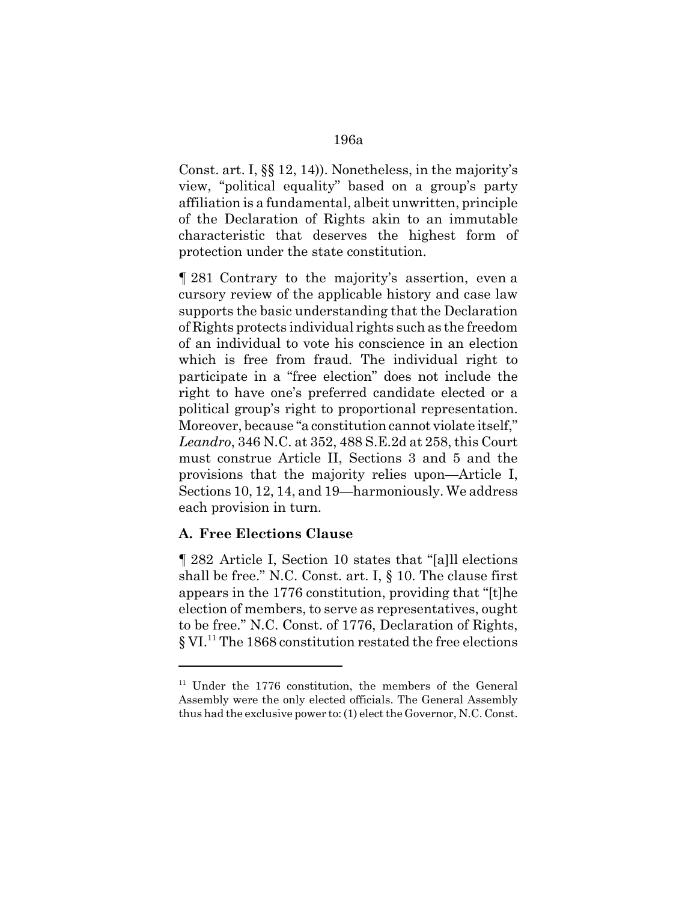Const. art. I, §§ 12, 14)). Nonetheless, in the majority's view, "political equality" based on a group's party affiliation is a fundamental, albeit unwritten, principle of the Declaration of Rights akin to an immutable characteristic that deserves the highest form of protection under the state constitution.

¶ 281 Contrary to the majority's assertion, even a cursory review of the applicable history and case law supports the basic understanding that the Declaration of Rights protects individual rights such as the freedom of an individual to vote his conscience in an election which is free from fraud. The individual right to participate in a "free election" does not include the right to have one's preferred candidate elected or a political group's right to proportional representation. Moreover, because "a constitution cannot violate itself," *Leandro*, 346 N.C. at 352, 488 S.E.2d at 258, this Court must construe Article II, Sections 3 and 5 and the provisions that the majority relies upon—Article I, Sections 10, 12, 14, and 19—harmoniously. We address each provision in turn.

# **A. Free Elections Clause**

¶ 282 Article I, Section 10 states that "[a]ll elections shall be free." N.C. Const. art. I, § 10. The clause first appears in the 1776 constitution, providing that "[t]he election of members, to serve as representatives, ought to be free." N.C. Const. of 1776, Declaration of Rights, § VI.<sup>11</sup> The 1868 constitution restated the free elections

 $11$  Under the 1776 constitution, the members of the General Assembly were the only elected officials. The General Assembly thus had the exclusive power to: (1) elect the Governor, N.C. Const.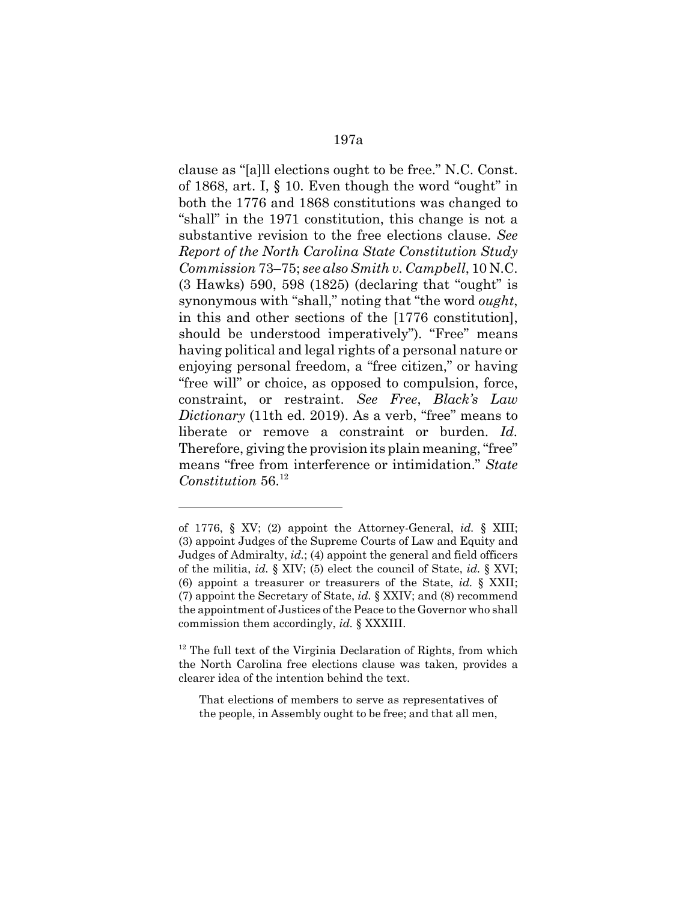clause as "[a]ll elections ought to be free." N.C. Const. of 1868, art. I, § 10. Even though the word "ought" in both the 1776 and 1868 constitutions was changed to "shall" in the 1971 constitution, this change is not a substantive revision to the free elections clause. *See Report of the North Carolina State Constitution Study Commission* 73–75; *see also Smith v. Campbell*, 10 N.C. (3 Hawks) 590, 598 (1825) (declaring that "ought" is synonymous with "shall," noting that "the word *ought*, in this and other sections of the [1776 constitution], should be understood imperatively"). "Free" means having political and legal rights of a personal nature or enjoying personal freedom, a "free citizen," or having "free will" or choice, as opposed to compulsion, force, constraint, or restraint. *See Free*, *Black's Law Dictionary* (11th ed. 2019). As a verb, "free" means to liberate or remove a constraint or burden. *Id.* Therefore, giving the provision its plain meaning, "free" means "free from interference or intimidation." *State Constitution* 56.<sup>12</sup>

of 1776, § XV; (2) appoint the Attorney-General, *id.* § XIII; (3) appoint Judges of the Supreme Courts of Law and Equity and Judges of Admiralty, *id.*; (4) appoint the general and field officers of the militia, *id.* § XIV; (5) elect the council of State, *id.* § XVI; (6) appoint a treasurer or treasurers of the State, *id.* § XXII; (7) appoint the Secretary of State, *id.* § XXIV; and (8) recommend the appointment of Justices of the Peace to the Governor who shall commission them accordingly, *id.* § XXXIII.

<sup>&</sup>lt;sup>12</sup> The full text of the Virginia Declaration of Rights, from which the North Carolina free elections clause was taken, provides a clearer idea of the intention behind the text.

That elections of members to serve as representatives of the people, in Assembly ought to be free; and that all men,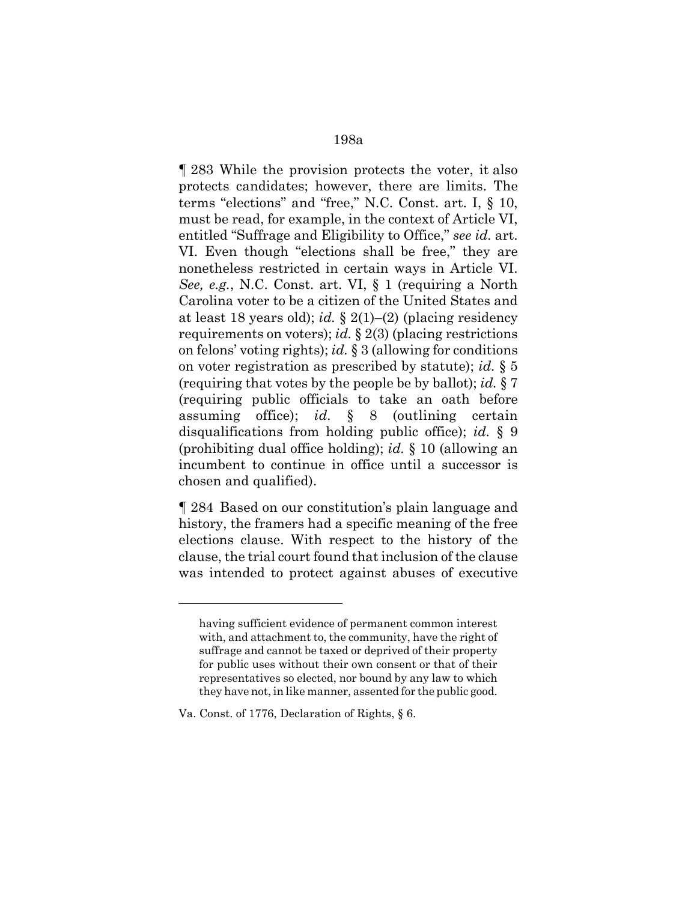¶ 283 While the provision protects the voter, it also protects candidates; however, there are limits. The terms "elections" and "free," N.C. Const. art. I, § 10, must be read, for example, in the context of Article VI, entitled "Suffrage and Eligibility to Office," *see id.* art. VI. Even though "elections shall be free," they are nonetheless restricted in certain ways in Article VI. *See, e.g.*, N.C. Const. art. VI, § 1 (requiring a North Carolina voter to be a citizen of the United States and at least 18 years old); *id.* § 2(1)–(2) (placing residency requirements on voters); *id.* § 2(3) (placing restrictions on felons' voting rights); *id.* § 3 (allowing for conditions on voter registration as prescribed by statute); *id.* § 5 (requiring that votes by the people be by ballot); *id.* § 7 (requiring public officials to take an oath before assuming office); *id.* § 8 (outlining certain disqualifications from holding public office); *id.* § 9 (prohibiting dual office holding); *id.* § 10 (allowing an incumbent to continue in office until a successor is chosen and qualified).

¶ 284 Based on our constitution's plain language and history, the framers had a specific meaning of the free elections clause. With respect to the history of the clause, the trial court found that inclusion of the clause was intended to protect against abuses of executive

having sufficient evidence of permanent common interest with, and attachment to, the community, have the right of suffrage and cannot be taxed or deprived of their property for public uses without their own consent or that of their representatives so elected, nor bound by any law to which they have not, in like manner, assented for the public good.

Va. Const. of 1776, Declaration of Rights, § 6.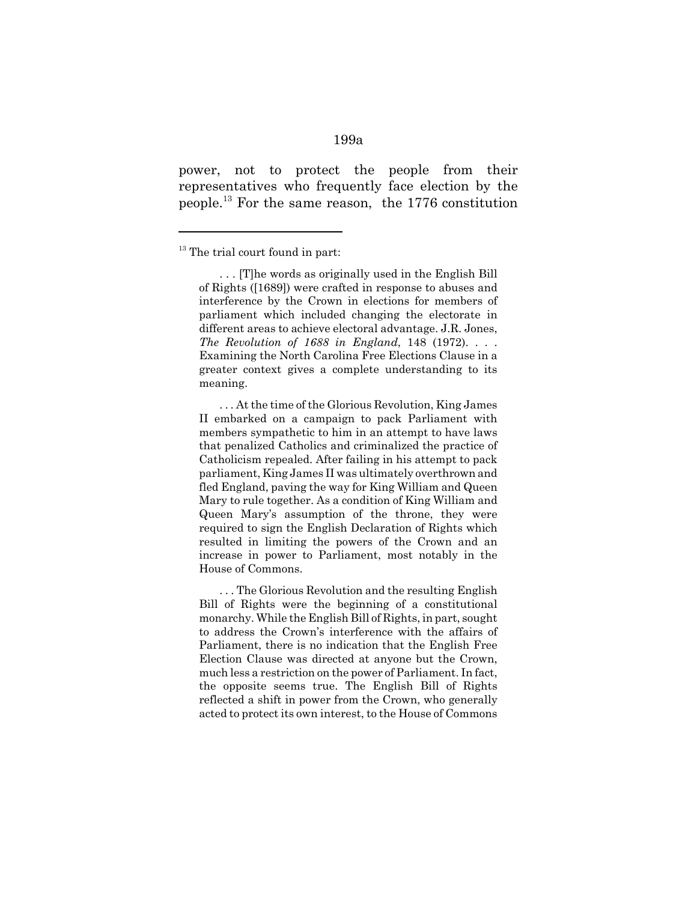power, not to protect the people from their representatives who frequently face election by the people.13 For the same reason, the 1776 constitution

. . . At the time of the Glorious Revolution, King James II embarked on a campaign to pack Parliament with members sympathetic to him in an attempt to have laws that penalized Catholics and criminalized the practice of Catholicism repealed. After failing in his attempt to pack parliament, King James II was ultimately overthrown and fled England, paving the way for King William and Queen Mary to rule together. As a condition of King William and Queen Mary's assumption of the throne, they were required to sign the English Declaration of Rights which resulted in limiting the powers of the Crown and an increase in power to Parliament, most notably in the House of Commons.

. . . The Glorious Revolution and the resulting English Bill of Rights were the beginning of a constitutional monarchy. While the English Bill of Rights, in part, sought to address the Crown's interference with the affairs of Parliament, there is no indication that the English Free Election Clause was directed at anyone but the Crown, much less a restriction on the power of Parliament. In fact, the opposite seems true. The English Bill of Rights reflected a shift in power from the Crown, who generally acted to protect its own interest, to the House of Commons

 $13$  The trial court found in part:

<sup>. . . [</sup>T]he words as originally used in the English Bill of Rights ([1689]) were crafted in response to abuses and interference by the Crown in elections for members of parliament which included changing the electorate in different areas to achieve electoral advantage. J.R. Jones, *The Revolution of 1688 in England*, 148 (1972). . . . Examining the North Carolina Free Elections Clause in a greater context gives a complete understanding to its meaning.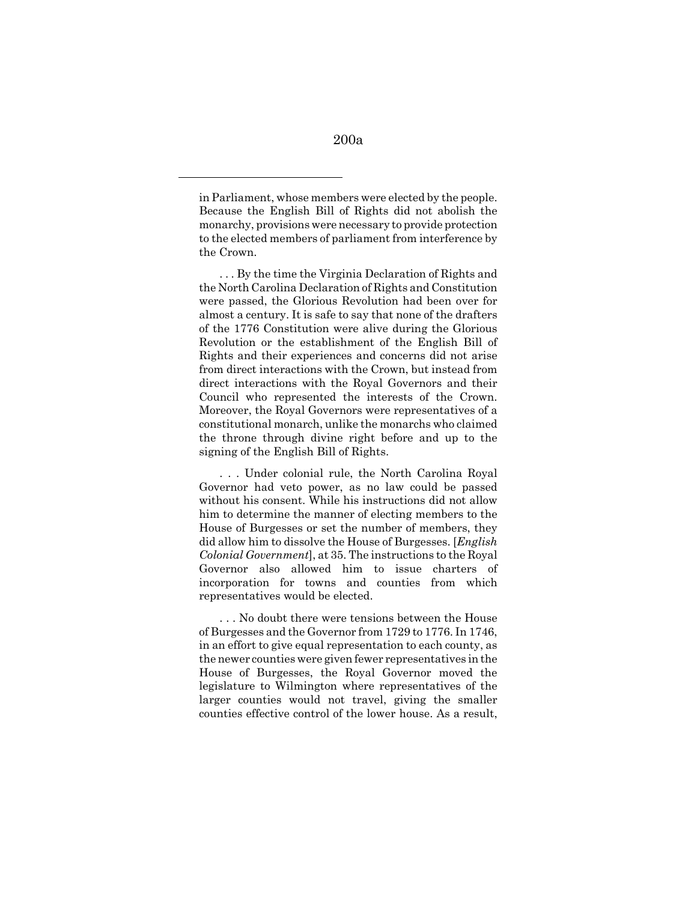in Parliament, whose members were elected by the people. Because the English Bill of Rights did not abolish the monarchy, provisions were necessary to provide protection to the elected members of parliament from interference by the Crown.

. . . By the time the Virginia Declaration of Rights and the North Carolina Declaration of Rights and Constitution were passed, the Glorious Revolution had been over for almost a century. It is safe to say that none of the drafters of the 1776 Constitution were alive during the Glorious Revolution or the establishment of the English Bill of Rights and their experiences and concerns did not arise from direct interactions with the Crown, but instead from direct interactions with the Royal Governors and their Council who represented the interests of the Crown. Moreover, the Royal Governors were representatives of a constitutional monarch, unlike the monarchs who claimed the throne through divine right before and up to the signing of the English Bill of Rights.

. . . Under colonial rule, the North Carolina Royal Governor had veto power, as no law could be passed without his consent. While his instructions did not allow him to determine the manner of electing members to the House of Burgesses or set the number of members, they did allow him to dissolve the House of Burgesses. [*English Colonial Government*], at 35. The instructions to the Royal Governor also allowed him to issue charters of incorporation for towns and counties from which representatives would be elected.

. . . No doubt there were tensions between the House of Burgesses and the Governor from 1729 to 1776. In 1746, in an effort to give equal representation to each county, as the newer counties were given fewer representatives in the House of Burgesses, the Royal Governor moved the legislature to Wilmington where representatives of the larger counties would not travel, giving the smaller counties effective control of the lower house. As a result,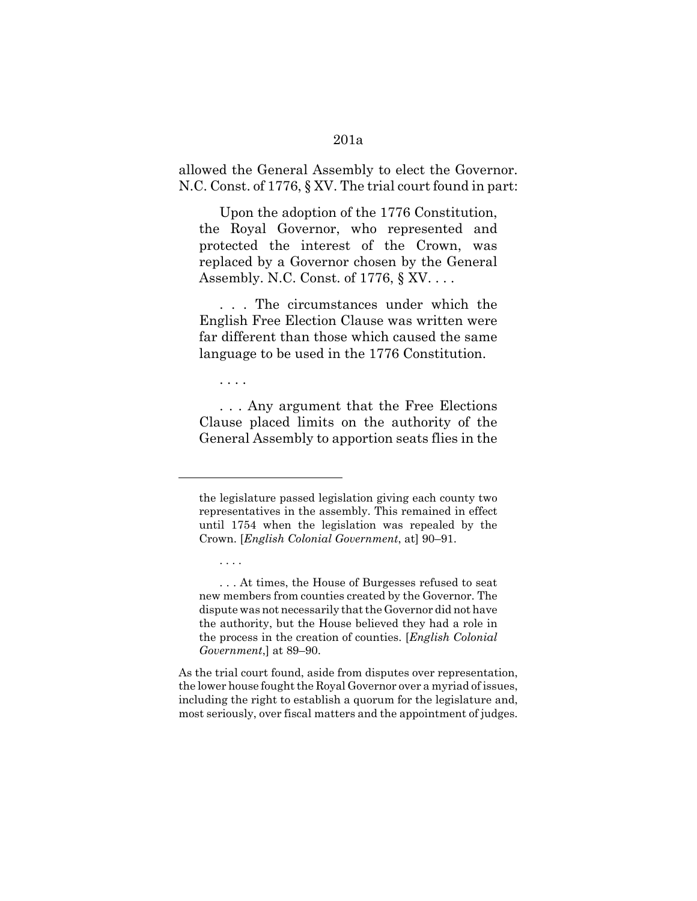### 201a

allowed the General Assembly to elect the Governor. N.C. Const. of 1776, § XV. The trial court found in part:

Upon the adoption of the 1776 Constitution, the Royal Governor, who represented and protected the interest of the Crown, was replaced by a Governor chosen by the General Assembly. N.C. Const. of 1776, § XV. . . .

. . . The circumstances under which the English Free Election Clause was written were far different than those which caused the same language to be used in the 1776 Constitution.

. . . .

. . . .

. . . Any argument that the Free Elections Clause placed limits on the authority of the General Assembly to apportion seats flies in the

As the trial court found, aside from disputes over representation, the lower house fought the Royal Governor over a myriad of issues, including the right to establish a quorum for the legislature and, most seriously, over fiscal matters and the appointment of judges.

the legislature passed legislation giving each county two representatives in the assembly. This remained in effect until 1754 when the legislation was repealed by the Crown. [*English Colonial Government*, at] 90–91.

<sup>. . .</sup> At times, the House of Burgesses refused to seat new members from counties created by the Governor. The dispute was not necessarily that the Governor did not have the authority, but the House believed they had a role in the process in the creation of counties. [*English Colonial Government*,] at 89–90.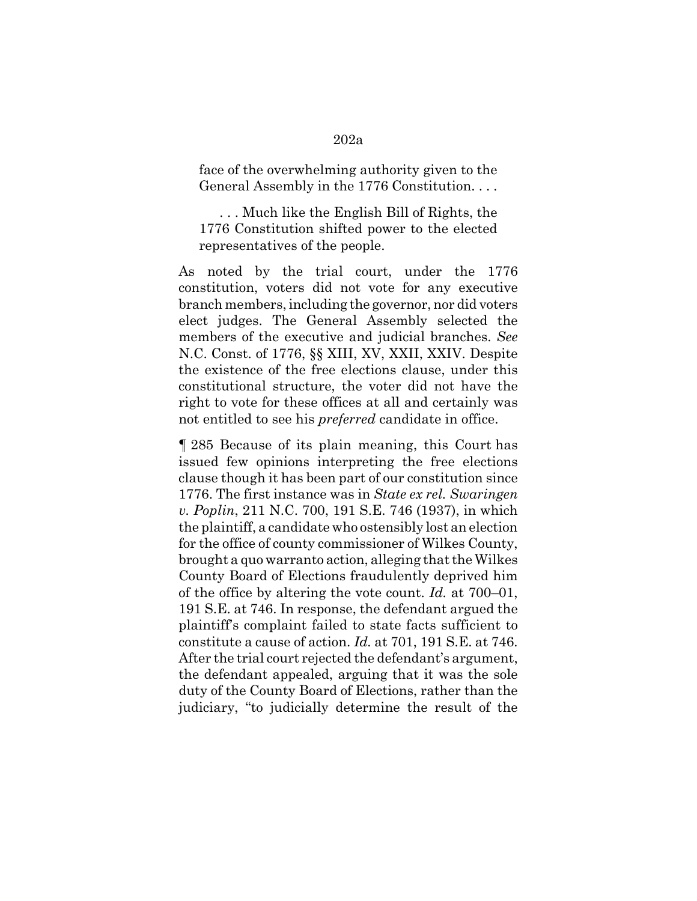### face of the overwhelming authority given to the General Assembly in the 1776 Constitution. . . .

. . . Much like the English Bill of Rights, the 1776 Constitution shifted power to the elected representatives of the people.

As noted by the trial court, under the 1776 constitution, voters did not vote for any executive branch members, including the governor, nor did voters elect judges. The General Assembly selected the members of the executive and judicial branches. *See* N.C. Const. of 1776, §§ XIII, XV, XXII, XXIV. Despite the existence of the free elections clause, under this constitutional structure, the voter did not have the right to vote for these offices at all and certainly was not entitled to see his *preferred* candidate in office.

¶ 285 Because of its plain meaning, this Court has issued few opinions interpreting the free elections clause though it has been part of our constitution since 1776. The first instance was in *State ex rel. Swaringen v. Poplin*, 211 N.C. 700, 191 S.E. 746 (1937), in which the plaintiff, a candidate who ostensibly lost an election for the office of county commissioner of Wilkes County, brought a quo warranto action, alleging that the Wilkes County Board of Elections fraudulently deprived him of the office by altering the vote count. *Id.* at 700–01, 191 S.E. at 746. In response, the defendant argued the plaintiff's complaint failed to state facts sufficient to constitute a cause of action. *Id.* at 701, 191 S.E. at 746. After the trial court rejected the defendant's argument, the defendant appealed, arguing that it was the sole duty of the County Board of Elections, rather than the judiciary, "to judicially determine the result of the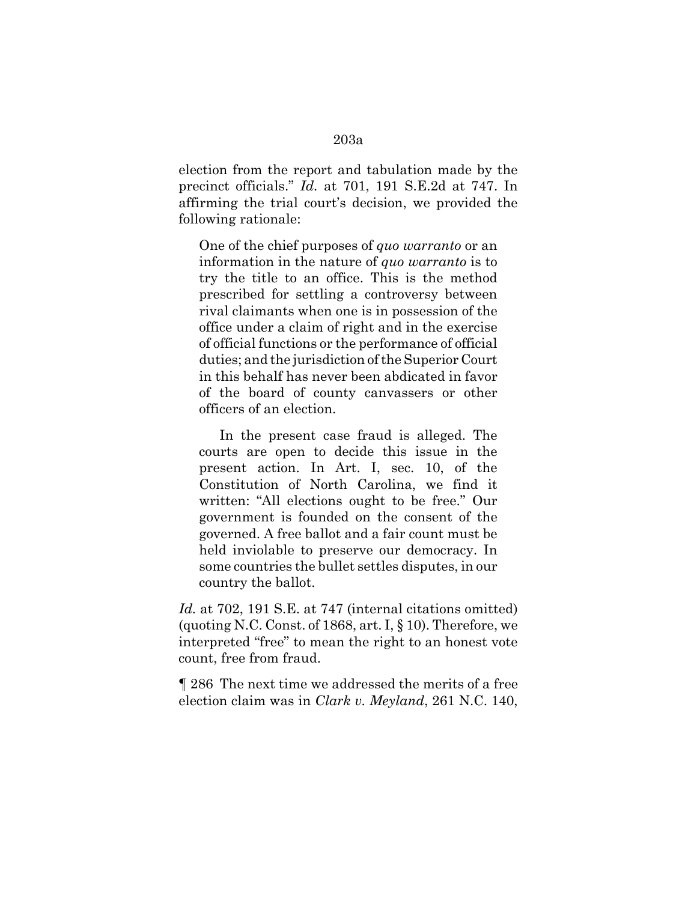election from the report and tabulation made by the precinct officials." *Id.* at 701, 191 S.E.2d at 747. In affirming the trial court's decision, we provided the following rationale:

One of the chief purposes of *quo warranto* or an information in the nature of *quo warranto* is to try the title to an office. This is the method prescribed for settling a controversy between rival claimants when one is in possession of the office under a claim of right and in the exercise of official functions or the performance of official duties; and the jurisdiction of the Superior Court in this behalf has never been abdicated in favor of the board of county canvassers or other officers of an election.

In the present case fraud is alleged. The courts are open to decide this issue in the present action. In Art. I, sec. 10, of the Constitution of North Carolina, we find it written: "All elections ought to be free." Our government is founded on the consent of the governed. A free ballot and a fair count must be held inviolable to preserve our democracy. In some countries the bullet settles disputes, in our country the ballot.

*Id.* at 702, 191 S.E. at 747 (internal citations omitted) (quoting N.C. Const. of 1868, art. I,  $\S$  10). Therefore, we interpreted "free" to mean the right to an honest vote count, free from fraud.

¶ 286 The next time we addressed the merits of a free election claim was in *Clark v. Meyland*, 261 N.C. 140,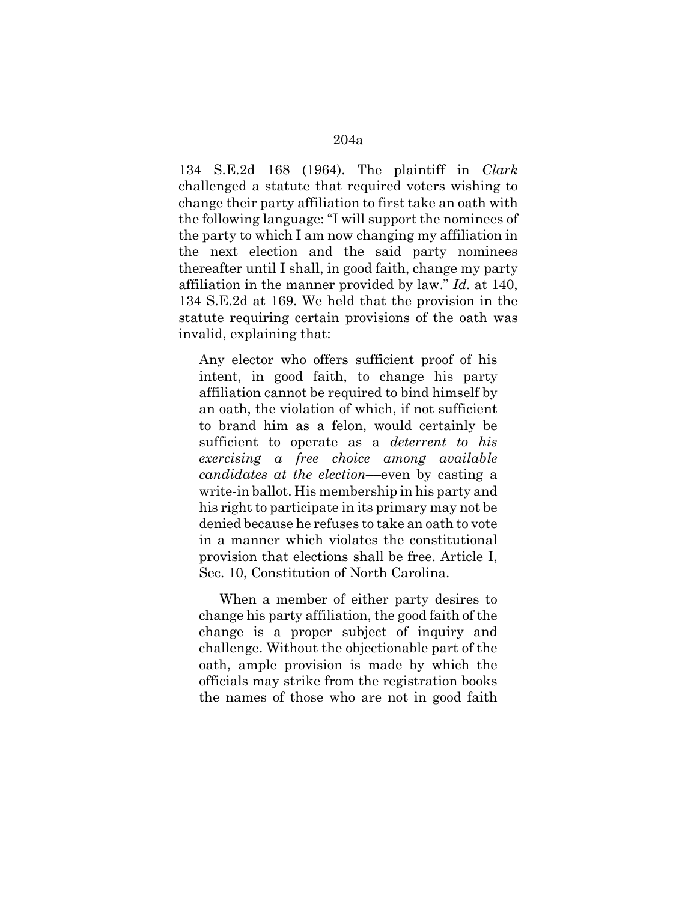134 S.E.2d 168 (1964). The plaintiff in *Clark* challenged a statute that required voters wishing to change their party affiliation to first take an oath with the following language: "I will support the nominees of the party to which I am now changing my affiliation in the next election and the said party nominees thereafter until I shall, in good faith, change my party affiliation in the manner provided by law." *Id.* at 140, 134 S.E.2d at 169. We held that the provision in the statute requiring certain provisions of the oath was invalid, explaining that:

Any elector who offers sufficient proof of his intent, in good faith, to change his party affiliation cannot be required to bind himself by an oath, the violation of which, if not sufficient to brand him as a felon, would certainly be sufficient to operate as a *deterrent to his exercising a free choice among available candidates at the election*––even by casting a write-in ballot. His membership in his party and his right to participate in its primary may not be denied because he refuses to take an oath to vote in a manner which violates the constitutional provision that elections shall be free. Article I, Sec. 10, Constitution of North Carolina.

When a member of either party desires to change his party affiliation, the good faith of the change is a proper subject of inquiry and challenge. Without the objectionable part of the oath, ample provision is made by which the officials may strike from the registration books the names of those who are not in good faith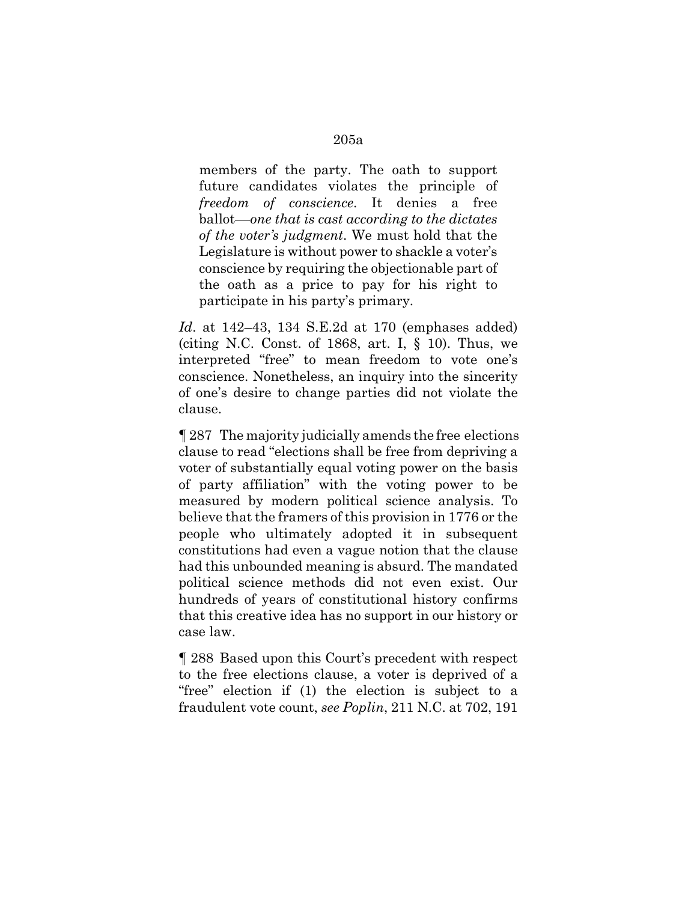members of the party. The oath to support future candidates violates the principle of *freedom of conscience*. It denies a free ballot––*one that is cast according to the dictates of the voter's judgment*. We must hold that the Legislature is without power to shackle a voter's conscience by requiring the objectionable part of the oath as a price to pay for his right to participate in his party's primary.

*Id*. at 142–43, 134 S.E.2d at 170 (emphases added) (citing N.C. Const. of 1868, art. I,  $\S$  10). Thus, we interpreted "free" to mean freedom to vote one's conscience. Nonetheless, an inquiry into the sincerity of one's desire to change parties did not violate the clause.

¶ 287 The majority judicially amends the free elections clause to read "elections shall be free from depriving a voter of substantially equal voting power on the basis of party affiliation" with the voting power to be measured by modern political science analysis. To believe that the framers of this provision in 1776 or the people who ultimately adopted it in subsequent constitutions had even a vague notion that the clause had this unbounded meaning is absurd. The mandated political science methods did not even exist. Our hundreds of years of constitutional history confirms that this creative idea has no support in our history or case law.

¶ 288 Based upon this Court's precedent with respect to the free elections clause, a voter is deprived of a "free" election if (1) the election is subject to a fraudulent vote count, *see Poplin*, 211 N.C. at 702, 191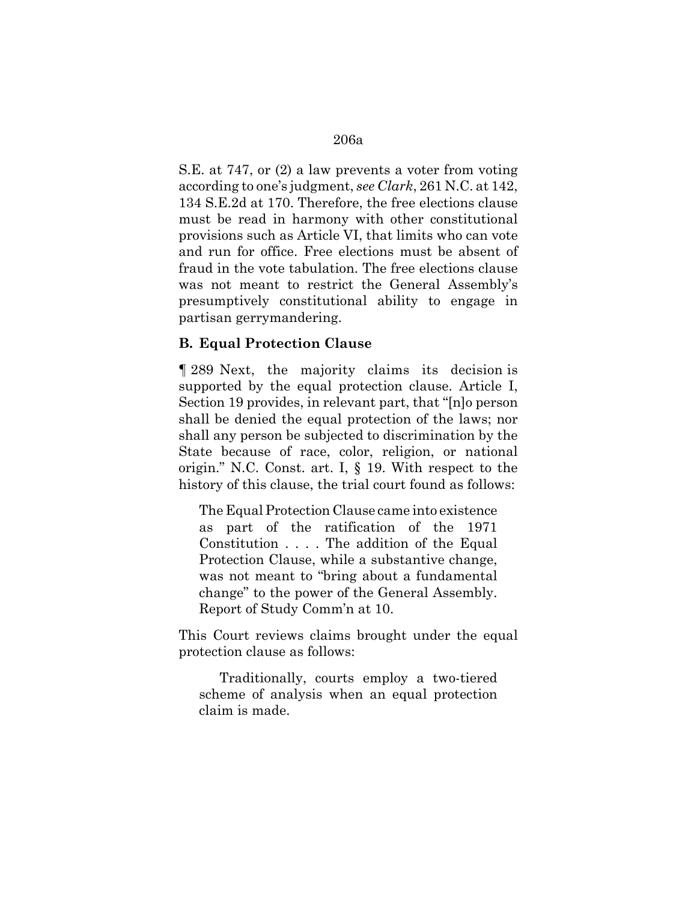S.E. at 747, or (2) a law prevents a voter from voting according to one's judgment, *see Clark*, 261 N.C. at 142, 134 S.E.2d at 170. Therefore, the free elections clause must be read in harmony with other constitutional provisions such as Article VI, that limits who can vote and run for office. Free elections must be absent of fraud in the vote tabulation. The free elections clause was not meant to restrict the General Assembly's presumptively constitutional ability to engage in partisan gerrymandering.

### **B. Equal Protection Clause**

¶ 289 Next, the majority claims its decision is supported by the equal protection clause. Article I, Section 19 provides, in relevant part, that "[n]o person shall be denied the equal protection of the laws; nor shall any person be subjected to discrimination by the State because of race, color, religion, or national origin." N.C. Const. art. I, § 19. With respect to the history of this clause, the trial court found as follows:

The Equal Protection Clause came into existence as part of the ratification of the 1971 Constitution . . . . The addition of the Equal Protection Clause, while a substantive change, was not meant to "bring about a fundamental change" to the power of the General Assembly. Report of Study Comm'n at 10.

This Court reviews claims brought under the equal protection clause as follows:

Traditionally, courts employ a two-tiered scheme of analysis when an equal protection claim is made.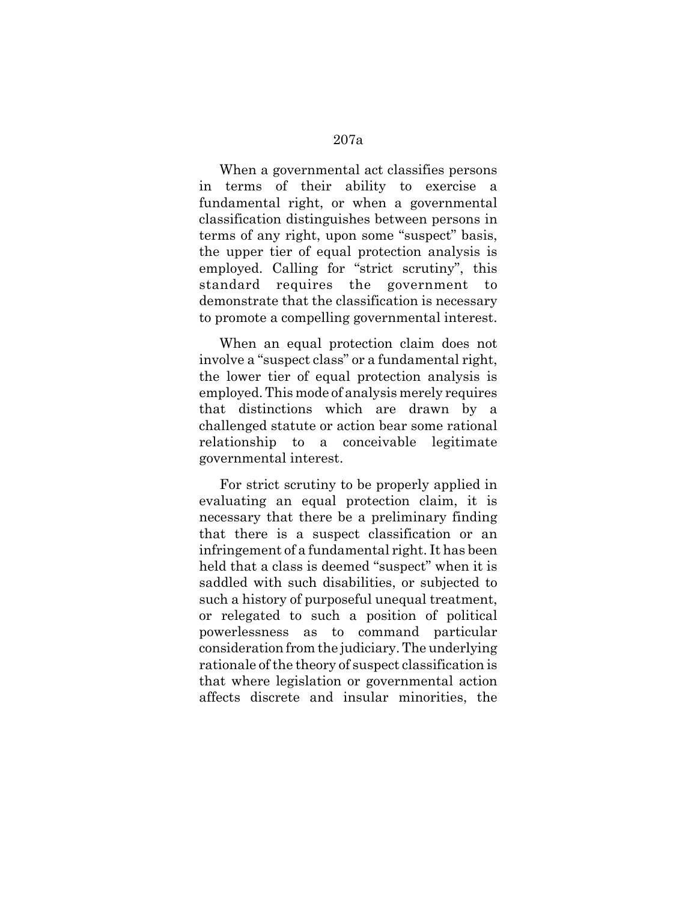When a governmental act classifies persons in terms of their ability to exercise a fundamental right, or when a governmental classification distinguishes between persons in terms of any right, upon some "suspect" basis, the upper tier of equal protection analysis is employed. Calling for "strict scrutiny", this standard requires the government demonstrate that the classification is necessary to promote a compelling governmental interest.

When an equal protection claim does not involve a "suspect class" or a fundamental right, the lower tier of equal protection analysis is employed. This mode of analysis merely requires that distinctions which are drawn by a challenged statute or action bear some rational relationship to a conceivable legitimate governmental interest.

For strict scrutiny to be properly applied in evaluating an equal protection claim, it is necessary that there be a preliminary finding that there is a suspect classification or an infringement of a fundamental right. It has been held that a class is deemed "suspect" when it is saddled with such disabilities, or subjected to such a history of purposeful unequal treatment, or relegated to such a position of political powerlessness as to command particular consideration from the judiciary. The underlying rationale of the theory of suspect classification is that where legislation or governmental action affects discrete and insular minorities, the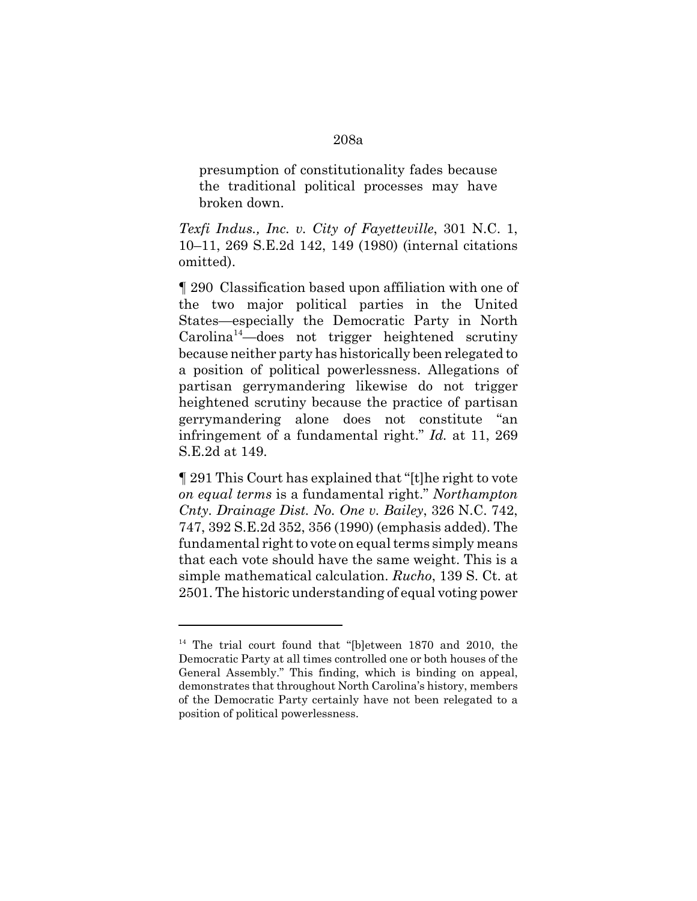## presumption of constitutionality fades because the traditional political processes may have broken down.

*Texfi Indus., Inc. v. City of Fayetteville*, 301 N.C. 1, 10–11, 269 S.E.2d 142, 149 (1980) (internal citations omitted).

¶ 290 Classification based upon affiliation with one of the two major political parties in the United States—especially the Democratic Party in North  $Carolina<sup>14</sup>—does not trigger heightened scrutiny$ because neither party has historically been relegated to a position of political powerlessness. Allegations of partisan gerrymandering likewise do not trigger heightened scrutiny because the practice of partisan gerrymandering alone does not constitute "an infringement of a fundamental right." *Id.* at 11, 269 S.E.2d at 149.

¶ 291 This Court has explained that "[t]he right to vote *on equal terms* is a fundamental right." *Northampton Cnty. Drainage Dist. No. One v. Bailey*, 326 N.C. 742, 747, 392 S.E.2d 352, 356 (1990) (emphasis added). The fundamental right to vote on equal terms simply means that each vote should have the same weight. This is a simple mathematical calculation. *Rucho*, 139 S. Ct. at 2501. The historic understanding of equal voting power

### 208a

<sup>&</sup>lt;sup>14</sup> The trial court found that "[b]etween 1870 and 2010, the Democratic Party at all times controlled one or both houses of the General Assembly." This finding, which is binding on appeal, demonstrates that throughout North Carolina's history, members of the Democratic Party certainly have not been relegated to a position of political powerlessness.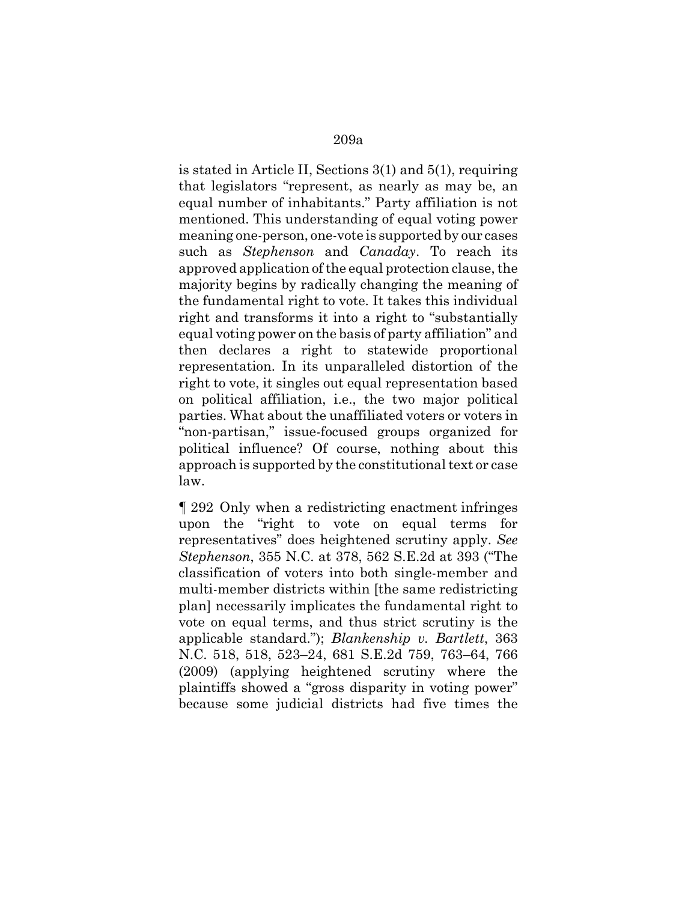is stated in Article II, Sections 3(1) and 5(1), requiring that legislators "represent, as nearly as may be, an equal number of inhabitants." Party affiliation is not mentioned. This understanding of equal voting power meaning one-person, one-vote is supported by our cases such as *Stephenson* and *Canaday*. To reach its approved application of the equal protection clause, the majority begins by radically changing the meaning of the fundamental right to vote. It takes this individual right and transforms it into a right to "substantially equal voting power on the basis of party affiliation" and then declares a right to statewide proportional representation. In its unparalleled distortion of the right to vote, it singles out equal representation based on political affiliation, i.e., the two major political parties. What about the unaffiliated voters or voters in "non-partisan," issue-focused groups organized for political influence? Of course, nothing about this approach is supported by the constitutional text or case law.

¶ 292 Only when a redistricting enactment infringes upon the "right to vote on equal terms for representatives" does heightened scrutiny apply. *See Stephenson*, 355 N.C. at 378, 562 S.E.2d at 393 ("The classification of voters into both single-member and multi-member districts within [the same redistricting plan] necessarily implicates the fundamental right to vote on equal terms, and thus strict scrutiny is the applicable standard."); *Blankenship v. Bartlett*, 363 N.C. 518, 518, 523–24, 681 S.E.2d 759, 763–64, 766 (2009) (applying heightened scrutiny where the plaintiffs showed a "gross disparity in voting power" because some judicial districts had five times the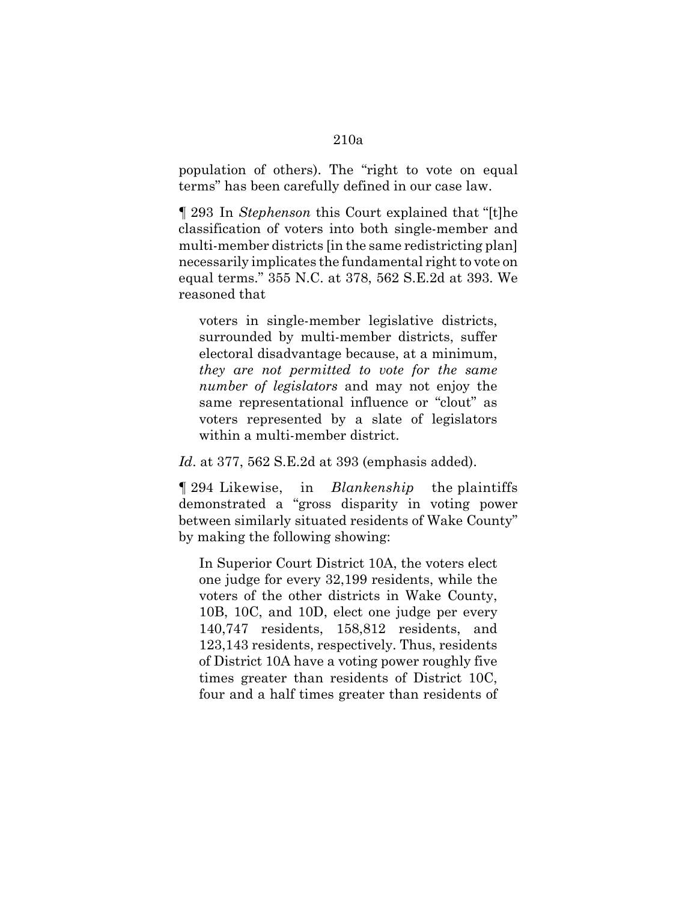## population of others). The "right to vote on equal terms" has been carefully defined in our case law.

¶ 293 In *Stephenson* this Court explained that "[t]he classification of voters into both single-member and multi-member districts [in the same redistricting plan] necessarily implicates the fundamental right to vote on equal terms." 355 N.C. at 378, 562 S.E.2d at 393. We reasoned that

voters in single-member legislative districts, surrounded by multi-member districts, suffer electoral disadvantage because, at a minimum, *they are not permitted to vote for the same number of legislators* and may not enjoy the same representational influence or "clout" as voters represented by a slate of legislators within a multi-member district.

*Id*. at 377, 562 S.E.2d at 393 (emphasis added).

¶ 294 Likewise, in *Blankenship* the plaintiffs demonstrated a "gross disparity in voting power between similarly situated residents of Wake County" by making the following showing:

In Superior Court District 10A, the voters elect one judge for every 32,199 residents, while the voters of the other districts in Wake County, 10B, 10C, and 10D, elect one judge per every 140,747 residents, 158,812 residents, and 123,143 residents, respectively. Thus, residents of District 10A have a voting power roughly five times greater than residents of District 10C, four and a half times greater than residents of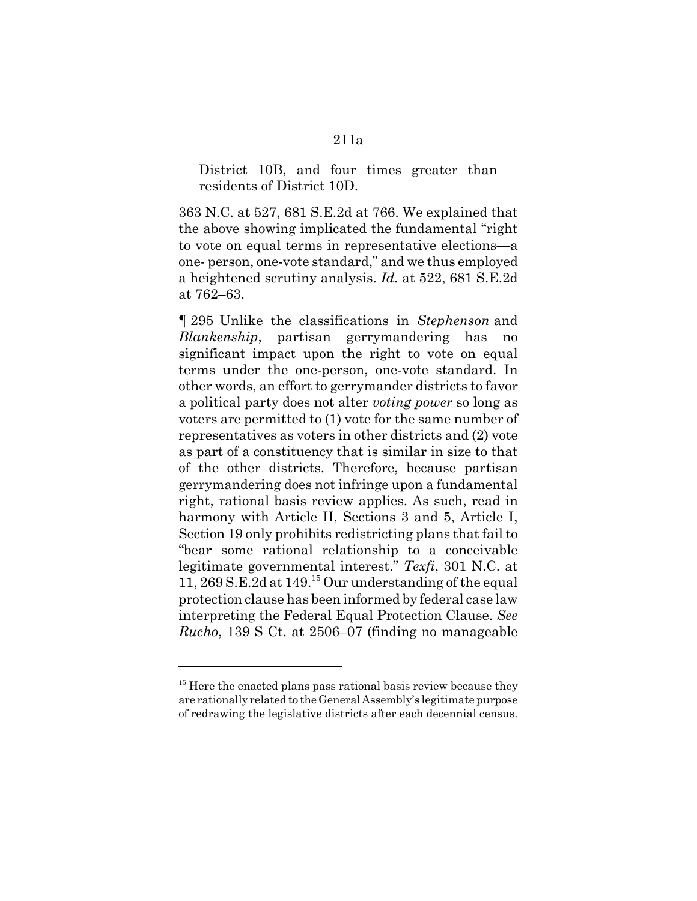District 10B, and four times greater than residents of District 10D.

363 N.C. at 527, 681 S.E.2d at 766. We explained that the above showing implicated the fundamental "right to vote on equal terms in representative elections—a one- person, one-vote standard," and we thus employed a heightened scrutiny analysis. *Id.* at 522, 681 S.E.2d at 762–63.

¶ 295 Unlike the classifications in *Stephenson* and *Blankenship*, partisan gerrymandering has no significant impact upon the right to vote on equal terms under the one-person, one-vote standard. In other words, an effort to gerrymander districts to favor a political party does not alter *voting power* so long as voters are permitted to (1) vote for the same number of representatives as voters in other districts and (2) vote as part of a constituency that is similar in size to that of the other districts. Therefore, because partisan gerrymandering does not infringe upon a fundamental right, rational basis review applies. As such, read in harmony with Article II, Sections 3 and 5, Article I, Section 19 only prohibits redistricting plans that fail to "bear some rational relationship to a conceivable legitimate governmental interest." *Texfi*, 301 N.C. at 11, 269 S.E.2d at  $149<sup>15</sup>$  Our understanding of the equal protection clause has been informed by federal case law interpreting the Federal Equal Protection Clause. *See Rucho*, 139 S Ct. at 2506–07 (finding no manageable

 $15$  Here the enacted plans pass rational basis review because they are rationally related to the General Assembly's legitimate purpose of redrawing the legislative districts after each decennial census.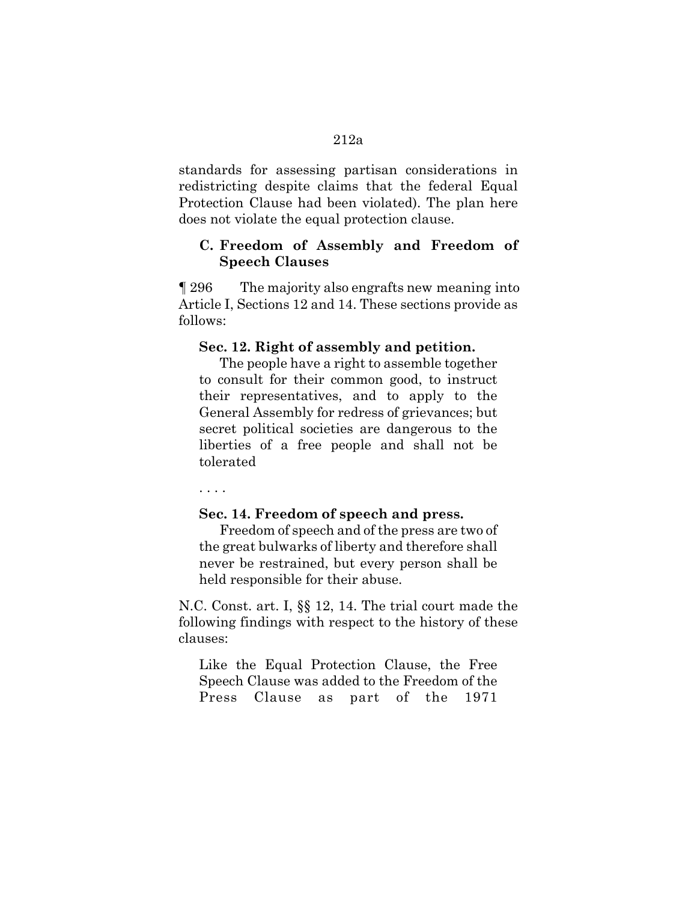standards for assessing partisan considerations in redistricting despite claims that the federal Equal Protection Clause had been violated). The plan here does not violate the equal protection clause.

### **C. Freedom of Assembly and Freedom of Speech Clauses**

¶ 296 The majority also engrafts new meaning into Article I, Sections 12 and 14. These sections provide as follows:

#### **Sec. 12. Right of assembly and petition.**

The people have a right to assemble together to consult for their common good, to instruct their representatives, and to apply to the General Assembly for redress of grievances; but secret political societies are dangerous to the liberties of a free people and shall not be tolerated

. . . .

### **Sec. 14. Freedom of speech and press.**

Freedom of speech and of the press are two of the great bulwarks of liberty and therefore shall never be restrained, but every person shall be held responsible for their abuse.

N.C. Const. art. I, §§ 12, 14. The trial court made the following findings with respect to the history of these clauses:

Like the Equal Protection Clause, the Free Speech Clause was added to the Freedom of the Press Clause as part of the 1971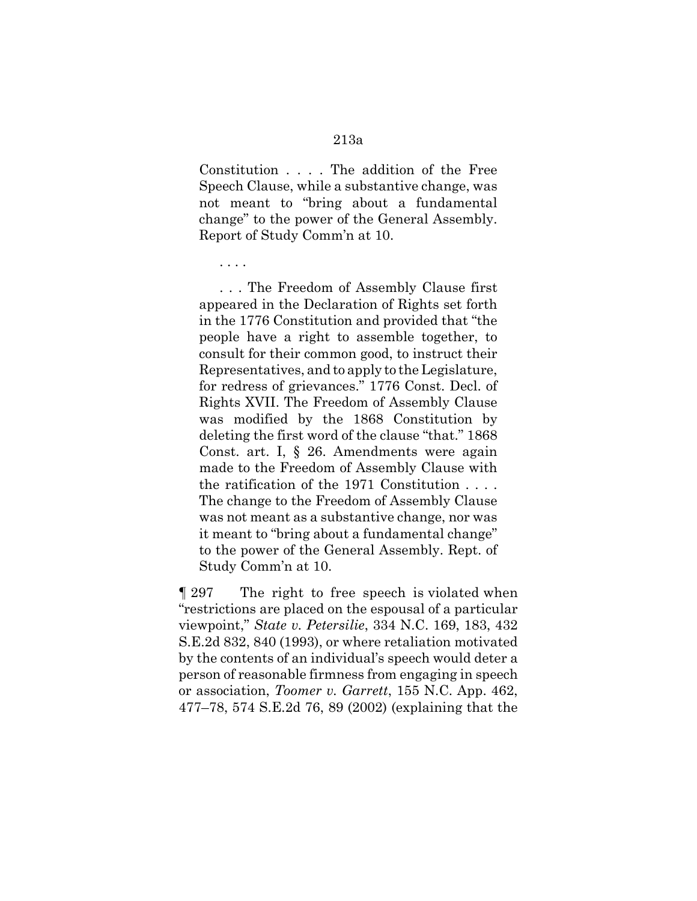Constitution . . . . The addition of the Free Speech Clause, while a substantive change, was not meant to "bring about a fundamental change" to the power of the General Assembly. Report of Study Comm'n at 10.

. . . .

. . . The Freedom of Assembly Clause first appeared in the Declaration of Rights set forth in the 1776 Constitution and provided that "the people have a right to assemble together, to consult for their common good, to instruct their Representatives, and to apply to the Legislature, for redress of grievances." 1776 Const. Decl. of Rights XVII. The Freedom of Assembly Clause was modified by the 1868 Constitution by deleting the first word of the clause "that." 1868 Const. art. I, § 26. Amendments were again made to the Freedom of Assembly Clause with the ratification of the 1971 Constitution . . . . The change to the Freedom of Assembly Clause was not meant as a substantive change, nor was it meant to "bring about a fundamental change" to the power of the General Assembly. Rept. of Study Comm'n at 10.

¶ 297 The right to free speech is violated when "restrictions are placed on the espousal of a particular viewpoint," *State v. Petersilie*, 334 N.C. 169, 183, 432 S.E.2d 832, 840 (1993), or where retaliation motivated by the contents of an individual's speech would deter a person of reasonable firmness from engaging in speech or association, *Toomer v. Garrett*, 155 N.C. App. 462, 477–78, 574 S.E.2d 76, 89 (2002) (explaining that the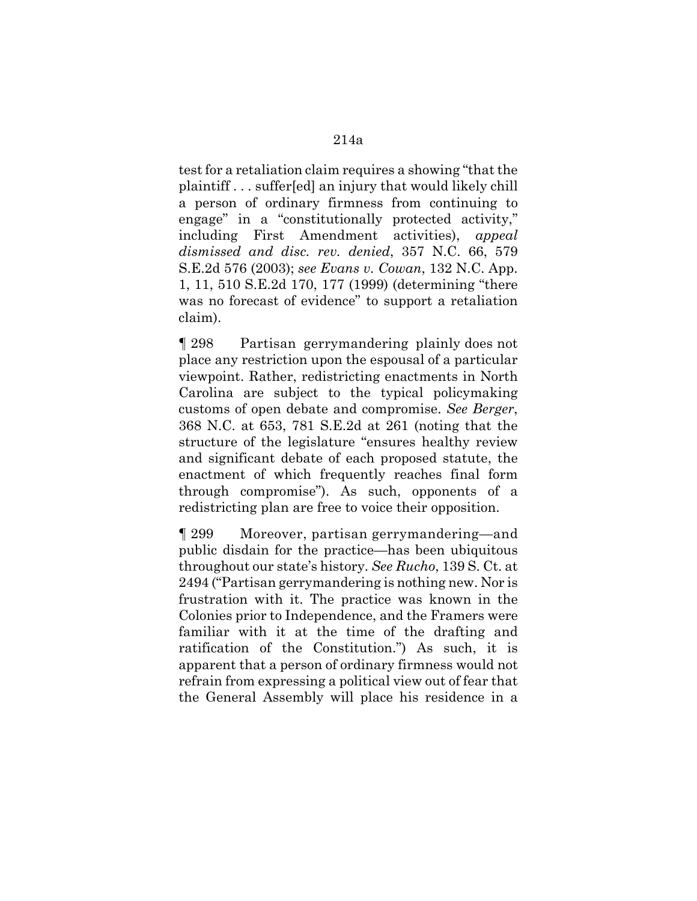test for a retaliation claim requires a showing "that the plaintiff . . . suffer[ed] an injury that would likely chill a person of ordinary firmness from continuing to engage" in a "constitutionally protected activity," including First Amendment activities), *appeal dismissed and disc. rev. denied*, 357 N.C. 66, 579 S.E.2d 576 (2003); *see Evans v. Cowan*, 132 N.C. App. 1, 11, 510 S.E.2d 170, 177 (1999) (determining "there was no forecast of evidence" to support a retaliation claim).

¶ 298 Partisan gerrymandering plainly does not place any restriction upon the espousal of a particular viewpoint. Rather, redistricting enactments in North Carolina are subject to the typical policymaking customs of open debate and compromise. *See Berger*, 368 N.C. at 653, 781 S.E.2d at 261 (noting that the structure of the legislature "ensures healthy review and significant debate of each proposed statute, the enactment of which frequently reaches final form through compromise"). As such, opponents of a redistricting plan are free to voice their opposition.

¶ 299 Moreover, partisan gerrymandering—and public disdain for the practice—has been ubiquitous throughout our state's history. *See Rucho*, 139 S. Ct. at 2494 ("Partisan gerrymandering is nothing new. Nor is frustration with it. The practice was known in the Colonies prior to Independence, and the Framers were familiar with it at the time of the drafting and ratification of the Constitution.") As such, it is apparent that a person of ordinary firmness would not refrain from expressing a political view out of fear that the General Assembly will place his residence in a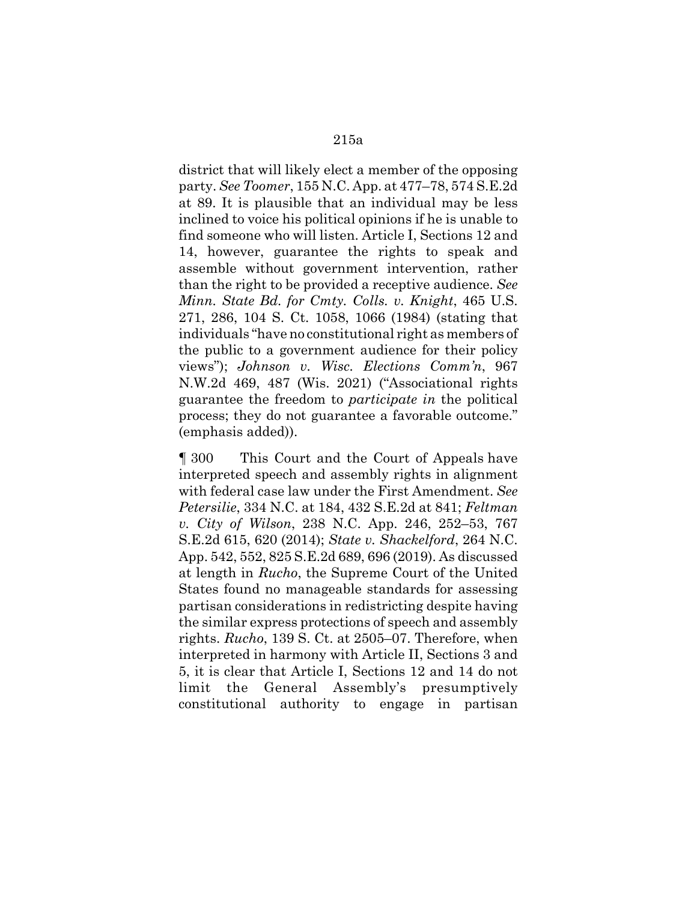district that will likely elect a member of the opposing party. *See Toomer*, 155 N.C. App. at 477–78, 574 S.E.2d at 89. It is plausible that an individual may be less inclined to voice his political opinions if he is unable to find someone who will listen. Article I, Sections 12 and 14, however, guarantee the rights to speak and assemble without government intervention, rather than the right to be provided a receptive audience. *See Minn. State Bd. for Cmty. Colls. v. Knight*, 465 U.S. 271, 286, 104 S. Ct. 1058, 1066 (1984) (stating that individuals "have no constitutional right as members of the public to a government audience for their policy views"); *Johnson v. Wisc. Elections Comm'n*, 967 N.W.2d 469, 487 (Wis. 2021) ("Associational rights guarantee the freedom to *participate in* the political process; they do not guarantee a favorable outcome." (emphasis added)).

¶ 300 This Court and the Court of Appeals have interpreted speech and assembly rights in alignment with federal case law under the First Amendment. *See Petersilie*, 334 N.C. at 184, 432 S.E.2d at 841; *Feltman v. City of Wilson*, 238 N.C. App. 246, 252–53, 767 S.E.2d 615, 620 (2014); *State v. Shackelford*, 264 N.C. App. 542, 552, 825 S.E.2d 689, 696 (2019). As discussed at length in *Rucho*, the Supreme Court of the United States found no manageable standards for assessing partisan considerations in redistricting despite having the similar express protections of speech and assembly rights. *Rucho*, 139 S. Ct. at 2505–07. Therefore, when interpreted in harmony with Article II, Sections 3 and 5, it is clear that Article I, Sections 12 and 14 do not limit the General Assembly's presumptively constitutional authority to engage in partisan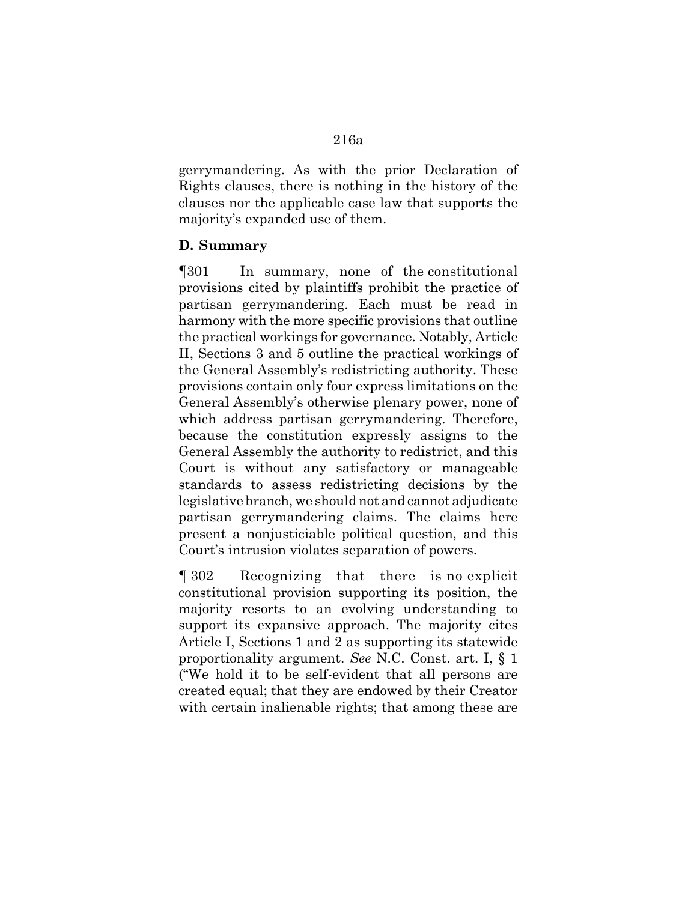gerrymandering. As with the prior Declaration of Rights clauses, there is nothing in the history of the clauses nor the applicable case law that supports the majority's expanded use of them.

### **D. Summary**

¶301 In summary, none of the constitutional provisions cited by plaintiffs prohibit the practice of partisan gerrymandering. Each must be read in harmony with the more specific provisions that outline the practical workings for governance. Notably, Article II, Sections 3 and 5 outline the practical workings of the General Assembly's redistricting authority. These provisions contain only four express limitations on the General Assembly's otherwise plenary power, none of which address partisan gerrymandering. Therefore, because the constitution expressly assigns to the General Assembly the authority to redistrict, and this Court is without any satisfactory or manageable standards to assess redistricting decisions by the legislative branch, we should not and cannot adjudicate partisan gerrymandering claims. The claims here present a nonjusticiable political question, and this Court's intrusion violates separation of powers.

¶ 302 Recognizing that there is no explicit constitutional provision supporting its position, the majority resorts to an evolving understanding to support its expansive approach. The majority cites Article I, Sections 1 and 2 as supporting its statewide proportionality argument. *See* N.C. Const. art. I, § 1 ("We hold it to be self-evident that all persons are created equal; that they are endowed by their Creator with certain inalienable rights; that among these are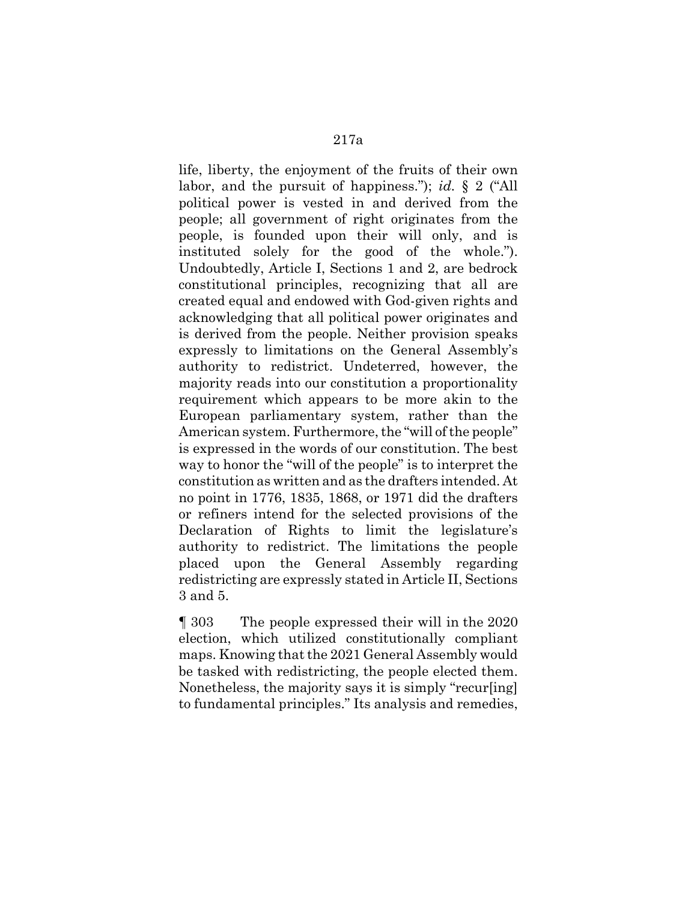life, liberty, the enjoyment of the fruits of their own labor, and the pursuit of happiness."); *id.* § 2 ("All political power is vested in and derived from the people; all government of right originates from the people, is founded upon their will only, and is instituted solely for the good of the whole."). Undoubtedly, Article I, Sections 1 and 2, are bedrock constitutional principles, recognizing that all are created equal and endowed with God-given rights and acknowledging that all political power originates and is derived from the people. Neither provision speaks expressly to limitations on the General Assembly's authority to redistrict. Undeterred, however, the majority reads into our constitution a proportionality requirement which appears to be more akin to the European parliamentary system, rather than the American system. Furthermore, the "will of the people" is expressed in the words of our constitution. The best way to honor the "will of the people" is to interpret the constitution as written and as the drafters intended. At no point in 1776, 1835, 1868, or 1971 did the drafters or refiners intend for the selected provisions of the Declaration of Rights to limit the legislature's authority to redistrict. The limitations the people placed upon the General Assembly regarding redistricting are expressly stated in Article II, Sections 3 and 5.

¶ 303 The people expressed their will in the 2020 election, which utilized constitutionally compliant maps. Knowing that the 2021 General Assembly would be tasked with redistricting, the people elected them. Nonetheless, the majority says it is simply "recur[ing] to fundamental principles." Its analysis and remedies,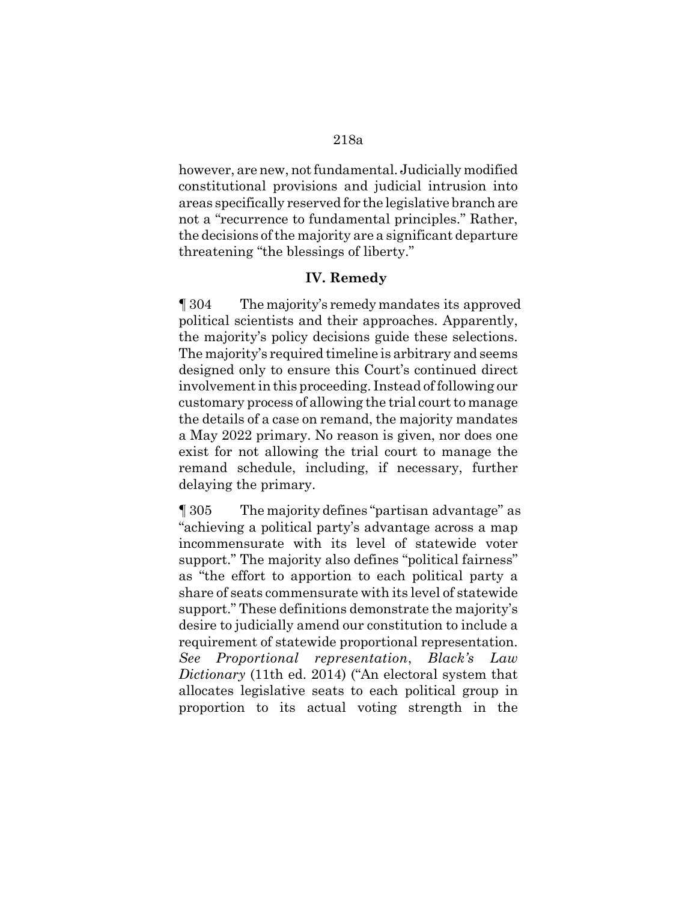## 218a

however, are new, not fundamental. Judicially modified constitutional provisions and judicial intrusion into areas specifically reserved for the legislative branch are not a "recurrence to fundamental principles." Rather, the decisions of the majority are a significant departure threatening "the blessings of liberty."

## **IV. Remedy**

¶ 304 The majority's remedy mandates its approved political scientists and their approaches. Apparently, the majority's policy decisions guide these selections. The majority's required timeline is arbitrary and seems designed only to ensure this Court's continued direct involvement in this proceeding. Instead of following our customary process of allowing the trial court to manage the details of a case on remand, the majority mandates a May 2022 primary. No reason is given, nor does one exist for not allowing the trial court to manage the remand schedule, including, if necessary, further delaying the primary.

¶ 305 The majority defines "partisan advantage" as "achieving a political party's advantage across a map incommensurate with its level of statewide voter support." The majority also defines "political fairness" as "the effort to apportion to each political party a share of seats commensurate with its level of statewide support." These definitions demonstrate the majority's desire to judicially amend our constitution to include a requirement of statewide proportional representation. *See Proportional representation*, *Black's Law Dictionary* (11th ed. 2014) ("An electoral system that allocates legislative seats to each political group in proportion to its actual voting strength in the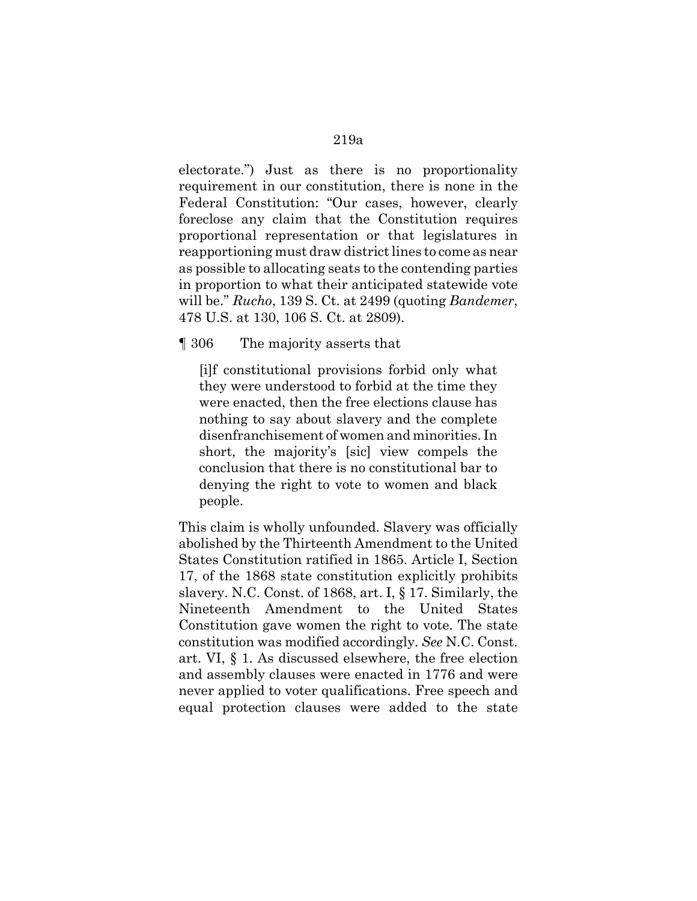electorate.") Just as there is no proportionality requirement in our constitution, there is none in the Federal Constitution: "Our cases, however, clearly foreclose any claim that the Constitution requires proportional representation or that legislatures in reapportioning must draw district lines to come as near as possible to allocating seats to the contending parties in proportion to what their anticipated statewide vote will be." *Rucho*, 139 S. Ct. at 2499 (quoting *Bandemer*, 478 U.S. at 130, 106 S. Ct. at 2809).

¶ 306 The majority asserts that

[i]f constitutional provisions forbid only what they were understood to forbid at the time they were enacted, then the free elections clause has nothing to say about slavery and the complete disenfranchisement of women and minorities. In short, the majority's [sic] view compels the conclusion that there is no constitutional bar to denying the right to vote to women and black people.

This claim is wholly unfounded. Slavery was officially abolished by the Thirteenth Amendment to the United States Constitution ratified in 1865. Article I, Section 17, of the 1868 state constitution explicitly prohibits slavery. N.C. Const. of 1868, art. I, § 17. Similarly, the Nineteenth Amendment to the United States Constitution gave women the right to vote. The state constitution was modified accordingly. *See* N.C. Const. art. VI, § 1. As discussed elsewhere, the free election and assembly clauses were enacted in 1776 and were never applied to voter qualifications. Free speech and equal protection clauses were added to the state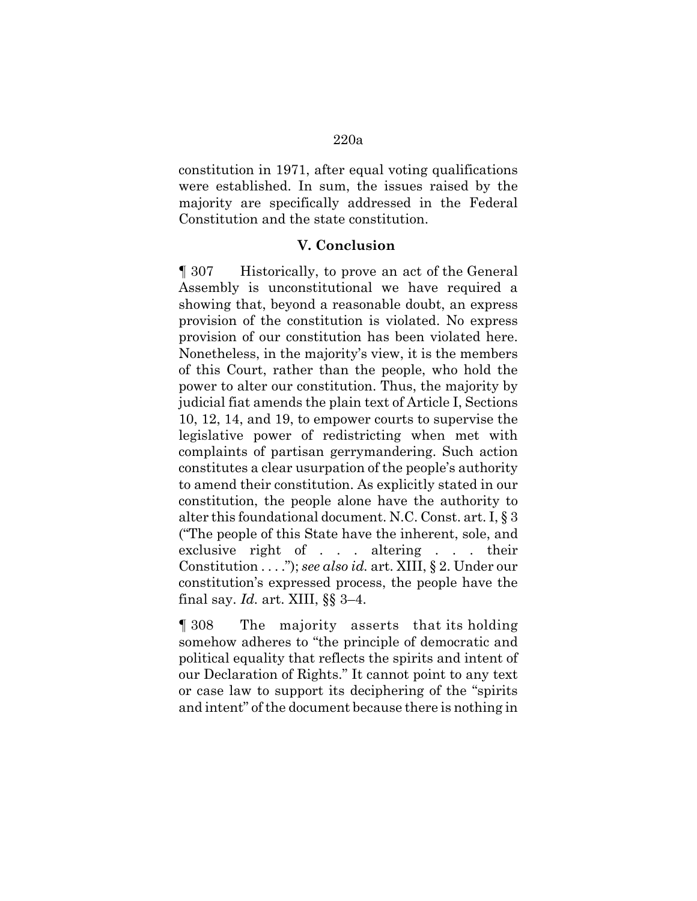constitution in 1971, after equal voting qualifications were established. In sum, the issues raised by the majority are specifically addressed in the Federal Constitution and the state constitution.

## **V. Conclusion**

¶ 307 Historically, to prove an act of the General Assembly is unconstitutional we have required a showing that, beyond a reasonable doubt, an express provision of the constitution is violated. No express provision of our constitution has been violated here. Nonetheless, in the majority's view, it is the members of this Court, rather than the people, who hold the power to alter our constitution. Thus, the majority by judicial fiat amends the plain text of Article I, Sections 10, 12, 14, and 19, to empower courts to supervise the legislative power of redistricting when met with complaints of partisan gerrymandering. Such action constitutes a clear usurpation of the people's authority to amend their constitution. As explicitly stated in our constitution, the people alone have the authority to alter this foundational document. N.C. Const. art. I, § 3 ("The people of this State have the inherent, sole, and exclusive right of . . . altering . . . their Constitution . . . ."); *see also id.* art. XIII, § 2. Under our constitution's expressed process, the people have the final say. *Id.* art. XIII, §§ 3–4.

¶ 308 The majority asserts that its holding somehow adheres to "the principle of democratic and political equality that reflects the spirits and intent of our Declaration of Rights." It cannot point to any text or case law to support its deciphering of the "spirits and intent" of the document because there is nothing in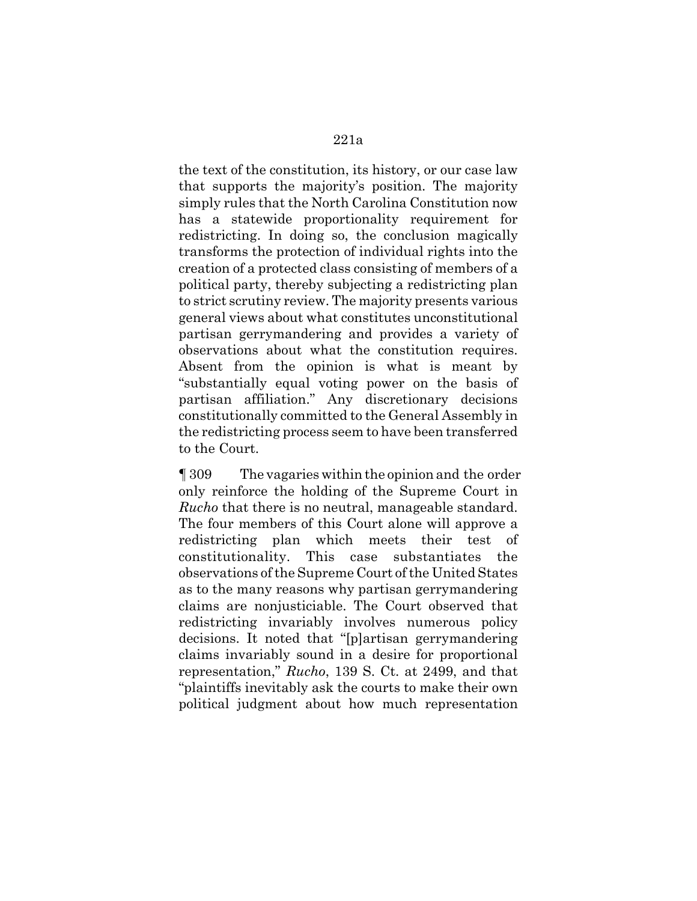the text of the constitution, its history, or our case law that supports the majority's position. The majority simply rules that the North Carolina Constitution now has a statewide proportionality requirement for redistricting. In doing so, the conclusion magically transforms the protection of individual rights into the creation of a protected class consisting of members of a political party, thereby subjecting a redistricting plan to strict scrutiny review. The majority presents various general views about what constitutes unconstitutional partisan gerrymandering and provides a variety of observations about what the constitution requires. Absent from the opinion is what is meant by "substantially equal voting power on the basis of partisan affiliation." Any discretionary decisions constitutionally committed to the General Assembly in the redistricting process seem to have been transferred to the Court.

¶ 309 The vagaries within the opinion and the order only reinforce the holding of the Supreme Court in *Rucho* that there is no neutral, manageable standard. The four members of this Court alone will approve a redistricting plan which meets their test of constitutionality. This case substantiates the observations of the Supreme Court of the United States as to the many reasons why partisan gerrymandering claims are nonjusticiable. The Court observed that redistricting invariably involves numerous policy decisions. It noted that "[p]artisan gerrymandering claims invariably sound in a desire for proportional representation," *Rucho*, 139 S. Ct. at 2499, and that "plaintiffs inevitably ask the courts to make their own political judgment about how much representation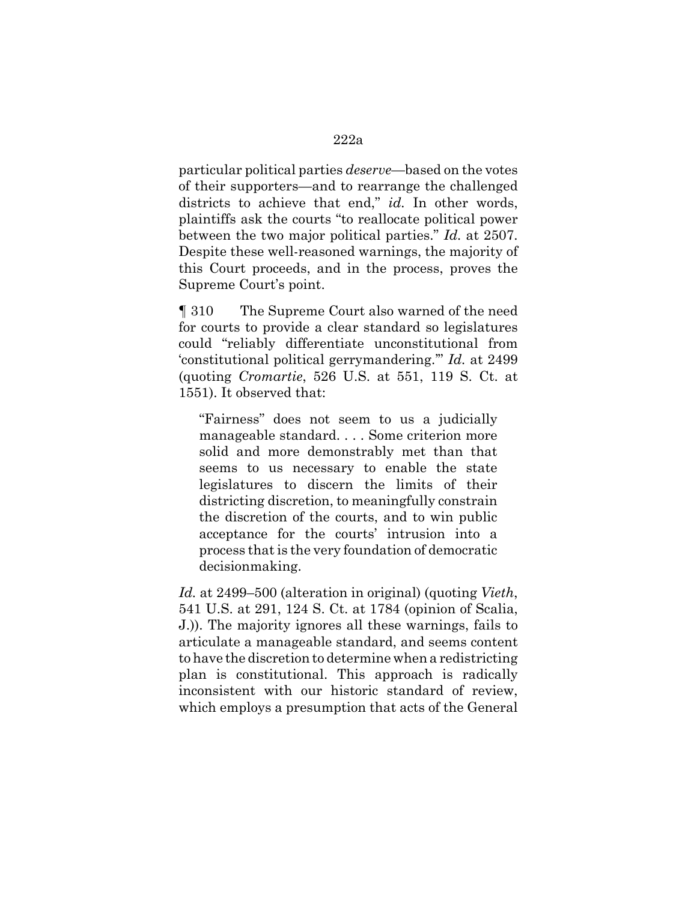particular political parties *deserve*—based on the votes of their supporters—and to rearrange the challenged districts to achieve that end," *id.* In other words, plaintiffs ask the courts "to reallocate political power between the two major political parties." *Id.* at 2507. Despite these well-reasoned warnings, the majority of this Court proceeds, and in the process, proves the Supreme Court's point.

¶ 310 The Supreme Court also warned of the need for courts to provide a clear standard so legislatures could "reliably differentiate unconstitutional from 'constitutional political gerrymandering.'" *Id.* at 2499 (quoting *Cromartie*, 526 U.S. at 551, 119 S. Ct. at 1551). It observed that:

"Fairness" does not seem to us a judicially manageable standard. . . . Some criterion more solid and more demonstrably met than that seems to us necessary to enable the state legislatures to discern the limits of their districting discretion, to meaningfully constrain the discretion of the courts, and to win public acceptance for the courts' intrusion into a process that is the very foundation of democratic decisionmaking.

*Id.* at 2499–500 (alteration in original) (quoting *Vieth*, 541 U.S. at 291, 124 S. Ct. at 1784 (opinion of Scalia, J.)). The majority ignores all these warnings, fails to articulate a manageable standard, and seems content to have the discretion to determine when a redistricting plan is constitutional. This approach is radically inconsistent with our historic standard of review, which employs a presumption that acts of the General